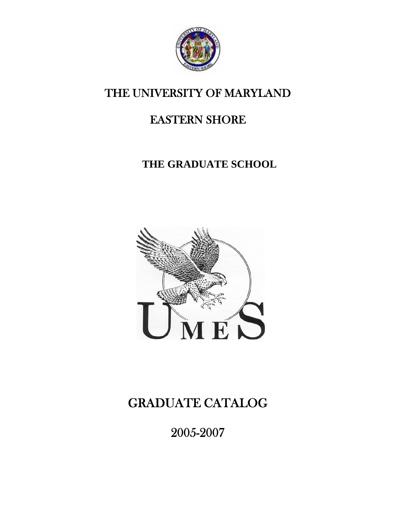

# THE UNIVERSITY OF MARYLAND

# EASTERN SHORE

# **THE GRADUATE SCHOOL**



# GRADUATE CATALOG

2005-2007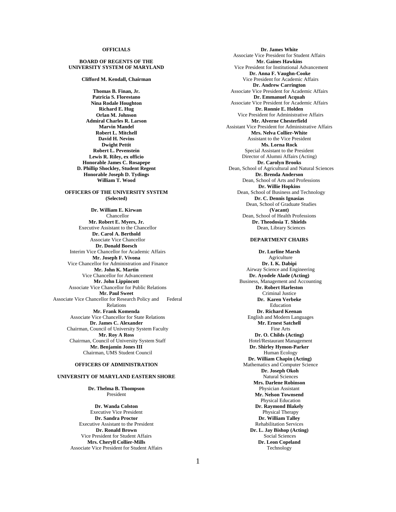#### **OFFICIALS**

#### **BOARD OF REGENTS OF THE UNIVERSITY SYSTEM OF MARYLAND**

**Clifford M. Kendall, Chairman** 

**Thomas B. Finan, Jr. Patricia S. Florestano Nina Rodale Houghton Richard E. Hug Orlan M. Johnson Admiral Charles R. Larson Marvin Mandel Robert L. Mitchell David H. Nevins Dwight Pettit Robert L. Pevenstein Lewis R. Riley, ex officio Honorable James C. Rosapepe D. Phillip Shockley, Student Regent Honorable Joseph D. Tydings William T. Wood** 

#### **OFFICERS OF THE UNIVERSITY SYSTEM (Selected)**

**Dr. William E. Kirwan**  Chancellor **Mr. Robert E. Myers, Jr.** Executive Assistant to the Chancellor **Dr. Carol A. Berthold** Associate Vice Chancellor **Dr. Donald Boesch** Interim Vice Chancellor for Academic Affairs **Mr. Joseph F. Vivona**  Vice Chancellor for Administration and Finance **Mr. John K. Martin** Vice Chancellor for Advancement **Mr. John Lippincott**  Associate Vice Chancellor for Public Relations **Mr. Paul Sweet** Associate Vice Chancellor for Research Policy and Federal Relations **Mr. Frank Komenda** Associate Vice Chancellor for State Relations **Dr. James C. Alexander** Chairman, Council of University System Faculty **Mr. Roy A Ross** Chairman, Council of University System Staff **Mr. Benjamin Jones III** Chairman, UMS Student Council

#### **OFFICERS OF ADMINISTRATION**

#### **UNIVERSITY OF MARYLAND EASTERN SHORE**

**Dr. Thelma B. Thompson** President

**Dr. Wanda Colston**  Executive Vice President **Dr. Sandra Proctor**  Executive Assistant to the President **Dr. Ronald Brown**  Vice President for Student Affairs **Mrs. Cheryll Collier-Mills** Associate Vice President for Student Affairs

**Dr. James White**  Associate Vice President for Student Affairs **Mr. Gaines Hawkins**  Vice President for Institutional Advancement **Dr. Anna F. Vaughn-Cooke** Vice President for Academic Affairs **Dr. Andrew Carrington**  Associate Vice President for Academic Affairs **Dr. Emmanuel Acquah**  Associate Vice President for Academic Affairs **Dr. Ronnie E. Holden** Vice President for Administrative Affairs **Mr. Alverne Chesterfield** Assistant Vice President for Administrative Affairs **Mrs. Nelva Collier-White** Assistant to the Vice President **Ms. Lorna Rock**  Special Assistant to the President Director of Alumni Affairs (Acting) **Dr. Carolyn Brooks** Dean, School of Agricultural and Natural Sciences **Dr. Brenda Anderson** Dean, School of Arts and Professions **Dr. Willie Hopkins** Dean, School of Business and Technology **Dr. C. Dennis Ignasias**  Dean, School of Graduate Studies **(Vacant)** Dean, School of Health Professions **Dr. Theodosia T. Shields**  Dean, Library Sciences

#### **DEPARTMENT CHAIRS**

**Dr. Lurline Marsh** Agriculture **Dr. I. K. Dabipi**  Airway Science and Engineering **Dr. Ayodele Alade (Acting)** Business, Management and Accounting **Dr. Robert Harleston**  Criminal Justice **Dr. Karen Verbeke**  Education **Dr. Richard Keenan** English and Modern Languages **Mr. Ernest Satchell**  Fine Arts **Dr. O. Childs (Acting)** Hotel/Restaurant Management **Dr. Shirley Hymon-Parker** Human Ecology  **Dr. William Chapin (Acting)** Mathematics and Computer Science  **Dr. Joseph Okoh**  Natural Sciences **Mrs. Darlene Robinson** Physician Assistant **Mr. Nelson Townsend** Physical Education **Dr. Raymond Blakely**  Physical Therapy **Dr. William Talley**  Rehabilitation Services **Dr. L. Jay Bishop (Acting)**  Social Sciences **Dr. Leon Copeland**  Technology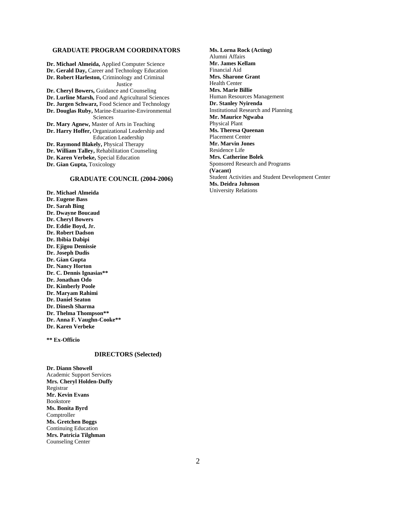#### **GRADUATE PROGRAM COORDINATORS**

**Dr. Michael Almeida,** Applied Computer Science **Dr. Gerald Day,** Career and Technology Education **Dr. Robert Harleston,** Criminology and Criminal **Justice Dr. Cheryl Bowers,** Guidance and Counseling **Dr. Lurline Marsh,** Food and Agricultural Sciences **Dr. Jurgen Schwarz,** Food Science and Technology **Dr. Douglas Ruby,** Marine-Estuarine-Environmental Sciences **Dr. Mary Agnew,** Master of Arts in Teaching **Dr. Harry Hoffer,** Organizational Leadership and Education Leadership **Dr. Raymond Blakely,** Physical Therapy **Dr. William Talley,** Rehabilitation Counseling **Dr. Karen Verbeke,** Special Education **Dr. Gian Gupta,** Toxicology

#### **GRADUATE COUNCIL (2004-2006)**

**Dr. Michael Almeida Dr. Eugene Bass Dr. Sarah Bing Dr. Dwayne Boucaud Dr. Cheryl Bowers Dr. Eddie Boyd, Jr. Dr. Robert Dadson Dr. Ibibia Dabipi Dr. Ejigou Demissie Dr. Joseph Dudis Dr. Gian Gupta Dr. Nancy Horton Dr. C. Dennis Ignasias\*\* Dr. Jonathan Odo Dr. Kimberly Poole Dr. Maryam Rahimi Dr. Daniel Seaton Dr. Dinesh Sharma Dr. Thelma Thompson\*\* Dr. Anna F. Vaughn-Cooke\*\* Dr. Karen Verbeke** 

**\*\* Ex-Officio** 

#### **DIRECTORS (Selected)**

**Dr. Diann Showell**  Academic Support Services **Mrs. Cheryl Holden-Duffy** Registrar **Mr. Kevin Evans** Bookstore **Ms. Bonita Byrd** Comptroller **Ms. Gretchen Boggs** Continuing Education **Mrs. Patricia Tilghman** Counseling Center

**Ms. Lorna Rock (Acting)**  Alumni Affairs **Mr. James Kellam**  Financial Aid **Mrs. Sharone Grant** Health Center **Mrs. Marie Billie** Human Resources Management **Dr. Stanley Nyirenda** Institutional Research and Planning **Mr. Maurice Ngwaba** Physical Plant **Ms. Theresa Queenan** Placement Center **Mr. Marvin Jones** Residence Life **Mrs. Catherine Bolek** Sponsored Research and Programs **(Vacant)** Student Activities and Student Development Center **Ms. Deidra Johnson** University Relations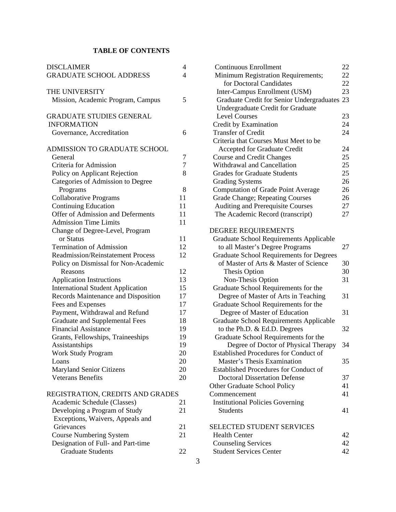# **TABLE OF CONTENTS**

| <b>DISCLAIMER</b>                        | 4  |
|------------------------------------------|----|
| <b>GRADUATE SCHOOL ADDRESS</b>           | 4  |
| THE UNIVERSITY                           |    |
| Mission, Academic Program, Campus        | 5  |
| <b>GRADUATE STUDIES GENERAL</b>          |    |
| <b>INFORMATION</b>                       |    |
| Governance, Accreditation                | 6  |
| ADMISSION TO GRADUATE SCHOOL             |    |
| General                                  | 7  |
| Criteria for Admission                   | 7  |
| Policy on Applicant Rejection            | 8  |
| Categories of Admission to Degree        |    |
| Programs                                 | 8  |
| <b>Collaborative Programs</b>            | 11 |
| <b>Continuing Education</b>              | 11 |
| Offer of Admission and Deferments        | 11 |
| <b>Admission Time Limits</b>             | 11 |
| Change of Degree-Level, Program          |    |
| or Status                                | 11 |
| <b>Termination of Admission</b>          | 12 |
| <b>Readmission/Reinstatement Process</b> | 12 |
| Policy on Dismissal for Non-Academic     |    |
| Reasons                                  | 12 |
| <b>Application Instructions</b>          | 13 |
| <b>International Student Application</b> | 15 |
| Records Maintenance and Disposition      | 17 |
| Fees and Expenses                        | 17 |
| Payment, Withdrawal and Refund           | 17 |
| <b>Graduate and Supplemental Fees</b>    | 18 |
| <b>Financial Assistance</b>              | 19 |
| Grants, Fellowships, Traineeships        | 19 |
| Assistantships                           | 19 |
| Work Study Program                       | 20 |
| Loans                                    | 20 |
| <b>Maryland Senior Citizens</b>          | 20 |
| <b>Veterans Benefits</b>                 | 20 |
| REGISTRATION, CREDITS AND GRADES         |    |

| 2 I |
|-----|
| 21  |
|     |
| 21  |
| 21  |
|     |
|     |
|     |

| <b>Continuous Enrollment</b>                    | 22 |
|-------------------------------------------------|----|
| Minimum Registration Requirements;              | 22 |
| for Doctoral Candidates                         | 22 |
| Inter-Campus Enrollment (USM)                   | 23 |
| Graduate Credit for Senior Undergraduates 23    |    |
| Undergraduate Credit for Graduate               |    |
| <b>Level Courses</b>                            | 23 |
| Credit by Examination                           | 24 |
| <b>Transfer of Credit</b>                       | 24 |
| Criteria that Courses Must Meet to be           |    |
| Accepted for Graduate Credit                    | 24 |
| <b>Course and Credit Changes</b>                | 25 |
| Withdrawal and Cancellation                     | 25 |
| <b>Grades for Graduate Students</b>             | 25 |
|                                                 | 26 |
| <b>Grading Systems</b>                          |    |
| <b>Computation of Grade Point Average</b>       | 26 |
| Grade Change; Repeating Courses                 | 26 |
| Auditing and Prerequisite Courses               | 27 |
| The Academic Record (transcript)                | 27 |
|                                                 |    |
| DEGREE REQUIREMENTS                             |    |
| <b>Graduate School Requirements Applicable</b>  |    |
| to all Master's Degree Programs                 | 27 |
| <b>Graduate School Requirements for Degrees</b> |    |
| of Master of Arts & Master of Science           | 30 |
| Thesis Option                                   | 30 |
| Non-Thesis Option                               | 31 |
| Graduate School Requirements for the            |    |
| Degree of Master of Arts in Teaching            | 31 |
| Graduate School Requirements for the            |    |
| Degree of Master of Education                   | 31 |
| <b>Graduate School Requirements Applicable</b>  |    |
| to the Ph.D. & Ed.D. Degrees                    | 32 |
| Graduate School Requirements for the            |    |
| Degree of Doctor of Physical Therapy            | 34 |
| <b>Established Procedures for Conduct of</b>    |    |
| Master's Thesis Examination                     | 35 |
| <b>Established Procedures for Conduct of</b>    |    |
| <b>Doctoral Dissertation Defense</b>            | 37 |
| Other Graduate School Policy                    | 41 |
| Commencement                                    | 41 |
| <b>Institutional Policies Governing</b>         |    |
| Students                                        | 41 |
|                                                 |    |
| <b>SELECTED STUDENT SERVICES</b>                |    |
| <b>Health Center</b>                            | 42 |
| <b>Counseling Services</b>                      | 42 |
| <b>Student Services Center</b>                  | 42 |
|                                                 |    |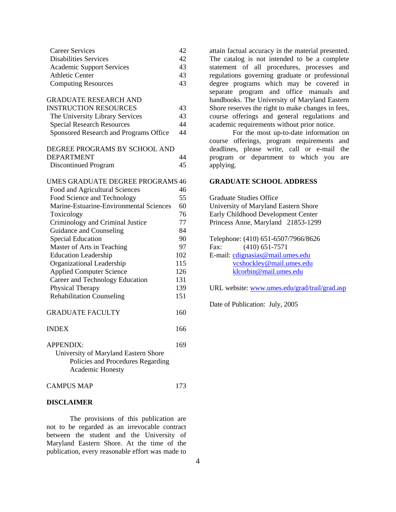| Career Services                  |    |
|----------------------------------|----|
| Disabilities Services            | 42 |
| <b>Academic Support Services</b> | 43 |
| Athletic Center                  | 43 |
| <b>Computing Resources</b>       | 43 |

| <b>GRADUATE RESEARCH AND</b>            |     |
|-----------------------------------------|-----|
| <b>INSTRUCTION RESOURCES</b>            | 43  |
| The University Library Services         | 43  |
| <b>Special Research Resources</b>       | 44  |
| Sponsored Research and Programs Office  | 44  |
| DEGREE PROGRAMS BY SCHOOL AND           |     |
| <b>DEPARTMENT</b>                       | 44  |
| <b>Discontinued Program</b>             | 45  |
| UMES GRADUATE DEGREE PROGRAMS 46        |     |
| Food and Agricultural Sciences          | 46  |
| Food Science and Technology             | 55  |
| Marine-Estuarine-Environmental Sciences | 60  |
| Toxicology                              | 76  |
| Criminology and Criminal Justice        | 77  |
| Guidance and Counseling                 | 84  |
| <b>Special Education</b>                | 90  |
| Master of Arts in Teaching              | 97  |
| <b>Education Leadership</b>             | 102 |
| Organizational Leadership               | 115 |
| <b>Applied Computer Science</b>         | 126 |
| Career and Technology Education         | 131 |
| Physical Therapy                        | 139 |
| <b>Rehabilitation Counseling</b>        | 151 |
| <b>GRADUATE FACULTY</b>                 | 160 |
| <b>INDEX</b>                            | 166 |

| APPENDIX:                            | 169 |
|--------------------------------------|-----|
| University of Maryland Eastern Shore |     |
| Policies and Procedures Regarding    |     |
| <b>Academic Honesty</b>              |     |
|                                      |     |

CAMPUS MAP 173

#### **DISCLAIMER**

The provisions of this publication are not to be regarded as an irrevocable contract between the student and the University of Maryland Eastern Shore. At the time of the publication, every reasonable effort was made to

attain factual accuracy in the material presented. The catalog is not intended to be a complete statement of all procedures, processes and regulations governing graduate or professional degree programs which may be covered in separate program and office manuals and handbooks. The University of Maryland Eastern Shore reserves the right to make changes in fees, course offerings and general regulations and academic requirements without prior notice.

For the most up-to-date information on course offerings, program requirements and deadlines, please write, call or e-mail the program or department to which you are applying.

#### **GRADUATE SCHOOL ADDRESS**

Graduate Studies Office University of Maryland Eastern Shore Early Childhood Development Center Princess Anne, Maryland 21853-1299 Telephone: (410) 651-6507/7966/8626

Fax: (410) 651-7571 E-mail: cdignasias@mail.umes.edu vcshockley@mail.umes.edu klcorbin@mail.umes.edu

URL website: www.umes.edu/grad/trail/grad.asp

Date of Publication: July, 2005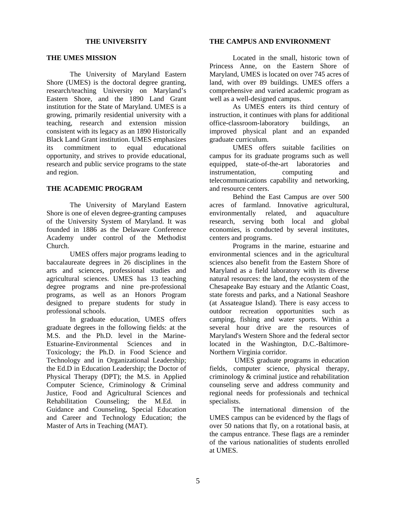#### **THE UNIVERSITY**

#### **THE UMES MISSION**

The University of Maryland Eastern Shore (UMES) is the doctoral degree granting, research/teaching University on Maryland's Eastern Shore, and the 1890 Land Grant institution for the State of Maryland. UMES is a growing, primarily residential university with a teaching, research and extension mission consistent with its legacy as an 1890 Historically Black Land Grant institution. UMES emphasizes its commitment to equal educational opportunity, and strives to provide educational, research and public service programs to the state and region.

## **THE ACADEMIC PROGRAM**

The University of Maryland Eastern Shore is one of eleven degree-granting campuses of the University System of Maryland. It was founded in 1886 as the Delaware Conference Academy under control of the Methodist Church.

UMES offers major programs leading to baccalaureate degrees in 26 disciplines in the arts and sciences, professional studies and agricultural sciences. UMES has 13 teaching degree programs and nine pre-professional programs, as well as an Honors Program designed to prepare students for study in professional schools.

In graduate education, UMES offers graduate degrees in the following fields: at the M.S. and the Ph.D. level in the Marine-Estuarine-Environmental Sciences and in Toxicology; the Ph.D. in Food Science and Technology and in Organizational Leadership; the Ed.D in Education Leadership; the Doctor of Physical Therapy (DPT); the M.S. in Applied Computer Science, Criminology & Criminal Justice, Food and Agricultural Sciences and Rehabilitation Counseling; the M.Ed. in Guidance and Counseling, Special Education and Career and Technology Education; the Master of Arts in Teaching (MAT).

#### **THE CAMPUS AND ENVIRONMENT**

Located in the small, historic town of Princess Anne, on the Eastern Shore of Maryland, UMES is located on over 745 acres of land, with over 89 buildings. UMES offers a comprehensive and varied academic program as well as a well-designed campus.

As UMES enters its third century of instruction, it continues with plans for additional office-classroom-laboratory buildings, an improved physical plant and an expanded graduate curriculum.

UMES offers suitable facilities on campus for its graduate programs such as well equipped, state-of-the-art laboratories and instrumentation, computing and telecommunications capability and networking, and resource centers.

Behind the East Campus are over 500 acres of farmland. Innovative agricultural, environmentally related, and aquaculture research, serving both local and global economies, is conducted by several institutes, centers and programs.

Programs in the marine, estuarine and environmental sciences and in the agricultural sciences also benefit from the Eastern Shore of Maryland as a field laboratory with its diverse natural resources: the land, the ecosystem of the Chesapeake Bay estuary and the Atlantic Coast, state forests and parks, and a National Seashore (at Assateague Island). There is easy access to outdoor recreation opportunities such as camping, fishing and water sports. Within a several hour drive are the resources of Maryland's Western Shore and the federal sector located in the Washington, D.C.-Baltimore-Northern Virginia corridor.

 UMES graduate programs in education fields, computer science, physical therapy, criminology & criminal justice and rehabilitation counseling serve and address community and regional needs for professionals and technical specialists.

The international dimension of the UMES campus can be evidenced by the flags of over 50 nations that fly, on a rotational basis, at the campus entrance. These flags are a reminder of the various nationalities of students enrolled at UMES.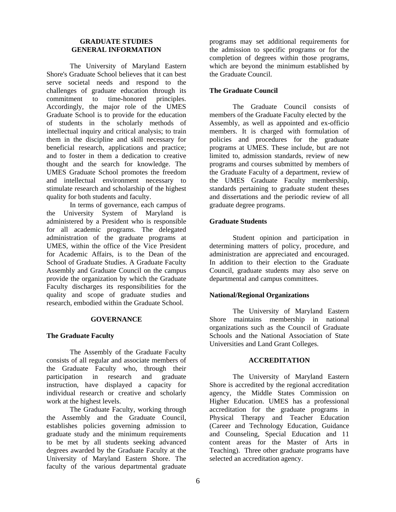#### **GRADUATE STUDIES GENERAL INFORMATION**

The University of Maryland Eastern Shore's Graduate School believes that it can best serve societal needs and respond to the challenges of graduate education through its commitment to time-honored principles. Accordingly, the major role of the UMES Graduate School is to provide for the education of students in the scholarly methods of intellectual inquiry and critical analysis; to train them in the discipline and skill necessary for beneficial research, applications and practice; and to foster in them a dedication to creative thought and the search for knowledge. The UMES Graduate School promotes the freedom and intellectual environment necessary to stimulate research and scholarship of the highest quality for both students and faculty.

In terms of governance, each campus of the University System of Maryland is administered by a President who is responsible for all academic programs. The delegated administration of the graduate programs at UMES, within the office of the Vice President for Academic Affairs, is to the Dean of the School of Graduate Studies. A Graduate Faculty Assembly and Graduate Council on the campus provide the organization by which the Graduate Faculty discharges its responsibilities for the quality and scope of graduate studies and research, embodied within the Graduate School.

## **GOVERNANCE**

#### **The Graduate Faculty**

The Assembly of the Graduate Faculty consists of all regular and associate members of the Graduate Faculty who, through their participation in research and graduate instruction, have displayed a capacity for individual research or creative and scholarly work at the highest levels.

The Graduate Faculty, working through the Assembly and the Graduate Council, establishes policies governing admission to graduate study and the minimum requirements to be met by all students seeking advanced degrees awarded by the Graduate Faculty at the University of Maryland Eastern Shore. The faculty of the various departmental graduate

programs may set additional requirements for the admission to specific programs or for the completion of degrees within those programs, which are beyond the minimum established by the Graduate Council.

## **The Graduate Council**

The Graduate Council consists of members of the Graduate Faculty elected by the Assembly, as well as appointed and ex-officio members. It is charged with formulation of policies and procedures for the graduate programs at UMES. These include, but are not limited to, admission standards, review of new programs and courses submitted by members of the Graduate Faculty of a department, review of the UMES Graduate Faculty membership, standards pertaining to graduate student theses and dissertations and the periodic review of all graduate degree programs.

#### **Graduate Students**

Student opinion and participation in determining matters of policy, procedure, and administration are appreciated and encouraged. In addition to their election to the Graduate Council, graduate students may also serve on departmental and campus committees.

## **National/Regional Organizations**

The University of Maryland Eastern Shore maintains membership in national organizations such as the Council of Graduate Schools and the National Association of State Universities and Land Grant Colleges.

#### **ACCREDITATION**

The University of Maryland Eastern Shore is accredited by the regional accreditation agency, the Middle States Commission on Higher Education. UMES has a professional accreditation for the graduate programs in Physical Therapy and Teacher Education (Career and Technology Education, Guidance and Counseling, Special Education and 11 content areas for the Master of Arts in Teaching). Three other graduate programs have selected an accreditation agency.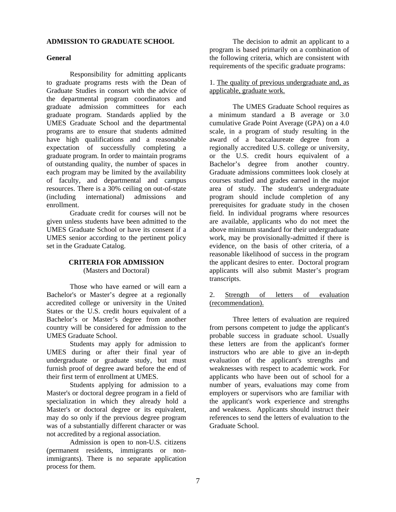#### **ADMISSION TO GRADUATE SCHOOL**

#### **General**

Responsibility for admitting applicants to graduate programs rests with the Dean of Graduate Studies in consort with the advice of the departmental program coordinators and graduate admission committees for each graduate program. Standards applied by the UMES Graduate School and the departmental programs are to ensure that students admitted have high qualifications and a reasonable expectation of successfully completing a graduate program. In order to maintain programs of outstanding quality, the number of spaces in each program may be limited by the availability of faculty, and departmental and campus resources. There is a 30% ceiling on out-of-state (including international) admissions and enrollment.

Graduate credit for courses will not be given unless students have been admitted to the UMES Graduate School or have its consent if a UMES senior according to the pertinent policy set in the Graduate Catalog.

#### **CRITERIA FOR ADMISSION** (Masters and Doctoral)

Those who have earned or will earn a Bachelor's or Master's degree at a regionally accredited college or university in the United States or the U.S. credit hours equivalent of a Bachelor's or Master's degree from another country will be considered for admission to the UMES Graduate School.

Students may apply for admission to UMES during or after their final year of undergraduate or graduate study, but must furnish proof of degree award before the end of their first term of enrollment at UMES.

Students applying for admission to a Master's or doctoral degree program in a field of specialization in which they already hold a Master's or doctoral degree or its equivalent, may do so only if the previous degree program was of a substantially different character or was not accredited by a regional association.

Admission is open to non-U.S. citizens (permanent residents, immigrants or nonimmigrants). There is no separate application process for them.

The decision to admit an applicant to a program is based primarily on a combination of the following criteria, which are consistent with requirements of the specific graduate programs:

1. The quality of previous undergraduate and, as applicable, graduate work.

The UMES Graduate School requires as a minimum standard a B average or 3.0 cumulative Grade Point Average (GPA) on a 4.0 scale, in a program of study resulting in the award of a baccalaureate degree from a regionally accredited U.S. college or university, or the U.S. credit hours equivalent of a Bachelor's degree from another country. Graduate admissions committees look closely at courses studied and grades earned in the major area of study. The student's undergraduate program should include completion of any prerequisites for graduate study in the chosen field. In individual programs where resources are available, applicants who do not meet the above minimum standard for their undergraduate work, may be provisionally-admitted if there is evidence, on the basis of other criteria, of a reasonable likelihood of success in the program the applicant desires to enter. Doctoral program applicants will also submit Master's program transcripts.

## 2. Strength of letters of evaluation (recommendation).

Three letters of evaluation are required from persons competent to judge the applicant's probable success in graduate school. Usually these letters are from the applicant's former instructors who are able to give an in-depth evaluation of the applicant's strengths and weaknesses with respect to academic work. For applicants who have been out of school for a number of years, evaluations may come from employers or supervisors who are familiar with the applicant's work experience and strengths and weakness. Applicants should instruct their references to send the letters of evaluation to the Graduate School.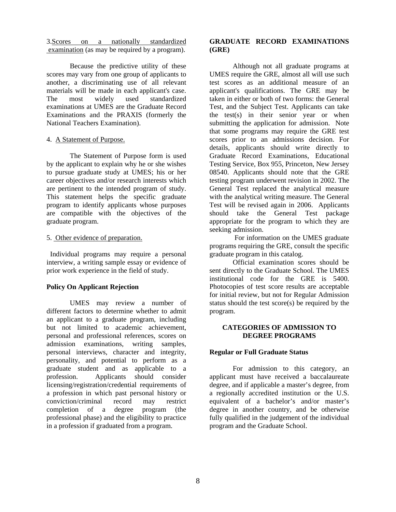3.Scores on a nationally standardized examination (as may be required by a program).

Because the predictive utility of these scores may vary from one group of applicants to another, a discriminating use of all relevant materials will be made in each applicant's case. The most widely used standardized examinations at UMES are the Graduate Record Examinations and the PRAXIS (formerly the National Teachers Examination).

#### 4. A Statement of Purpose.

The Statement of Purpose form is used by the applicant to explain why he or she wishes to pursue graduate study at UMES; his or her career objectives and/or research interests which are pertinent to the intended program of study. This statement helps the specific graduate program to identify applicants whose purposes are compatible with the objectives of the graduate program.

#### 5. Other evidence of preparation.

 Individual programs may require a personal interview, a writing sample essay or evidence of prior work experience in the field of study.

## **Policy On Applicant Rejection**

 UMES may review a number of different factors to determine whether to admit an applicant to a graduate program, including but not limited to academic achievement, personal and professional references, scores on admission examinations, writing samples, personal interviews, character and integrity, personality, and potential to perform as a graduate student and as applicable to a profession. Applicants should consider licensing/registration/credential requirements of a profession in which past personal history or conviction/criminal record may restrict completion of a degree program (the professional phase) and the eligibility to practice in a profession if graduated from a program.

## **GRADUATE RECORD EXAMINATIONS (GRE)**

Although not all graduate programs at UMES require the GRE, almost all will use such test scores as an additional measure of an applicant's qualifications. The GRE may be taken in either or both of two forms: the General Test, and the Subject Test. Applicants can take the test(s) in their senior year or when submitting the application for admission. Note that some programs may require the GRE test scores prior to an admissions decision. For details, applicants should write directly to Graduate Record Examinations, Educational Testing Service, Box 955, Princeton, New Jersey 08540. Applicants should note that the GRE testing program underwent revision in 2002. The General Test replaced the analytical measure with the analytical writing measure. The General Test will be revised again in 2006. Applicants should take the General Test package appropriate for the program to which they are seeking admission.

 For information on the UMES graduate programs requiring the GRE, consult the specific graduate program in this catalog.

 Official examination scores should be sent directly to the Graduate School. The UMES institutional code for the GRE is 5400. Photocopies of test score results are acceptable for initial review, but not for Regular Admission status should the test score(s) be required by the program.

## **CATEGORIES OF ADMISSION TO DEGREE PROGRAMS**

## **Regular or Full Graduate Status**

For admission to this category, an applicant must have received a baccalaureate degree, and if applicable a master's degree, from a regionally accredited institution or the U.S. equivalent of a bachelor's and/or master's degree in another country, and be otherwise fully qualified in the judgement of the individual program and the Graduate School.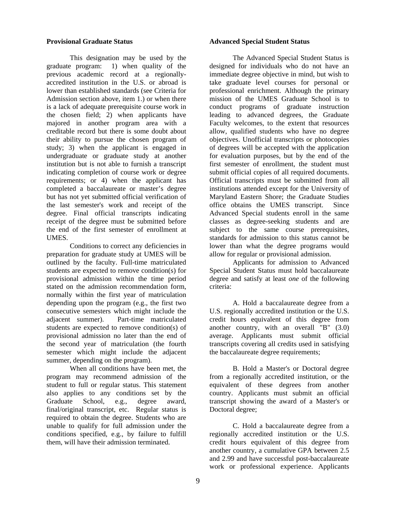#### **Provisional Graduate Status**

This designation may be used by the graduate program: 1) when quality of the previous academic record at a regionallyaccredited institution in the U.S. or abroad is lower than established standards (see Criteria for Admission section above, item 1.) or when there is a lack of adequate prerequisite course work in the chosen field; 2) when applicants have majored in another program area with a creditable record but there is some doubt about their ability to pursue the chosen program of study; 3) when the applicant is engaged in undergraduate or graduate study at another institution but is not able to furnish a transcript indicating completion of course work or degree requirements; or 4) when the applicant has completed a baccalaureate or master's degree but has not yet submitted official verification of the last semester's work and receipt of the degree. Final official transcripts indicating receipt of the degree must be submitted before the end of the first semester of enrollment at UMES.

Conditions to correct any deficiencies in preparation for graduate study at UMES will be outlined by the faculty. Full-time matriculated students are expected to remove condition(s) for provisional admission within the time period stated on the admission recommendation form, normally within the first year of matriculation depending upon the program (e.g., the first two consecutive semesters which might include the adjacent summer). Part-time matriculated students are expected to remove condition(s) of provisional admission no later than the end of the second year of matriculation (the fourth semester which might include the adjacent summer, depending on the program).

When all conditions have been met, the program may recommend admission of the student to full or regular status. This statement also applies to any conditions set by the Graduate School, e.g., degree award, final/original transcript, etc. Regular status is required to obtain the degree. Students who are unable to qualify for full admission under the conditions specified, e.g., by failure to fulfill them, will have their admission terminated.

#### **Advanced Special Student Status**

The Advanced Special Student Status is designed for individuals who do not have an immediate degree objective in mind, but wish to take graduate level courses for personal or professional enrichment. Although the primary mission of the UMES Graduate School is to conduct programs of graduate instruction leading to advanced degrees, the Graduate Faculty welcomes, to the extent that resources allow, qualified students who have no degree objectives. Unofficial transcripts or photocopies of degrees will be accepted with the application for evaluation purposes, but by the end of the first semester of enrollment, the student must submit official copies of all required documents. Official transcripts must be submitted from all institutions attended except for the University of Maryland Eastern Shore; the Graduate Studies office obtains the UMES transcript. Since Advanced Special students enroll in the same classes as degree-seeking students and are subject to the same course prerequisites, standards for admission to this status cannot be lower than what the degree programs would allow for regular or provisional admission.

Applicants for admission to Advanced Special Student Status must hold baccalaureate degree and satisfy at least *one* of the following criteria:

A. Hold a baccalaureate degree from a U.S. regionally accredited institution or the U.S. credit hours equivalent of this degree from another country, with an overall "B" (3.0) average. Applicants must submit official transcripts covering all credits used in satisfying the baccalaureate degree requirements;

B. Hold a Master's or Doctoral degree from a regionally accredited institution, or the equivalent of these degrees from another country. Applicants must submit an official transcript showing the award of a Master's or Doctoral degree;

C. Hold a baccalaureate degree from a regionally accredited institution or the U.S. credit hours equivalent of this degree from another country, a cumulative GPA between 2.5 and 2.99 and have successful post-baccalaureate work or professional experience. Applicants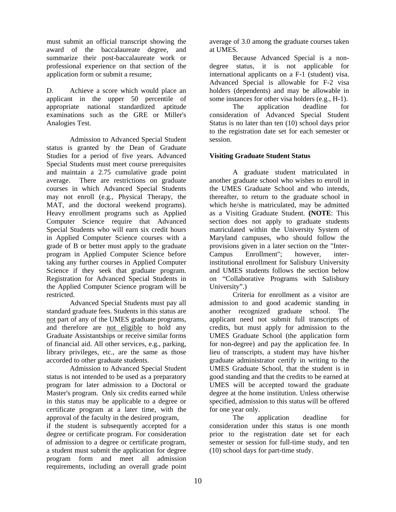must submit an official transcript showing the award of the baccalaureate degree, and summarize their post-baccalaureate work or professional experience on that section of the application form or submit a resume;

D. Achieve a score which would place an applicant in the upper 50 percentile of appropriate national standardized aptitude examinations such as the GRE or Miller's Analogies Test.

Admission to Advanced Special Student status is granted by the Dean of Graduate Studies for a period of five years. Advanced Special Students must meet course prerequisites and maintain a 2.75 cumulative grade point average. There are restrictions on graduate courses in which Advanced Special Students may not enroll (e.g., Physical Therapy, the MAT, and the doctoral weekend programs). Heavy enrollment programs such as Applied Computer Science require that Advanced Special Students who will earn six credit hours in Applied Computer Science courses with a grade of B or better must apply to the graduate program in Applied Computer Science before taking any further courses in Applied Computer Science if they seek that graduate program. Registration for Advanced Special Students in the Applied Computer Science program will be restricted.

Advanced Special Students must pay all standard graduate fees. Students in this status are not part of any of the UMES graduate programs, and therefore are not eligible to hold any Graduate Assistantships or receive similar forms of financial aid. All other services, e.g., parking, library privileges, etc., are the same as those accorded to other graduate students.

Admission to Advanced Special Student status is not intended to be used as a preparatory program for later admission to a Doctoral or Master's program. Only six credits earned while in this status may be applicable to a degree or certificate program at a later time, with the approval of the faculty in the desired program,

if the student is subsequently accepted for a degree or certificate program. For consideration of admission to a degree or certificate program, a student must submit the application for degree program form and meet all admission requirements, including an overall grade point

average of 3.0 among the graduate courses taken at UMES.

Because Advanced Special is a nondegree status, it is not applicable for international applicants on a F-1 (student) visa. Advanced Special is allowable for F-2 visa holders (dependents) and may be allowable in some instances for other visa holders (e.g., H-1).

The application deadline for consideration of Advanced Special Student Status is no later than ten (10) school days prior to the registration date set for each semester or session.

## **Visiting Graduate Student Status**

A graduate student matriculated in another graduate school who wishes to enroll in the UMES Graduate School and who intends, thereafter, to return to the graduate school in which he/she is matriculated, may be admitted as a Visiting Graduate Student. **(NOTE**: This section does not apply to graduate students matriculated within the University System of Maryland campuses, who should follow the provisions given in a later section on the "Inter-Campus Enrollment"; however, interinstitutional enrollment for Salisbury University and UMES students follows the section below on "Collaborative Programs with Salisbury University".)

Criteria for enrollment as a visitor are admission to and good academic standing in another recognized graduate school. The applicant need not submit full transcripts of credits, but must apply for admission to the UMES Graduate School (the application form for non-degree) and pay the application fee. In lieu of transcripts, a student may have his/her graduate administrator certify in writing to the UMES Graduate School, that the student is in good standing and that the credits to be earned at UMES will be accepted toward the graduate degree at the home institution. Unless otherwise specified, admission to this status will be offered for one year only.

The application deadline for consideration under this status is one month prior to the registration date set for each semester or session for full-time study, and ten (10) school days for part-time study.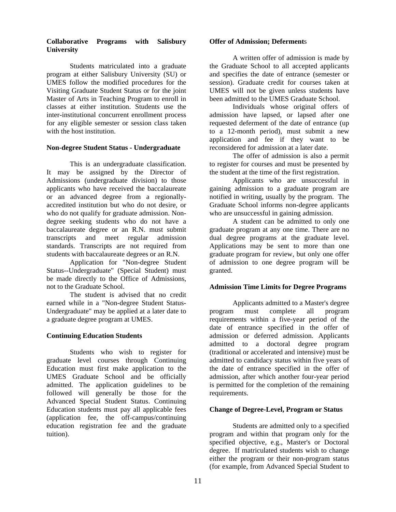## **Collaborative Programs with Salisbury University**

Students matriculated into a graduate program at either Salisbury University (SU) or UMES follow the modified procedures for the Visiting Graduate Student Status or for the joint Master of Arts in Teaching Program to enroll in classes at either institution. Students use the inter-institutional concurrent enrollment process for any eligible semester or session class taken with the host institution.

## **Non-degree Student Status - Undergraduate**

This is an undergraduate classification. It may be assigned by the Director of Admissions (undergraduate division) to those applicants who have received the baccalaureate or an advanced degree from a regionallyaccredited institution but who do not desire, or who do not qualify for graduate admission. Nondegree seeking students who do not have a baccalaureate degree or an R.N. must submit transcripts and meet regular admission standards. Transcripts are not required from students with baccalaureate degrees or an R.N.

Application for "Non-degree Student Status--Undergraduate" (Special Student) must be made directly to the Office of Admissions, not to the Graduate School.

The student is advised that no credit earned while in a "Non-degree Student Status-Undergraduate" may be applied at a later date to a graduate degree program at UMES.

# **Continuing Education Students**

Students who wish to register for graduate level courses through Continuing Education must first make application to the UMES Graduate School and be officially admitted. The application guidelines to be followed will generally be those for the Advanced Special Student Status. Continuing Education students must pay all applicable fees (application fee, the off-campus/continuing education registration fee and the graduate tuition).

## **Offer of Admission; Deferment**s

A written offer of admission is made by the Graduate School to all accepted applicants and specifies the date of entrance (semester or session). Graduate credit for courses taken at UMES will not be given unless students have been admitted to the UMES Graduate School.

Individuals whose original offers of admission have lapsed, or lapsed after one requested deferment of the date of entrance (up to a 12-month period), must submit a new application and fee if they want to be reconsidered for admission at a later date.

The offer of admission is also a permit to register for courses and must be presented by the student at the time of the first registration.

 Applicants who are unsuccessful in gaining admission to a graduate program are notified in writing, usually by the program. The Graduate School informs non-degree applicants who are unsuccessful in gaining admission.

A student can be admitted to only one graduate program at any one time. There are no dual degree programs at the graduate level. Applications may be sent to more than one graduate program for review, but only one offer of admission to one degree program will be granted.

# **Admission Time Limits for Degree Programs**

Applicants admitted to a Master's degree program must complete all program requirements within a five-year period of the date of entrance specified in the offer of admission or deferred admission. Applicants admitted to a doctoral degree program (traditional or accelerated and intensive) must be admitted to candidacy status within five years of the date of entrance specified in the offer of admission, after which another four-year period is permitted for the completion of the remaining requirements.

# **Change of Degree-Level, Program or Status**

Students are admitted only to a specified program and within that program only for the specified objective, e.g., Master's or Doctoral degree. If matriculated students wish to change either the program or their non-program status (for example, from Advanced Special Student to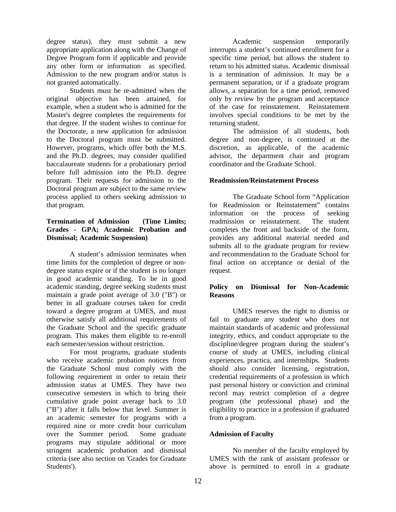degree status), they must submit a new appropriate application along with the Change of Degree Program form if applicable and provide any other form or information as specified. Admission to the new program and/or status is not granted automatically.

Students must be re-admitted when the original objective has been attained, for example, when a student who is admitted for the Master's degree completes the requirements for that degree. If the student wishes to continue for the Doctorate, a new application for admission to the Doctoral program must be submitted. However, programs, which offer both the M.S. and the Ph.D. degrees, may consider qualified baccalaureate students for a probationary period before full admission into the Ph.D. degree program. Their requests for admission to the Doctoral program are subject to the same review process applied to others seeking admission to that program.

## **Termination of Admission (Time Limits; Grades - GPA; Academic Probation and Dismissal; Academic Suspension)**

A student's admission terminates when time limits for the completion of degree or nondegree status expire or if the student is no longer in good academic standing. To be in good academic standing, degree seeking students must maintain a grade point average of 3.0 ("B") or better in all graduate courses taken for credit toward a degree program at UMES, and must otherwise satisfy all additional requirements of the Graduate School and the specific graduate program. This makes them eligible to re-enroll each semester/session without restriction.

For most programs, graduate students who receive academic probation notices from the Graduate School must comply with the following requirement in order to retain their admission status at UMES. They have two consecutive semesters in which to bring their cumulative grade point average back to 3.0 ("B") after it falls below that level. Summer is an academic semester for programs with a required nine or more credit hour curriculum over the Summer period. Some graduate programs may stipulate additional or more stringent academic probation and dismissal criteria (see also section on 'Grades for Graduate Students').

Academic suspension temporarily interrupts a student's continued enrollment for a specific time period, but allows the student to return to his admitted status. Academic dismissal is a termination of admission. It may be a permanent separation, or if a graduate program allows, a separation for a time period, removed only by review by the program and acceptance of the case for reinstatement. Reinstatement involves special conditions to be met by the returning student.

The admission of all students, both degree and non-degree, is continued at the discretion, as applicable, of the academic advisor, the department chair and program coordinator and the Graduate School.

## **Readmission/Reinstatement Process**

 The Graduate School form "Application for Readmission or Reinstatement" contains information on the process of seeking readmission or reinstatement. The student completes the front and backside of the form, provides any additional material needed and submits all to the graduate program for review and recommendation to the Graduate School for final action on acceptance or denial of the request.

## **Policy on Dismissal for Non-Academic Reasons**

 UMES reserves the right to dismiss or fail to graduate any student who does not maintain standards of academic and professional integrity, ethics, and conduct appropriate to the discipline/degree program during the student's course of study at UMES, including clinical experiences, practica, and internships. Students should also consider licensing, registration, credential requirements of a profession in which past personal history or conviction and criminal record may restrict completion of a degree program (the professional phase) and the eligibility to practice in a profession if graduated from a program.

# **Admission of Faculty**

No member of the faculty employed by UMES with the rank of assistant professor or above is permitted to enroll in a graduate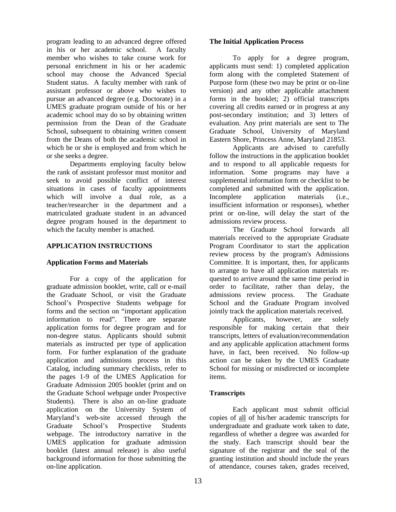program leading to an advanced degree offered in his or her academic school. A faculty member who wishes to take course work for personal enrichment in his or her academic school may choose the Advanced Special Student status. A faculty member with rank of assistant professor or above who wishes to pursue an advanced degree (e.g. Doctorate) in a UMES graduate program outside of his or her academic school may do so by obtaining written permission from the Dean of the Graduate School, subsequent to obtaining written consent from the Deans of both the academic school in which he or she is employed and from which he or she seeks a degree.

Departments employing faculty below the rank of assistant professor must monitor and seek to avoid possible conflict of interest situations in cases of faculty appointments which will involve a dual role, as a teacher/researcher in the department and a matriculated graduate student in an advanced degree program housed in the department to which the faculty member is attached.

## **APPLICATION INSTRUCTIONS**

## **Application Forms and Materials**

For a copy of the application for graduate admission booklet, write, call or e-mail the Graduate School, or visit the Graduate School's Prospective Students webpage for forms and the section on "important application information to read". There are separate application forms for degree program and for non-degree status. Applicants should submit materials as instructed per type of application form. For further explanation of the graduate application and admissions process in this Catalog, including summary checklists, refer to the pages 1-9 of the UMES Application for Graduate Admission 2005 booklet (print and on the Graduate School webpage under Prospective Students). There is also an on-line graduate application on the University System of Maryland's web-site accessed through the Graduate School's Prospective Students webpage. The introductory narrative in the UMES application for graduate admission booklet (latest annual release) is also useful background information for those submitting the on-line application.

### **The Initial Application Process**

To apply for a degree program, applicants must send: 1) completed application form along with the completed Statement of Purpose form (these two may be print or on-line version) and any other applicable attachment forms in the booklet; 2) official transcripts covering all credits earned or in progress at any post-secondary institution; and 3) letters of evaluation. Any print materials are sent to The Graduate School, University of Maryland Eastern Shore, Princess Anne, Maryland 21853.

Applicants are advised to carefully follow the instructions in the application booklet and to respond to all applicable requests for information. Some programs may have a supplemental information form or checklist to be completed and submitted with the application. Incomplete application materials (i.e., insufficient information or responses), whether print or on-line, will delay the start of the admissions review process.

The Graduate School forwards all materials received to the appropriate Graduate Program Coordinator to start the application review process by the program's Admissions Committee. It is important, then, for applicants to arrange to have all application materials requested to arrive around the same time period in order to facilitate, rather than delay, the admissions review process. The Graduate School and the Graduate Program involved jointly track the application materials received.

Applicants, however, are solely responsible for making certain that their transcripts, letters of evaluation/recommendation and any applicable application attachment forms have, in fact, been received. No follow-up action can be taken by the UMES Graduate School for missing or misdirected or incomplete items.

# **Transcripts**

Each applicant must submit official copies of all of his/her academic transcripts for undergraduate and graduate work taken to date, regardless of whether a degree was awarded for the study. Each transcript should bear the signature of the registrar and the seal of the granting institution and should include the years of attendance, courses taken, grades received,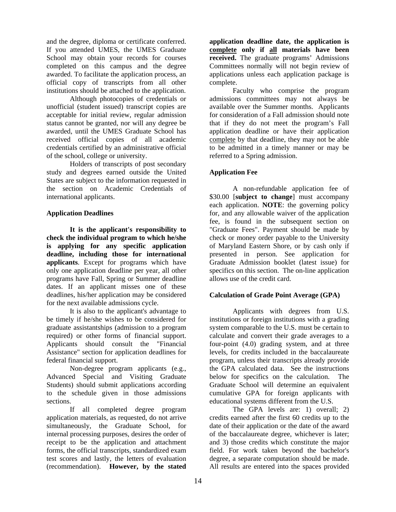and the degree, diploma or certificate conferred. If you attended UMES, the UMES Graduate School may obtain your records for courses completed on this campus and the degree awarded. To facilitate the application process, an official copy of transcripts from all other institutions should be attached to the application.

Although photocopies of credentials or unofficial (student issued) transcript copies are acceptable for initial review, regular admission status cannot be granted, nor will any degree be awarded, until the UMES Graduate School has received official copies of all academic credentials certified by an administrative official of the school, college or university.

 Holders of transcripts of post secondary study and degrees earned outside the United States are subject to the information requested in the section on Academic Credentials of international applicants.

## **Application Deadlines**

**It is the applicant's responsibility to check the individual program to which he/she is applying for any specific application deadline, including those for international applicants**. Except for programs which have only one application deadline per year, all other programs have Fall, Spring or Summer deadline dates. If an applicant misses one of these deadlines, his/her application may be considered for the next available admissions cycle.

It is also to the applicant's advantage to be timely if he/she wishes to be considered for graduate assistantships (admission to a program required) or other forms of financial support. Applicants should consult the "Financial Assistance" section for application deadlines for federal financial support.

Non-degree program applicants (e.g., Advanced Special and Visiting Graduate Students) should submit applications according to the schedule given in those admissions sections.

If all completed degree program application materials, as requested, do not arrive simultaneously, the Graduate School, for internal processing purposes, desires the order of receipt to be the application and attachment forms, the official transcripts, standardized exam test scores and lastly, the letters of evaluation (recommendation). **However, by the stated** 

**application deadline date, the application is complete only if all materials have been received.** The graduate programs' Admissions Committees normally will not begin review of applications unless each application package is complete.

 Faculty who comprise the program admissions committees may not always be available over the Summer months. Applicants for consideration of a Fall admission should note that if they do not meet the program's Fall application deadline or have their application complete by that deadline, they may not be able to be admitted in a timely manner or may be referred to a Spring admission.

# **Application Fee**

A non-refundable application fee of \$30.00 [**subject to change**] must accompany each application. **NOTE**: the governing policy for, and any allowable waiver of the application fee, is found in the subsequent section on "Graduate Fees". Payment should be made by check or money order payable to the University of Maryland Eastern Shore, or by cash only if presented in person. See application for Graduate Admission booklet (latest issue) for specifics on this section. The on-line application allows use of the credit card.

## **Calculation of Grade Point Average (GPA)**

Applicants with degrees from U.S. institutions or foreign institutions with a grading system comparable to the U.S. must be certain to calculate and convert their grade averages to a four-point (4.0) grading system, and at three levels, for credits included in the baccalaureate program, unless their transcripts already provide the GPA calculated data. See the instructions below for specifics on the calculation. The Graduate School will determine an equivalent cumulative GPA for foreign applicants with educational systems different from the U.S.

The GPA levels are: 1) overall; 2) credits earned after the first 60 credits up to the date of their application or the date of the award of the baccalaureate degree, whichever is later; and 3) those credits which constitute the major field. For work taken beyond the bachelor's degree, a separate computation should be made. All results are entered into the spaces provided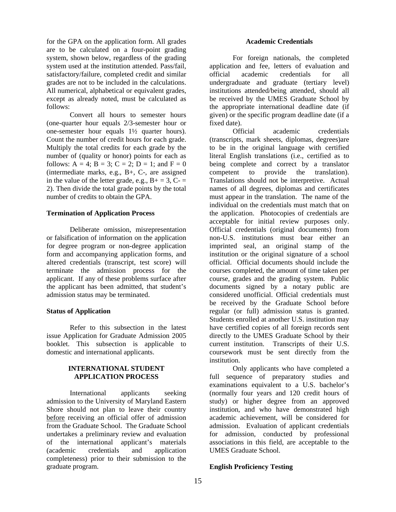for the GPA on the application form. All grades are to be calculated on a four-point grading system, shown below, regardless of the grading system used at the institution attended. Pass/fail, satisfactory/failure, completed credit and similar grades are not to be included in the calculations. All numerical, alphabetical or equivalent grades, except as already noted, must be calculated as follows:

Convert all hours to semester hours (one-quarter hour equals 2/3-semester hour or one-semester hour equals 1½ quarter hours). Count the number of credit hours for each grade. Multiply the total credits for each grade by the number of (quality or honor) points for each as follows:  $A = 4$ ;  $B = 3$ ;  $C = 2$ ;  $D = 1$ ; and  $F = 0$ (intermediate marks, e.g., B+, C-, are assigned in the value of the letter grade, e.g.,  $B_+ = 3$ ,  $C_- =$ 2). Then divide the total grade points by the total number of credits to obtain the GPA.

#### **Termination of Application Process**

 Deliberate omission, misrepresentation or falsification of information on the application for degree program or non-degree application form and accompanying application forms, and altered credentials (transcript, test score) will terminate the admission process for the applicant. If any of these problems surface after the applicant has been admitted, that student's admission status may be terminated.

#### **Status of Application**

 Refer to this subsection in the latest issue Application for Graduate Admission 2005 booklet. This subsection is applicable to domestic and international applicants.

## **INTERNATIONAL STUDENT APPLICATION PROCESS**

International applicants seeking admission to the University of Maryland Eastern Shore should not plan to leave their country before receiving an official offer of admission from the Graduate School. The Graduate School undertakes a preliminary review and evaluation of the international applicant's materials (academic credentials and application completeness) prior to their submission to the graduate program.

For foreign nationals, the completed application and fee, letters of evaluation and official academic credentials for all undergraduate and graduate (tertiary level) institutions attended/being attended, should all be received by the UMES Graduate School by the appropriate international deadline date (if given) or the specific program deadline date (if a fixed date).

Official academic credentials (transcripts, mark sheets, diplomas, degrees)are to be in the original language with certified literal English translations (i.e., certified as to being complete and correct by a translator competent to provide the translation). Translations should not be interpretive. Actual names of all degrees, diplomas and certificates must appear in the translation. The name of the individual on the credentials must match that on the application. Photocopies of credentials are acceptable for initial review purposes only. Official credentials (original documents) from non-U.S. institutions must bear either an imprinted seal, an original stamp of the institution or the original signature of a school official. Official documents should include the courses completed, the amount of time taken per course, grades and the grading system. Public documents signed by a notary public are considered unofficial. Official credentials must be received by the Graduate School before regular (or full) admission status is granted. Students enrolled at another U.S. institution may have certified copies of all foreign records sent directly to the UMES Graduate School by their current institution. Transcripts of their U.S. coursework must be sent directly from the institution.

Only applicants who have completed a full sequence of preparatory studies and examinations equivalent to a U.S. bachelor's (normally four years and 120 credit hours of study) or higher degree from an approved institution, and who have demonstrated high academic achievement, will be considered for admission. Evaluation of applicant credentials for admission, conducted by professional associations in this field, are acceptable to the UMES Graduate School.

## **English Proficiency Testing**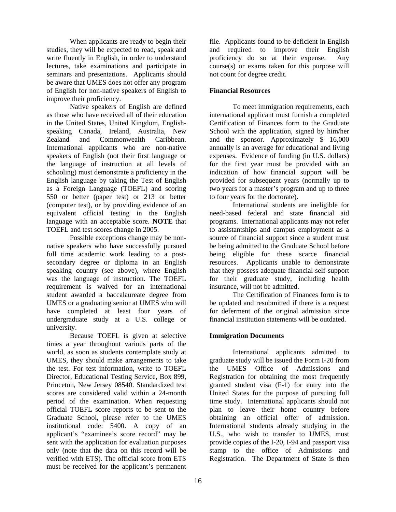When applicants are ready to begin their studies, they will be expected to read, speak and write fluently in English, in order to understand lectures, take examinations and participate in seminars and presentations. Applicants should be aware that UMES does not offer any program of English for non-native speakers of English to improve their proficiency.

Native speakers of English are defined as those who have received all of their education in the United States, United Kingdom, Englishspeaking Canada, Ireland, Australia, New Zealand and Commonwealth Caribbean. International applicants who are non-native speakers of English (not their first language or the language of instruction at all levels of schooling) must demonstrate a proficiency in the English language by taking the Test of English as a Foreign Language (TOEFL) and scoring 550 or better (paper test) or 213 or better (computer test), or by providing evidence of an equivalent official testing in the English language with an acceptable score. **NOTE** that TOEFL and test scores change in 2005.

Possible exceptions change may be nonnative speakers who have successfully pursued full time academic work leading to a postsecondary degree or diploma in an English speaking country (see above), where English was the language of instruction. The TOEFL requirement is waived for an international student awarded a baccalaureate degree from UMES or a graduating senior at UMES who will have completed at least four years of undergraduate study at a U.S. college or university.

Because TOEFL is given at selective times a year throughout various parts of the world, as soon as students contemplate study at UMES, they should make arrangements to take the test. For test information, write to TOEFL Director, Educational Testing Service, Box 899, Princeton, New Jersey 08540. Standardized test scores are considered valid within a 24-month period of the examination. When requesting official TOEFL score reports to be sent to the Graduate School, please refer to the UMES institutional code: 5400. A copy of an applicant's "examinee's score record" may be sent with the application for evaluation purposes only (note that the data on this record will be verified with ETS). The official score from ETS must be received for the applicant's permanent

file. Applicants found to be deficient in English and required to improve their English proficiency do so at their expense. Any course(s) or exams taken for this purpose will not count for degree credit.

# **Financial Resources**

To meet immigration requirements, each international applicant must furnish a completed Certification of Finances form to the Graduate School with the application, signed by him/her and the sponsor. Approximately \$ 16,000 annually is an average for educational and living expenses. Evidence of funding (in U.S. dollars) for the first year must be provided with an indication of how financial support will be provided for subsequent years (normally up to two years for a master's program and up to three to four years for the doctorate).

International students are ineligible for need-based federal and state financial aid programs. International applicants may not refer to assistantships and campus employment as a source of financial support since a student must be being admitted to the Graduate School before being eligible for these scarce financial resources. Applicants unable to demonstrate that they possess adequate financial self-support for their graduate study, including health insurance, will not be admitted.

The Certification of Finances form is to be updated and resubmitted if there is a request for deferment of the original admission since financial institution statements will be outdated.

# **Immigration Documents**

International applicants admitted to graduate study will be issued the Form I-20 from the UMES Office of Admissions and Registration for obtaining the most frequently granted student visa (F-1) for entry into the United States for the purpose of pursuing full time study. International applicants should not plan to leave their home country before obtaining an official offer of admission. International students already studying in the U.S., who wish to transfer to UMES, must provide copies of the I-20, I-94 and passport visa stamp to the office of Admissions and Registration. The Department of State is then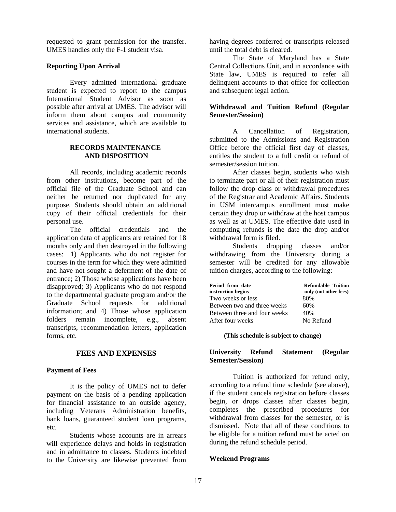requested to grant permission for the transfer. UMES handles only the F-1 student visa.

#### **Reporting Upon Arrival**

Every admitted international graduate student is expected to report to the campus International Student Advisor as soon as possible after arrival at UMES. The advisor will inform them about campus and community services and assistance, which are available to international students.

#### **RECORDS MAINTENANCE AND DISPOSITION**

All records, including academic records from other institutions, become part of the official file of the Graduate School and can neither be returned nor duplicated for any purpose. Students should obtain an additional copy of their official credentials for their personal use.

The official credentials and the application data of applicants are retained for 18 months only and then destroyed in the following cases: 1) Applicants who do not register for courses in the term for which they were admitted and have not sought a deferment of the date of entrance; 2) Those whose applications have been disapproved; 3) Applicants who do not respond to the departmental graduate program and/or the Graduate School requests for additional information; and 4) Those whose application folders remain incomplete, e.g., absent transcripts, recommendation letters, application forms, etc.

## **FEES AND EXPENSES**

## **Payment of Fees**

It is the policy of UMES not to defer payment on the basis of a pending application for financial assistance to an outside agency, including Veterans Administration benefits, bank loans, guaranteed student loan programs, etc.

Students whose accounts are in arrears will experience delays and holds in registration and in admittance to classes. Students indebted to the University are likewise prevented from

having degrees conferred or transcripts released until the total debt is cleared.

The State of Maryland has a State Central Collections Unit, and in accordance with State law, UMES is required to refer all delinquent accounts to that office for collection and subsequent legal action.

## **Withdrawal and Tuition Refund (Regular Semester/Session)**

A Cancellation of Registration, submitted to the Admissions and Registration Office before the official first day of classes, entitles the student to a full credit or refund of semester/session tuition.

After classes begin, students who wish to terminate part or all of their registration must follow the drop class or withdrawal procedures of the Registrar and Academic Affairs. Students in USM intercampus enrollment must make certain they drop or withdraw at the host campus as well as at UMES. The effective date used in computing refunds is the date the drop and/or withdrawal form is filed.

Students dropping classes and/or withdrawing from the University during a semester will be credited for any allowable tuition charges, according to the following:

| <b>Refundable Tuition</b> |
|---------------------------|
| only (not other fees)     |
| 80%                       |
| 60%                       |
| 40%                       |
| No Refund                 |
|                           |

#### **(This schedule is subject to change)**

## **University Refund Statement (Regular Semester/Session)**

Tuition is authorized for refund only, according to a refund time schedule (see above), if the student cancels registration before classes begin, or drops classes after classes begin, completes the prescribed procedures for withdrawal from classes for the semester, or is dismissed. Note that all of these conditions to be eligible for a tuition refund must be acted on during the refund schedule period.

## **Weekend Programs**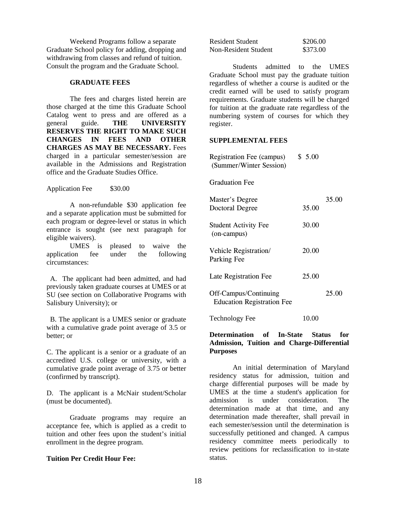Weekend Programs follow a separate Graduate School policy for adding, dropping and withdrawing from classes and refund of tuition. Consult the program and the Graduate School.

#### **GRADUATE FEES**

The fees and charges listed herein are those charged at the time this Graduate School Catalog went to press and are offered as a general guide. **THE UNIVERSITY RESERVES THE RIGHT TO MAKE SUCH CHANGES IN FEES AND OTHER CHARGES AS MAY BE NECESSARY.** Fees charged in a particular semester/session are available in the Admissions and Registration office and the Graduate Studies Office.

Application Fee \$30.00

A non-refundable \$30 application fee and a separate application must be submitted for each program or degree-level or status in which entrance is sought (see next paragraph for eligible waivers).

UMES is pleased to waive the application fee under the following circumstances:

 A. The applicant had been admitted, and had previously taken graduate courses at UMES or at SU (see section on Collaborative Programs with Salisbury University); or

 B. The applicant is a UMES senior or graduate with a cumulative grade point average of 3.5 or better; or

C. The applicant is a senior or a graduate of an accredited U.S. college or university, with a cumulative grade point average of 3.75 or better (confirmed by transcript).

D. The applicant is a McNair student/Scholar (must be documented).

Graduate programs may require an acceptance fee, which is applied as a credit to tuition and other fees upon the student's initial enrollment in the degree program.

#### **Tuition Per Credit Hour Fee:**

| <b>Resident Student</b> | \$206.00 |
|-------------------------|----------|
| Non-Resident Student    | \$373.00 |

Students admitted to the UMES Graduate School must pay the graduate tuition regardless of whether a course is audited or the credit earned will be used to satisfy program requirements. Graduate students will be charged for tuition at the graduate rate regardless of the numbering system of courses for which they register.

#### **SUPPLEMENTAL FEES**

| <b>Registration Fee (campus)</b><br>(Summer/Winter Session) | \$5.00 |       |
|-------------------------------------------------------------|--------|-------|
| <b>Graduation Fee</b>                                       |        |       |
| <b>Master's Degree</b><br>Doctoral Degree                   | 35.00  | 35.00 |
| <b>Student Activity Fee</b><br>(on-campus)                  | 30.00  |       |
| Vehicle Registration/<br>Parking Fee                        | 20.00  |       |
| Late Registration Fee                                       | 25.00  |       |
| Off-Campus/Continuing<br><b>Education Registration Fee</b>  |        | 25.00 |
|                                                             |        |       |

Technology Fee 10.00

#### **Determination of In-State Status for Admission, Tuition and Charge-Differential Purposes**

An initial determination of Maryland residency status for admission, tuition and charge differential purposes will be made by UMES at the time a student's application for admission is under consideration. The determination made at that time, and any determination made thereafter, shall prevail in each semester/session until the determination is successfully petitioned and changed. A campus residency committee meets periodically to review petitions for reclassification to in-state status.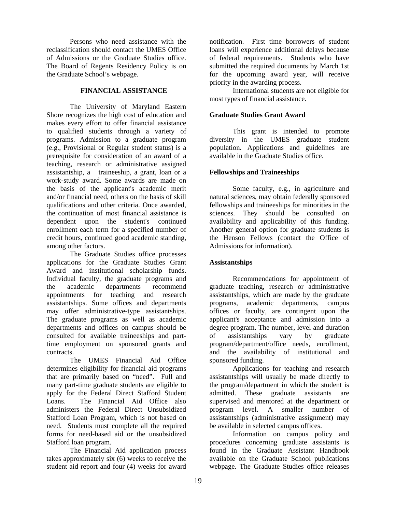Persons who need assistance with the reclassification should contact the UMES Office of Admissions or the Graduate Studies office. The Board of Regents Residency Policy is on the Graduate School's webpage.

## **FINANCIAL ASSISTANCE**

The University of Maryland Eastern Shore recognizes the high cost of education and makes every effort to offer financial assistance to qualified students through a variety of programs. Admission to a graduate program (e.g., Provisional or Regular student status) is a prerequisite for consideration of an award of a teaching, research or administrative assigned assistantship, a traineeship, a grant, loan or a work-study award. Some awards are made on the basis of the applicant's academic merit and/or financial need, others on the basis of skill qualifications and other criteria. Once awarded, the continuation of most financial assistance is dependent upon the student's continued enrollment each term for a specified number of credit hours, continued good academic standing, among other factors.

The Graduate Studies office processes applications for the Graduate Studies Grant Award and institutional scholarship funds. Individual faculty, the graduate programs and the academic departments recommend appointments for teaching and research assistantships. Some offices and departments may offer administrative-type assistantships. The graduate programs as well as academic departments and offices on campus should be consulted for available traineeships and parttime employment on sponsored grants and contracts.

The UMES Financial Aid Office determines eligibility for financial aid programs that are primarily based on "need". Full and many part-time graduate students are eligible to apply for the Federal Direct Stafford Student Loans. The Financial Aid Office also administers the Federal Direct Unsubsidized Stafford Loan Program, which is not based on need. Students must complete all the required forms for need-based aid or the unsubsidized Stafford loan program.

The Financial Aid application process takes approximately six (6) weeks to receive the student aid report and four (4) weeks for award

notification. First time borrowers of student loans will experience additional delays because of federal requirements. Students who have submitted the required documents by March 1st for the upcoming award year, will receive priority in the awarding process.

International students are not eligible for most types of financial assistance.

## **Graduate Studies Grant Award**

This grant is intended to promote diversity in the UMES graduate student population. Applications and guidelines are available in the Graduate Studies office.

## **Fellowships and Traineeships**

Some faculty, e.g., in agriculture and natural sciences, may obtain federally sponsored fellowships and traineeships for minorities in the sciences. They should be consulted on availability and applicability of this funding. Another general option for graduate students is the Henson Fellows (contact the Office of Admissions for information).

# **Assistantships**

Recommendations for appointment of graduate teaching, research or administrative assistantships, which are made by the graduate programs, academic departments, campus offices or faculty, are contingent upon the applicant's acceptance and admission into a degree program. The number, level and duration of assistantships vary by graduate program/department/office needs, enrollment, and the availability of institutional and sponsored funding.

Applications for teaching and research assistantships will usually be made directly to the program/department in which the student is admitted. These graduate assistants are supervised and mentored at the department or program level. A smaller number of assistantships (administrative assignment) may be available in selected campus offices.

Information on campus policy and procedures concerning graduate assistants is found in the Graduate Assistant Handbook available on the Graduate School publications webpage. The Graduate Studies office releases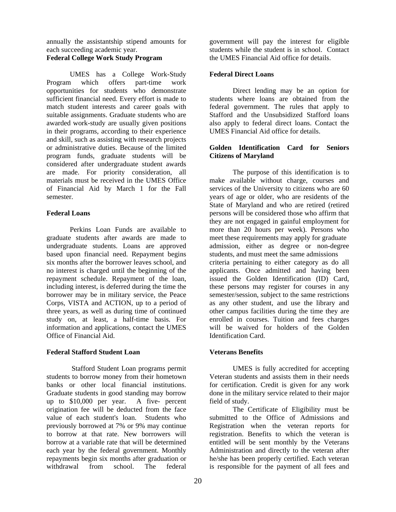annually the assistantship stipend amounts for each succeeding academic year.

# **Federal College Work Study Program**

UMES has a College Work-Study Program which offers part-time work opportunities for students who demonstrate sufficient financial need. Every effort is made to match student interests and career goals with suitable assignments. Graduate students who are awarded work-study are usually given positions in their programs, according to their experience and skill, such as assisting with research projects or administrative duties. Because of the limited program funds, graduate students will be considered after undergraduate student awards are made. For priority consideration, all materials must be received in the UMES Office of Financial Aid by March 1 for the Fall semester.

#### **Federal Loans**

Perkins Loan Funds are available to graduate students after awards are made to undergraduate students. Loans are approved based upon financial need. Repayment begins six months after the borrower leaves school, and no interest is charged until the beginning of the repayment schedule. Repayment of the loan, including interest, is deferred during the time the borrower may be in military service, the Peace Corps, VISTA and ACTION, up to a period of three years, as well as during time of continued study on, at least, a half-time basis. For information and applications, contact the UMES Office of Financial Aid.

## **Federal Stafford Student Loan**

 Stafford Student Loan programs permit students to borrow money from their hometown banks or other local financial institutions. Graduate students in good standing may borrow up to \$10,000 per year. A five- percent origination fee will be deducted from the face value of each student's loan. Students who previously borrowed at 7% or 9% may continue to borrow at that rate. New borrowers will borrow at a variable rate that will be determined each year by the federal government. Monthly repayments begin six months after graduation or<br>withdrawal from school. The federal withdrawal from school. The federal

government will pay the interest for eligible students while the student is in school. Contact the UMES Financial Aid office for details.

## **Federal Direct Loans**

Direct lending may be an option for students where loans are obtained from the federal government. The rules that apply to Stafford and the Unsubsidized Stafford loans also apply to federal direct loans. Contact the UMES Financial Aid office for details.

#### **Golden Identification Card for Seniors Citizens of Maryland**

The purpose of this identification is to make available without charge, courses and services of the University to citizens who are 60 years of age or older, who are residents of the State of Maryland and who are retired (retired persons will be considered those who affirm that they are not engaged in gainful employment for more than 20 hours per week). Persons who meet these requirements may apply for graduate admission, either as degree or non-degree students, and must meet the same admissions criteria pertaining to either category as do all applicants. Once admitted and having been issued the Golden Identification (ID) Card, these persons may register for courses in any semester/session, subject to the same restrictions as any other student, and use the library and other campus facilities during the time they are enrolled in courses. Tuition and fees charges will be waived for holders of the Golden Identification Card.

## **Veterans Benefits**

UMES is fully accredited for accepting Veteran students and assists them in their needs for certification. Credit is given for any work done in the military service related to their major field of study.

The Certificate of Eligibility must be submitted to the Office of Admissions and Registration when the veteran reports for registration. Benefits to which the veteran is entitled will be sent monthly by the Veterans Administration and directly to the veteran after he/she has been properly certified. Each veteran is responsible for the payment of all fees and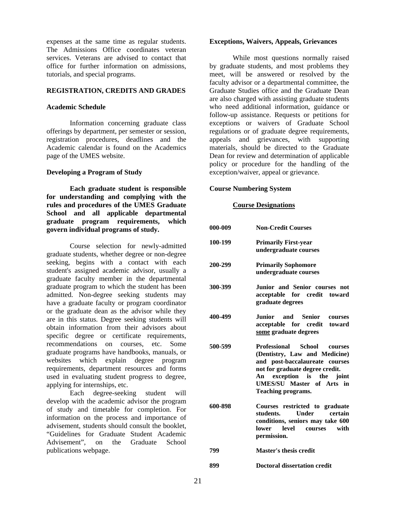expenses at the same time as regular students. The Admissions Office coordinates veteran services. Veterans are advised to contact that office for further information on admissions, tutorials, and special programs.

#### **REGISTRATION, CREDITS AND GRADES**

#### **Academic Schedule**

Information concerning graduate class offerings by department, per semester or session, registration procedures, deadlines and the Academic calendar is found on the Academics page of the UMES website.

#### **Developing a Program of Study**

**Each graduate student is responsible for understanding and complying with the rules and procedures of the UMES Graduate School and all applicable departmental graduate program requirements, which govern individual programs of study.**

Course selection for newly-admitted graduate students, whether degree or non-degree seeking, begins with a contact with each student's assigned academic advisor, usually a graduate faculty member in the departmental graduate program to which the student has been admitted. Non-degree seeking students may have a graduate faculty or program coordinator or the graduate dean as the advisor while they are in this status. Degree seeking students will obtain information from their advisors about specific degree or certificate requirements, recommendations on courses, etc. Some graduate programs have handbooks, manuals, or websites which explain degree program requirements, department resources and forms used in evaluating student progress to degree, applying for internships, etc.

Each degree-seeking student will develop with the academic advisor the program of study and timetable for completion. For information on the process and importance of advisement, students should consult the booklet, "Guidelines for Graduate Student Academic Advisement", on the Graduate School publications webpage.

#### **Exceptions, Waivers, Appeals, Grievances**

While most questions normally raised by graduate students, and most problems they meet, will be answered or resolved by the faculty advisor or a departmental committee, the Graduate Studies office and the Graduate Dean are also charged with assisting graduate students who need additional information, guidance or follow-up assistance. Requests or petitions for exceptions or waivers of Graduate School regulations or of graduate degree requirements, appeals and grievances, with supporting materials, should be directed to the Graduate Dean for review and determination of applicable policy or procedure for the handling of the exception/waiver, appeal or grievance.

#### **Course Numbering System**

#### **Course Designations**

| 000-009 | <b>Non-Credit Courses</b>                                                                                                                                                                                                          |
|---------|------------------------------------------------------------------------------------------------------------------------------------------------------------------------------------------------------------------------------------|
| 100-199 | <b>Primarily First-year</b><br>undergraduate courses                                                                                                                                                                               |
| 200-299 | <b>Primarily Sophomore</b><br>undergraduate courses                                                                                                                                                                                |
| 300-399 | Junior and Senior courses not<br>acceptable for credit toward<br>graduate degrees                                                                                                                                                  |
| 400-499 | Junior and Senior<br>courses<br>acceptable for credit toward<br>some graduate degrees                                                                                                                                              |
| 500-599 | Professional School<br>courses<br>(Dentistry, Law and Medicine)<br>and post-baccalaureate courses<br>not for graduate degree credit.<br>An exception is the joint<br><b>UMES/SU Master of Arts in</b><br><b>Teaching programs.</b> |
| 600-898 | Courses restricted to graduate<br>Under<br>students.<br>certain<br>conditions, seniors may take 600<br>level<br>with<br>lower<br>courses<br>permission.                                                                            |
| 799     | <b>Master's thesis credit</b>                                                                                                                                                                                                      |
| 899     | <b>Doctoral dissertation credit</b>                                                                                                                                                                                                |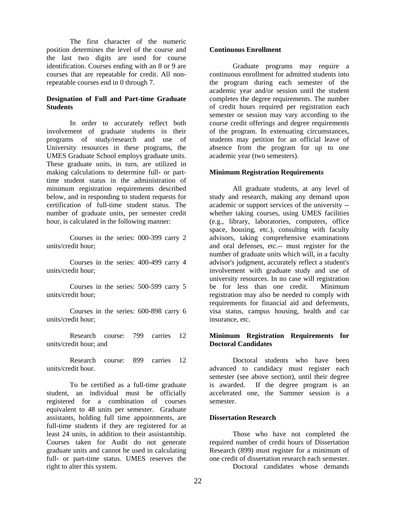The first character of the numeric position determines the level of the course and the last two digits are used for course identification. Courses ending with an 8 or 9 are courses that are repeatable for credit. All nonrepeatable courses end in 0 through 7.

## **Designation of Full and Part-time Graduate Students**

In order to accurately reflect both involvement of graduate students in their programs of study/research and use of University resources in these programs, the UMES Graduate School employs graduate units. These graduate units, in turn, are utilized in making calculations to determine full- or parttime student status in the administration of minimum registration requirements described below, and in responding to student requests for certification of full-time student status. The number of graduate units, per semester credit hour, is calculated in the following manner:

Courses in the series: 000-399 carry 2 units/credit hour;

Courses in the series: 400-499 carry 4 units/credit hour;

Courses in the series: 500-599 carry 5 units/credit hour;

Courses in the series: 600-898 carry 6 units/credit hour;

Research course: 799 carries 12 units/credit hour; and

Research course: 899 carries 12 units/credit hour.

To be certified as a full-time graduate student, an individual must be officially registered for a combination of courses equivalent to 48 units per semester. Graduate assistants, holding full time appointments, are full-time students if they are registered for at least 24 units, in addition to their assistantship. Courses taken for Audit do not generate graduate units and cannot be used in calculating full- or part-time status. UMES reserves the right to alter this system.

## **Continuous Enrollment**

Graduate programs may require a continuous enrollment for admitted students into the program during each semester of the academic year and/or session until the student completes the degree requirements. The number of credit hours required per registration each semester or session may vary according to the course credit offerings and degree requirements of the program. In extenuating circumstances, students may petition for an official leave of absence from the program for up to one academic year (two semesters).

#### **Minimum Registration Requirements**

All graduate students, at any level of study and research, making any demand upon academic or support services of the university - whether taking courses, using UMES facilities (e.g., library, laboratories, computers, office space, housing, etc.), consulting with faculty advisors, taking comprehensive examinations and oral defenses, etc.-- must register for the number of graduate units which will, in a faculty advisor's judgment, accurately reflect a student's involvement with graduate study and use of university resources. In no case will registration be for less than one credit. Minimum registration may also be needed to comply with requirements for financial aid and deferments, visa status, campus housing, health and car insurance, etc.

#### **Minimum Registration Requirements for Doctoral Candidates**

Doctoral students who have been advanced to candidacy must register each semester (see above section), until their degree is awarded. If the degree program is an accelerated one, the Summer session is a semester.

#### **Dissertation Research**

Those who have not completed the required number of credit hours of Dissertation Research (899) must register for a minimum of one credit of dissertation research each semester. Doctoral candidates whose demands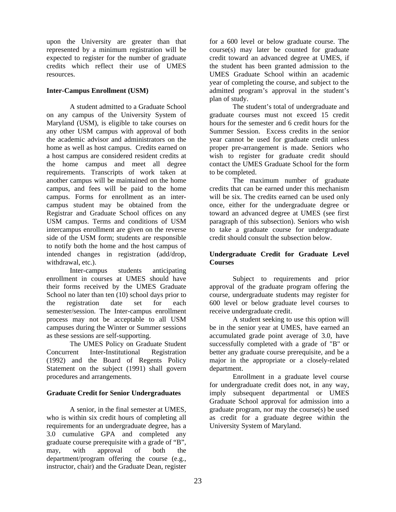upon the University are greater than that represented by a minimum registration will be expected to register for the number of graduate credits which reflect their use of UMES resources.

## **Inter-Campus Enrollment (USM)**

A student admitted to a Graduate School on any campus of the University System of Maryland (USM), is eligible to take courses on any other USM campus with approval of both the academic advisor and administrators on the home as well as host campus. Credits earned on a host campus are considered resident credits at the home campus and meet all degree requirements. Transcripts of work taken at another campus will be maintained on the home campus, and fees will be paid to the home campus. Forms for enrollment as an intercampus student may be obtained from the Registrar and Graduate School offices on any USM campus. Terms and conditions of USM intercampus enrollment are given on the reverse side of the USM form; students are responsible to notify both the home and the host campus of intended changes in registration (add/drop, withdrawal, etc.).

Inter-campus students anticipating enrollment in courses at UMES should have their forms received by the UMES Graduate School no later than ten (10) school days prior to the registration date set for each semester/session. The Inter-campus enrollment process may not be acceptable to all USM campuses during the Winter or Summer sessions as these sessions are self-supporting.

The UMES Policy on Graduate Student Concurrent Inter-Institutional Registration (1992) and the Board of Regents Policy Statement on the subject (1991) shall govern procedures and arrangements.

# **Graduate Credit for Senior Undergraduates**

A senior, in the final semester at UMES, who is within six credit hours of completing all requirements for an undergraduate degree, has a 3.0 cumulative GPA and completed any graduate course prerequisite with a grade of "B", may, with approval of both the department/program offering the course (e.g., instructor, chair) and the Graduate Dean, register

for a 600 level or below graduate course. The course(s) may later be counted for graduate credit toward an advanced degree at UMES, if the student has been granted admission to the UMES Graduate School within an academic year of completing the course, and subject to the admitted program's approval in the student's plan of study.

The student's total of undergraduate and graduate courses must not exceed 15 credit hours for the semester and 6 credit hours for the Summer Session. Excess credits in the senior year cannot be used for graduate credit unless proper pre-arrangement is made. Seniors who wish to register for graduate credit should contact the UMES Graduate School for the form to be completed.

The maximum number of graduate credits that can be earned under this mechanism will be six. The credits earned can be used only once, either for the undergraduate degree or toward an advanced degree at UMES (see first paragraph of this subsection). Seniors who wish to take a graduate course for undergraduate credit should consult the subsection below.

## **Undergraduate Credit for Graduate Level Courses**

Subject to requirements and prior approval of the graduate program offering the course, undergraduate students may register for 600 level or below graduate level courses to receive undergraduate credit.

A student seeking to use this option will be in the senior year at UMES, have earned an accumulated grade point average of 3.0, have successfully completed with a grade of "B" or better any graduate course prerequisite, and be a major in the appropriate or a closely-related department.

Enrollment in a graduate level course for undergraduate credit does not, in any way, imply subsequent departmental or UMES Graduate School approval for admission into a graduate program, nor may the course(s) be used as credit for a graduate degree within the University System of Maryland.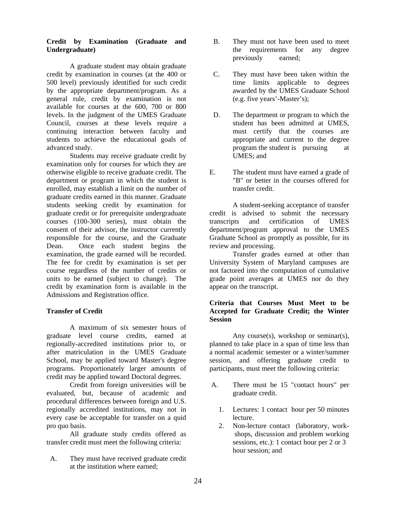## **Credit by Examination (Graduate and Undergraduate)**

A graduate student may obtain graduate credit by examination in courses (at the 400 or 500 level) previously identified for such credit by the appropriate department/program. As a general rule, credit by examination is not available for courses at the 600, 700 or 800 levels. In the judgment of the UMES Graduate Council, courses at these levels require a continuing interaction between faculty and students to achieve the educational goals of advanced study.

Students may receive graduate credit by examination only for courses for which they are otherwise eligible to receive graduate credit. The department or program in which the student is enrolled, may establish a limit on the number of graduate credits earned in this manner. Graduate students seeking credit by examination for graduate credit or for prerequisite undergraduate courses (100-300 series), must obtain the consent of their advisor, the instructor currently responsible for the course, and the Graduate Dean. Once each student begins the examination, the grade earned will be recorded. The fee for credit by examination is set per course regardless of the number of credits or units to be earned (subject to change). The credit by examination form is available in the Admissions and Registration office.

# **Transfer of Credit**

A maximum of six semester hours of graduate level course credits, earned at regionally-accredited institutions prior to, or after matriculation in the UMES Graduate School, may be applied toward Master's degree programs. Proportionately larger amounts of credit may be applied toward Doctoral degrees.

Credit from foreign universities will be evaluated, but, because of academic and procedural differences between foreign and U.S. regionally accredited institutions, may not in every case be acceptable for transfer on a quid pro quo basis.

All graduate study credits offered as transfer credit must meet the following criteria:

 A. They must have received graduate credit at the institution where earned;

- B. They must not have been used to meet the requirements for any degree previously earned;
- C. They must have been taken within the time limits applicable to degrees awarded by the UMES Graduate School (e.g. five years'-Master's);
- D. The department or program to which the student has been admitted at UMES, must certify that the courses are appropriate and current to the degree program the student is pursuing at UMES; and
- E. The student must have earned a grade of "B" or better in the courses offered for transfer credit.

A student-seeking acceptance of transfer credit is advised to submit the necessary transcripts and certification of UMES department/program approval to the UMES Graduate School as promptly as possible, for its review and processing.

Transfer grades earned at other than University System of Maryland campuses are not factored into the computation of cumulative grade point averages at UMES nor do they appear on the transcript.

## **Criteria that Courses Must Meet to be Accepted for Graduate Credit; the Winter Session**

Any course(s), workshop or seminar(s), planned to take place in a span of time less than a normal academic semester or a winter/summer session, and offering graduate credit to participants, must meet the following criteria:

- A. There must be 15 "contact hours" per graduate credit.
	- 1. Lectures: 1 contact hour per 50 minutes lecture.
	- 2. Non-lecture contact (laboratory, work shops, discussion and problem working sessions, etc.): 1 contact hour per 2 or 3 hour session; and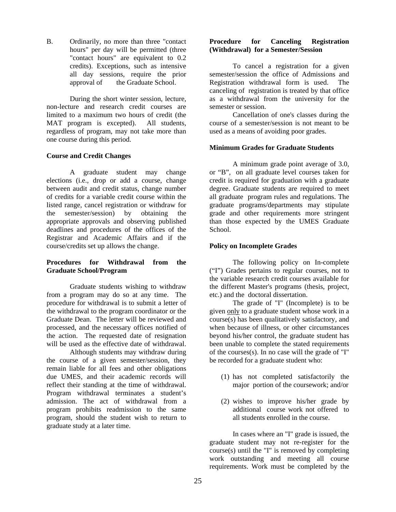B. Ordinarily, no more than three "contact hours" per day will be permitted (three "contact hours" are equivalent to 0.2 credits). Exceptions, such as intensive all day sessions, require the prior approval of the Graduate School.

During the short winter session, lecture, non-lecture and research credit courses are limited to a maximum two hours of credit (the MAT program is excepted). All students, regardless of program, may not take more than one course during this period.

#### **Course and Credit Changes**

A graduate student may change elections (i.e., drop or add a course, change between audit and credit status, change number of credits for a variable credit course within the listed range, cancel registration or withdraw for the semester/session) by obtaining the appropriate approvals and observing published deadlines and procedures of the offices of the Registrar and Academic Affairs and if the course/credits set up allows the change.

## **Procedures for Withdrawal from the Graduate School/Program**

Graduate students wishing to withdraw from a program may do so at any time. The procedure for withdrawal is to submit a letter of the withdrawal to the program coordinator or the Graduate Dean. The letter will be reviewed and processed, and the necessary offices notified of the action. The requested date of resignation will be used as the effective date of withdrawal.

 Although students may withdraw during the course of a given semester/session, they remain liable for all fees and other obligations due UMES, and their academic records will reflect their standing at the time of withdrawal. Program withdrawal terminates a student's admission. The act of withdrawal from a program prohibits readmission to the same program, should the student wish to return to graduate study at a later time.

## **Procedure for Canceling Registration (Withdrawal) for a Semester/Session**

To cancel a registration for a given semester/session the office of Admissions and Registration withdrawal form is used. The canceling of registration is treated by that office as a withdrawal from the university for the semester or session.

Cancellation of one's classes during the course of a semester/session is not meant to be used as a means of avoiding poor grades.

## **Minimum Grades for Graduate Students**

A minimum grade point average of 3.0, or "B", on all graduate level courses taken for credit is required for graduation with a graduate degree. Graduate students are required to meet all graduate program rules and regulations. The graduate programs/departments may stipulate grade and other requirements more stringent than those expected by the UMES Graduate School.

## **Policy on Incomplete Grades**

The following policy on In-complete ("I") Grades pertains to regular courses, not to the variable research credit courses available for the different Master's programs (thesis, project, etc.) and the doctoral dissertation.

The grade of "I" (Incomplete) is to be given only to a graduate student whose work in a course(s) has been qualitatively satisfactory, and when because of illness, or other circumstances beyond his/her control, the graduate student has been unable to complete the stated requirements of the courses(s). In no case will the grade of "I" be recorded for a graduate student who:

- (1) has not completed satisfactorily the major portion of the coursework; and/or
- (2) wishes to improve his/her grade by additional course work not offered to all students enrolled in the course.

In cases where an "I" grade is issued, the graduate student may not re-register for the course(s) until the "I" is removed by completing work outstanding and meeting all course requirements. Work must be completed by the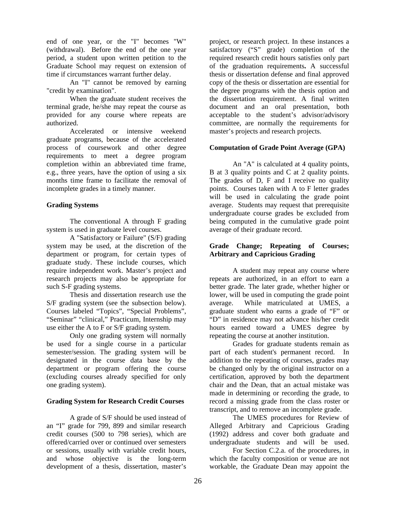end of one year, or the "I" becomes "W" (withdrawal). Before the end of the one year period, a student upon written petition to the Graduate School may request on extension of time if circumstances warrant further delay.

An "I" cannot be removed by earning "credit by examination".

When the graduate student receives the terminal grade, he/she may repeat the course as provided for any course where repeats are authorized.

Accelerated or intensive weekend graduate programs, because of the accelerated process of coursework and other degree requirements to meet a degree program completion within an abbreviated time frame, e.g., three years, have the option of using a six months time frame to facilitate the removal of incomplete grades in a timely manner.

## **Grading Systems**

The conventional A through F grading system is used in graduate level courses.

A "Satisfactory or Failure" (S/F) grading system may be used, at the discretion of the department or program, for certain types of graduate study. These include courses, which require independent work. Master's project and research projects may also be appropriate for such S-F grading systems.

Thesis and dissertation research use the S/F grading system (see the subsection below). Courses labeled "Topics", "Special Problems", "Seminar" "clinical," Practicum, Internship may use either the A to F or S/F grading system.

Only one grading system will normally be used for a single course in a particular semester/session. The grading system will be designated in the course data base by the department or program offering the course (excluding courses already specified for only one grading system).

## **Grading System for Research Credit Courses**

A grade of S/F should be used instead of an "I" grade for 799, 899 and similar research credit courses (500 to 798 series), which are offered/carried over or continued over semesters or sessions, usually with variable credit hours, and whose objective is the long-term development of a thesis, dissertation, master's

project, or research project. In these instances a satisfactory ("S" grade) completion of the required research credit hours satisfies only part of the graduation requirements**.** A successful thesis or dissertation defense and final approved copy of the thesis or dissertation are essential for the degree programs with the thesis option and the dissertation requirement. A final written document and an oral presentation, both acceptable to the student's advisor/advisory committee, are normally the requirements for master's projects and research projects.

# **Computation of Grade Point Average (GPA)**

An "A" is calculated at 4 quality points, B at 3 quality points and C at 2 quality points. The grades of D, F and I receive no quality points. Courses taken with A to F letter grades will be used in calculating the grade point average. Students may request that prerequisite undergraduate course grades be excluded from being computed in the cumulative grade point average of their graduate record.

## **Grade Change; Repeating of Courses; Arbitrary and Capricious Grading**

A student may repeat any course where repeats are authorized, in an effort to earn a better grade. The later grade, whether higher or lower, will be used in computing the grade point average. While matriculated at UMES, a graduate student who earns a grade of "F" or "D" in residence may not advance his/her credit hours earned toward a UMES degree by repeating the course at another institution.

Grades for graduate students remain as part of each student's permanent record. In addition to the repeating of courses, grades may be changed only by the original instructor on a certification, approved by both the department chair and the Dean, that an actual mistake was made in determining or recording the grade, to record a missing grade from the class roster or transcript, and to remove an incomplete grade.

 The UMES procedures for Review of Alleged Arbitrary and Capricious Grading (1992) address and cover both graduate and undergraduate students and will be used.

 For Section C.2.a. of the procedures, in which the faculty composition or venue are not workable, the Graduate Dean may appoint the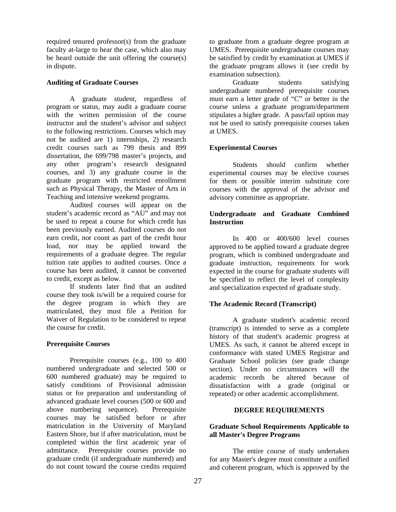required tenured professor(s) from the graduate faculty at-large to hear the case, which also may be heard outside the unit offering the course(s) in dispute.

## **Auditing of Graduate Courses**

A graduate student, regardless of program or status, may audit a graduate course with the written permission of the course instructor and the student's advisor and subject to the following restrictions. Courses which may not be audited are 1) internships, 2) research credit courses such as 799 thesis and 899 dissertation, the 699/798 master's projects, and any other program's research designated courses, and 3) any graduate course in the graduate program with restricted enrollment such as Physical Therapy, the Master of Arts in Teaching and intensive weekend programs.

Audited courses will appear on the student's academic record as "AU" and may not be used to repeat a course for which credit has been previously earned. Audited courses do not earn credit, nor count as part of the credit hour load, nor may be applied toward the requirements of a graduate degree. The regular tuition rate applies to audited courses. Once a course has been audited, it cannot be converted to credit, except as below.

If students later find that an audited course they took is/will be a required course for the degree program in which they are matriculated, they must file a Petition for Waiver of Regulation to be considered to repeat the course for credit.

# **Prerequisite Courses**

 Prerequisite courses (e.g., 100 to 400 numbered undergraduate and selected 500 or 600 numbered graduate) may be required to satisfy conditions of Provisional admission status or for preparation and understanding of advanced graduate level courses (500 or 600 and above numbering sequence). Prerequisite courses may be satisfied before or after matriculation in the University of Maryland Eastern Shore, but if after matriculation, must be completed within the first academic year of admittance. Prerequisite courses provide no graduate credit (if undergraduate numbered) and do not count toward the course credits required

to graduate from a graduate degree program at UMES. Prerequisite undergraduate courses may be satisfied by credit by examination at UMES if the graduate program allows it (see credit by examination subsection).

Graduate students satisfying undergraduate numbered prerequisite courses must earn a letter grade of "C" or better in the course unless a graduate program/department stipulates a higher grade. A pass/fail option may not be used to satisfy prerequisite courses taken at UMES.

# **Experimental Courses**

Students should confirm whether experimental courses may be elective courses for them or possible interim substitute core courses with the approval of the advisor and advisory committee as appropriate.

## **Undergraduate and Graduate Combined Instruction**

 In 400 or 400/600 level courses approved to be applied toward a graduate degree program, which is combined undergraduate and graduate instruction, requirements for work expected in the course for graduate students will be specified to reflect the level of complexity and specialization expected of graduate study.

# **The Academic Record (Transcript)**

A graduate student's academic record (transcript) is intended to serve as a complete history of that student's academic progress at UMES. As such, it cannot be altered except in conformance with stated UMES Registrar and Graduate School policies (see grade change section). Under no circumstances will the academic records be altered because of dissatisfaction with a grade (original or repeated) or other academic accomplishment.

# **DEGREE REQUIREMENTS**

## **Graduate School Requirements Applicable to all Master's Degree Programs**

The entire course of study undertaken for any Master's degree must constitute a unified and coherent program, which is approved by the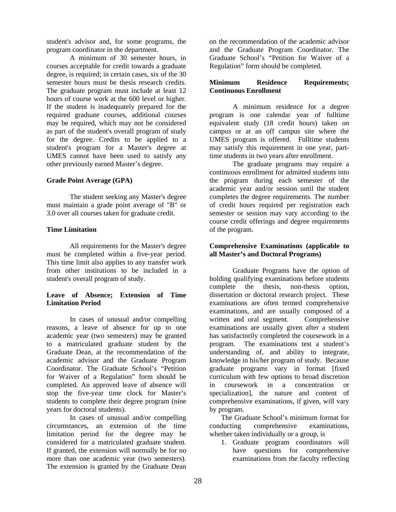student's advisor and, for some programs, the program coordinator in the department.

A minimum of 30 semester hours, in courses acceptable for credit towards a graduate degree, is required; in certain cases, six of the 30 semester hours must be thesis research credits. The graduate program must include at least 12 hours of course work at the 600 level or higher. If the student is inadequately prepared for the required graduate courses, additional courses may be required, which may not be considered as part of the student's overall program of study for the degree. Credits to be applied to a student's program for a Master's degree at UMES cannot have been used to satisfy any other previously earned Master's degree.

## **Grade Point Average (GPA)**

The student seeking any Master's degree must maintain a grade point average of "B" or 3.0 over all courses taken for graduate credit.

## **Time Limitation**

 All requirements for the Master's degree must be completed within a five-year period. This time limit also applies to any transfer work from other institutions to be included in a student's overall program of study.

## **Leave of Absence; Extension of Time Limitation Period**

In cases of unusual and/or compelling reasons, a leave of absence for up to one academic year (two semesters) may be granted to a matriculated graduate student by the Graduate Dean, at the recommendation of the academic advisor and the Graduate Program Coordinator. The Graduate School's "Petition for Waiver of a Regulation" form should be completed. An approved leave of absence will stop the five-year time clock for Master's students to complete their degree program (nine years for doctoral students).

In cases of unusual and/or compelling circumstances, an extension of the time limitation period for the degree may be considered for a matriculated graduate student. If granted, the extension will normally be for no more than one academic year (two semesters). The extension is granted by the Graduate Dean

on the recommendation of the academic advisor and the Graduate Program Coordinator. The Graduate School's "Petition for Waiver of a Regulation" form should be completed.

## **Minimum Residence Requirements; Continuous Enrollment**

A minimum residence for a degree program is one calendar year of fulltime equivalent study (18 credit hours) taken on campus or at an off campus site where the UMES program is offered. Fulltime students may satisfy this requirement in one year, parttime students in two years after enrollment.

The graduate programs may require a continuous enrollment for admitted students into the program during each semester of the academic year and/or session until the student completes the degree requirements. The number of credit hours required per registration each semester or session may vary according to the course credit offerings and degree requirements of the program.

### **Comprehensive Examinations (applicable to all Master's and Doctoral Programs)**

 Graduate Programs have the option of holding qualifying examinations before students complete the thesis, non-thesis option, dissertation or doctoral research project. These examinations are often termed comprehensive examinations, and are usually composed of a written and oral segment. Comprehensive examinations are usually given after a student has satisfactorily completed the coursework in a program. The examinations test a student's understanding of, and ability to integrate, knowledge in his/her program of study. Because graduate programs vary in format [fixed curriculum with few options to broad discretion in coursework in a concentration or specialization], the nature and content of comprehensive examinations, if given, will vary by program.

The Graduate School's minimum format for conducting comprehensive examinations, whether taken individually or a group, is

1. Graduate program coordinators will have questions for comprehensive examinations from the faculty reflecting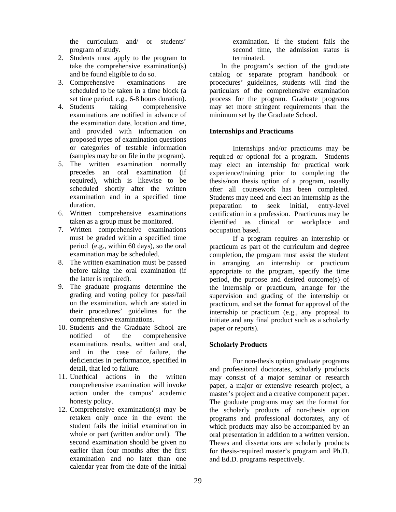the curriculum and/ or students' program of study.

- 2. Students must apply to the program to take the comprehensive examination(s) and be found eligible to do so.
- 3. Comprehensive examinations are scheduled to be taken in a time block (a set time period, e.g., 6-8 hours duration).
- 4. Students taking comprehensive examinations are notified in advance of the examination date, location and time, and provided with information on proposed types of examination questions or categories of testable information (samples may be on file in the program).
- 5. The written examination normally precedes an oral examination (if required), which is likewise to be scheduled shortly after the written examination and in a specified time duration.
- 6. Written comprehensive examinations taken as a group must be monitored.
- 7. Written comprehensive examinations must be graded within a specified time period (e.g., within 60 days), so the oral examination may be scheduled.
- 8. The written examination must be passed before taking the oral examination (if the latter is required).
- 9. The graduate programs determine the grading and voting policy for pass/fail on the examination, which are stated in their procedures' guidelines for the comprehensive examinations.
- 10. Students and the Graduate School are notified of the comprehensive examinations results, written and oral, and in the case of failure, the deficiencies in performance, specified in detail, that led to failure.
- 11. Unethical actions in the written comprehensive examination will invoke action under the campus' academic honesty policy.
- 12. Comprehensive examination(s) may be retaken only once in the event the student fails the initial examination in whole or part (written and/or oral). The second examination should be given no earlier than four months after the first examination and no later than one calendar year from the date of the initial

examination. If the student fails the second time, the admission status is terminated.

In the program's section of the graduate catalog or separate program handbook or procedures' guidelines, students will find the particulars of the comprehensive examination process for the program. Graduate programs may set more stringent requirements than the minimum set by the Graduate School.

## **Internships and Practicums**

Internships and/or practicums may be required or optional for a program. Students may elect an internship for practical work experience/training prior to completing the thesis/non thesis option of a program, usually after all coursework has been completed. Students may need and elect an internship as the preparation to seek initial, entry-level certification in a profession. Practicums may be identified as clinical or workplace and occupation based.

If a program requires an internship or practicum as part of the curriculum and degree completion, the program must assist the student in arranging an internship or practicum appropriate to the program, specify the time period, the purpose and desired outcome(s) of the internship or practicum, arrange for the supervision and grading of the internship or practicum, and set the format for approval of the internship or practicum (e.g., any proposal to initiate and any final product such as a scholarly paper or reports).

# **Scholarly Products**

For non-thesis option graduate programs and professional doctorates, scholarly products may consist of a major seminar or research paper, a major or extensive research project, a master's project and a creative component paper. The graduate programs may set the format for the scholarly products of non-thesis option programs and professional doctorates, any of which products may also be accompanied by an oral presentation in addition to a written version. Theses and dissertations are scholarly products for thesis-required master's program and Ph.D. and Ed.D. programs respectively.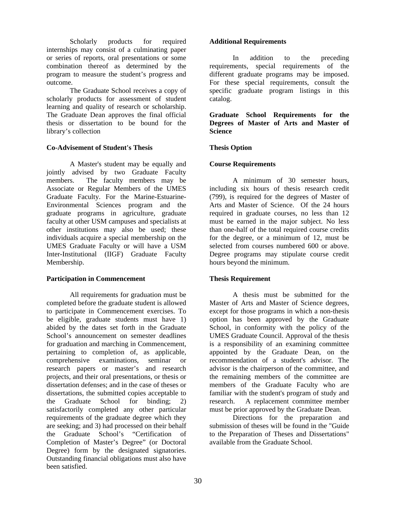Scholarly products for required internships may consist of a culminating paper or series of reports, oral presentations or some combination thereof as determined by the program to measure the student's progress and outcome.

 The Graduate School receives a copy of scholarly products for assessment of student learning and quality of research or scholarship. The Graduate Dean approves the final official thesis or dissertation to be bound for the library's collection

## **Co-Advisement of Student's Thesis**

A Master's student may be equally and jointly advised by two Graduate Faculty members. The faculty members may be Associate or Regular Members of the UMES Graduate Faculty. For the Marine-Estuarine-Environmental Sciences program and the graduate programs in agriculture, graduate faculty at other USM campuses and specialists at other institutions may also be used; these individuals acquire a special membership on the UMES Graduate Faculty or will have a USM Inter-Institutional (IIGF) Graduate Faculty Membership.

## **Participation in Commencement**

All requirements for graduation must be completed before the graduate student is allowed to participate in Commencement exercises. To be eligible, graduate students must have 1) abided by the dates set forth in the Graduate School's announcement on semester deadlines for graduation and marching in Commencement, pertaining to completion of, as applicable, comprehensive examinations, seminar or research papers or master's and research projects, and their oral presentations, or thesis or dissertation defenses; and in the case of theses or dissertations, the submitted copies acceptable to the Graduate School for binding; 2) satisfactorily completed any other particular requirements of the graduate degree which they are seeking; and 3) had processed on their behalf the Graduate School's "Certification of Completion of Master's Degree" (or Doctoral Degree) form by the designated signatories. Outstanding financial obligations must also have been satisfied.

## **Additional Requirements**

In addition to the preceding requirements, special requirements of the different graduate programs may be imposed. For these special requirements, consult the specific graduate program listings in this catalog.

**Graduate School Requirements for the Degrees of Master of Arts and Master of Science** 

# **Thesis Option**

## **Course Requirements**

A minimum of 30 semester hours, including six hours of thesis research credit (799), is required for the degrees of Master of Arts and Master of Science. Of the 24 hours required in graduate courses, no less than 12 must be earned in the major subject. No less than one-half of the total required course credits for the degree, or a minimum of 12, must be selected from courses numbered 600 or above. Degree programs may stipulate course credit hours beyond the minimum.

# **Thesis Requirement**

A thesis must be submitted for the Master of Arts and Master of Science degrees, except for those programs in which a non-thesis option has been approved by the Graduate School, in conformity with the policy of the UMES Graduate Council. Approval of the thesis is a responsibility of an examining committee appointed by the Graduate Dean, on the recommendation of a student's advisor. The advisor is the chairperson of the committee, and the remaining members of the committee are members of the Graduate Faculty who are familiar with the student's program of study and research. A replacement committee member must be prior approved by the Graduate Dean.

Directions for the preparation and submission of theses will be found in the "Guide to the Preparation of Theses and Dissertations" available from the Graduate School.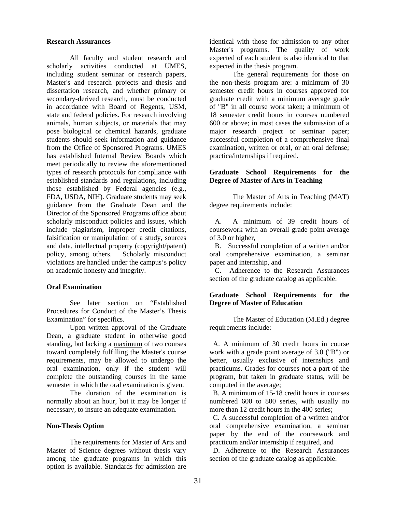#### **Research Assurances**

All faculty and student research and scholarly activities conducted at UMES, including student seminar or research papers, Master's and research projects and thesis and dissertation research, and whether primary or secondary-derived research, must be conducted in accordance with Board of Regents, USM, state and federal policies. For research involving animals, human subjects, or materials that may pose biological or chemical hazards, graduate students should seek information and guidance from the Office of Sponsored Programs. UMES has established Internal Review Boards which meet periodically to review the aforementioned types of research protocols for compliance with established standards and regulations, including those established by Federal agencies (e.g., FDA, USDA, NIH). Graduate students may seek guidance from the Graduate Dean and the Director of the Sponsored Programs office about scholarly misconduct policies and issues, which include plagiarism, improper credit citations, falsification or manipulation of a study, sources and data, intellectual property (copyright/patent) policy, among others. Scholarly misconduct violations are handled under the campus's policy on academic honesty and integrity.

#### **Oral Examination**

See later section on "Established Procedures for Conduct of the Master's Thesis Examination" for specifics.

Upon written approval of the Graduate Dean, a graduate student in otherwise good standing, but lacking a maximum of two courses toward completely fulfilling the Master's course requirements, may be allowed to undergo the oral examination, only if the student will complete the outstanding courses in the same semester in which the oral examination is given.

The duration of the examination is normally about an hour, but it may be longer if necessary, to insure an adequate examination.

#### **Non-Thesis Option**

The requirements for Master of Arts and Master of Science degrees without thesis vary among the graduate programs in which this option is available. Standards for admission are

identical with those for admission to any other Master's programs. The quality of work expected of each student is also identical to that expected in the thesis program.

The general requirements for those on the non-thesis program are: a minimum of 30 semester credit hours in courses approved for graduate credit with a minimum average grade of "B" in all course work taken; a minimum of 18 semester credit hours in courses numbered 600 or above; in most cases the submission of a major research project or seminar paper; successful completion of a comprehensive final examination, written or oral, or an oral defense; practica/internships if required.

## **Graduate School Requirements for the Degree of Master of Arts in Teaching**

The Master of Arts in Teaching (MAT) degree requirements include:

 A. A minimum of 39 credit hours of coursework with an overall grade point average of 3.0 or higher,

 B. Successful completion of a written and/or oral comprehensive examination, a seminar paper and internship, and

 C. Adherence to the Research Assurances section of the graduate catalog as applicable.

## **Graduate School Requirements for the Degree of Master of Education**

The Master of Education (M.Ed.) degree requirements include:

 A. A minimum of 30 credit hours in course work with a grade point average of 3.0 ("B") or better, usually exclusive of internships and practicums. Grades for courses not a part of the program, but taken in graduate status, will be computed in the average;

 B. A minimum of 15-18 credit hours in courses numbered 600 to 800 series, with usually no more than 12 credit hours in the 400 series;

 C. A successful completion of a written and/or oral comprehensive examination, a seminar paper by the end of the coursework and practicum and/or internship if required, and

 D. Adherence to the Research Assurances section of the graduate catalog as applicable.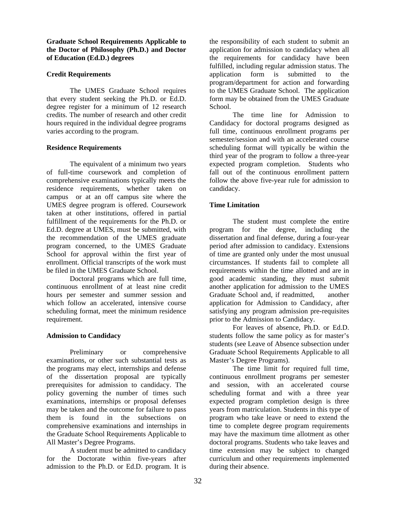**Graduate School Requirements Applicable to the Doctor of Philosophy (Ph.D.) and Doctor of Education (Ed.D.) degrees**

## **Credit Requirements**

The UMES Graduate School requires that every student seeking the Ph.D. or Ed.D. degree register for a minimum of 12 research credits. The number of research and other credit hours required in the individual degree programs varies according to the program.

#### **Residence Requirements**

The equivalent of a minimum two years of full-time coursework and completion of comprehensive examinations typically meets the residence requirements, whether taken on campus or at an off campus site where the UMES degree program is offered. Coursework taken at other institutions, offered in partial fulfillment of the requirements for the Ph.D. or Ed.D. degree at UMES, must be submitted, with the recommendation of the UMES graduate program concerned, to the UMES Graduate School for approval within the first year of enrollment. Official transcripts of the work must be filed in the UMES Graduate School.

 Doctoral programs which are full time, continuous enrollment of at least nine credit hours per semester and summer session and which follow an accelerated, intensive course scheduling format, meet the minimum residence requirement.

## **Admission to Candidacy**

Preliminary or comprehensive examinations, or other such substantial tests as the programs may elect, internships and defense of the dissertation proposal are typically prerequisites for admission to candidacy. The policy governing the number of times such examinations, internships or proposal defenses may be taken and the outcome for failure to pass them is found in the subsections on comprehensive examinations and internships in the Graduate School Requirements Applicable to All Master's Degree Programs.

A student must be admitted to candidacy for the Doctorate within five-years after admission to the Ph.D. or Ed.D. program. It is

the responsibility of each student to submit an application for admission to candidacy when all the requirements for candidacy have been fulfilled, including regular admission status. The application form is submitted to the program/department for action and forwarding to the UMES Graduate School. The application form may be obtained from the UMES Graduate School.

 The time line for Admission to Candidacy for doctoral programs designed as full time, continuous enrollment programs per semester/session and with an accelerated course scheduling format will typically be within the third year of the program to follow a three-year expected program completion. Students who fall out of the continuous enrollment pattern follow the above five-year rule for admission to candidacy.

## **Time Limitation**

The student must complete the entire program for the degree, including the dissertation and final defense, during a four-year period after admission to candidacy. Extensions of time are granted only under the most unusual circumstances. If students fail to complete all requirements within the time allotted and are in good academic standing, they must submit another application for admission to the UMES Graduate School and, if readmitted, another application for Admission to Candidacy, after satisfying any program admission pre-requisites prior to the Admission to Candidacy.

For leaves of absence, Ph.D. or Ed.D. students follow the same policy as for master's students (see Leave of Absence subsection under Graduate School Requirements Applicable to all Master's Degree Programs).

The time limit for required full time, continuous enrollment programs per semester and session, with an accelerated course scheduling format and with a three year expected program completion design is three years from matriculation. Students in this type of program who take leave or need to extend the time to complete degree program requirements may have the maximum time allotment as other doctoral programs. Students who take leaves and time extension may be subject to changed curriculum and other requirements implemented during their absence.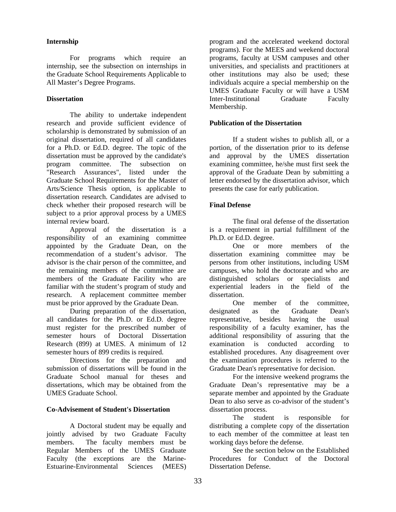## **Internship**

 For programs which require an internship, see the subsection on internships in the Graduate School Requirements Applicable to All Master's Degree Programs.

## **Dissertation**

The ability to undertake independent research and provide sufficient evidence of scholarship is demonstrated by submission of an original dissertation, required of all candidates for a Ph.D. or Ed.D. degree. The topic of the dissertation must be approved by the candidate's program committee. The subsection on "Research Assurances", listed under the Graduate School Requirements for the Master of Arts/Science Thesis option, is applicable to dissertation research. Candidates are advised to check whether their proposed research will be subject to a prior approval process by a UMES internal review board.

Approval of the dissertation is a responsibility of an examining committee appointed by the Graduate Dean, on the recommendation of a student's advisor. The advisor is the chair person of the committee, and the remaining members of the committee are members of the Graduate Facility who are familiar with the student's program of study and research. A replacement committee member must be prior approved by the Graduate Dean.

During preparation of the dissertation, all candidates for the Ph.D. or Ed.D. degree must register for the prescribed number of semester hours of Doctoral Dissertation Research (899) at UMES. A minimum of 12 semester hours of 899 credits is required.

Directions for the preparation and submission of dissertations will be found in the Graduate School manual for theses and dissertations, which may be obtained from the UMES Graduate School.

#### **Co-Advisement of Student's Dissertation**

A Doctoral student may be equally and jointly advised by two Graduate Faculty members. The faculty members must be Regular Members of the UMES Graduate Faculty (the exceptions are the Marine-Estuarine-Environmental Sciences (MEES)

program and the accelerated weekend doctoral programs). For the MEES and weekend doctoral programs, faculty at USM campuses and other universities, and specialists and practitioners at other institutions may also be used; these individuals acquire a special membership on the UMES Graduate Faculty or will have a USM Inter-Institutional Graduate Faculty Membership.

## **Publication of the Dissertation**

If a student wishes to publish all, or a portion, of the dissertation prior to its defense and approval by the UMES dissertation examining committee, he/she must first seek the approval of the Graduate Dean by submitting a letter endorsed by the dissertation advisor, which presents the case for early publication.

## **Final Defense**

The final oral defense of the dissertation is a requirement in partial fulfillment of the Ph.D. or Ed.D. degree.

One or more members of the dissertation examining committee may be persons from other institutions, including USM campuses, who hold the doctorate and who are distinguished scholars or specialists and experiential leaders in the field of the dissertation.

One member of the committee, designated as the Graduate Dean's representative, besides having the usual responsibility of a faculty examiner, has the additional responsibility of assuring that the examination is conducted according to established procedures. Any disagreement over the examination procedures is referred to the Graduate Dean's representative for decision.

For the intensive weekend programs the Graduate Dean's representative may be a separate member and appointed by the Graduate Dean to also serve as co-advisor of the student's dissertation process.

The student is responsible for distributing a complete copy of the dissertation to each member of the committee at least ten working days before the defense.

See the section below on the Established Procedures for Conduct of the Doctoral Dissertation Defense.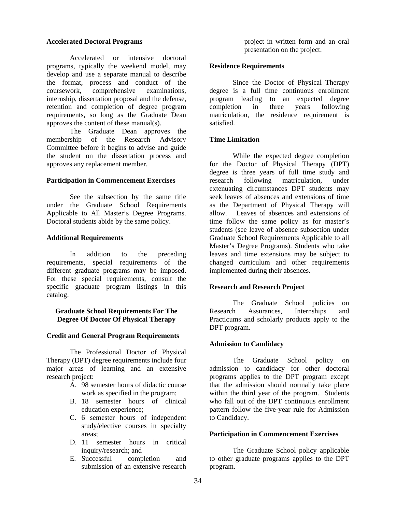#### **Accelerated Doctoral Programs**

 Accelerated or intensive doctoral programs, typically the weekend model, may develop and use a separate manual to describe the format, process and conduct of the coursework, comprehensive examinations, internship, dissertation proposal and the defense, retention and completion of degree program requirements, so long as the Graduate Dean approves the content of these manual(s).

The Graduate Dean approves the membership of the Research Advisory Committee before it begins to advise and guide the student on the dissertation process and approves any replacement member.

#### **Participation in Commencement Exercises**

See the subsection by the same title under the Graduate School Requirements Applicable to All Master's Degree Programs. Doctoral students abide by the same policy.

#### **Additional Requirements**

In addition to the preceding requirements, special requirements of the different graduate programs may be imposed. For these special requirements, consult the specific graduate program listings in this catalog.

## **Graduate School Requirements For The Degree Of Doctor Of Physical Therapy**

## **Credit and General Program Requirements**

The Professional Doctor of Physical Therapy (DPT) degree requirements include four major areas of learning and an extensive research project:

- A. 98 semester hours of didactic course work as specified in the program;
- B. 18 semester hours of clinical education experience;
- C. 6 semester hours of independent study/elective courses in specialty areas;
- D. 11 semester hours in critical inquiry/research; and
- E. Successful completion and submission of an extensive research

project in written form and an oral presentation on the project.

#### **Residence Requirements**

Since the Doctor of Physical Therapy degree is a full time continuous enrollment program leading to an expected degree completion in three years following matriculation, the residence requirement is satisfied.

## **Time Limitation**

While the expected degree completion for the Doctor of Physical Therapy (DPT) degree is three years of full time study and research following matriculation, under extenuating circumstances DPT students may seek leaves of absences and extensions of time as the Department of Physical Therapy will allow. Leaves of absences and extensions of time follow the same policy as for master's students (see leave of absence subsection under Graduate School Requirements Applicable to all Master's Degree Programs). Students who take leaves and time extensions may be subject to changed curriculum and other requirements implemented during their absences.

## **Research and Research Project**

The Graduate School policies on Research Assurances, Internships and Practicums and scholarly products apply to the DPT program.

## **Admission to Candidacy**

The Graduate School policy on admission to candidacy for other doctoral programs applies to the DPT program except that the admission should normally take place within the third year of the program. Students who fall out of the DPT continuous enrollment pattern follow the five-year rule for Admission to Candidacy.

## **Participation in Commencement Exercises**

The Graduate School policy applicable to other graduate programs applies to the DPT program.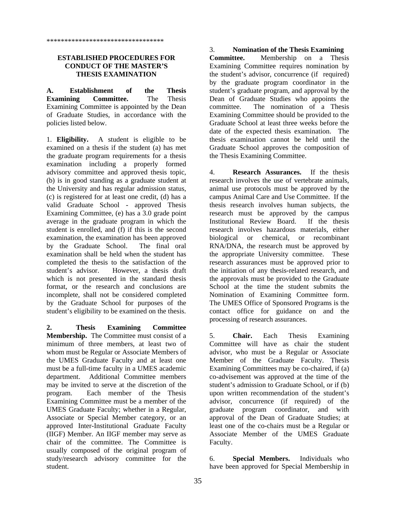## **ESTABLISHED PROCEDURES FOR CONDUCT OF THE MASTER'S THESIS EXAMINATION**

**A. Establishment of the Thesis Examining Committee.** The Thesis Examining Committee is appointed by the Dean of Graduate Studies, in accordance with the policies listed below.

1. **Eligibility.** A student is eligible to be examined on a thesis if the student (a) has met the graduate program requirements for a thesis examination including a properly formed advisory committee and approved thesis topic*,* (b) is in good standing as a graduate student at the University and has regular admission status, (c) is registered for at least one credit, (d) has a valid Graduate School - approved Thesis Examining Committee, (e) has a 3.0 grade point average in the graduate program in which the student is enrolled, and (f) if this is the second examination, the examination has been approved by the Graduate School. The final oral examination shall be held when the student has completed the thesis to the satisfaction of the student's advisor. However, a thesis draft which is not presented in the standard thesis format, or the research and conclusions are incomplete, shall not be considered completed by the Graduate School for purposes of the student's eligibility to be examined on the thesis.

**2. Thesis Examining Committee Membership.** The Committee must consist of a minimum of three members, at least two of whom must be Regular or Associate Members of the UMES Graduate Faculty and at least one must be a full-time faculty in a UMES academic department. Additional Committee members may be invited to serve at the discretion of the program. Each member of the Thesis Examining Committee must be a member of the UMES Graduate Faculty; whether in a Regular, Associate or Special Member category, or an approved Inter-Institutional Graduate Faculty (IIGF) Member. An IIGF member may serve as chair of the committee. The Committee is usually composed of the original program of study/research advisory committee for the student.

3. **Nomination of the Thesis Examining Committee.** Membership on a Thesis Examining Committee requires nomination by the student's advisor, concurrence (if required) by the graduate program coordinator in the student's graduate program, and approval by the Dean of Graduate Studies who appoints the committee. The nomination of a Thesis Examining Committee should be provided to the Graduate School at least three weeks before the date of the expected thesis examination. The thesis examination cannot be held until the Graduate School approves the composition of the Thesis Examining Committee.

4. **Research Assurances.** If the thesis research involves the use of vertebrate animals, animal use protocols must be approved by the campus Animal Care and Use Committee. If the thesis research involves human subjects, the research must be approved by the campus Institutional Review Board. If the thesis research involves hazardous materials, either biological or chemical, or recombinant RNA/DNA, the research must be approved by the appropriate University committee. These research assurances must be approved prior to the initiation of any thesis-related research, and the approvals must be provided to the Graduate School at the time the student submits the Nomination of Examining Committee form. The UMES Office of Sponsored Programs is the contact office for guidance on and the processing of research assurances.

5. **Chair.** Each Thesis Examining Committee will have as chair the student advisor, who must be a Regular or Associate Member of the Graduate Faculty. Thesis Examining Committees may be co-chaired, if (a) co-advisement was approved at the time of the student's admission to Graduate School, or if (b) upon written recommendation of the student's advisor, concurrence (if required) of the graduate program coordinator, and with approval of the Dean of Graduate Studies; at least one of the co-chairs must be a Regular or Associate Member of the UMES Graduate Faculty.

6. **Special Members.** Individuals who have been approved for Special Membership in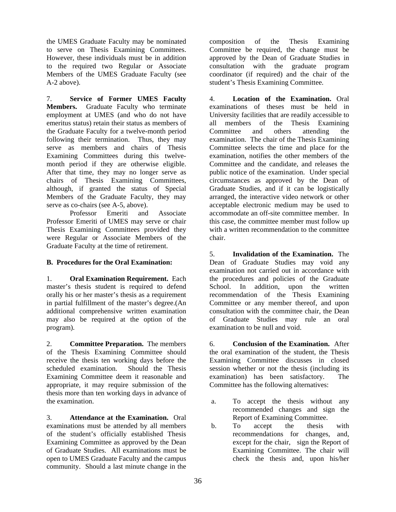the UMES Graduate Faculty may be nominated to serve on Thesis Examining Committees. However, these individuals must be in addition to the required two Regular or Associate Members of the UMES Graduate Faculty (see A-2 above).

7. **Service of Former UMES Faculty Members.** Graduate Faculty who terminate employment at UMES (and who do not have emeritus status) retain their status as members of the Graduate Faculty for a twelve-month period following their termination. Thus, they may serve as members and chairs of Thesis Examining Committees during this twelvemonth period if they are otherwise eligible. After that time, they may no longer serve as chairs of Thesis Examining Committees, although, if granted the status of Special Members of the Graduate Faculty, they may serve as co-chairs (see A-5, above).

Professor Emeriti and Associate Professor Emeriti of UMES may serve or chair Thesis Examining Committees provided they were Regular or Associate Members of the Graduate Faculty at the time of retirement.

# **B. Procedures for the Oral Examination:**

1. **Oral Examination Requirement.** Each master's thesis student is required to defend orally his or her master's thesis as a requirement in partial fulfillment of the master's degree.(An additional comprehensive written examination may also be required at the option of the program).

2. **Committee Preparation.** The members of the Thesis Examining Committee should receive the thesis ten working days before the scheduled examination. Should the Thesis Examining Committee deem it reasonable and appropriate, it may require submission of the thesis more than ten working days in advance of the examination.

3. **Attendance at the Examination.** Oral examinations must be attended by all members of the student's officially established Thesis Examining Committee as approved by the Dean of Graduate Studies. All examinations must be open to UMES Graduate Faculty and the campus community. Should a last minute change in the

composition of the Thesis Examining Committee be required, the change must be approved by the Dean of Graduate Studies in consultation with the graduate program coordinator (if required) and the chair of the student's Thesis Examining Committee.

4. **Location of the Examination.** Oral examinations of theses must be held in University facilities that are readily accessible to all members of the Thesis Examining Committee and others attending examination. The chair of the Thesis Examining Committee selects the time and place for the examination, notifies the other members of the Committee and the candidate, and releases the public notice of the examination. Under special circumstances as approved by the Dean of Graduate Studies, and if it can be logistically arranged, the interactive video network or other acceptable electronic medium may be used to accommodate an off-site committee member. In this case, the committee member must follow up with a written recommendation to the committee chair.

5. **Invalidation of the Examination.** The Dean of Graduate Studies may void any examination not carried out in accordance with the procedures and policies of the Graduate School. In addition, upon the written recommendation of the Thesis Examining Committee or any member thereof, and upon consultation with the committee chair, the Dean of Graduate Studies may rule an oral examination to be null and void.

6. **Conclusion of the Examination.** After the oral examination of the student, the Thesis Examining Committee discusses in closed session whether or not the thesis (including its examination) has been satisfactory. The Committee has the following alternatives:

- a. To accept the thesis without any recommended changes and sign the Report of Examining Committee.
- b. To accept the thesis with recommendations for changes, and, except for the chair, sign the Report of Examining Committee. The chair will check the thesis and, upon his/her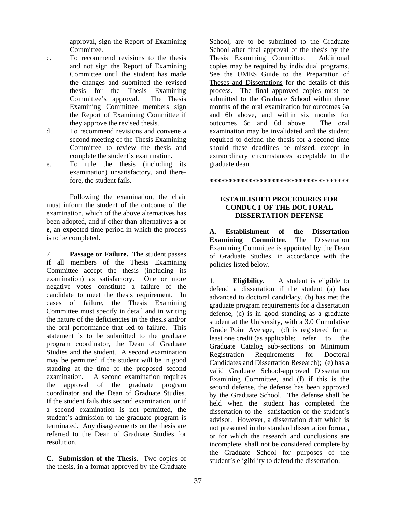approval, sign the Report of Examining Committee.

- c. To recommend revisions to the thesis and not sign the Report of Examining Committee until the student has made the changes and submitted the revised thesis for the Thesis Examining Committee's approval. The Thesis Examining Committee members sign the Report of Examining Committee if they approve the revised thesis.
- d. To recommend revisions and convene a second meeting of the Thesis Examining Committee to review the thesis and complete the student's examination.
- e. To rule the thesis (including its examination) unsatisfactory, and therefore, the student fails.

Following the examination, the chair must inform the student of the outcome of the examination, which of the above alternatives has been adopted, and if other than alternatives **a** or **e**, an expected time period in which the process is to be completed.

7. **Passage or Failure.**The student passes if all members of the Thesis Examining Committee accept the thesis (including its examination) as satisfactory. One or more negative votes constitute a failure of the candidate to meet the thesis requirement. In cases of failure, the Thesis Examining Committee must specify in detail and in writing the nature of the deficiencies in the thesis and/or the oral performance that led to failure. This statement is to be submitted to the graduate program coordinator, the Dean of Graduate Studies and the student. A second examination may be permitted if the student will be in good standing at the time of the proposed second examination. A second examination requires the approval of the graduate program coordinator and the Dean of Graduate Studies. If the student fails this second examination, or if a second examination is not permitted, the student's admission to the graduate program is terminated. Any disagreements on the thesis are referred to the Dean of Graduate Studies for resolution.

**C. Submission of the Thesis.** Two copies of the thesis, in a format approved by the Graduate

School, are to be submitted to the Graduate School after final approval of the thesis by the Thesis Examining Committee. Additional copies may be required by individual programs. See the UMES Guide to the Preparation of Theses and Dissertations for the details of this process. The final approved copies must be submitted to the Graduate School within three months of the oral examination for outcomes 6a and 6b above, and within six months for outcomes 6c and 6d above. The oral examination may be invalidated and the student required to defend the thesis for a second time should these deadlines be missed, except in extraordinary circumstances acceptable to the graduate dean.

**\*\*\*\*\*\*\*\*\*\*\*\*\*\*\*\*\*\*\*\*\*\*\*\*\*\*\*\*\***\*\*\*\*\*\*\*

# **ESTABLISHED PROCEDURES FOR CONDUCT OF THE DOCTORAL DISSERTATION DEFENSE**

**A. Establishment of the Dissertation Examining Committee**. The Dissertation Examining Committee is appointed by the Dean of Graduate Studies, in accordance with the policies listed below.

1. **Eligibility.** A student is eligible to defend a dissertation if the student (a) has advanced to doctoral candidacy, (b) has met the graduate program requirements for a dissertation defense, (c) is in good standing as a graduate student at the University, with a 3.0 Cumulative Grade Point Average, (d) is registered for at least one credit (as applicable; refer to the Graduate Catalog sub-sections on Minimum Registration Requirements for Doctoral Candidates and Dissertation Research); (e) has a valid Graduate School-approved Dissertation Examining Committee, and (f) if this is the second defense, the defense has been approved by the Graduate School. The defense shall be held when the student has completed the dissertation to the satisfaction of the student's advisor. However, a dissertation draft which is not presented in the standard dissertation format, or for which the research and conclusions are incomplete, shall not be considered complete by the Graduate School for purposes of the student's eligibility to defend the dissertation.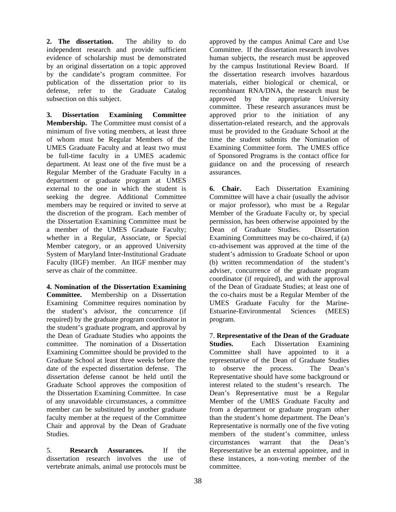**2. The dissertation.** The ability to do independent research and provide sufficient evidence of scholarship must be demonstrated by an original dissertation on a topic approved by the candidate's program committee. For publication of the dissertation prior to its defense, refer to the Graduate Catalog subsection on this subject.

**3. Dissertation Examining Committee Membership.** The Committee must consist of a minimum of five voting members, at least three of whom must be Regular Members of the UMES Graduate Faculty and at least two must be full-time faculty in a UMES academic department. At least one of the five must be a Regular Member of the Graduate Faculty in a department or graduate program at UMES external to the one in which the student is seeking the degree. Additional Committee members may be required or invited to serve at the discretion of the program. Each member of the Dissertation Examining Committee must be a member of the UMES Graduate Faculty; whether in a Regular, Associate, or Special Member category, or an approved University System of Maryland Inter-Institutional Graduate Faculty (IIGF) member. An IIGF member may serve as chair of the committee.

**4. Nomination of the Dissertation Examining Committee.** Membership on a Dissertation Examining Committee requires nomination by the student's advisor, the concurrence (if required) by the graduate program coordinator in the student's graduate program, and approval by the Dean of Graduate Studies who appoints the committee. The nomination of a Dissertation Examining Committee should be provided to the Graduate School at least three weeks before the date of the expected dissertation defense. The dissertation defense cannot be held until the Graduate School approves the composition of the Dissertation Examining Committee. In case of any unavoidable circumstances, a committee member can be substituted by another graduate faculty member at the request of the Committee Chair and approval by the Dean of Graduate Studies.

5. **Research Assurances.** If the dissertation research involves the use of vertebrate animals, animal use protocols must be

approved by the campus Animal Care and Use Committee. If the dissertation research involves human subjects, the research must be approved by the campus Institutional Review Board. If the dissertation research involves hazardous materials, either biological or chemical, or recombinant RNA/DNA, the research must be approved by the appropriate University committee. These research assurances must be approved prior to the initiation of any dissertation-related research, and the approvals must be provided to the Graduate School at the time the student submits the Nomination of Examining Committee form. The UMES office of Sponsored Programs is the contact office for guidance on and the processing of research assurances.

**6. Chair.** Each Dissertation Examining Committee will have a chair (usually the advisor or major professor), who must be a Regular Member of the Graduate Faculty or, by special permission, has been otherwise appointed by the Dean of Graduate Studies. Dissertation Examining Committees may be co-chaired, if (a) co-advisement was approved at the time of the student's admission to Graduate School or upon (b) written recommendation of the student's adviser, concurrence of the graduate program coordinator (if required), and with the approval of the Dean of Graduate Studies; at least one of the co-chairs must be a Regular Member of the UMES Graduate Faculty for the Marine-Estuarine-Environmental Sciences (MEES) program.

7. **Representative of the Dean of the Graduate Studies.** Each Dissertation Examining Committee shall have appointed to it a representative of the Dean of Graduate Studies to observe the process. The Dean's Representative should have some background or interest related to the student's research. The Dean's Representative must be a Regular Member of the UMES Graduate Faculty and from a department or graduate program other than the student's home department. The Dean's Representative is normally one of the five voting members of the student's committee, unless circumstances warrant that the Dean's Representative be an external appointee, and in these instances, a non-voting member of the committee.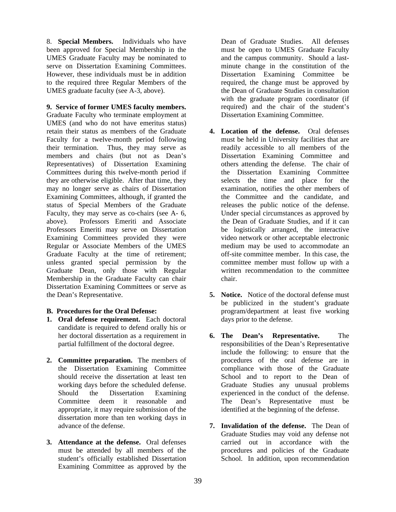8. **Special Members.** Individuals who have been approved for Special Membership in the UMES Graduate Faculty may be nominated to serve on Dissertation Examining Committees. However, these individuals must be in addition to the required three Regular Members of the UMES graduate faculty (see A-3, above).

**9. Service of former UMES faculty members.** Graduate Faculty who terminate employment at UMES (and who do not have emeritus status) retain their status as members of the Graduate Faculty for a twelve-month period following their termination. Thus, they may serve as members and chairs (but not as Dean's Representatives) of Dissertation Examining Committees during this twelve-month period if they are otherwise eligible. After that time, they may no longer serve as chairs of Dissertation Examining Committees, although, if granted the status of Special Members of the Graduate Faculty, they may serve as co-chairs (see A- 6, above). Professors Emeriti and Associate Professors Emeriti may serve on Dissertation Examining Committees provided they were Regular or Associate Members of the UMES Graduate Faculty at the time of retirement; unless granted special permission by the Graduate Dean, only those with Regular Membership in the Graduate Faculty can chair Dissertation Examining Committees or serve as the Dean's Representative.

## **B. Procedures for the Oral Defense:**

- **1. Oral defense requirement.** Each doctoral candidate is required to defend orally his or her doctoral dissertation as a requirement in partial fulfillment of the doctoral degree.
- **2. Committee preparation.** The members of the Dissertation Examining Committee should receive the dissertation at least ten working days before the scheduled defense. Should the Dissertation Examining Committee deem it reasonable and appropriate, it may require submission of the dissertation more than ten working days in advance of the defense.
- **3. Attendance at the defense.** Oral defenses must be attended by all members of the student's officially established Dissertation Examining Committee as approved by the

Dean of Graduate Studies. All defenses must be open to UMES Graduate Faculty and the campus community. Should a lastminute change in the constitution of the Dissertation Examining Committee be required, the change must be approved by the Dean of Graduate Studies in consultation with the graduate program coordinator (if required) and the chair of the student's Dissertation Examining Committee.

- **4. Location of the defense.** Oral defenses must be held in University facilities that are readily accessible to all members of the Dissertation Examining Committee and others attending the defense. The chair of the Dissertation Examining Committee selects the time and place for the examination, notifies the other members of the Committee and the candidate, and releases the public notice of the defense. Under special circumstances as approved by the Dean of Graduate Studies, and if it can be logistically arranged, the interactive video network or other acceptable electronic medium may be used to accommodate an off-site committee member. In this case, the committee member must follow up with a written recommendation to the committee chair.
- **5. Notice.** Notice of the doctoral defense must be publicized in the student's graduate program/department at least five working days prior to the defense.
- **6. The Dean's Representative.** The responsibilities of the Dean's Representative include the following: to ensure that the procedures of the oral defense are in compliance with those of the Graduate School and to report to the Dean of Graduate Studies any unusual problems experienced in the conduct of the defense. The Dean's Representative must be identified at the beginning of the defense.
- **7. Invalidation of the defense.** The Dean of Graduate Studies may void any defense not carried out in accordance with the procedures and policies of the Graduate School. In addition, upon recommendation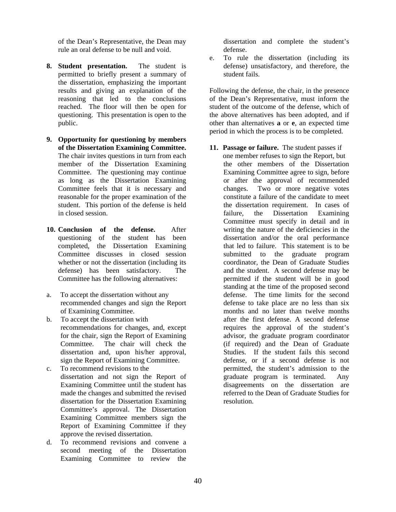of the Dean's Representative, the Dean may rule an oral defense to be null and void.

- **8. Student presentation.** The student is permitted to briefly present a summary of the dissertation, emphasizing the important results and giving an explanation of the reasoning that led to the conclusions reached. The floor will then be open for questioning. This presentation is open to the public.
- **9. Opportunity for questioning by members of the Dissertation Examining Committee.** The chair invites questions in turn from each member of the Dissertation Examining Committee. The questioning may continue as long as the Dissertation Examining Committee feels that it is necessary and reasonable for the proper examination of the student. This portion of the defense is held in closed session.
- **10. Conclusion of the defense.** After questioning of the student has been completed, the Dissertation Examining Committee discusses in closed session whether or not the dissertation (including its defense) has been satisfactory. The Committee has the following alternatives:
- a. To accept the dissertation without any recommended changes and sign the Report of Examining Committee.
- b. To accept the dissertation with recommendations for changes, and, except for the chair, sign the Report of Examining Committee. The chair will check the dissertation and, upon his/her approval, sign the Report of Examining Committee.
- c. To recommend revisions to the dissertation and not sign the Report of Examining Committee until the student has made the changes and submitted the revised dissertation for the Dissertation Examining Committee's approval. The Dissertation Examining Committee members sign the Report of Examining Committee if they approve the revised dissertation.
- d. To recommend revisions and convene a second meeting of the Dissertation Examining Committee to review the

dissertation and complete the student's defense.

e. To rule the dissertation (including its defense) unsatisfactory, and therefore, the student fails.

Following the defense, the chair, in the presence of the Dean's Representative, must inform the student of the outcome of the defense, which of the above alternatives has been adopted, and if other than alternatives **a** or **e**, an expected time period in which the process is to be completed.

**11. Passage or failure.** The student passes if one member refuses to sign the Report, but the other members of the Dissertation Examining Committee agree to sign, before or after the approval of recommended changes. Two or more negative votes constitute a failure of the candidate to meet the dissertation requirement. In cases of failure, the Dissertation Examining Committee must specify in detail and in writing the nature of the deficiencies in the dissertation and/or the oral performance that led to failure. This statement is to be submitted to the graduate program coordinator, the Dean of Graduate Studies and the student. A second defense may be permitted if the student will be in good standing at the time of the proposed second defense. The time limits for the second defense to take place are no less than six months and no later than twelve months after the first defense. A second defense requires the approval of the student's advisor, the graduate program coordinator (if required) and the Dean of Graduate Studies. If the student fails this second defense, or if a second defense is not permitted, the student's admission to the graduate program is terminated. Any disagreements on the dissertation are referred to the Dean of Graduate Studies for resolution.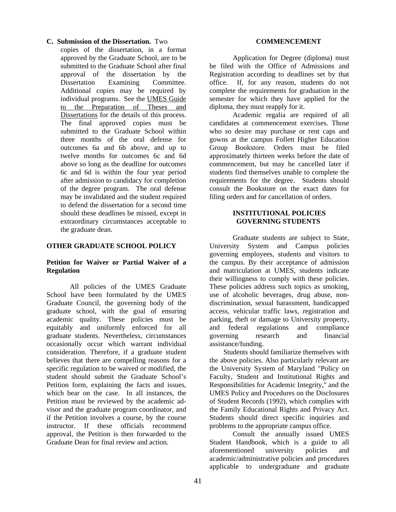#### **C. Submission of the Dissertation.** Two

copies of the dissertation, in a format approved by the Graduate School, are to be submitted to the Graduate School after final approval of the dissertation by the Dissertation Examining Committee. Additional copies may be required by individual programs. See the UMES Guide to the Preparation of Theses and Dissertations for the details of this process. The final approved copies must be submitted to the Graduate School within three months of the oral defense for outcomes 6a and 6b above, and up to twelve months for outcomes 6c and 6d above so long as the deadline for outcomes 6c and 6d is within the four year period after admission to candidacy for completion of the degree program. The oral defense may be invalidated and the student required to defend the dissertation for a second time should these deadlines be missed, except in extraordinary circumstances acceptable to the graduate dean.

## **OTHER GRADUATE SCHOOL POLICY**

## **Petition for Waiver or Partial Waiver of a Regulation**

All policies of the UMES Graduate School have been formulated by the UMES Graduate Council, the governing body of the graduate school, with the goal of ensuring academic quality. These policies must be equitably and uniformly enforced for all graduate students. Nevertheless, circumstances occasionally occur which warrant individual consideration. Therefore, if a graduate student believes that there are compelling reasons for a specific regulation to be waived or modified, the student should submit the Graduate School's Petition form, explaining the facts and issues, which bear on the case. In all instances, the Petition must be reviewed by the academic advisor and the graduate program coordinator, and if the Petition involves a course, by the course instructor. If these officials recommend approval, the Petition is then forwarded to the Graduate Dean for final review and action.

#### **COMMENCEMENT**

Application for Degree (diploma) must be filed with the Office of Admissions and Registration according to deadlines set by that office. If, for any reason, students do not complete the requirements for graduation in the semester for which they have applied for the diploma, they must reapply for it.

Academic regalia are required of all candidates at commencement exercises. Those who so desire may purchase or rent caps and gowns at the campus Follett Higher Education Group Bookstore. Orders must be filed approximately thirteen weeks before the date of commencement, but may be cancelled later if students find themselves unable to complete the requirements for the degree. Students should consult the Bookstore on the exact dates for filing orders and for cancellation of orders.

#### **INSTITUTIONAL POLICIES GOVERNING STUDENTS**

Graduate students are subject to State, University System and Campus policies governing employees, students and visitors to the campus. By their acceptance of admission and matriculation at UMES, students indicate their willingness to comply with these policies. These policies address such topics as smoking, use of alcoholic beverages, drug abuse, nondiscrimination, sexual harassment, handicapped access, vehicular traffic laws, registration and parking, theft or damage to University property, and federal regulations and compliance governing research and financial assistance/funding.

Students should familiarize themselves with the above policies. Also particularly relevant are the University System of Maryland "Policy on Faculty, Student and Institutional Rights and Responsibilities for Academic Integrity," and the UMES Policy and Procedures on the Disclosures of Student Records (1992), which complies with the Family Educational Rights and Privacy Act. Students should direct specific inquiries and problems to the appropriate campus office.

 Consult the annually issued UMES Student Handbook, which is a guide to all aforementioned university policies and academic/administrative policies and procedures applicable to undergraduate and graduate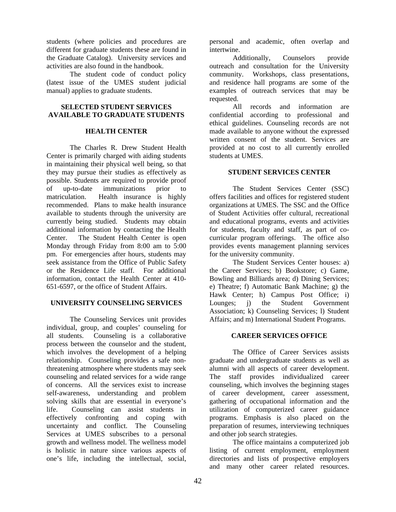students (where policies and procedures are different for graduate students these are found in the Graduate Catalog). University services and activities are also found in the handbook.

 The student code of conduct policy (latest issue of the UMES student judicial manual) applies to graduate students.

# **SELECTED STUDENT SERVICES AVAILABLE TO GRADUATE STUDENTS**

# **HEALTH CENTER**

The Charles R. Drew Student Health Center is primarily charged with aiding students in maintaining their physical well being, so that they may pursue their studies as effectively as possible. Students are required to provide proof of up-to-date immunizations prior to matriculation. Health insurance is highly recommended. Plans to make health insurance available to students through the university are currently being studied. Students may obtain additional information by contacting the Health Center. The Student Health Center is open Monday through Friday from 8:00 am to 5:00 pm. For emergencies after hours, students may seek assistance from the Office of Public Safety or the Residence Life staff. For additional information, contact the Health Center at 410- 651-6597, or the office of Student Affairs.

# **UNIVERSITY COUNSELING SERVICES**

The Counseling Services unit provides individual, group, and couples' counseling for all students. Counseling is a collaborative process between the counselor and the student, which involves the development of a helping relationship. Counseling provides a safe nonthreatening atmosphere where students may seek counseling and related services for a wide range of concerns. All the services exist to increase self-awareness, understanding and problem solving skills that are essential in everyone's life. Counseling can assist students in effectively confronting and coping with uncertainty and conflict. The Counseling Services at UMES subscribes to a personal growth and wellness model. The wellness model is holistic in nature since various aspects of one's life, including the intellectual, social,

personal and academic, often overlap and intertwine.

Additionally, Counselors provide outreach and consultation for the University community. Workshops, class presentations, and residence hall programs are some of the examples of outreach services that may be requested.

All records and information are confidential according to professional and ethical guidelines. Counseling records are not made available to anyone without the expressed written consent of the student. Services are provided at no cost to all currently enrolled students at UMES.

# **STUDENT SERVICES CENTER**

The Student Services Center (SSC) offers facilities and offices for registered student organizations at UMES. The SSC and the Office of Student Activities offer cultural, recreational and educational programs, events and activities for students, faculty and staff, as part of cocurricular program offerings. The office also provides events management planning services for the university community.

The Student Services Center houses: a) the Career Services; b) Bookstore; c) Game, Bowling and Billiards area; d) Dining Services; e) Theatre; f) Automatic Bank Machine; g) the Hawk Center; h) Campus Post Office; i) Lounges; j) the Student Government Association; k) Counseling Services; l) Student Affairs; and m) International Student Programs.

# **CAREER SERVICES OFFICE**

The Office of Career Services assists graduate and undergraduate students as well as alumni with all aspects of career development. The staff provides individualized career counseling, which involves the beginning stages of career development, career assessment, gathering of occupational information and the utilization of computerized career guidance programs. Emphasis is also placed on the preparation of resumes, interviewing techniques and other job search strategies.

The office maintains a computerized job listing of current employment, employment directories and lists of prospective employers and many other career related resources.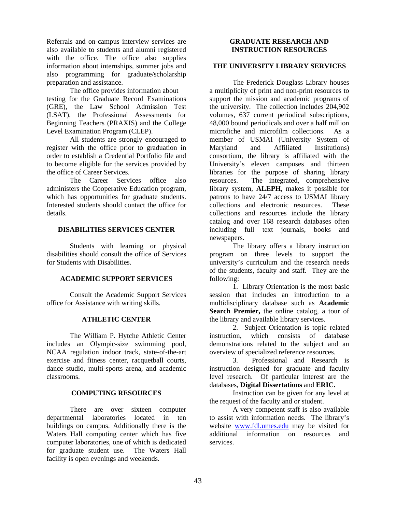Referrals and on-campus interview services are also available to students and alumni registered with the office. The office also supplies information about internships, summer jobs and also programming for graduate/scholarship preparation and assistance.

The office provides information about testing for the Graduate Record Examinations (GRE), the Law School Admission Test (LSAT), the Professional Assessments for Beginning Teachers (PRAXIS) and the College Level Examination Program (CLEP).

All students are strongly encouraged to register with the office prior to graduation in order to establish a Credential Portfolio file and to become eligible for the services provided by the office of Career Services.

The Career Services office also administers the Cooperative Education program, which has opportunities for graduate students. Interested students should contact the office for details.

# **DISABILITIES SERVICES CENTER**

 Students with learning or physical disabilities should consult the office of Services for Students with Disabilities.

# **ACADEMIC SUPPORT SERVICES**

 Consult the Academic Support Services office for Assistance with writing skills.

## **ATHLETIC CENTER**

 The William P. Hytche Athletic Center includes an Olympic-size swimming pool, NCAA regulation indoor track, state-of-the-art exercise and fitness center, racquetball courts, dance studio, multi-sports arena, and academic classrooms.

## **COMPUTING RESOURCES**

 There are over sixteen computer departmental laboratories located in ten buildings on campus. Additionally there is the Waters Hall computing center which has five computer laboratories, one of which is dedicated for graduate student use. The Waters Hall facility is open evenings and weekends.

## **GRADUATE RESEARCH AND INSTRUCTION RESOURCES**

## **THE UNIVERSITY LIBRARY SERVICES**

The Frederick Douglass Library houses a multiplicity of print and non-print resources to support the mission and academic programs of the university. The collection includes 204,902 volumes, 637 current periodical subscriptions, 48,000 bound periodicals and over a half million microfiche and microfilm collections. As a member of USMAI (University System of Maryland and Affiliated Institutions) consortium, the library is affiliated with the University's eleven campuses and thirteen libraries for the purpose of sharing library resources. The integrated, comprehensive library system, **ALEPH,** makes it possible for patrons to have 24/7 access to USMAI library collections and electronic resources. These collections and resources include the library catalog and over 168 research databases often including full text journals, books and newspapers.

The library offers a library instruction program on three levels to support the university's curriculum and the research needs of the students, faculty and staff. They are the following:

1. Library Orientation is the most basic session that includes an introduction to a multidisciplinary database such as **Academic Search Premier,** the online catalog, a tour of the library and available library services.

2. Subject Orientation is topic related instruction, which consists of database demonstrations related to the subject and an overview of specialized reference resources.

3. Professional and Research is instruction designed for graduate and faculty level research. Of particular interest are the databases, **Digital Dissertations** and **ERIC.**

Instruction can be given for any level at the request of the faculty and or student.

A very competent staff is also available to assist with information needs. The library's website www.fdl.umes.edu may be visited for additional information on resources and services.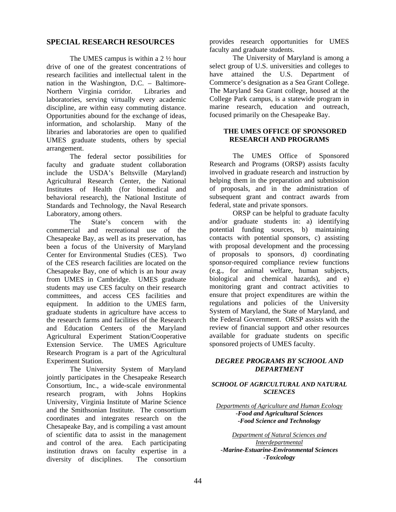# **SPECIAL RESEARCH RESOURCES**

The UMES campus is within a  $2 \frac{1}{2}$  hour drive of one of the greatest concentrations of research facilities and intellectual talent in the nation in the Washington, D.C. – Baltimore-Northern Virginia corridor. Libraries and laboratories, serving virtually every academic discipline, are within easy commuting distance. Opportunities abound for the exchange of ideas, information, and scholarship. Many of the libraries and laboratories are open to qualified UMES graduate students, others by special arrangement.

 The federal sector possibilities for faculty and graduate student collaboration include the USDA's Beltsville (Maryland) Agricultural Research Center, the National Institutes of Health (for biomedical and behavioral research), the National Institute of Standards and Technology, the Naval Research Laboratory, among others.

 The State's concern with the commercial and recreational use of the Chesapeake Bay, as well as its preservation, has been a focus of the University of Maryland Center for Environmental Studies (CES). Two of the CES research facilities are located on the Chesapeake Bay, one of which is an hour away from UMES in Cambridge. UMES graduate students may use CES faculty on their research committees, and access CES facilities and equipment. In addition to the UMES farm, graduate students in agriculture have access to the research farms and facilities of the Research and Education Centers of the Maryland Agricultural Experiment Station/Cooperative Extension Service. The UMES Agriculture Research Program is a part of the Agricultural Experiment Station.

 The University System of Maryland jointly participates in the Chesapeake Research Consortium, Inc., a wide-scale environmental research program, with Johns Hopkins University, Virginia Institute of Marine Science and the Smithsonian Institute. The consortium coordinates and integrates research on the Chesapeake Bay, and is compiling a vast amount of scientific data to assist in the management and control of the area. Each participating institution draws on faculty expertise in a diversity of disciplines. The consortium

provides research opportunities for UMES faculty and graduate students.

 The University of Maryland is among a select group of U.S. universities and colleges to have attained the U.S. Department of Commerce's designation as a Sea Grant College. The Maryland Sea Grant college, housed at the College Park campus, is a statewide program in marine research, education and outreach, focused primarily on the Chesapeake Bay.

#### **THE UMES OFFICE OF SPONSORED RESEARCH AND PROGRAMS**

The UMES Office of Sponsored Research and Programs (ORSP) assists faculty involved in graduate research and instruction by helping them in the preparation and submission of proposals, and in the administration of subsequent grant and contract awards from federal, state and private sponsors.

 ORSP can be helpful to graduate faculty and/or graduate students in: a) identifying potential funding sources, b) maintaining contacts with potential sponsors, c) assisting with proposal development and the processing of proposals to sponsors, d) coordinating sponsor-required compliance review functions (e.g., for animal welfare, human subjects, biological and chemical hazards), and e) monitoring grant and contract activities to ensure that project expenditures are within the regulations and policies of the University System of Maryland, the State of Maryland, and the Federal Government. ORSP assists with the review of financial support and other resources available for graduate students on specific sponsored projects of UMES faculty.

# *DEGREE PROGRAMS BY SCHOOL AND DEPARTMENT*

#### *SCHOOL OF AGRICULTURAL AND NATURAL SCIENCES*

*Departments of Agriculture and Human Ecology -Food and Agricultural Sciences -Food Science and Technology* 

*Department of Natural Sciences and Interdepartmental -Marine-Estuarine-Environmental Sciences -Toxicology*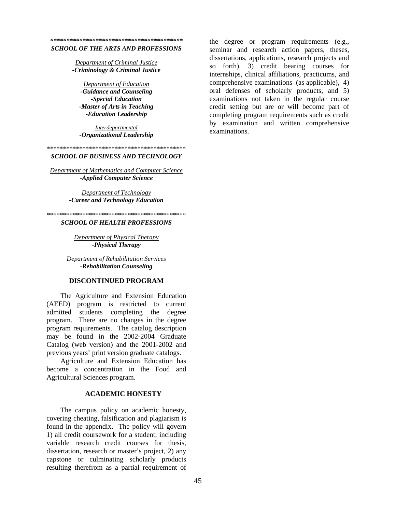# *\*\*\*\*\*\*\*\*\*\*\*\*\*\*\*\*\*\*\*\*\*\*\*\*\*\*\*\*\*\*\*\*\*\*\*\*\*\*\*\*\**

#### *SCHOOL OF THE ARTS AND PROFESSIONS*

*Department of Criminal Justice -Criminology & Criminal Justice* 

*Department of Education -Guidance and Counseling -Special Education -Master of Arts in Teaching -Education Leadership* 

*Interdepartmental -Organizational Leadership* 

\*\*\*\*\*\*\*\*\*\*\*\*\*\*\*\*\*\*\*\*\*\*\*\*\*\*\*\*\*\*\*\*\*\*\*\*\*\*\*\*\*\*\*

#### *SCHOOL OF BUSINESS AND TECHNOLOGY*

*Department of Mathematics and Computer Science -Applied Computer Science* 

> *Department of Technology -Career and Technology Education*

\*\*\*\*\*\*\*\*\*\*\*\*\*\*\*\*\*\*\*\*\*\*\*\*\*\*\*\*\*\*\*\*\*\*\*\*\*\*\*\*\*\*\*

#### *SCHOOL OF HEALTH PROFESSIONS*

*Department of Physical Therapy -Physical Therapy* 

*Department of Rehabilitation Services -Rehabilitation Counseling* 

#### **DISCONTINUED PROGRAM**

The Agriculture and Extension Education (AEED) program is restricted to current admitted students completing the degree program. There are no changes in the degree program requirements. The catalog description may be found in the 2002-2004 Graduate Catalog (web version) and the 2001-2002 and previous years' print version graduate catalogs.

Agriculture and Extension Education has become a concentration in the Food and Agricultural Sciences program.

#### **ACADEMIC HONESTY**

The campus policy on academic honesty, covering cheating, falsification and plagiarism is found in the appendix. The policy will govern 1) all credit coursework for a student, including variable research credit courses for thesis, dissertation, research or master's project, 2) any capstone or culminating scholarly products resulting therefrom as a partial requirement of

the degree or program requirements (e.g., seminar and research action papers, theses, dissertations, applications, research projects and so forth), 3) credit bearing courses for internships, clinical affiliations, practicums, and comprehensive examinations (as applicable), 4) oral defenses of scholarly products, and 5) examinations not taken in the regular course credit setting but are or will become part of completing program requirements such as credit by examination and written comprehensive examinations.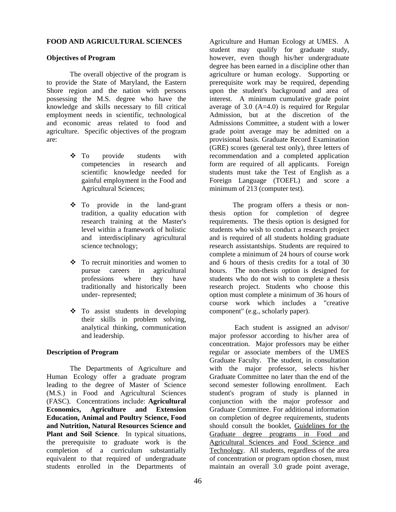#### **FOOD AND AGRICULTURAL SCIENCES**

#### **Objectives of Program**

The overall objective of the program is to provide the State of Maryland, the Eastern Shore region and the nation with persons possessing the M.S. degree who have the knowledge and skills necessary to fill critical employment needs in scientific, technological and economic areas related to food and agriculture. Specific objectives of the program are:

- To provide students with competencies in research and scientific knowledge needed for gainful employment in the Food and Agricultural Sciences;
- To provide in the land-grant tradition, a quality education with research training at the Master's level within a framework of holistic and interdisciplinary agricultural science technology;
- To recruit minorities and women to pursue careers in agricultural professions where they have traditionally and historically been under- represented;
- To assist students in developing their skills in problem solving, analytical thinking, communication and leadership.

## **Description of Program**

The Departments of Agriculture and Human Ecology offer a graduate program leading to the degree of Master of Science (M.S.) in Food and Agricultural Sciences (FASC). Concentrations include: **Agricultural Economics, Agriculture and Extension Education, Animal and Poultry Science, Food and Nutrition, Natural Resources Science and Plant and Soil Science**. In typical situations, the prerequisite to graduate work is the completion of a curriculum substantially equivalent to that required of undergraduate students enrolled in the Departments of

Agriculture and Human Ecology at UMES. A student may qualify for graduate study, however, even though his/her undergraduate degree has been earned in a discipline other than agriculture or human ecology. Supporting or prerequisite work may be required, depending upon the student's background and area of interest. A minimum cumulative grade point average of 3.0 (A=4.0) is required for Regular Admission, but at the discretion of the Admissions Committee, a student with a lower grade point average may be admitted on a provisional basis. Graduate Record Examination (GRE) scores (general test only), three letters of recommendation and a completed application form are required of all applicants. Foreign students must take the Test of English as a Foreign Language (TOEFL) and score a minimum of 213 (computer test).

The program offers a thesis or nonthesis option for completion of degree requirements. The thesis option is designed for students who wish to conduct a research project and is required of all students holding graduate research assistantships. Students are required to complete a minimum of 24 hours of course work and 6 hours of thesis credits for a total of 30 hours. The non-thesis option is designed for students who do not wish to complete a thesis research project. Students who choose this option must complete a minimum of 36 hours of course work which includes a "creative component" (e.g., scholarly paper).

 Each student is assigned an advisor/ major professor according to his/her area of concentration. Major professors may be either regular or associate members of the UMES Graduate Faculty. The student, in consultation with the major professor, selects his/her Graduate Committee no later than the end of the second semester following enrollment. Each student's program of study is planned in conjunction with the major professor and Graduate Committee. For additional information on completion of degree requirements, students should consult the booklet, Guidelines for the Graduate degree programs in Food and Agricultural Sciences and Food Science and Technology. All students, regardless of the area of concentration or program option chosen, must maintain an overall 3.0 grade point average,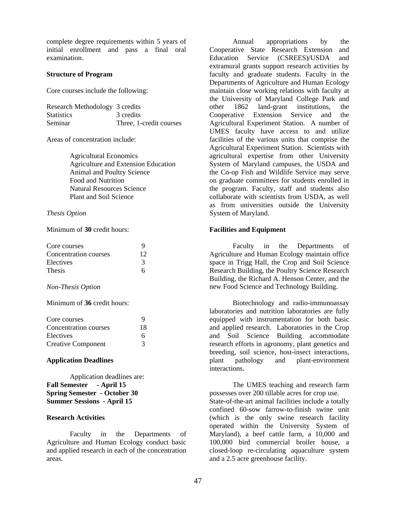complete degree requirements within 5 years of initial enrollment and pass a final oral examination.

#### **Structure of Program**

Core courses include the following:

| Research Methodology 3 credits |                         |
|--------------------------------|-------------------------|
| <b>Statistics</b>              | 3 credits               |
| Seminar                        | Three, 1-credit courses |

Areas of concentration include:

Agricultural Economics Agriculture and Extension Education Animal and Poultry Science Food and Nutrition Natural Resources Science Plant and Soil Science

#### *Thesis Option*

Minimum of **30** credit hours:

| Core courses          |    |
|-----------------------|----|
| Concentration courses | 12 |
| Electives             |    |
| <b>Thesis</b>         |    |

#### *Non-Thesis Option*

Minimum of **36** credit hours:

| Core courses              | 9  |
|---------------------------|----|
| Concentration courses     | 18 |
| Electives                 | 6  |
| <b>Creative Component</b> | 3  |

#### **Application Deadlines**

Application deadlines are: **Fall Semester - April 15 Spring Semester - October 30 Summer Sessions - April 15**

# **Research Activities**

Faculty in the Departments of Agriculture and Human Ecology conduct basic and applied research in each of the concentration areas.

Annual appropriations by the Cooperative State Research Extension and Education Service (CSREES)/USDA and extramural grants support research activities by faculty and graduate students. Faculty in the Departments of Agriculture and Human Ecology maintain close working relations with faculty at the University of Maryland College Park and other 1862 land-grant institutions, the Cooperative Extension Service and the Agricultural Experiment Station. A number of UMES faculty have access to and utilize facilities of the various units that comprise the Agricultural Experiment Station. Scientists with agricultural expertise from other University System of Maryland campuses, the USDA and the Co-op Fish and Wildlife Service may serve on graduate committees for students enrolled in the program. Faculty, staff and students also collaborate with scientists from USDA, as well as from universities outside the University System of Maryland.

#### **Facilities and Equipment**

Faculty in the Departments of Agriculture and Human Ecology maintain office space in Trigg Hall, the Crop and Soil Science Research Building, the Poultry Science Research Building, the Richard A. Henson Center, and the new Food Science and Technology Building.

Biotechnology and radio-immunoassay laboratories and nutrition laboratories are fully equipped with instrumentation for both basic and applied research. Laboratories in the Crop and Soil Science Building accommodate research efforts in agronomy, plant genetics and breeding, soil science, host-insect interactions, plant pathology and plant-environment interactions.

The UMES teaching and research farm possesses over 200 tillable acres for crop use. State-of-the-art animal facilities include a totally confined 60-sow farrow-to-finish swine unit (which is the only swine research facility operated within the University System of Maryland), a beef cattle farm, a 10,000 and 100,000 bird commercial broiler house, a closed-loop re-circulating aquaculture system and a 2.5 acre greenhouse facility.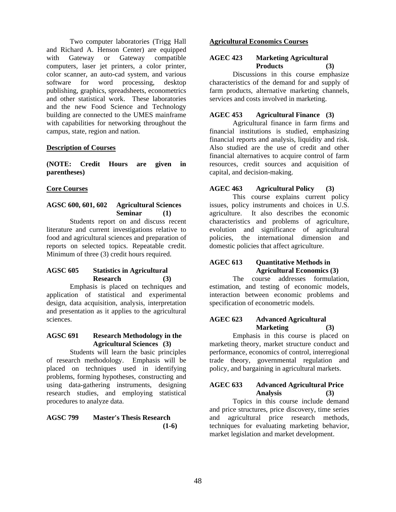Two computer laboratories (Trigg Hall and Richard A. Henson Center) are equipped with Gateway or Gateway compatible computers, laser jet printers, a color printer, color scanner, an auto-cad system, and various software for word processing, desktop publishing, graphics, spreadsheets, econometrics and other statistical work. These laboratories and the new Food Science and Technology building are connected to the UMES mainframe with capabilities for networking throughout the campus, state, region and nation.

# **Description of Courses**

**(NOTE: Credit Hours are given in parentheses)** 

## **Core Courses**

# **AGSC 600, 601, 602 Agricultural Sciences Seminar (1)**

Students report on and discuss recent literature and current investigations relative to food and agricultural sciences and preparation of reports on selected topics. Repeatable credit. Minimum of three (3) credit hours required.

# **AGSC 605 Statistics in Agricultural Research (3)**

Emphasis is placed on techniques and application of statistical and experimental design, data acquisition, analysis, interpretation and presentation as it applies to the agricultural sciences.

#### **AGSC 691 Research Methodology in the Agricultural Sciences (3)**

Students will learn the basic principles of research methodology. Emphasis will be placed on techniques used in identifying problems, forming hypotheses, constructing and using data-gathering instruments, designing research studies, and employing statistical procedures to analyze data.

# **AGSC 799 Master's Thesis Research (1-6)**

## **Agricultural Economics Courses**

# **AGEC 423 Marketing Agricultural Products (3)**

Discussions in this course emphasize characteristics of the demand for and supply of farm products, alternative marketing channels, services and costs involved in marketing.

# **AGEC 453 Agricultural Finance (3)**

Agricultural finance in farm firms and financial institutions is studied, emphasizing financial reports and analysis, liquidity and risk. Also studied are the use of credit and other financial alternatives to acquire control of farm resources, credit sources and acquisition of capital, and decision-making.

# **AGEC 463 Agricultural Policy (3)**

This course explains current policy issues, policy instruments and choices in U.S. agriculture. It also describes the economic characteristics and problems of agriculture, evolution and significance of agricultural policies, the international dimension and domestic policies that affect agriculture.

## **AGEC 613 Quantitative Methods in Agricultural Economics (3)**

The course addresses formulation, estimation, and testing of economic models, interaction between economic problems and specification of econometric models.

## **AGEC 623 Advanced Agricultural Marketing (3)**

Emphasis in this course is placed on marketing theory, market structure conduct and performance, economics of control, interregional trade theory, governmental regulation and policy, and bargaining in agricultural markets.

## **AGEC 633 Advanced Agricultural Price Analysis (3)**

Topics in this course include demand and price structures, price discovery, time series and agricultural price research methods, techniques for evaluating marketing behavior, market legislation and market development.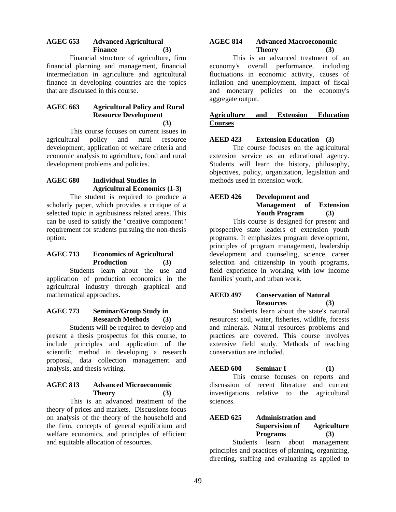# **AGEC 653 Advanced Agricultural Finance (3)**

Financial structure of agriculture, firm financial planning and management, financial intermediation in agriculture and agricultural finance in developing countries are the topics that are discussed in this course.

## **AGEC 663 Agricultural Policy and Rural Resource Development (3)**

This course focuses on current issues in agricultural policy and rural resource development, application of welfare criteria and economic analysis to agriculture, food and rural development problems and policies.

## **AGEC 680 Individual Studies in Agricultural Economics (1-3)**

The student is required to produce a scholarly paper, which provides a critique of a selected topic in agribusiness related areas. This can be used to satisfy the "creative component" requirement for students pursuing the non-thesis option.

# **AGEC 713 Economics of Agricultural Production (3)**

Students learn about the use and application of production economics in the agricultural industry through graphical and mathematical approaches.

# **AGEC 773 Seminar/Group Study in Research Methods (3)**

Students will be required to develop and present a thesis prospectus for this course, to include principles and application of the scientific method in developing a research proposal, data collection management and analysis, and thesis writing.

# **AGEC 813 Advanced Microeconomic Theory (3)**

This is an advanced treatment of the theory of prices and markets. Discussions focus on analysis of the theory of the household and the firm, concepts of general equilibrium and welfare economics, and principles of efficient and equitable allocation of resources.

# **AGEC 814 Advanced Macroeconomic Theory (3)**

This is an advanced treatment of an economy's overall performance, including fluctuations in economic activity, causes of inflation and unemployment, impact of fiscal and monetary policies on the economy's aggregate output.

# **Agriculture and Extension Education Courses**

# **AEED 423 Extension Education (3)**

The course focuses on the agricultural extension service as an educational agency. Students will learn the history, philosophy. objectives, policy, organization, legislation and methods used in extension work.

## **AEED 426 Development and Management of Extension Youth Program (3)**

This course is designed for present and prospective state leaders of extension youth programs. It emphasizes program development, principles of program management, leadership development and counseling, science, career selection and citizenship in youth programs, field experience in working with low income families' youth, and urban work.

# **AEED 497 Conservation of Natural Resources (3)**

Students learn about the state's natural resources: soil, water, fisheries, wildlife, forests and minerals. Natural resources problems and practices are covered. This course involves extensive field study. Methods of teaching conservation are included.

# **AEED 600 Seminar I** (1)

This course focuses on reports and discussion of recent literature and current investigations relative to the agricultural sciences.

# **AEED 625 Administration and Supervision of Agriculture Programs (3)**

Students learn about management principles and practices of planning, organizing, directing, staffing and evaluating as applied to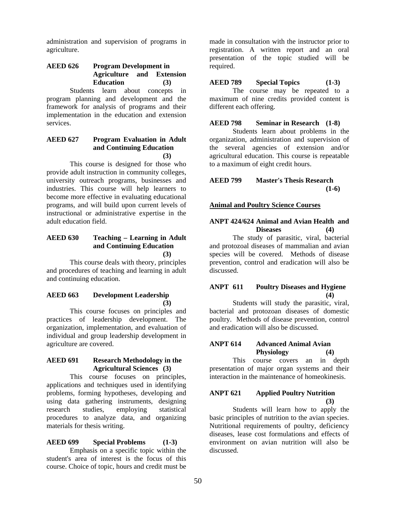administration and supervision of programs in agriculture.

# **AEED 626 Program Development in Agriculture and Extension Education (3)**

Students learn about concepts in program planning and development and the framework for analysis of programs and their implementation in the education and extension services.

## **AEED 627 Program Evaluation in Adult and Continuing Education (3)**

This course is designed for those who provide adult instruction in community colleges, university outreach programs, businesses and industries. This course will help learners to become more effective in evaluating educational programs, and will build upon current levels of instructional or administrative expertise in the adult education field.

## **AEED 630 Teaching – Learning in Adult and Continuing Education (3)**

This course deals with theory, principles and procedures of teaching and learning in adult and continuing education.

# **AEED 663 Development Leadership (3)**

This course focuses on principles and practices of leadership development. The organization, implementation, and evaluation of individual and group leadership development in agriculture are covered.

## **AEED 691 Research Methodology in the Agricultural Sciences (3)**

This course focuses on principles, applications and techniques used in identifying problems, forming hypotheses, developing and using data gathering instruments, designing research studies, employing statistical procedures to analyze data, and organizing materials for thesis writing.

# **AEED 699 Special Problems (1-3)**

Emphasis on a specific topic within the student's area of interest is the focus of this course. Choice of topic, hours and credit must be

made in consultation with the instructor prior to registration. A written report and an oral presentation of the topic studied will be required.

## **AEED 789 Special Topics (1-3)**

The course may be repeated to a maximum of nine credits provided content is different each offering.

#### **AEED 798 Seminar in Research (1-8)**

Students learn about problems in the organization, administration and supervision of the several agencies of extension and/or agricultural education. This course is repeatable to a maximum of eight credit hours.

# **AEED 799 Master's Thesis Research (1-6)**

## **Animal and Poultry Science Courses**

#### **ANPT 424/624 Animal and Avian Health and Diseases (4)**

The study of parasitic, viral, bacterial and protozoal diseases of mammalian and avian species will be covered. Methods of disease prevention, control and eradication will also be discussed.

# **ANPT 611 Poultry Diseases and Hygiene (4)**

Students will study the parasitic, viral, bacterial and protozoan diseases of domestic poultry. Methods of disease prevention, control and eradication will also be discussed.

# **ANPT 614 Advanced Animal Avian Physiology (4)**

This course covers an in depth presentation of major organ systems and their interaction in the maintenance of homeokinesis.

# **ANPT 621 Applied Poultry Nutrition (3)**

Students will learn how to apply the basic principles of nutrition to the avian species. Nutritional requirements of poultry, deficiency diseases, lease cost formulations and effects of environment on avian nutrition will also be discussed.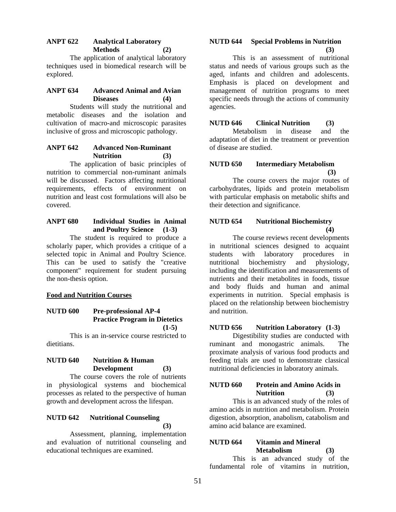# **ANPT 622 Analytical Laboratory Methods (2)**

The application of analytical laboratory techniques used in biomedical research will be explored.

## **ANPT 634 Advanced Animal and Avian Diseases (4)**

Students will study the nutritional and metabolic diseases and the isolation and cultivation of macro-and microscopic parasites inclusive of gross and microscopic pathology.

# **ANPT 642 Advanced Non-Ruminant Nutrition (3)**

The application of basic principles of nutrition to commercial non-ruminant animals will be discussed. Factors affecting nutritional requirements, effects of environment on nutrition and least cost formulations will also be covered.

## **ANPT 680 Individual Studies in Animal and Poultry Science (1-3)**

The student is required to produce a scholarly paper, which provides a critique of a selected topic in Animal and Poultry Science. This can be used to satisfy the "creative component" requirement for student pursuing the non-thesis option.

# **Food and Nutrition Courses**

#### **NUTD 600 Pre-professional AP-4 Practice Program in Dietetics (1-5)**

 This is an in-service course restricted to dietitians.

# **NUTD 640 Nutrition & Human Development (3)**

The course covers the role of nutrients in physiological systems and biochemical processes as related to the perspective of human growth and development across the lifespan.

#### **NUTD 642 Nutritional Counseling (3)**

Assessment, planning, implementation and evaluation of nutritional counseling and educational techniques are examined.

# **NUTD 644 Special Problems in Nutrition (3)**

This is an assessment of nutritional status and needs of various groups such as the aged, infants and children and adolescents. Emphasis is placed on development and management of nutrition programs to meet specific needs through the actions of community agencies.

## **NUTD 646 Clinical Nutrition (3)**

Metabolism in disease and the adaptation of diet in the treatment or prevention of disease are studied.

# **NUTD 650 Intermediary Metabolism (3)**

The course covers the major routes of carbohydrates, lipids and protein metabolism with particular emphasis on metabolic shifts and their detection and significance.

#### **NUTD 654 Nutritional Biochemistry (4)**

The course reviews recent developments in nutritional sciences designed to acquaint students with laboratory procedures in nutritional biochemistry and physiology, including the identification and measurements of nutrients and their metabolites in foods, tissue and body fluids and human and animal experiments in nutrition. Special emphasis is placed on the relationship between biochemistry and nutrition.

# **NUTD 656 Nutrition Laboratory (1-3)**

Digestibility studies are conducted with ruminant and monogastric animals. The proximate analysis of various food products and feeding trials are used to demonstrate classical nutritional deficiencies in laboratory animals.

# **NUTD 660 Protein and Amino Acids in Nutrition (3)**

This is an advanced study of the roles of amino acids in nutrition and metabolism. Protein digestion, absorption, anabolism, catabolism and amino acid balance are examined.

# **NUTD 664 Vitamin and Mineral Metabolism (3)**

This is an advanced study of the fundamental role of vitamins in nutrition,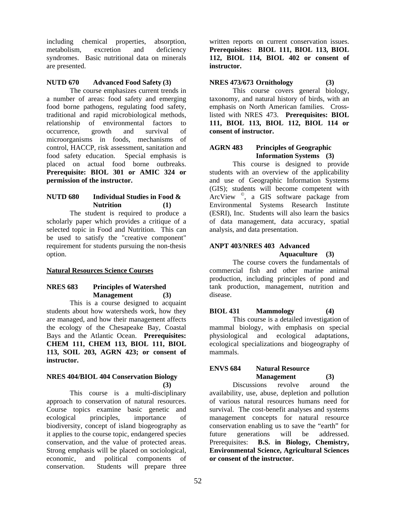including chemical properties, absorption, metabolism, excretion and deficiency syndromes. Basic nutritional data on minerals are presented.

## **NUTD 670 Advanced Food Safety (3)**

The course emphasizes current trends in a number of areas: food safety and emerging food borne pathogens, regulating food safety, traditional and rapid microbiological methods, relationship of environmental factors to occurrence, growth and survival of microorganisms in foods, mechanisms of control, HACCP, risk assessment, sanitation and food safety education. Special emphasis is placed on actual food borne outbreaks. **Prerequisite: BIOL 301 or AMIC 324 or permission of the instructor.** 

#### **NUTD 680 Individual Studies in Food & Nutrition (1)**

The student is required to produce a scholarly paper which provides a critique of a selected topic in Food and Nutrition. This can be used to satisfy the "creative component" requirement for students pursuing the non-thesis option.

# **Natural Resources Science Courses**

# **NRES 683 Principles of Watershed Management (3)**

This is a course designed to acquaint students about how watersheds work, how they are managed, and how their management affects the ecology of the Chesapeake Bay, Coastal Bays and the Atlantic Ocean. **Prerequisites: CHEM 111, CHEM 113, BIOL 111, BIOL 113, SOIL 203, AGRN 423; or consent of instructor.** 

#### **NRES 404/BIOL 404 Conservation Biology (3)**

This course is a multi-disciplinary approach to conservation of natural resources. Course topics examine basic genetic and ecological principles, importance of biodiversity, concept of island biogeography as it applies to the course topic, endangered species conservation, and the value of protected areas. Strong emphasis will be placed on sociological, economic, and political components of conservation. Students will prepare three

written reports on current conservation issues. **Prerequisites: BIOL 111, BIOL 113, BIOL 112, BIOL 114, BIOL 402 or consent of instructor.** 

# **NRES 473/673 Ornithology (3)**

This course covers general biology, taxonomy, and natural history of birds, with an emphasis on North American families. Crosslisted with NRES 473. **Prerequisites: BIOL 111, BIOL 113, BIOL 112, BIOL 114 or consent of instructor.** 

#### **AGRN 483 Principles of Geographic Information Systems (3)**

This course is designed to provide students with an overview of the applicability and use of Geographic Information Systems (GIS); students will become competent with ArcView ©, a GIS software package from Environmental Systems Research Institute (ESRI), Inc. Students will also learn the basics of data management, data accuracy, spatial analysis, and data presentation.

#### **ANPT 403/NRES 403 Advanced Aquaculture (3)**

The course covers the fundamentals of commercial fish and other marine animal production, including principles of pond and tank production, management, nutrition and disease.

# **BIOL 431 Mammology (4)**

This course is a detailed investigation of mammal biology, with emphasis on special physiological and ecological adaptations, ecological specializations and biogeography of mammals.

# **ENVS 684 Natural Resource Management (3)**

Discussions revolve around the availability, use, abuse, depletion and pollution of various natural resources humans need for survival. The cost-benefit analyses and systems management concepts for natural resource conservation enabling us to save the "earth" for future generations will be addressed. Prerequisites: **B.S. in Biology, Chemistry, Environmental Science, Agricultural Sciences or consent of the instructor.**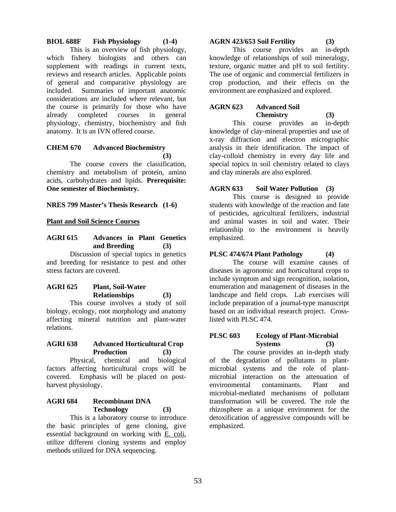# **BIOL 688F Fish Physiology (1-4)**

This is an overview of fish physiology, which fishery biologists and others can supplement with readings in current texts, reviews and research articles. Applicable points of general and comparative physiology are included. Summaries of important anatomic considerations are included where relevant, but the course is primarily for those who have already completed courses in general physiology, chemistry, biochemistry and fish anatomy. It is an IVN offered course.

#### **CHEM 670 Advanced Biochemistry (3)**

The course covers the classification, chemistry and metabolism of protein, amino acids, carbohydrates and lipids. **Prerequisite: One semester of Biochemistry.** 

# **NRES 799 Master's Thesis Research (1-6)**

## **Plant and Soil Science Courses**

# **AGRI 615 Advances in Plant Genetics and Breeding (3)**

Discussion of special topics in genetics and breeding for resistance to pest and other stress factors are covered.

# **AGRI 625 Plant, Soil-Water Relationships (3)**

This course involves a study of soil biology, ecology, root morphology and anatomy affecting mineral nutrition and plant-water relations.

# **AGRI 638 Advanced Horticultural Crop Production (3)**

Physical, chemical and biological factors affecting horticultural crops will be covered. Emphasis will be placed on postharvest physiology.

# **AGRI 684 Recombinant DNA Technology (3)**

This is a laboratory course to introduce the basic principles of gene cloning, give essential background on working with E. coli, utilize different cloning systems and employ methods utilized for DNA sequencing.

## **AGRN 423/653 Soil Fertility (3)**

This course provides an in-depth knowledge of relationships of soil mineralogy, texture, organic matter and pH to soil fertility. The use of organic and commercial fertilizers in crop production, and their effects on the environment are emphasized and explored.

## **AGRN 623 Advanced Soil Chemistry (3)**

This course provides an in-depth knowledge of clay-mineral properties and use of x-ray diffraction and electron micrographic analysis in their identification. The impact of clay-colloid chemistry in every day life and special topics in soil chemistry related to clays and clay minerals are also explored.

# **AGRN 633 Soil Water Pollution (3)**

This course is designed to provide students with knowledge of the reaction and fate of pesticides, agricultural fertilizers, industrial and animal wastes in soil and water. Their relationship to the environment is heavily emphasized.

# **PLSC 474/674 Plant Pathology (4)**

The course will examine causes of diseases in agronomic and horticultural crops to include symptom and sign recognition, isolation, enumeration and management of diseases in the landscape and field crops. Lab exercises will include preparation of a journal-type manuscript based on an individual research project. Crosslisted with PLSC 474.

## **PLSC 603 Ecology of Plant-Microbial Systems (3)**

The course provides an in-depth study of the degradation of pollutants in plantmicrobial systems and the role of plantmicrobial interaction on the attenuation of environmental contaminants. Plant and microbial-mediated mechanisms of pollutant transformation will be covered. The role the rhizosphere as a unique environment for the detoxification of aggressive compounds will be emphasized.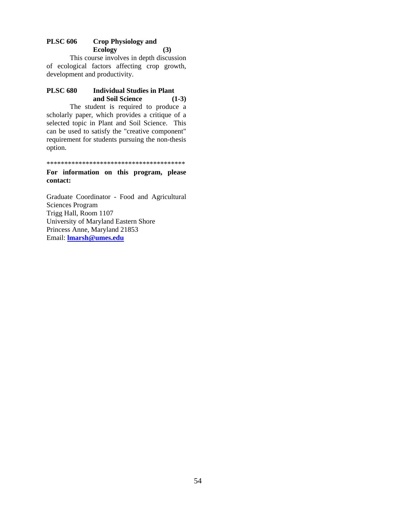# **PLSC 606 Crop Physiology and Ecology (3)**

This course involves in depth discussion of ecological factors affecting crop growth, development and productivity.

# **PLSC 680 Individual Studies in Plant and Soil Science (1-3)**

The student is required to produce a scholarly paper, which provides a critique of a selected topic in Plant and Soil Science. This can be used to satisfy the "creative component" requirement for students pursuing the non-thesis option.

\*\*\*\*\*\*\*\*\*\*\*\*\*\*\*\*\*\*\*\*\*\*\*\*\*\*\*\*\*\*\*\*\*\*\*\*\*\*\*

#### **For information on this program, please contact:**

Graduate Coordinator - Food and Agricultural Sciences Program Trigg Hall, Room 1107 University of Maryland Eastern Shore Princess Anne, Maryland 21853 Email: **lmarsh@umes.edu**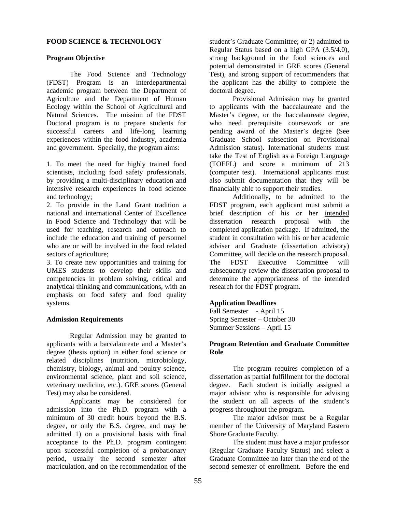## **FOOD SCIENCE & TECHNOLOGY**

#### **Program Objective**

The Food Science and Technology (FDST) Program is an interdepartmental academic program between the Department of Agriculture and the Department of Human Ecology within the School of Agricultural and Natural Sciences. The mission of the FDST Doctoral program is to prepare students for successful careers and life-long learning experiences within the food industry, academia and government. Specially, the program aims:

1. To meet the need for highly trained food scientists, including food safety professionals, by providing a multi-disciplinary education and intensive research experiences in food science and technology;

2. To provide in the Land Grant tradition a national and international Center of Excellence in Food Science and Technology that will be used for teaching, research and outreach to include the education and training of personnel who are or will be involved in the food related sectors of agriculture;

3. To create new opportunities and training for UMES students to develop their skills and competencies in problem solving, critical and analytical thinking and communications, with an emphasis on food safety and food quality systems.

## **Admission Requirements**

Regular Admission may be granted to applicants with a baccalaureate and a Master's degree (thesis option) in either food science or related disciplines (nutrition, microbiology, chemistry, biology, animal and poultry science, environmental science, plant and soil science, veterinary medicine, etc.). GRE scores (General Test) may also be considered.

Applicants may be considered for admission into the Ph.D. program with a minimum of 30 credit hours beyond the B.S. degree, or only the B.S. degree, and may be admitted 1) on a provisional basis with final acceptance to the Ph.D. program contingent upon successful completion of a probationary period, usually the second semester after matriculation, and on the recommendation of the

student's Graduate Committee; or 2) admitted to Regular Status based on a high GPA (3.5/4.0), strong background in the food sciences and potential demonstrated in GRE scores (General Test), and strong support of recommenders that the applicant has the ability to complete the doctoral degree.

Provisional Admission may be granted to applicants with the baccalaureate and the Master's degree, or the baccalaureate degree, who need prerequisite coursework or are pending award of the Master's degree (See Graduate School subsection on Provisional Admission status). International students must take the Test of English as a Foreign Language (TOEFL) and score a minimum of 213 (computer test). International applicants must also submit documentation that they will be financially able to support their studies.

Additionally, to be admitted to the FDST program, each applicant must submit a brief description of his or her intended dissertation research proposal with the completed application package. If admitted, the student in consultation with his or her academic adviser and Graduate (dissertation advisory) Committee, will decide on the research proposal. The FDST Executive Committee will subsequently review the dissertation proposal to determine the appropriateness of the intended research for the FDST program.

## **Application Deadlines**

Fall Semester - April 15 Spring Semester – October 30 Summer Sessions – April 15

## **Program Retention and Graduate Committee Role**

The program requires completion of a dissertation as partial fulfillment for the doctoral degree. Each student is initially assigned a major advisor who is responsible for advising the student on all aspects of the student's progress throughout the program.

The major advisor must be a Regular member of the University of Maryland Eastern Shore Graduate Faculty.

The student must have a major professor (Regular Graduate Faculty Status) and select a Graduate Committee no later than the end of the second semester of enrollment. Before the end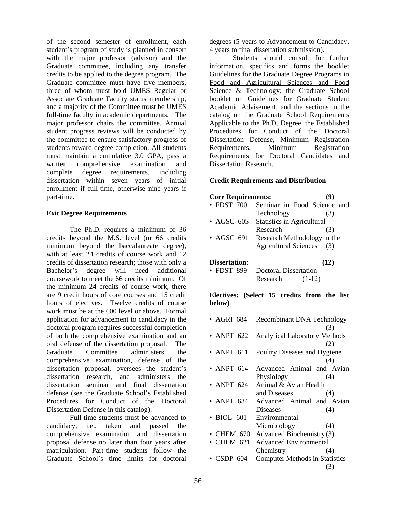of the second semester of enrollment, each student's program of study is planned in consort with the major professor (advisor) and the Graduate committee, including any transfer credits to be applied to the degree program. The Graduate committee must have five members, three of whom must hold UMES Regular or Associate Graduate Faculty status membership, and a majority of the Committee must be UMES full-time faculty in academic departments. The major professor chairs the committee. Annual student progress reviews will be conducted by the committee to ensure satisfactory progress of students toward degree completion. All students must maintain a cumulative 3.0 GPA, pass a written comprehensive examination and complete degree requirements, including dissertation within seven years of initial enrollment if full-time, otherwise nine years if part-time.

# **Exit Degree Requirements**

The Ph.D. requires a minimum of 36 credits beyond the M.S. level (or 66 credits minimum beyond the baccalaureate degree), with at least 24 credits of course work and 12 credits of dissertation research; those with only a Bachelor's degree will need additional coursework to meet the 66 credits minimum. Of the minimum 24 credits of course work, there are 9 credit hours of core courses and 15 credit hours of electives. Twelve credits of course work must be at the 600 level or above. Formal application for advancement to candidacy in the doctoral program requires successful completion of both the comprehensive examination and an oral defense of the dissertation proposal. The Graduate Committee administers the comprehensive examination, defense of the dissertation proposal, oversees the student's dissertation research, and administers the dissertation seminar and final dissertation defense (see the Graduate School's Established Procedures for Conduct of the Doctoral Dissertation Defense in this catalog).

 Full-time students must be advanced to candidacy, i.e., taken and passed the comprehensive examination and dissertation proposal defense no later than four years after matriculation. Part-time students follow the Graduate School's time limits for doctoral

degrees (5 years to Advancement to Candidacy, 4 years to final dissertation submission).

Students should consult for further information, specifics and forms the booklet Guidelines for the Graduate Degree Programs in Food and Agricultural Sciences and Food Science & Technology; the Graduate School booklet on Guidelines for Graduate Student Academic Advisement, and the sections in the catalog on the Graduate School Requirements Applicable to the Ph.D. Degree, the Established Procedures for Conduct of the Doctoral Dissertation Defense, Minimum Registration Requirements, Minimum Registration Requirements for Doctoral Candidates and Dissertation Research.

## **Credit Requirements and Distribution**

#### **Core Requirements: (9)**

- FDST 700 Seminar in Food Science and Technology (3)
- AGSC 605 Statistics in Agricultural Research (3) • AGSC 691 Research Methodology in the
	- Agricultural Sciences (3)

#### **Dissertation: (12)**

• FDST 899 Doctoral Dissertation Research (1-12)

**Electives: (Select 15 credits from the list below)** 

- AGRI 684 Recombinant DNA Technology (3) • ANPT 622 Analytical Laboratory Methods (2)
- ANPT 611 Poultry Diseases and Hygiene (4)
- ANPT 614 Advanced Animal and Avian Physiology (4)
- ANPT 624 Animal & Avian Health and Diseases (4)
- ANPT 634 Advanced Animal and Avian Diseases (4)
- BIOL 601 Environmental Microbiology (4)
- CHEM 670 Advanced Biochemistry (3) • CHEM 621 Advanced Environmental
- Chemistry (4)
- CSDP 604 Computer Methods in Statistics (3)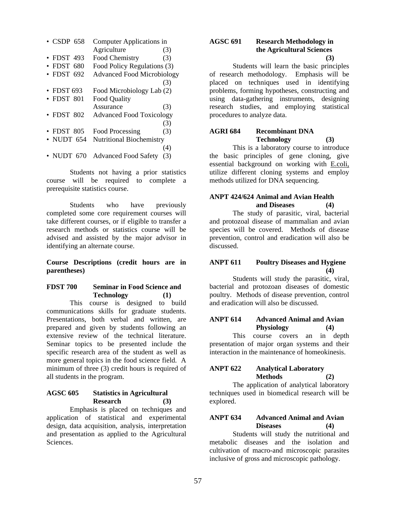| $\cdot$ CSDP 658 | Computer Applications in          |     |
|------------------|-----------------------------------|-----|
|                  | Agriculture                       | (3) |
| • FDST 493       | Food Chemistry                    | (3) |
| $\cdot$ FDST 680 | Food Policy Regulations (3)       |     |
| $\cdot$ FDST 692 | <b>Advanced Food Microbiology</b> |     |
|                  |                                   | (3) |
| $\cdot$ FDST 693 | Food Microbiology Lab (2)         |     |
| $\cdot$ FDST 801 | <b>Food Quality</b>               |     |
|                  | Assurance                         | (3) |
| $\cdot$ FDST 802 | <b>Advanced Food Toxicology</b>   |     |
|                  |                                   | (3) |
| $\cdot$ FDST 805 | Food Processing                   | (3) |
| • NUDT $654$     | <b>Nutritional Biochemistry</b>   |     |
|                  |                                   | (4) |
| • NUDT $670$     | <b>Advanced Food Safety</b>       | (3) |

Students not having a prior statistics course will be required to complete a prerequisite statistics course.

Students who have previously completed some core requirement courses will take different courses, or if eligible to transfer a research methods or statistics course will be advised and assisted by the major advisor in identifying an alternate course.

**Course Descriptions (credit hours are in parentheses)** 

#### **FDST 700 Seminar in Food Science and Technology (1)**

 This course is designed to build communications skills for graduate students. Presentations, both verbal and written, are prepared and given by students following an extensive review of the technical literature. Seminar topics to be presented include the specific research area of the student as well as more general topics in the food science field. A minimum of three (3) credit hours is required of all students in the program.

#### **AGSC 605 Statistics in Agricultural Research (3)**

 Emphasis is placed on techniques and application of statistical and experimental design, data acquisition, analysis, interpretation and presentation as applied to the Agricultural Sciences.

## **AGSC 691 Research Methodology in the Agricultural Sciences (3)**

 Students will learn the basic principles of research methodology. Emphasis will be placed on techniques used in identifying problems, forming hypotheses, constructing and using data-gathering instruments, designing research studies, and employing statistical procedures to analyze data.

# **AGRI 684 Recombinant DNA Technology (3)**

This is a laboratory course to introduce the basic principles of gene cloning, give essential background on working with E.coli, utilize different cloning systems and employ methods utilized for DNA sequencing.

## **ANPT 424/624 Animal and Avian Health and Diseases (4)**

 The study of parasitic, viral, bacterial and protozoal disease of mammalian and avian species will be covered. Methods of disease prevention, control and eradication will also be discussed.

#### **ANPT 611 Poultry Diseases and Hygiene (4)**

 Students will study the parasitic, viral, bacterial and protozoan diseases of domestic poultry. Methods of disease prevention, control and eradication will also be discussed.

# **ANPT 614 Advanced Animal and Avian Physiology (4)**

 This course covers an in depth presentation of major organ systems and their interaction in the maintenance of homeokinesis.

# **ANPT 622 Analytical Laboratory Methods (2)**

 The application of analytical laboratory techniques used in biomedical research will be explored.

# **ANPT 634 Advanced Animal and Avian Diseases (4)**

 Students will study the nutritional and metabolic diseases and the isolation and cultivation of macro-and microscopic parasites inclusive of gross and microscopic pathology.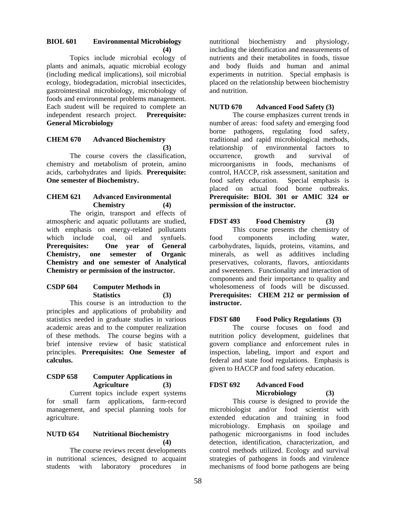# **BIOL 601 Environmental Microbiology (4)**

 Topics include microbial ecology of plants and animals, aquatic microbial ecology (including medical implications), soil microbial ecology, biodegradation, microbial insecticides, gastrointestinal microbiology, microbiology of foods and environmental problems management. Each student will be required to complete an independent research project. **Prerequisite: General Microbiology** 

## **CHEM 670 Advanced Biochemistry (3)**

The course covers the classification, chemistry and metabolism of protein, amino acids, carbohydrates and lipids. **Prerequisite: One semester of Biochemistry.** 

## **CHEM 621 Advanced Environmental Chemistry (4)**

 The origin, transport and effects of atmospheric and aquatic pollutants are studied, with emphasis on energy-related pollutants which include coal, oil and synfuels. **Prerequisites: One year of General Chemistry, one semester of Organic Chemistry and one semester of Analytical Chemistry or permission of the instructor.** 

## **CSDP 604 Computer Methods in Statistics (3)**

 This course is an introduction to the principles and applications of probability and statistics needed in graduate studies in various academic areas and to the computer realization of these methods. The course begins with a brief intensive review of basic statistical principles. **Prerequisites: One Semester of calculus.** 

# **CSDP 658 Computer Applications in Agriculture (3)**

 Current topics include expert systems for small farm applications, farm-record management, and special planning tools for agriculture.

## **NUTD 654 Nutritional Biochemistry (4)**

 The course reviews recent developments in nutritional sciences, designed to acquaint students with laboratory procedures in

nutritional biochemistry and physiology, including the identification and measurements of nutrients and their metabolites in foods, tissue and body fluids and human and animal experiments in nutrition. Special emphasis is placed on the relationship between biochemistry and nutrition.

# **NUTD 670 Advanced Food Safety (3)**

 The course emphasizes current trends in number of areas: food safety and emerging food borne pathogens, regulating food safety, traditional and rapid microbiological methods, relationship of environmental factors to occurrence, growth and survival of microorganisms in foods, mechanisms of control, HACCP, risk assessment, sanitation and food safety education. Special emphasis is placed on actual food borne outbreaks. **Prerequisite: BIOL 301 or AMIC 324 or permission of the instructor.** 

# **FDST 493 Food Chemistry (3)**

This course presents the chemistry of food components including water, carbohydrates, liquids, proteins, vitamins, and minerals, as well as additives including preservatives, colorants, flavors, antioxidants and sweeteners. Functionality and interaction of components and their importance to quality and wholesomeness of foods will be discussed. **Prerequisites: CHEM 212 or permission of instructor.** 

# **FDST 680 Food Policy Regulations (3)**

The course focuses on food and nutrition policy development, guidelines that govern compliance and enforcement rules in inspection, labeling, import and export and federal and state food regulations. Emphasis is given to HACCP and food safety education.

# **FDST 692 Advanced Food Microbiology (3)**

This course is designed to provide the microbiologist and/or food scientist with extended education and training in food microbiology. Emphasis on spoilage and pathogenic microorganisms in food includes detection, identification, characterization, and control methods utilized. Ecology and survival strategies of pathogens in foods and virulence mechanisms of food borne pathogens are being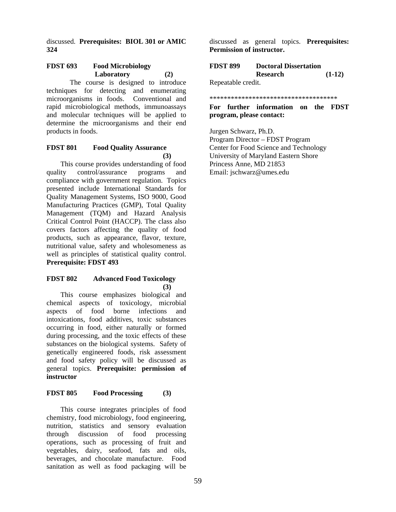discussed. **Prerequisites: BIOL 301 or AMIC 324** 

# **FDST 693 Food Microbiology Laboratory (2)**

 The course is designed to introduce techniques for detecting and enumerating microorganisms in foods. Conventional and rapid microbiological methods, immunoassays and molecular techniques will be applied to determine the microorganisms and their end products in foods.

#### **FDST 801 Food Quality Assurance (3)**

This course provides understanding of food quality control/assurance programs and compliance with government regulation. Topics presented include International Standards for Quality Management Systems, ISO 9000, Good Manufacturing Practices (GMP), Total Quality Management (TQM) and Hazard Analysis Critical Control Point (HACCP). The class also covers factors affecting the quality of food products, such as appearance, flavor, texture, nutritional value, safety and wholesomeness as well as principles of statistical quality control. **Prerequisite: FDST 493**

#### **FDST 802 Advanced Food Toxicology (3)**

This course emphasizes biological and chemical aspects of toxicology, microbial aspects of food borne infections and intoxications, food additives, toxic substances occurring in food, either naturally or formed during processing, and the toxic effects of these substances on the biological systems. Safety of genetically engineered foods, risk assessment and food safety policy will be discussed as general topics. **Prerequisite: permission of instructor** 

# **FDST 805 Food Processing (3)**

This course integrates principles of food chemistry, food microbiology, food engineering, nutrition, statistics and sensory evaluation through discussion of food processing operations, such as processing of fruit and vegetables, dairy, seafood, fats and oils, beverages, and chocolate manufacture. Food sanitation as well as food packaging will be

discussed as general topics. **Prerequisites: Permission of instructor.** 

| <b>FDST 899</b>   | <b>Doctoral Dissertation</b> |          |
|-------------------|------------------------------|----------|
|                   | Research                     | $(1-12)$ |
| Repeatable credit |                              |          |

Repeatable credit.

#### \*\*\*\*\*\*\*\*\*\*\*\*\*\*\*\*\*\*\*\*\*\*\*\*\*\*\*\*\*\*\*\*\*\*\*\*

## **For further information on the FDST program, please contact:**

Jurgen Schwarz, Ph.D. Program Director – FDST Program Center for Food Science and Technology University of Maryland Eastern Shore Princess Anne, MD 21853 Email: jschwarz@umes.edu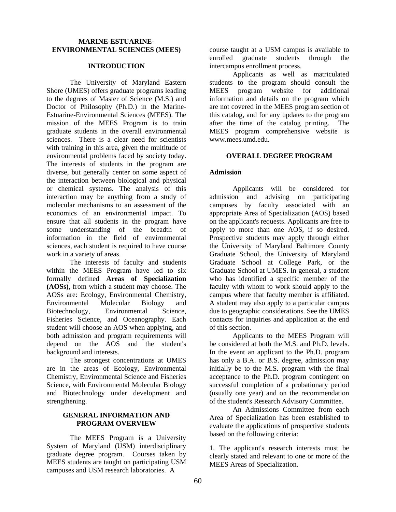#### **MARINE-ESTUARINE-ENVIRONMENTAL SCIENCES (MEES)**

#### **INTRODUCTION**

The University of Maryland Eastern Shore (UMES) offers graduate programs leading to the degrees of Master of Science (M.S.) and Doctor of Philosophy (Ph.D.) in the Marine-Estuarine-Environmental Sciences (MEES). The mission of the MEES Program is to train graduate students in the overall environmental sciences. There is a clear need for scientists with training in this area, given the multitude of environmental problems faced by society today. The interests of students in the program are diverse, but generally center on some aspect of the interaction between biological and physical or chemical systems. The analysis of this interaction may be anything from a study of molecular mechanisms to an assessment of the economics of an environmental impact. To ensure that all students in the program have some understanding of the breadth of information in the field of environmental sciences, each student is required to have course work in a variety of areas.

The interests of faculty and students within the MEES Program have led to six formally defined **Areas of Specialization (AOSs),** from which a student may choose. The AOSs are: Ecology, Environmental Chemistry, Environmental Molecular Biology and Biotechnology, Environmental Science, Fisheries Science, and Oceanography. Each student will choose an AOS when applying, and both admission and program requirements will depend on the AOS and the student's background and interests.

The strongest concentrations at UMES are in the areas of Ecology, Environmental Chemistry, Environmental Science and Fisheries Science, with Environmental Molecular Biology and Biotechnology under development and strengthening.

#### **GENERAL INFORMATION AND PROGRAM OVERVIEW**

 The MEES Program is a University System of Maryland (USM) interdisciplinary graduate degree program. Courses taken by MEES students are taught on participating USM campuses and USM research laboratories. A

course taught at a USM campus is available to enrolled graduate students through the intercampus enrollment process.

 Applicants as well as matriculated students to the program should consult the MEES program website for additional information and details on the program which are not covered in the MEES program section of this catalog, and for any updates to the program after the time of the catalog printing. The MEES program comprehensive website is www.mees.umd.edu.

#### **OVERALL DEGREE PROGRAM**

## **Admission**

Applicants will be considered for admission and advising on participating campuses by faculty associated with an appropriate Area of Specialization (AOS) based on the applicant's requests. Applicants are free to apply to more than one AOS, if so desired. Prospective students may apply through either the University of Maryland Baltimore County Graduate School, the University of Maryland Graduate School at College Park, or the Graduate School at UMES. In general, a student who has identified a specific member of the faculty with whom to work should apply to the campus where that faculty member is affiliated. A student may also apply to a particular campus due to geographic considerations. See the UMES contacts for inquiries and application at the end of this section.

Applicants to the MEES Program will be considered at both the M.S. and Ph.D. levels. In the event an applicant to the Ph.D. program has only a B.A. or B.S. degree, admission may initially be to the M.S. program with the final acceptance to the Ph.D. program contingent on successful completion of a probationary period (usually one year) and on the recommendation of the student's Research Advisory Committee.

An Admissions Committee from each Area of Specialization has been established to evaluate the applications of prospective students based on the following criteria:

1. The applicant's research interests must be clearly stated and relevant to one or more of the MEES Areas of Specialization.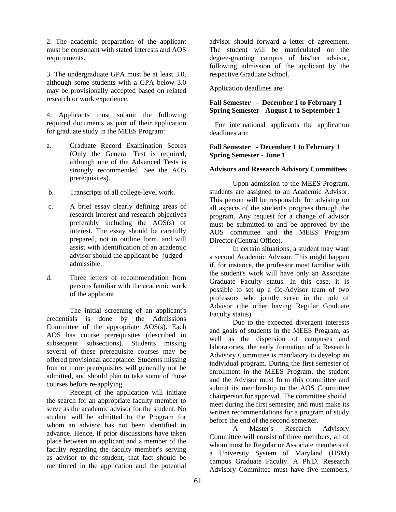2. The academic preparation of the applicant must be consonant with stated interests and AOS requirements.

3. The undergraduate GPA must be at least 3.0, although some students with a GPA below 3.0 may be provisionally accepted based on related research or work experience.

4. Applicants must submit the following required documents as part of their application for graduate study in the MEES Program:

- a. Graduate Record Examination Scores (Only the General Test is required, although one of the Advanced Tests is strongly recommended. See the AOS prerequisites).
- b. Transcripts of all college-level work.
- c. A brief essay clearly defining areas of research interest and research objectives preferably including the AOS(s) of interest. The essay should be carefully prepared, not in outline form, and will assist with identification of an academic advisor should the applicant be judged admissible.
- d. Three letters of recommendation from persons familiar with the academic work of the applicant.

The initial screening of an applicant's credentials is done by the Admissions Committee of the appropriate AOS(s). Each AOS has course prerequisites (described in subsequent subsections). Students missing several of these prerequisite courses may be offered provisional acceptance. Students missing four or more prerequisites will generally not be admitted, and should plan to take some of those courses before re-applying.

Receipt of the application will initiate the search for an appropriate faculty member to serve as the academic advisor for the student. No student will be admitted to the Program for whom an advisor has not been identified in advance. Hence, if prior discussions have taken place between an applicant and a member of the faculty regarding the faculty member's serving as advisor to the student, that fact should be mentioned in the application and the potential

advisor should forward a letter of agreement. The student will be matriculated on the degree-granting campus of his/her advisor, following admission of the applicant by the respective Graduate School.

Application deadlines are:

# **Fall Semester - December 1 to February 1 Spring Semester - August 1 to September 1**

 For international applicants the application deadlines are:

## **Fall Semester - December 1 to February 1 Spring Semester - June 1**

## **Advisors and Research Advisory Committees**

Upon admission to the MEES Program, students are assigned to an Academic Advisor. This person will be responsible for advising on all aspects of the student's progress through the program. Any request for a change of advisor must be submitted to and be approved by the AOS committee and the MEES Program Director (Central Office).

In certain situations, a student may want a second Academic Advisor. This might happen if, for instance, the professor most familiar with the student's work will have only an Associate Graduate Faculty status. In this case, it is possible to set up a Co-Advisor team of two professors who jointly serve in the role of Advisor (the other having Regular Graduate Faculty status).

Due to the expected divergent interests and goals of students in the MEES Program, as well as the dispersion of campuses and laboratories, the early formation of a Research Advisory Committee is mandatory to develop an individual program. During the first semester of enrollment in the MEES Program, the student and the Advisor must form this committee and submit its membership to the AOS Committee chairperson for approval. The committee should meet during the first semester, and must make its written recommendations for a program of study before the end of the second semester.

A Master's Research Advisory Committee will consist of three members, all of whom must be Regular or Associate members of a University System of Maryland (USM) campus Graduate Faculty. A Ph.D. Research Advisory Committee must have five members,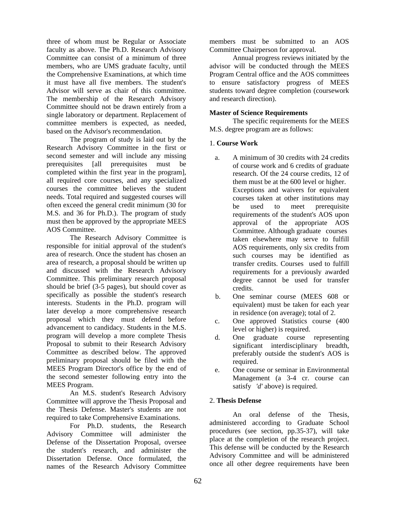three of whom must be Regular or Associate faculty as above. The Ph.D. Research Advisory Committee can consist of a minimum of three members, who are UMS graduate faculty, until the Comprehensive Examinations, at which time it must have all five members. The student's Advisor will serve as chair of this committee. The membership of the Research Advisory Committee should not be drawn entirely from a single laboratory or department. Replacement of committee members is expected, as needed, based on the Advisor's recommendation.

The program of study is laid out by the Research Advisory Committee in the first or second semester and will include any missing prerequisites [all prerequisites must be completed within the first year in the program], all required core courses, and any specialized courses the committee believes the student needs. Total required and suggested courses will often exceed the general credit minimum (30 for M.S. and 36 for Ph.D.). The program of study must then be approved by the appropriate MEES AOS Committee.

The Research Advisory Committee is responsible for initial approval of the student's area of research. Once the student has chosen an area of research, a proposal should be written up and discussed with the Research Advisory Committee. This preliminary research proposal should be brief (3-5 pages), but should cover as specifically as possible the student's research interests. Students in the Ph.D. program will later develop a more comprehensive research proposal which they must defend before advancement to candidacy. Students in the M.S. program will develop a more complete Thesis Proposal to submit to their Research Advisory Committee as described below. The approved preliminary proposal should be filed with the MEES Program Director's office by the end of the second semester following entry into the MEES Program.

An M.S. student's Research Advisory Committee will approve the Thesis Proposal and the Thesis Defense. Master's students are not required to take Comprehensive Examinations.

For Ph.D. students, the Research Advisory Committee will administer the Defense of the Dissertation Proposal, oversee the student's research, and administer the Dissertation Defense. Once formulated, the names of the Research Advisory Committee

members must be submitted to an AOS Committee Chairperson for approval.

Annual progress reviews initiated by the advisor will be conducted through the MEES Program Central office and the AOS committees to ensure satisfactory progress of MEES students toward degree completion (coursework and research direction).

# **Master of Science Requirements**

The specific requirements for the MEES M.S. degree program are as follows:

## 1. **Course Work**

- a. A minimum of 30 credits with 24 credits of course work and 6 credits of graduate research. Of the 24 course credits, 12 of them must be at the 600 level or higher. Exceptions and waivers for equivalent courses taken at other institutions may be used to meet prerequisite requirements of the student's AOS upon approval of the appropriate AOS Committee. Although graduate courses taken elsewhere may serve to fulfill AOS requirements, only six credits from such courses may be identified as transfer credits. Courses used to fulfill requirements for a previously awarded degree cannot be used for transfer credits.
- b. One seminar course (MEES 608 or equivalent) must be taken for each year in residence (on average); total of 2.
- c. One approved Statistics course (400 level or higher) is required.
- d. One graduate course representing significant interdisciplinary breadth, preferably outside the student's AOS is required.
- e. One course or seminar in Environmental Management (a 3-4 cr. course can satisfy *'d'* above) is required.

## 2. **Thesis Defense**

An oral defense of the Thesis, administered according to Graduate School procedures (see section, pp.35-37), will take place at the completion of the research project. This defense will be conducted by the Research Advisory Committee and will be administered once all other degree requirements have been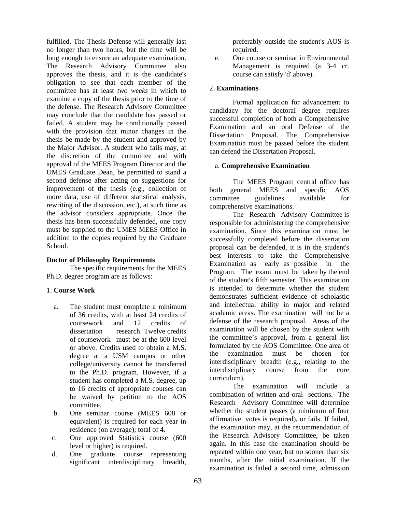fulfilled. The Thesis Defense will generally last no longer than two hours, but the time will be long enough to ensure an adequate examination. The Research Advisory Committee also approves the thesis, and it is the candidate's obligation to see that each member of the committee has at least *two weeks* in which to examine a copy of the thesis prior to the time of the defense. The Research Advisory Committee may conclude that the candidate has passed or failed. A student may be conditionally passed with the provision that minor changes in the thesis be made by the student and approved by the Major Advisor. A student who fails may, at the discretion of the committee and with approval of the MEES Program Director and the UMES Graduate Dean, be permitted to stand a second defense after acting on suggestions for improvement of the thesis (e.g., collection of more data, use of different statistical analysis, rewriting of the discussion, etc.), at such time as the advisor considers appropriate. Once the thesis has been successfully defended, one copy must be supplied to the UMES MEES Office in addition to the copies required by the Graduate School.

#### **Doctor of Philosophy Requirements**

The specific requirements for the MEES Ph.D. degree program are as follows:

## 1. **Course Work**

- a. The student must complete a minimum of 36 credits, with at least 24 credits of coursework and 12 credits of dissertation research. Twelve credits of coursework must be at the 600 level or above. Credits used to obtain a M.S. degree at a USM campus or other college/university cannot be transferred to the Ph.D. program. However, if a student has completed a M.S. degree, up to 16 credits of appropriate courses can be waived by petition to the AOS committee.
- b. One seminar course (MEES 608 or equivalent) is required for each year in residence (on average); total of 4.
- c. One approved Statistics course (600 level or higher) is required.
- d. One graduate course representing significant interdisciplinary breadth,

preferably outside the student's AOS is required.

 e. One course or seminar in Environmental Management is required (a 3-4 cr. course can satisfy 'd' above).

## 2. **Examinations**

Formal application for advancement to candidacy for the doctoral degree requires successful completion of both a Comprehensive Examination and an oral Defense of the Dissertation Proposal. The Comprehensive Examination must be passed before the student can defend the Dissertation Proposal.

## a. **Comprehensive Examination**

The MEES Program central office has both general MEES and specific AOS committee guidelines available for comprehensive examinations.

The Research Advisory Committee is responsible for administering the comprehensive examination. Since this examination must be successfully completed before the dissertation proposal can be defended, it is in the student's best interests to take the Comprehensive Examination as early as possible in the Program. The exam must be taken by the end of the student's fifth semester. This examination is intended to determine whether the student demonstrates sufficient evidence of scholastic and intellectual ability in major and related academic areas. The examination will not be a defense of the research proposal. Areas of the examination will be chosen by the student with the committee's approval, from a general list formulated by the AOS Committee. One area of the examination must be chosen for interdisciplinary breadth (e.g., relating to the interdisciplinary course from the core curriculum).

The examination will include a combination of written and oral sections. The Research Advisory Committee will determine whether the student passes (a minimum of four affirmative votes is required), or fails. If failed, the examination may, at the recommendation of the Research Advisory Committee, be taken again. In this case the examination should be repeated within one year, but no sooner than six months, after the initial examination. If the examination is failed a second time, admission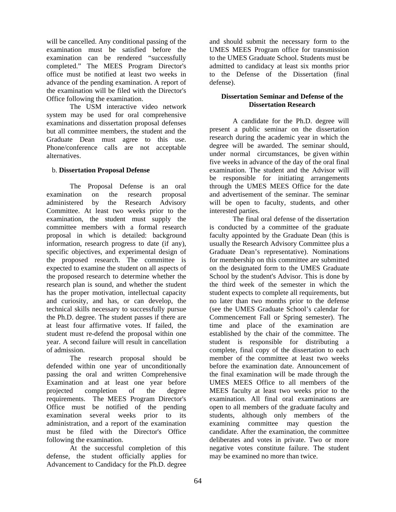will be cancelled. Any conditional passing of the examination must be satisfied before the examination can be rendered "successfully completed." The MEES Program Director's office must be notified at least two weeks in advance of the pending examination. A report of the examination will be filed with the Director's Office following the examination.

The USM interactive video network system may be used for oral comprehensive examinations and dissertation proposal defenses but all committee members, the student and the Graduate Dean must agree to this use. Phone/conference calls are not acceptable alternatives.

# b. **Dissertation Proposal Defense**

The Proposal Defense is an oral examination on the research proposal administered by the Research Advisory Committee. At least two weeks prior to the examination, the student must supply the committee members with a formal research proposal in which is detailed: background information, research progress to date (if any), specific objectives, and experimental design of the proposed research. The committee is expected to examine the student on all aspects of the proposed research to determine whether the research plan is sound, and whether the student has the proper motivation, intellectual capacity and curiosity, and has, or can develop, the technical skills necessary to successfully pursue the Ph.D. degree. The student passes if there are at least four affirmative votes. If failed, the student must re-defend the proposal within one year. A second failure will result in cancellation of admission.

The research proposal should be defended within one year of unconditionally passing the oral and written Comprehensive Examination and at least one year before projected completion of the degree requirements. The MEES Program Director's Office must be notified of the pending examination several weeks prior to its administration, and a report of the examination must be filed with the Director's Office following the examination.

At the successful completion of this defense, the student officially applies for Advancement to Candidacy for the Ph.D. degree

and should submit the necessary form to the UMES MEES Program office for transmission to the UMES Graduate School. Students must be admitted to candidacy at least six months prior to the Defense of the Dissertation (final defense).

# **Dissertation Seminar and Defense of the Dissertation Research**

A candidate for the Ph.D. degree will present a public seminar on the dissertation research during the academic year in which the degree will be awarded. The seminar should, under normal circumstances, be given within five weeks in advance of the day of the oral final examination. The student and the Advisor will be responsible for initiating arrangements through the UMES MEES Office for the date and advertisement of the seminar. The seminar will be open to faculty, students, and other interested parties.

The final oral defense of the dissertation is conducted by a committee of the graduate faculty appointed by the Graduate Dean (this is usually the Research Advisory Committee plus a Graduate Dean's representative). Nominations for membership on this committee are submitted on the designated form to the UMES Graduate School by the student's Advisor. This is done by the third week of the semester in which the student expects to complete all requirements, but no later than two months prior to the defense (see the UMES Graduate School's calendar for Commencement Fall or Spring semester). The time and place of the examination are established by the chair of the committee. The student is responsible for distributing a complete, final copy of the dissertation to each member of the committee at least two weeks before the examination date. Announcement of the final examination will be made through the UMES MEES Office to all members of the MEES faculty at least two weeks prior to the examination. All final oral examinations are open to all members of the graduate faculty and students, although only members of the examining committee may question the candidate. After the examination, the committee deliberates and votes in private. Two or more negative votes constitute failure. The student may be examined no more than twice.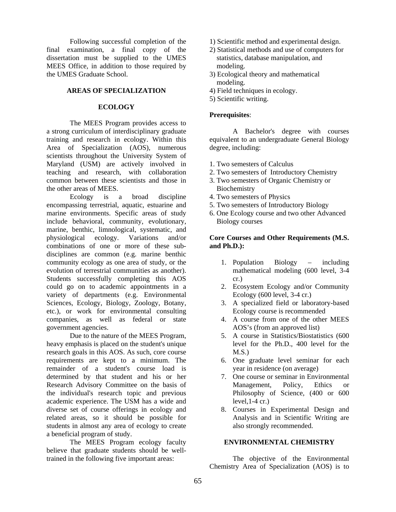Following successful completion of the final examination, a final copy of the dissertation must be supplied to the UMES MEES Office, in addition to those required by the UMES Graduate School.

## **AREAS OF SPECIALIZATION**

## **ECOLOGY**

The MEES Program provides access to a strong curriculum of interdisciplinary graduate training and research in ecology. Within this Area of Specialization (AOS), numerous scientists throughout the University System of Maryland (USM) are actively involved in teaching and research, with collaboration common between these scientists and those in the other areas of MEES.

Ecology is a broad discipline encompassing terrestrial, aquatic, estuarine and marine environments. Specific areas of study include behavioral, community, evolutionary, marine, benthic, limnological, systematic, and physiological ecology. Variations and/or combinations of one or more of these subdisciplines are common (e.g. marine benthic community ecology as one area of study, or the evolution of terrestrial communities as another). Students successfully completing this AOS could go on to academic appointments in a variety of departments (e.g. Environmental Sciences, Ecology, Biology, Zoology, Botany, etc.), or work for environmental consulting companies, as well as federal or state government agencies.

Due to the nature of the MEES Program, heavy emphasis is placed on the student's unique research goals in this AOS. As such, core course requirements are kept to a minimum. The remainder of a student's course load is determined by that student and his or her Research Advisory Committee on the basis of the individual's research topic and previous academic experience. The USM has a wide and diverse set of course offerings in ecology and related areas, so it should be possible for students in almost any area of ecology to create a beneficial program of study.

The MEES Program ecology faculty believe that graduate students should be welltrained in the following five important areas:

- 1) Scientific method and experimental design.
- 2) Statistical methods and use of computers for statistics, database manipulation, and modeling.
- 3) Ecological theory and mathematical modeling.
- 4) Field techniques in ecology.
- 5) Scientific writing.

## **Prerequisites**:

 A Bachelor's degree with courses equivalent to an undergraduate General Biology degree, including:

- 1. Two semesters of Calculus
- 2. Two semesters of Introductory Chemistry
- 3. Two semesters of Organic Chemistry or Biochemistry
- 4. Two semesters of Physics
- 5. Two semesters of Introductory Biology
- 6. One Ecology course and two other Advanced Biology courses

## **Core Courses and Other Requirements (M.S. and Ph.D.):**

- 1. Population Biology including mathematical modeling (600 level, 3-4 cr.)
- 2. Ecosystem Ecology and/or Community Ecology (600 level, 3-4 cr.)
- 3. A specialized field or laboratory-based Ecology course is recommended
- 4. A course from one of the other MEES AOS's (from an approved list)
- 5. A course in Statistics/Biostatistics (600 level for the Ph.D., 400 level for the  $M.S.$ )
- 6. One graduate level seminar for each year in residence (on average)
- 7. One course or seminar in Environmental Management, Policy, Ethics or Philosophy of Science, (400 or 600 level,1-4 cr.)
- 8. Courses in Experimental Design and Analysis and in Scientific Writing are also strongly recommended.

## **ENVIRONMENTAL CHEMISTRY**

The objective of the Environmental Chemistry Area of Specialization (AOS) is to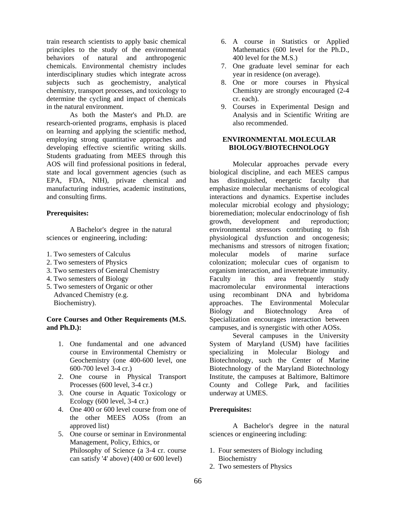train research scientists to apply basic chemical principles to the study of the environmental behaviors of natural and anthropogenic chemicals. Environmental chemistry includes interdisciplinary studies which integrate across subjects such as geochemistry, analytical chemistry, transport processes, and toxicology to determine the cycling and impact of chemicals in the natural environment.

As both the Master's and Ph.D. are research-oriented programs, emphasis is placed on learning and applying the scientific method, employing strong quantitative approaches and developing effective scientific writing skills. Students graduating from MEES through this AOS will find professional positions in federal, state and local government agencies (such as EPA, FDA, NIH), private chemical and manufacturing industries, academic institutions, and consulting firms.

#### **Prerequisites:**

 A Bachelor's degree in the natural sciences or engineering, including:

- 1. Two semesters of Calculus
- 2. Two semesters of Physics
- 3. Two semesters of General Chemistry
- 4. Two semesters of Biology
- 5. Two semesters of Organic or other Advanced Chemistry (e.g. Biochemistry).

## **Core Courses and Other Requirements (M.S. and Ph.D.):**

- 1. One fundamental and one advanced course in Environmental Chemistry or Geochemistry (one 400-600 level, one 600-700 level 3-4 cr.)
- 2. One course in Physical Transport Processes (600 level, 3-4 cr.)
- 3. One course in Aquatic Toxicology or Ecology (600 level, 3-4 cr.)
- 4. One 400 or 600 level course from one of the other MEES AOSs (from an approved list)
- 5. One course or seminar in Environmental Management, Policy, Ethics, or Philosophy of Science (a 3-4 cr. course can satisfy '4' above) (400 or 600 level)
- 6. A course in Statistics or Applied Mathematics (600 level for the Ph.D., 400 level for the M.S.)
- 7. One graduate level seminar for each year in residence (on average).
- 8. One or more courses in Physical Chemistry are strongly encouraged (2-4 cr. each).
- 9. Courses in Experimental Design and Analysis and in Scientific Writing are also recommended.

## **ENVIRONMENTAL MOLECULAR BIOLOGY/BIOTECHNOLOGY**

Molecular approaches pervade every biological discipline, and each MEES campus has distinguished, energetic faculty that emphasize molecular mechanisms of ecological interactions and dynamics. Expertise includes molecular microbial ecology and physiology; bioremediation; molecular endocrinology of fish growth, development and reproduction; environmental stressors contributing to fish physiological dysfunction and oncogenesis; mechanisms and stressors of nitrogen fixation; molecular models of marine surface colonization; molecular cues of organism to organism interaction, and invertebrate immunity. Faculty in this area frequently study macromolecular environmental interactions using recombinant DNA and hybridoma approaches. The Environmental Molecular Biology and Biotechnology Area of Specialization encourages interaction between campuses, and is synergistic with other AOSs.

Several campuses in the University System of Maryland (USM) have facilities specializing in Molecular Biology and Biotechnology, such the Center of Marine Biotechnology of the Maryland Biotechnology Institute, the campuses at Baltimore, Baltimore County and College Park, and facilities underway at UMES.

## **Prerequisites:**

A Bachelor's degree in the natural sciences or engineering including:

- 1. Four semesters of Biology including Biochemistry
- 2. Two semesters of Physics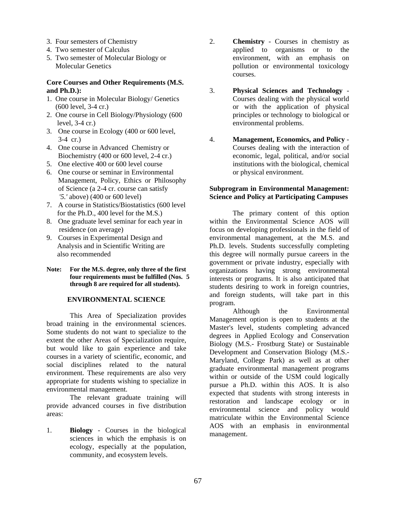- 3. Four semesters of Chemistry
- 4. Two semester of Calculus
- 5. Two semester of Molecular Biology or Molecular Genetics

#### **Core Courses and Other Requirements (M.S. and Ph.D.):**

- 1. One course in Molecular Biology/ Genetics (600 level, 3-4 cr.)
- 2. One course in Cell Biology/Physiology (600 level, 3-4 cr.)
- 3. One course in Ecology (400 or 600 level, 3-4 cr.)
- 4. One course in Advanced Chemistry or Biochemistry (400 or 600 level, 2-4 cr.)
- 5. One elective 400 or 600 level course
- 6. One course or seminar in Environmental Management, Policy, Ethics or Philosophy of Science (a 2-4 cr. course can satisfy *'5.'* above) (400 or 600 level)
- 7. A course in Statistics/Biostatistics (600 level for the Ph.D., 400 level for the M.S.)
- 8. One graduate level seminar for each year in residence (on average)
- 9. Courses in Experimental Design and Analysis and in Scientific Writing are also recommended
- **Note: For the M.S. degree, only three of the first four requirements must be fulfilled (Nos. 5 through 8 are required for all students).**

## **ENVIRONMENTAL SCIENCE**

This Area of Specialization provides broad training in the environmental sciences. Some students do not want to specialize to the extent the other Areas of Specialization require, but would like to gain experience and take courses in a variety of scientific, economic, and social disciplines related to the natural environment. These requirements are also very appropriate for students wishing to specialize in environmental management.

The relevant graduate training will provide advanced courses in five distribution areas:

1. **Biology** - Courses in the biological sciences in which the emphasis is on ecology, especially at the population, community, and ecosystem levels.

- 2. **Chemistry** Courses in chemistry as applied to organisms or to the environment, with an emphasis on pollution or environmental toxicology courses.
- 3. **Physical Sciences and Technology** Courses dealing with the physical world or with the application of physical principles or technology to biological or environmental problems.
- 4. **Management, Economics, and Policy** Courses dealing with the interaction of economic, legal, political, and/or social institutions with the biological, chemical or physical environment.

## **Subprogram in Environmental Management: Science and Policy at Participating Campuses**

The primary content of this option within the Environmental Science AOS will focus on developing professionals in the field of environmental management, at the M.S. and Ph.D. levels. Students successfully completing this degree will normally pursue careers in the government or private industry, especially with organizations having strong environmental interests or programs. It is also anticipated that students desiring to work in foreign countries, and foreign students, will take part in this program.

Although the Environmental Management option is open to students at the Master's level, students completing advanced degrees in Applied Ecology and Conservation Biology (M.S.- Frostburg State) or Sustainable Development and Conservation Biology (M.S.- Maryland, College Park) as well as at other graduate environmental management programs within or outside of the USM could logically pursue a Ph.D. within this AOS. It is also expected that students with strong interests in restoration and landscape ecology or in environmental science and policy would matriculate within the Environmental Science AOS with an emphasis in environmental management.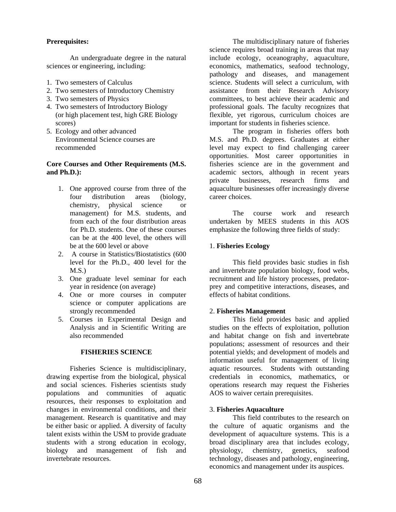# **Prerequisites:**

 An undergraduate degree in the natural sciences or engineering, including:

- 1. Two semesters of Calculus
- 2. Two semesters of Introductory Chemistry
- 3. Two semesters of Physics
- 4. Two semesters of Introductory Biology (or high placement test, high GRE Biology scores)
- 5. Ecology and other advanced Environmental Science courses are recommended

## **Core Courses and Other Requirements (M.S. and Ph.D.):**

- 1. One approved course from three of the four distribution areas (biology, chemistry, physical science or management) for M.S. students, and from each of the four distribution areas for Ph.D. students. One of these courses can be at the 400 level, the others will be at the 600 level or above
- 2. A course in Statistics/Biostatistics (600 level for the Ph.D., 400 level for the M.S.)
- 3. One graduate level seminar for each year in residence (on average)
- 4. One or more courses in computer science or computer applications are strongly recommended
- 5. Courses in Experimental Design and Analysis and in Scientific Writing are also recommended

## **FISHERIES SCIENCE**

Fisheries Science is multidisciplinary, drawing expertise from the biological, physical and social sciences. Fisheries scientists study populations and communities of aquatic resources, their responses to exploitation and changes in environmental conditions, and their management. Research is quantitative and may be either basic or applied. A diversity of faculty talent exists within the USM to provide graduate students with a strong education in ecology, biology and management of fish and invertebrate resources.

The multidisciplinary nature of fisheries science requires broad training in areas that may include ecology, oceanography, aquaculture, economics, mathematics, seafood technology, pathology and diseases, and management science. Students will select a curriculum, with assistance from their Research Advisory committees, to best achieve their academic and professional goals. The faculty recognizes that flexible, yet rigorous, curriculum choices are important for students in fisheries science.

The program in fisheries offers both M.S. and Ph.D. degrees. Graduates at either level may expect to find challenging career opportunities. Most career opportunities in fisheries science are in the government and academic sectors, although in recent years private businesses, research firms and aquaculture businesses offer increasingly diverse career choices.

The course work and research undertaken by MEES students in this AOS emphasize the following three fields of study:

# 1. **Fisheries Ecology**

 This field provides basic studies in fish and invertebrate population biology, food webs, recruitment and life history processes, predatorprey and competitive interactions, diseases, and effects of habitat conditions.

## 2. **Fisheries Management**

This field provides basic and applied studies on the effects of exploitation, pollution and habitat change on fish and invertebrate populations; assessment of resources and their potential yields; and development of models and information useful for management of living aquatic resources. Students with outstanding credentials in economics, mathematics, or operations research may request the Fisheries AOS to waiver certain prerequisites.

## 3. **Fisheries Aquaculture**

This field contributes to the research on the culture of aquatic organisms and the development of aquaculture systems. This is a broad disciplinary area that includes ecology, physiology, chemistry, genetics, seafood technology, diseases and pathology, engineering, economics and management under its auspices.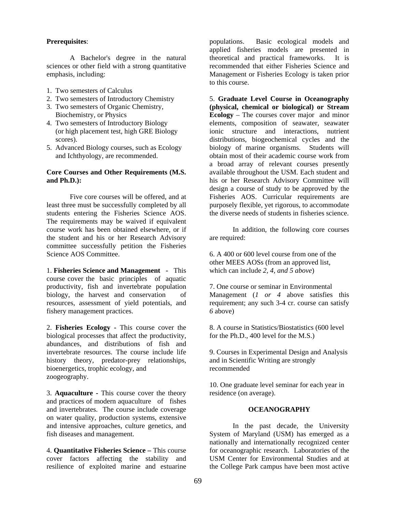#### **Prerequisites**:

A Bachelor's degree in the natural sciences or other field with a strong quantitative emphasis, including:

- 1. Two semesters of Calculus
- 2. Two semesters of Introductory Chemistry
- 3. Two semesters of Organic Chemistry, Biochemistry, or Physics
- 4. Two semesters of Introductory Biology (or high placement test, high GRE Biology scores).
- 5. Advanced Biology courses, such as Ecology and Ichthyology, are recommended.

#### **Core Courses and Other Requirements (M.S. and Ph.D.):**

Five core courses will be offered, and at least three must be successfully completed by all students entering the Fisheries Science AOS. The requirements may be waived if equivalent course work has been obtained elsewhere, or if the student and his or her Research Advisory committee successfully petition the Fisheries Science AOS Committee.

1. **Fisheries Science and Management -** This course cover the basic principles of aquatic productivity, fish and invertebrate population biology, the harvest and conservation of resources, assessment of yield potentials, and fishery management practices.

2. **Fisheries Ecology -** This course cover the biological processes that affect the productivity, abundances, and distributions of fish and invertebrate resources. The course include life history theory, predator-prey relationships, bioenergetics, trophic ecology, and zoogeography.

3. **Aquaculture -** This course cover the theory and practices of modern aquaculture of fishes and invertebrates. The course include coverage on water quality, production systems, extensive and intensive approaches, culture genetics, and fish diseases and management.

4. **Quantitative Fisheries Science –** This course cover factors affecting the stability and resilience of exploited marine and estuarine populations. Basic ecological models and applied fisheries models are presented in theoretical and practical frameworks. It is recommended that either Fisheries Science and Management or Fisheries Ecology is taken prior to this course.

5. **Graduate Level Course in Oceanography (physical, chemical or biological) or Stream Ecology** – The courses cover major and minor elements, composition of seawater, seawater ionic structure and interactions, nutrient distributions, biogeochemical cycles and the biology of marine organisms. Students will obtain most of their academic course work from a broad array of relevant courses presently available throughout the USM. Each student and his or her Research Advisory Committee will design a course of study to be approved by the Fisheries AOS. Curricular requirements are purposely flexible, yet rigorous, to accommodate the diverse needs of students in fisheries science.

In addition, the following core courses are required:

6. A 400 or 600 level course from one of the other MEES AOSs (from an approved list, which can include *2, 4, and 5 above*)

7. One course or seminar in Environmental Management (*1 or 4* above satisfies this requirement; any such 3-4 cr. course can satisfy *6* above)

8. A course in Statistics/Biostatistics (600 level for the Ph.D., 400 level for the M.S.)

9. Courses in Experimental Design and Analysis and in Scientific Writing are strongly recommended

10. One graduate level seminar for each year in residence (on average).

#### **OCEANOGRAPHY**

In the past decade, the University System of Maryland (USM) has emerged as a nationally and internationally recognized center for oceanographic research. Laboratories of the USM Center for Environmental Studies and at the College Park campus have been most active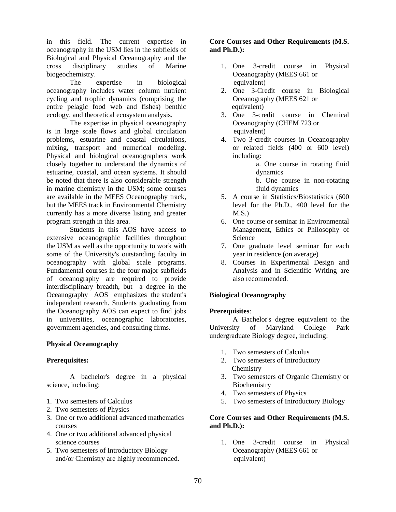in this field. The current expertise in oceanography in the USM lies in the subfields of Biological and Physical Oceanography and the cross disciplinary studies of Marine biogeochemistry.

The expertise in biological oceanography includes water column nutrient cycling and trophic dynamics (comprising the entire pelagic food web and fishes) benthic ecology, and theoretical ecosystem analysis.

The expertise in physical oceanography is in large scale flows and global circulation problems, estuarine and coastal circulations, mixing, transport and numerical modeling. Physical and biological oceanographers work closely together to understand the dynamics of estuarine, coastal, and ocean systems. It should be noted that there is also considerable strength in marine chemistry in the USM; some courses are available in the MEES Oceanography track, but the MEES track in Environmental Chemistry currently has a more diverse listing and greater program strength in this area.

Students in this AOS have access to extensive oceanographic facilities throughout the USM as well as the opportunity to work with some of the University's outstanding faculty in oceanography with global scale programs. Fundamental courses in the four major subfields of oceanography are required to provide interdisciplinary breadth, but a degree in the Oceanography AOS emphasizes the student's independent research. Students graduating from the Oceanography AOS can expect to find jobs in universities, oceanographic laboratories, government agencies, and consulting firms.

## **Physical Oceanography**

## **Prerequisites:**

 A bachelor's degree in a physical science, including:

- 1. Two semesters of Calculus
- 2. Two semesters of Physics
- 3. One or two additional advanced mathematics courses
- 4. One or two additional advanced physical science courses
- 5. Two semesters of Introductory Biology and/or Chemistry are highly recommended.

# **Core Courses and Other Requirements (M.S. and Ph.D.):**

- 1. One 3-credit course in Physical Oceanography (MEES 661 or equivalent)
- 2. One 3-Credit course in Biological Oceanography (MEES 621 or equivalent)
- 3. One 3-credit course in Chemical Oceanography (CHEM 723 or equivalent)
- 4. Two 3-credit courses in Oceanography or related fields (400 or 600 level) including:

a. One course in rotating fluid dynamics

b. One course in non-rotating fluid dynamics

- 5. A course in Statistics/Biostatistics (600 level for the Ph.D., 400 level for the  $M.S.$ )
- 6. One course or seminar in Environmental Management, Ethics or Philosophy of Science
- 7. One graduate level seminar for each year in residence (on average)
- 8. Courses in Experimental Design and Analysis and in Scientific Writing are also recommended.

## **Biological Oceanography**

## **Prerequisites**:

 A Bachelor's degree equivalent to the University of Maryland College Park undergraduate Biology degree, including:

- 1. Two semesters of Calculus
- 2. Two semesters of Introductory **Chemistry**
- 3. Two semesters of Organic Chemistry or Biochemistry
- 4. Two semesters of Physics
- 5. Two semesters of Introductory Biology

# **Core Courses and Other Requirements (M.S. and Ph.D.):**

1. One 3-credit course in Physical Oceanography (MEES 661 or equivalent)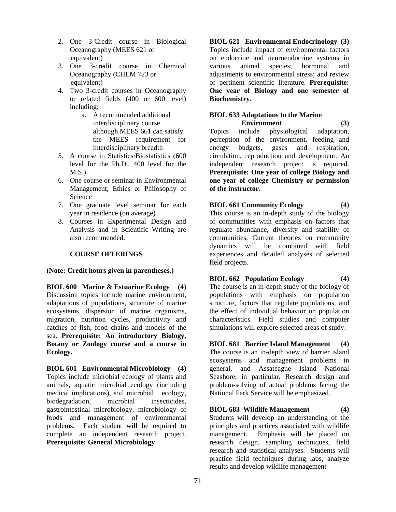- 2. One 3-Credit course in Biological Oceanography (MEES 621 or equivalent)
- 3. One 3-credit course in Chemical Oceanography (CHEM 723 or equivalent)
- 4. Two 3-credit courses in Oceanography or related fields (400 or 600 level) including:
	- a. A recommended additional interdisciplinary course although MEES 661 can satisfy the MEES requirement for interdisciplinary breadth
- 5. A course in Statistics/Biostatistics (600 level for the Ph.D., 400 level for the  $M.S.$ )
- 6. One course or seminar in Environmental Management, Ethics or Philosophy of Science
- 7. One graduate level seminar for each year in residence (on average)
- 8. Courses in Experimental Design and Analysis and in Scientific Writing are also recommended.

# **COURSE OFFERINGS**

## **(Note: Credit hours given in parentheses.)**

**BIOL 600 Marine & Estuarine Ecology (4)** Discussion topics include marine environment, adaptations of populations, structure of marine ecosystems, dispersion of marine organisms, migration, nutrition cycles, productivity and catches of fish, food chains and models of the sea. **Prerequisite: An introductory Biology, Botany or Zoology course and a course in Ecology.** 

**BIOL 601 Environmental Microbiology (4)** Topics include microbial ecology of plants and animals, aquatic microbial ecology (including medical implications), soil microbial ecology, biodegradation, microbial insecticides, gastrointestinal microbiology, microbiology of foods and management of environmental problems. Each student will be required to complete an independent research project. **Prerequisite: General Microbiology** 

**BIOL 621 Environmental Endocrinology (3)** Topics include impact of environmental factors on endocrine and neuroendocrine systems in various animal species; hormonal and adjustments to environmental stress; and review of pertinent scientific literature. **Prerequisite: One year of Biology and one semester of Biochemistry.** 

#### **BIOL 633 Adaptations to the Marine Environment** (3)

Topics include physiological adaptation, perception of the environment, feeding and energy budgets, gases and respiration, circulation, reproduction and development. An independent research project is required. **Prerequisite: One year of college Biology and one year of college Chemistry or permission of the instructor.**

**BIOL 661 Community Ecology (4)** This course is an in-depth study of the biology of communities with emphasis on factors that regulate abundance, diversity and stability of communities. Current theories on community dynamics will be combined with field experiences and detailed analyses of selected field projects.

**BIOL 662 Population Ecology (4)** The course is an in-depth study of the biology of populations with emphasis on population structure, factors that regulate populations, and the effect of individual behavior on population characteristics. Field studies and computer simulations will explore selected areas of study.

**BIOL 681 Barrier Island Management (4)** The course is an in-depth view of barrier island ecosystems and management problems in general, and Assateague Island National Seashore, in particular. Research design and problem-solving of actual problems facing the National Park Service will be emphasized.

**BIOL 683 Wildlife Management (4)**  Students will develop an understanding of the principles and practices associated with wildlife management. Emphasis will be placed on research design, sampling techniques, field research and statistical analyses. Students will practice field techniques during labs, analyze results and develop wildlife management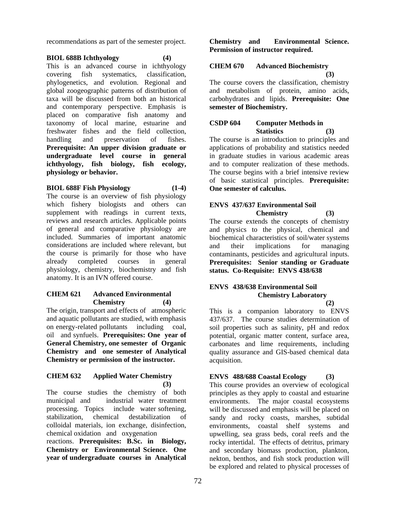recommendations as part of the semester project.

### **BIOL 688B Ichthyology (4)**

This is an advanced course in ichthyology covering fish systematics, classification, phylogenetics, and evolution. Regional and global zoogeographic patterns of distribution of taxa will be discussed from both an historical and contemporary perspective. Emphasis is placed on comparative fish anatomy and taxonomy of local marine, estuarine and freshwater fishes and the field collection, handling and preservation of fishes. **Prerequisite: An upper division graduate or undergraduate level course in general ichthyology, fish biology, fish ecology, physiology or behavior.**

## **BIOL 688F Fish Physiology (1-4)**

The course is an overview of fish physiology which fishery biologists and others can supplement with readings in current texts, reviews and research articles. Applicable points of general and comparative physiology are included. Summaries of important anatomic considerations are included where relevant, but the course is primarily for those who have already completed courses in general physiology, chemistry, biochemistry and fish anatomy. It is an IVN offered course.

### **CHEM 621 Advanced Environmental Chemistry (4)**

The origin, transport and effects of atmospheric and aquatic pollutants are studied, with emphasis on energy-related pollutants including coal, oil and synfuels. **Prerequisites: One year of General Chemistry, one semester of Organic Chemistry and one semester of Analytical Chemistry or permission of the instructor.** 

### **CHEM 632 Applied Water Chemistry (3)**

The course studies the chemistry of both municipal and industrial water treatment processing. Topics include water softening, stabilization, chemical destabilization of colloidal materials, ion exchange, disinfection, chemical oxidation and oxygenation

reactions. **Prerequisites: B.Sc. in Biology, Chemistry or Environmental Science. One year of undergraduate courses in Analytical** 

**Chemistry and Environmental Science. Permission of instructor required.**

## **CHEM 670 Advanced Biochemistry**

The course covers the classification, chemistry and metabolism of protein, amino acids, carbohydrates and lipids. **Prerequisite: One semester of Biochemistry.**

## **CSDP 604 Computer Methods in Statistics (3)**

The course is an introduction to principles and applications of probability and statistics needed in graduate studies in various academic areas and to computer realization of these methods. The course begins with a brief intensive review of basic statistical principles. **Prerequisite: One semester of calculus.** 

## **ENVS 437/637 Environmental Soil**

**Chemistry (3)**  The course extends the concepts of chemistry and physics to the physical, chemical and biochemical characteristics of soil/water systems and their implications for managing contaminants, pesticides and agricultural inputs. **Prerequisites: Senior standing or Graduate status. Co-Requisite: ENVS 438/638** 

# **ENVS 438/638 Environmental Soil Chemistry Laboratory**

 **(2)**  This is a companion laboratory to ENVS 437/637. The course studies determination of soil properties such as salinity, pH and redox potential, organic matter content, surface area, carbonates and lime requirements, including quality assurance and GIS-based chemical data acquisition.

# **ENVS 488/688 Coastal Ecology (3)**

This course provides an overview of ecological principles as they apply to coastal and estuarine environments. The major coastal ecosystems will be discussed and emphasis will be placed on sandy and rocky coasts, marshes, subtidal environments, coastal shelf systems and upwelling, sea grass beds, coral reefs and the rocky intertidal. The effects of detritus, primary and secondary biomass production, plankton, nekton, benthos, and fish stock production will be explored and related to physical processes of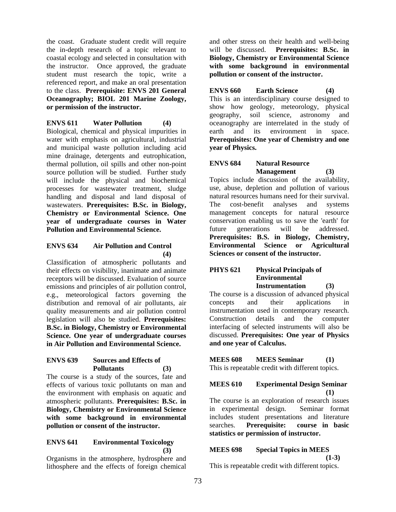the coast. Graduate student credit will require the in-depth research of a topic relevant to coastal ecology and selected in consultation with the instructor. Once approved, the graduate student must research the topic, write a referenced report, and make an oral presentation to the class. **Prerequisite: ENVS 201 General Oceanography; BIOL 201 Marine Zoology, or permission of the instructor.** 

**ENVS 611 Water Pollution (4)**  Biological, chemical and physical impurities in water with emphasis on agricultural, industrial and municipal waste pollution including acid mine drainage, detergents and eutrophication, thermal pollution, oil spills and other non-point source pollution will be studied. Further study will include the physical and biochemical processes for wastewater treatment, sludge handling and disposal and land disposal of wastewaters. **Prerequisites: B.Sc. in Biology, Chemistry or Environmental Science. One year of undergraduate courses in Water Pollution and Environmental Science.** 

## **ENVS 634 Air Pollution and Control (4)**

Classification of atmospheric pollutants and their effects on visibility, inanimate and animate receptors will be discussed. Evaluation of source emissions and principles of air pollution control, e.g., meteorological factors governing the distribution and removal of air pollutants, air quality measurements and air pollution control legislation will also be studied. **Prerequisites: B.Sc. in Biology, Chemistry or Environmental Science. One year of undergraduate courses in Air Pollution and Environmental Science.** 

### **ENVS 639 Sources and Effects of Pollutants (3)**

The course is a study of the sources, fate and effects of various toxic pollutants on man and the environment with emphasis on aquatic and atmospheric pollutants. **Prerequisites: B.Sc. in Biology, Chemistry or Environmental Science with some background in environmental pollution or consent of the instructor.** 

### **ENVS 641 Environmental Toxicology (3)**

Organisms in the atmosphere, hydrosphere and lithosphere and the effects of foreign chemical

and other stress on their health and well-being will be discussed. **Prerequisites: B.Sc. in Biology, Chemistry or Environmental Science with some background in environmental pollution or consent of the instructor.** 

**ENVS 660 Earth Science (4)**  This is an interdisciplinary course designed to show how geology, meteorology, physical geography, soil science, astronomy and oceanography are interrelated in the study of earth and its environment in space. **Prerequisites: One year of Chemistry and one year of Physics.** 

# **ENVS 684 Natural Resource Management (3)**

Topics include discussion of the availability, use, abuse, depletion and pollution of various natural resources humans need for their survival. The cost-benefit analyses and systems management concepts for natural resource conservation enabling us to save the 'earth' for future generations will be addressed. **Prerequisites: B.S. in Biology, Chemistry, Environmental Science or Agricultural Sciences or consent of the instructor.** 

## **PHYS 621 Physical Principals of Environmental Instrumentation (3)**

The course is a discussion of advanced physical concepts and their applications in instrumentation used in contemporary research. Construction details and the computer interfacing of selected instruments will also be discussed. **Prerequisites: One year of Physics and one year of Calculus.**

**MEES 608 MEES Seminar (1)**  This is repeatable credit with different topics.

# **MEES 610 Experimental Design Seminar (1)**

The course is an exploration of research issues in experimental design. Seminar format includes student presentations and literature searches. **Prerequisite: course in basic statistics or permission of instructor.** 

## **MEES 698 Special Topics in MEES**

 **(1-3)** 

This is repeatable credit with different topics.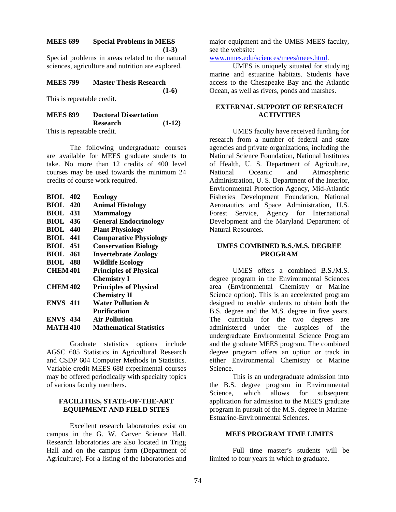### **MEES 699 Special Problems in MEES**

**(1-3)** 

 **(1-6)** 

Special problems in areas related to the natural sciences, agriculture and nutrition are explored.

### **MEES 799 Master Thesis Research**

This is repeatable credit.

# **MEES 899 Doctoral Dissertation Research (1-12)**

This is repeatable credit.

 The following undergraduate courses are available for MEES graduate students to take. No more than 12 credits of 400 level courses may be used towards the minimum 24 credits of course work required.

| <b>Ecology</b>                 |
|--------------------------------|
| <b>Animal Histology</b>        |
| <b>Mammalogy</b>               |
| <b>General Endocrinology</b>   |
| <b>Plant Physiology</b>        |
| <b>Comparative Physiology</b>  |
| <b>Conservation Biology</b>    |
| <b>Invertebrate Zoology</b>    |
| <b>Wildlife Ecology</b>        |
| <b>Principles of Physical</b>  |
| <b>Chemistry I</b>             |
| <b>Principles of Physical</b>  |
| <b>Chemistry II</b>            |
| Water Pollution &              |
| <b>Purification</b>            |
| <b>Air Pollution</b>           |
| <b>Mathematical Statistics</b> |
|                                |

 Graduate statistics options include AGSC 605 Statistics in Agricultural Research and CSDP 604 Computer Methods in Statistics. Variable credit MEES 688 experimental courses may be offered periodically with specialty topics of various faculty members.

### **FACILITIES, STATE-OF-THE-ART EQUIPMENT AND FIELD SITES**

 Excellent research laboratories exist on campus in the G. W. Carver Science Hall. Research laboratories are also located in Trigg Hall and on the campus farm (Department of Agriculture). For a listing of the laboratories and

major equipment and the UMES MEES faculty, see the website:

www.umes.edu/sciences/mees/mees.html.

UMES is uniquely situated for studying marine and estuarine habitats. Students have access to the Chesapeake Bay and the Atlantic Ocean, as well as rivers, ponds and marshes.

## **EXTERNAL SUPPORT OF RESEARCH ACTIVITIES**

UMES faculty have received funding for research from a number of federal and state agencies and private organizations, including the National Science Foundation, National Institutes of Health, U. S. Department of Agriculture, National Oceanic and Atmospheric Administration, U. S. Department of the Interior, Environmental Protection Agency, Mid-Atlantic Fisheries Development Foundation, National Aeronautics and Space Administration, U.S. Forest Service, Agency for International Development and the Maryland Department of Natural Resources.

### **UMES COMBINED B.S./M.S. DEGREE PROGRAM**

UMES offers a combined B.S./M.S. degree program in the Environmental Sciences area (Environmental Chemistry or Marine Science option). This is an accelerated program designed to enable students to obtain both the B.S. degree and the M.S. degree in five years. The curricula for the two degrees are administered under the auspices of the undergraduate Environmental Science Program and the graduate MEES program. The combined degree program offers an option or track in either Environmental Chemistry or Marine Science.

This is an undergraduate admission into the B.S. degree program in Environmental Science, which allows for subsequent application for admission to the MEES graduate program in pursuit of the M.S. degree in Marine-Estuarine-Environmental Sciences.

### **MEES PROGRAM TIME LIMITS**

 Full time master's students will be limited to four years in which to graduate.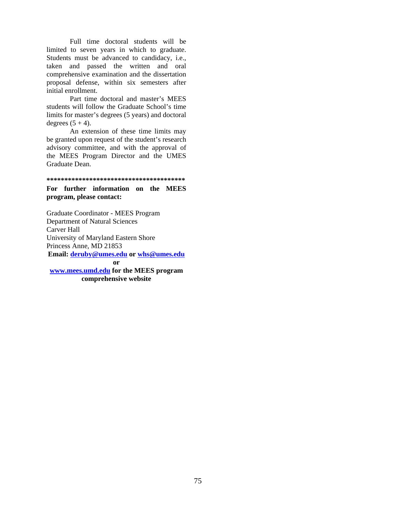Full time doctoral students will be limited to seven years in which to graduate. Students must be advanced to candidacy, i.e., taken and passed the written and oral comprehensive examination and the dissertation proposal defense, within six semesters after initial enrollment.

 Part time doctoral and master's MEES students will follow the Graduate School's time limits for master's degrees (5 years) and doctoral degrees  $(5 + 4)$ .

 An extension of these time limits may be granted upon request of the student's research advisory committee, and with the approval of the MEES Program Director and the UMES Graduate Dean.

**\*\*\*\*\*\*\*\*\*\*\*\*\*\*\*\*\*\*\*\*\*\*\*\*\*\*\*\*\*\*\*\*\*\*\*\*\*\*\*** 

### **For further information on the MEES program, please contact:**

Graduate Coordinator - MEES Program Department of Natural Sciences Carver Hall University of Maryland Eastern Shore Princess Anne, MD 21853 **Email: deruby@umes.edu or whs@umes.edu or www.mees.umd.edu for the MEES program comprehensive website**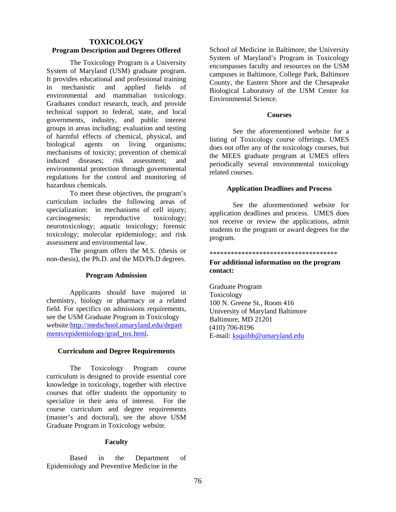### **TOXICOLOGY Program Description and Degrees Offered**

 The Toxicology Program is a University System of Maryland (USM) graduate program. It provides educational and professional training in mechanistic and applied fields of environmental and mammalian toxicology. Graduates conduct research, teach, and provide technical support to federal, state, and local governments, industry, and public interest groups in areas including: evaluation and testing of harmful effects of chemical, physical, and biological agents on living organisms; mechanisms of toxicity; prevention of chemical induced diseases; risk assessment; and environmental protection through governmental regulations for the control and monitoring of hazardous chemicals.

 To meet these objectives, the program's curriculum includes the following areas of specialization: in mechanisms of cell injury; carcinogenesis; reproductive toxicology; neurotoxicology; aquatic toxicology; forensic toxicology; molecular epidemiology; and risk assessment and environmental law.

The program offers the M.S. (thesis or non-thesis), the Ph.D. and the MD/Ph.D degrees.

### **Program Admission**

Applicants should have majored in chemistry, biology or pharmacy or a related field. For specifics on admissions requirements, see the USM Graduate Program in Toxicology website:http://medschool.umaryland.edu/depart ments/epidemiology/grad\_tox.html.

### **Curriculum and Degree Requirements**

The Toxicology Program course curriculum is designed to provide essential core knowledge in toxicology, together with elective courses that offer students the opportunity to specialize in their area of interest. For the course curriculum and degree requirements (master's and doctoral), see the above USM Graduate Program in Toxicology website.

### **Faculty**

 Based in the Department of Epidemiology and Preventive Medicine in the

School of Medicine in Baltimore, the University System of Maryland's Program in Toxicology encompasses faculty and resources on the USM campuses in Baltimore, College Park, Baltimore County, the Eastern Shore and the Chesapeake Biological Laboratory of the USM Center for Environmental Science.

### **Courses**

 See the aforementioned website for a listing of Toxicology course offerings. UMES does not offer any of the toxicology courses, but the MEES graduate program at UMES offers periodically several environmental toxicology related courses.

### **Application Deadlines and Process**

See the aforementioned website for application deadlines and process. UMES does not receive or review the applications, admit students to the program or award degrees for the program.

#### \*\*\*\*\*\*\*\*\*\*\*\*\*\*\*\*\*\*\*\*\*\*\*\*\*\*\*\*\*\*\*\*\*\*\*\*

### **For additional information on the program contact:**

Graduate Program Toxicology 100 N. Greene St., Room 416 University of Maryland Baltimore Baltimore, MD 21201 (410) 706-8196 E-mail: ksquibb@umaryland.edu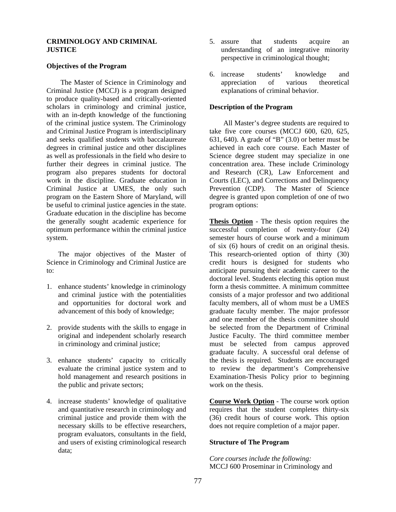### **CRIMINOLOGY AND CRIMINAL JUSTICE**

### **Objectives of the Program**

The Master of Science in Criminology and Criminal Justice (MCCJ) is a program designed to produce quality-based and critically-oriented scholars in criminology and criminal justice, with an in-depth knowledge of the functioning of the criminal justice system. The Criminology and Criminal Justice Program is interdisciplinary and seeks qualified students with baccalaureate degrees in criminal justice and other disciplines as well as professionals in the field who desire to further their degrees in criminal justice. The program also prepares students for doctoral work in the discipline. Graduate education in Criminal Justice at UMES, the only such program on the Eastern Shore of Maryland, will be useful to criminal justice agencies in the state. Graduate education in the discipline has become the generally sought academic experience for optimum performance within the criminal justice system.

The major objectives of the Master of Science in Criminology and Criminal Justice are to:

- 1. enhance students' knowledge in criminology and criminal justice with the potentialities and opportunities for doctoral work and advancement of this body of knowledge;
- 2. provide students with the skills to engage in original and independent scholarly research in criminology and criminal justice;
- 3. enhance students' capacity to critically evaluate the criminal justice system and to hold management and research positions in the public and private sectors;
- 4. increase students' knowledge of qualitative and quantitative research in criminology and criminal justice and provide them with the necessary skills to be effective researchers, program evaluators, consultants in the field, and users of existing criminological research data;
- 5. assure that students acquire an understanding of an integrative minority perspective in criminological thought;
- 6. increase students' knowledge and appreciation of various theoretical explanations of criminal behavior.

### **Description of the Program**

All Master's degree students are required to take five core courses (MCCJ 600, 620, 625, 631, 640). A grade of "B" (3.0) or better must be achieved in each core course. Each Master of Science degree student may specialize in one concentration area. These include Criminology and Research (CR), Law Enforcement and Courts (LEC), and Corrections and Delinquency Prevention (CDP). The Master of Science degree is granted upon completion of one of two program options:

**Thesis Option** - The thesis option requires the successful completion of twenty-four (24) semester hours of course work and a minimum of six (6) hours of credit on an original thesis. This research-oriented option of thirty (30) credit hours is designed for students who anticipate pursuing their academic career to the doctoral level. Students electing this option must form a thesis committee. A minimum committee consists of a major professor and two additional faculty members, all of whom must be a UMES graduate faculty member. The major professor and one member of the thesis committee should be selected from the Department of Criminal Justice Faculty. The third committee member must be selected from campus approved graduate faculty. A successful oral defense of the thesis is required. Students are encouraged to review the department's Comprehensive Examination-Thesis Policy prior to beginning work on the thesis.

**Course Work Option** - The course work option requires that the student completes thirty-six (36) credit hours of course work. This option does not require completion of a major paper.

### **Structure of The Program**

*Core courses include the following:*  MCCJ 600 Proseminar in Criminology and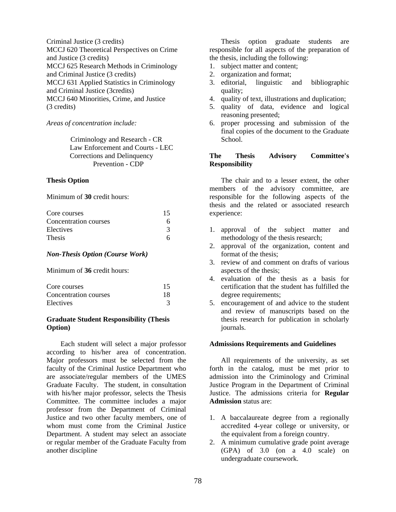Criminal Justice (3 credits) MCCJ 620 Theoretical Perspectives on Crime and Justice (3 credits) MCCJ 625 Research Methods in Criminology and Criminal Justice (3 credits) MCCJ 631 Applied Statistics in Criminology and Criminal Justice (3credits) MCCJ 640 Minorities, Crime, and Justice (3 credits)

### *Areas of concentration include:*

Criminology and Research - CR Law Enforcement and Courts - LEC Corrections and Delinquency Prevention - CDP

### **Thesis Option**

Minimum of **30** credit hours:

| Core courses          | 15 |
|-----------------------|----|
| Concentration courses |    |
| Electives             |    |
| <b>Thesis</b>         |    |

## *Non-Thesis Option (Course Work)*

Minimum of **36** credit hours:

| Core courses          |    |
|-----------------------|----|
| Concentration courses | 18 |
| Electives             |    |

### **Graduate Student Responsibility (Thesis Option)**

Each student will select a major professor according to his/her area of concentration. Major professors must be selected from the faculty of the Criminal Justice Department who are associate/regular members of the UMES Graduate Faculty. The student, in consultation with his/her major professor, selects the Thesis Committee. The committee includes a major professor from the Department of Criminal Justice and two other faculty members, one of whom must come from the Criminal Justice Department. A student may select an associate or regular member of the Graduate Faculty from another discipline

Thesis option graduate students are responsible for all aspects of the preparation of the thesis, including the following:

- 1. subject matter and content;
- 2. organization and format;
- 3. editorial, linguistic and bibliographic quality;
- 4. quality of text, illustrations and duplication;
- 5. quality of data, evidence and logical reasoning presented;
- 6. proper processing and submission of the final copies of the document to the Graduate School.

### **The Thesis Advisory Committee's Responsibility**

The chair and to a lesser extent, the other members of the advisory committee, are responsible for the following aspects of the thesis and the related or associated research experience:

- 1. approval of the subject matter and methodology of the thesis research;
- 2. approval of the organization, content and format of the thesis;
- 3. review of and comment on drafts of various aspects of the thesis;
- 4. evaluation of the thesis as a basis for certification that the student has fulfilled the degree requirements;
- 5. encouragement of and advice to the student and review of manuscripts based on the thesis research for publication in scholarly journals.

### **Admissions Requirements and Guidelines**

All requirements of the university, as set forth in the catalog, must be met prior to admission into the Criminology and Criminal Justice Program in the Department of Criminal Justice. The admissions criteria for **Regular Admission** status are:

- 1. A baccalaureate degree from a regionally accredited 4-year college or university, or the equivalent from a foreign country.
- 2. A minimum cumulative grade point average (GPA) of 3.0 (on a 4.0 scale) on undergraduate coursework.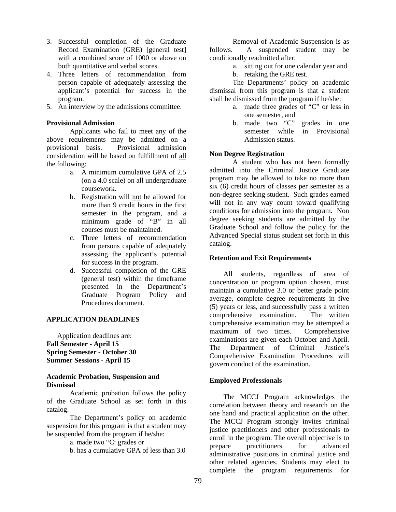- 3. Successful completion of the Graduate Record Examination (GRE) [general test] with a combined score of 1000 or above on both quantitative and verbal scores.
- 4. Three letters of recommendation from person capable of adequately assessing the applicant's potential for success in the program.
- 5. An interview by the admissions committee.

### **Provisional Admission**

Applicants who fail to meet any of the above requirements may be admitted on a provisional basis. Provisional admission consideration will be based on fulfillment of all the following:

- a. A minimum cumulative GPA of 2.5 (on a 4.0 scale) on all undergraduate coursework.
- b. Registration will not be allowed for more than 9 credit hours in the first semester in the program, and a minimum grade of "B" in all courses must be maintained.
- c. Three letters of recommendation from persons capable of adequately assessing the applicant's potential for success in the program.
- d. Successful completion of the GRE (general test) within the timeframe presented in the Department's Graduate Program Policy and Procedures document.

### **APPLICATION DEADLINES**

 Application deadlines are: **Fall Semester - April 15 Spring Semester - October 30 Summer Sessions - April 15** 

### **Academic Probation, Suspension and Dismissal**

Academic probation follows the policy of the Graduate School as set forth in this catalog.

The Department's policy on academic suspension for this program is that a student may be suspended from the program if he/she:

a. made two "C: grades or

b. has a cumulative GPA of less than 3.0

Removal of Academic Suspension is as follows. A suspended student may be conditionally readmitted after:

- a. sitting out for one calendar year and
- b. retaking the GRE test.

The Departments' policy on academic dismissal from this program is that a student shall be dismissed from the program if he/she:

- a. made three grades of "C" or less in one semester, and
- b. made two "C" grades in one semester while in Provisional Admission status.

### **Non Degree Registration**

A student who has not been formally admitted into the Criminal Justice Graduate program may be allowed to take no more than six (6) credit hours of classes per semester as a non-degree seeking student. Such grades earned will not in any way count toward qualifying conditions for admission into the program. Non degree seeking students are admitted by the Graduate School and follow the policy for the Advanced Special status student set forth in this catalog.

### **Retention and Exit Requirements**

All students, regardless of area of concentration or program option chosen, must maintain a cumulative 3.0 or better grade point average, complete degree requirements in five (5) years or less, and successfully pass a written comprehensive examination. The written comprehensive examination may be attempted a maximum of two times. Comprehensive examinations are given each October and April. The Department of Criminal Justice's Comprehensive Examination Procedures will govern conduct of the examination.

### **Employed Professionals**

The MCCJ Program acknowledges the correlation between theory and research on the one hand and practical application on the other. The MCCJ Program strongly invites criminal justice practitioners and other professionals to enroll in the program. The overall objective is to prepare practitioners for advanced administrative positions in criminal justice and other related agencies. Students may elect to complete the program requirements for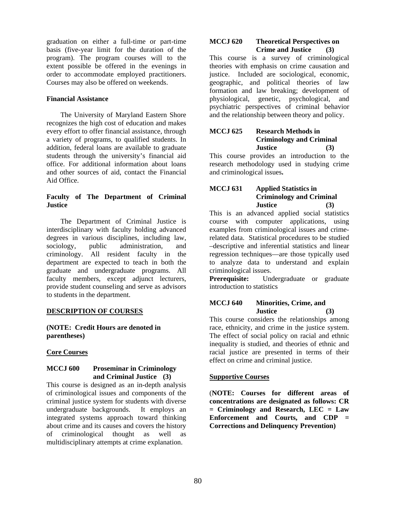graduation on either a full-time or part-time basis (five-year limit for the duration of the program). The program courses will to the extent possible be offered in the evenings in order to accommodate employed practitioners. Courses may also be offered on weekends.

### **Financial Assistance**

The University of Maryland Eastern Shore recognizes the high cost of education and makes every effort to offer financial assistance, through a variety of programs, to qualified students. In addition, federal loans are available to graduate students through the university's financial aid office. For additional information about loans and other sources of aid, contact the Financial Aid Office.

## **Faculty of The Department of Criminal Justice**

The Department of Criminal Justice is interdisciplinary with faculty holding advanced degrees in various disciplines, including law, sociology, public administration, and criminology. All resident faculty in the department are expected to teach in both the graduate and undergraduate programs. All faculty members, except adjunct lecturers, provide student counseling and serve as advisors to students in the department.

### **DESCRIPTION OF COURSES**

**(NOTE: Credit Hours are denoted in parentheses)** 

### **Core Courses**

### **MCCJ 600 Proseminar in Criminology and Criminal Justice (3)**

This course is designed as an in-depth analysis of criminological issues and components of the criminal justice system for students with diverse undergraduate backgrounds. It employs an integrated systems approach toward thinking about crime and its causes and covers the history of criminological thought as well as multidisciplinary attempts at crime explanation.

### **MCCJ 620 Theoretical Perspectives on Crime and Justice (3)**

This course is a survey of criminological theories with emphasis on crime causation and justice. Included are sociological, economic, geographic, and political theories of law formation and law breaking; development of physiological, genetic, psychological, and psychiatric perspectives of criminal behavior and the relationship between theory and policy.

## **MCCJ 625 Research Methods in Criminology and Criminal Justice (3)**

This course provides an introduction to the research methodology used in studying crime and criminological issues**.** 

## **MCCJ 631 Applied Statistics in Criminology and Criminal Justice (3)**

This is an advanced applied social statistics course with computer applications, using examples from criminological issues and crimerelated data. Statistical procedures to be studied –descriptive and inferential statistics and linear regression techniques—are those typically used to analyze data to understand and explain criminological issues.

**Prerequisite:** Undergraduate or graduate introduction to statistics

## **MCCJ 640 Minorities, Crime, and Justice (3)**

This course considers the relationships among race, ethnicity, and crime in the justice system. The effect of social policy on racial and ethnic inequality is studied, and theories of ethnic and racial justice are presented in terms of their effect on crime and criminal justice.

### **Supportive Courses**

(**NOTE: Courses for different areas of concentrations are designated as follows: CR = Criminology and Research, LEC = Law Enforcement and Courts, and CDP = Corrections and Delinquency Prevention)**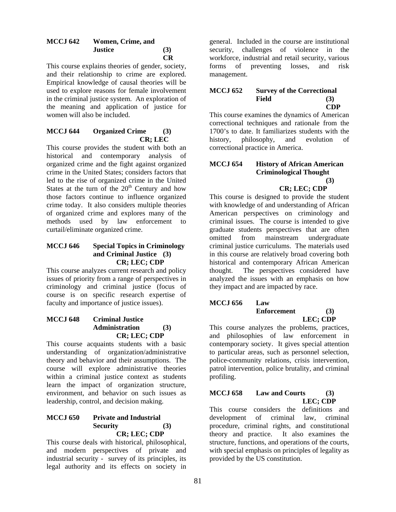### **MCCJ 642 Women, Crime, and Justice (3) CR**

This course explains theories of gender, society, and their relationship to crime are explored. Empirical knowledge of causal theories will be used to explore reasons for female involvement in the criminal justice system. An exploration of the meaning and application of justice for women will also be included.

## **MCCJ 644 Organized Crime (3) CR; LEC**

This course provides the student with both an historical and contemporary analysis of organized crime and the fight against organized crime in the United States; considers factors that led to the rise of organized crime in the United States at the turn of the  $20<sup>th</sup>$  Century and how those factors continue to influence organized crime today. It also considers multiple theories of organized crime and explores many of the methods used by law enforcement to curtail/eliminate organized crime.

## **MCCJ 646 Special Topics in Criminology and Criminal Justice (3) CR; LEC; CDP**

This course analyzes current research and policy issues of priority from a range of perspectives in criminology and criminal justice (focus of course is on specific research expertise of faculty and importance of justice issues).

### **MCCJ 648 Criminal Justice Administration (3) CR; LEC; CDP**

This course acquaints students with a basic understanding of organization/administrative theory and behavior and their assumptions. The course will explore administrative theories within a criminal justice context as students learn the impact of organization structure, environment, and behavior on such issues as leadership, control, and decision making.

## **MCCJ 650 Private and Industrial Security (3) CR; LEC; CDP**

This course deals with historical, philosophical, and modern perspectives of private and industrial security - survey of its principles, its legal authority and its effects on society in

general. Included in the course are institutional security, challenges of violence in the workforce, industrial and retail security, various forms of preventing losses, and risk management.

### **MCCJ 652 Survey of the Correctional Field (3) CDP**

This course examines the dynamics of American correctional techniques and rationale from the 1700's to date. It familiarizes students with the history, philosophy, and evolution of correctional practice in America.

## **MCCJ 654 History of African American Criminological Thought (3)**

## **CR; LEC; CDP**

This course is designed to provide the student with knowledge of and understanding of African American perspectives on criminology and criminal issues. The course is intended to give graduate students perspectives that are often omitted from mainstream undergraduate criminal justice curriculums. The materials used in this course are relatively broad covering both historical and contemporary African American thought. The perspectives considered have analyzed the issues with an emphasis on how they impact and are impacted by race.

### **MCCJ 656 Law Enforcement (3) LEC; CDP**

This course analyzes the problems, practices, and philosophies of law enforcement in contemporary society. It gives special attention to particular areas, such as personnel selection, police-community relations, crisis intervention, patrol intervention, police brutality, and criminal profiling.

## **MCCJ 658 Law and Courts (3) LEC; CDP**

This course considers the definitions and development of criminal law, criminal procedure, criminal rights, and constitutional theory and practice. It also examines the structure, functions, and operations of the courts, with special emphasis on principles of legality as provided by the US constitution.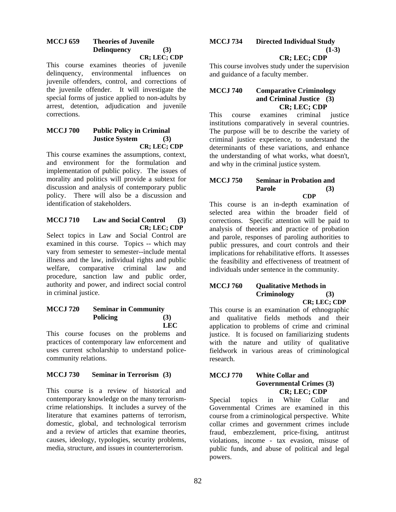### **MCCJ 659 Theories of Juvenile Delinquency (3) CR; LEC; CDP**

This course examines theories of juvenile delinquency, environmental influences on juvenile offenders, control, and corrections of the juvenile offender. It will investigate the special forms of justice applied to non-adults by arrest, detention, adjudication and juvenile corrections.

### **MCCJ 700 Public Policy in Criminal Justice System (3) CR; LEC; CDP**

This course examines the assumptions, context, and environment for the formulation and implementation of public policy. The issues of morality and politics will provide a subtext for discussion and analysis of contemporary public policy. There will also be a discussion and identification of stakeholders.

### **MCCJ 710 Law and Social Control (3) CR; LEC; CDP**

Select topics in Law and Social Control are examined in this course. Topics -- which may vary from semester to semester--include mental illness and the law, individual rights and public welfare, comparative criminal law and procedure, sanction law and public order, authority and power, and indirect social control in criminal justice.

### **MCCJ 720 Seminar in Community**  Policing (3) **LEC**

This course focuses on the problems and practices of contemporary law enforcement and uses current scholarship to understand policecommunity relations.

## **MCCJ 730 Seminar in Terrorism (3)**

This course is a review of historical and contemporary knowledge on the many terrorismcrime relationships. It includes a survey of the literature that examines patterns of terrorism, domestic, global, and technological terrorism and a review of articles that examine theories, causes, ideology, typologies, security problems, media, structure, and issues in counterterrorism.

## **MCCJ 734 Directed Individual Study**   $(1-3)$

## **CR; LEC; CDP**

This course involves study under the supervision and guidance of a faculty member.

## **MCCJ 740 Comparative Criminology and Criminal Justice (3) CR; LEC; CDP**

This course examines criminal justice institutions comparatively in several countries. The purpose will be to describe the variety of criminal justice experience, to understand the determinants of these variations, and enhance the understanding of what works, what doesn't, and why in the criminal justice system.

### **MCCJ 750 Seminar in Probation and Parole (3) CDP**

This course is an in-depth examination of selected area within the broader field of corrections. Specific attention will be paid to analysis of theories and practice of probation and parole, responses of paroling authorities to public pressures, and court controls and their implications for rehabilitative efforts. It assesses the feasibility and effectiveness of treatment of individuals under sentence in the community.

### **MCCJ 760 • Qualitative Methods in Criminology (3) CR; LEC; CDP**

This course is an examination of ethnographic and qualitative fields methods and their application to problems of crime and criminal justice. It is focused on familiarizing students with the nature and utility of qualitative fieldwork in various areas of criminological research.

## **MCCJ 770 White Collar and Governmental Crimes (3) CR; LEC; CDP**

Special topics in White Collar and Governmental Crimes are examined in this course from a criminological perspective. White collar crimes and government crimes include fraud, embezzlement, price-fixing, antitrust violations, income - tax evasion, misuse of public funds, and abuse of political and legal powers.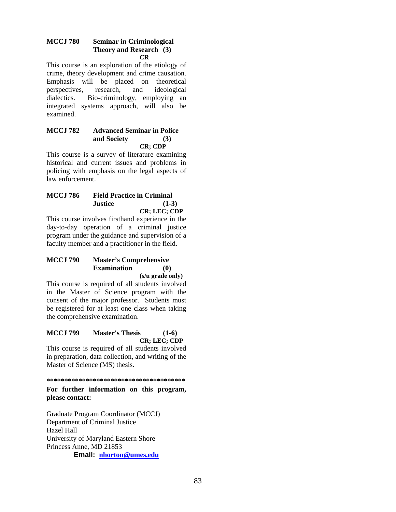### **MCCJ 780 Seminar in Criminological Theory and Research (3) CR**

This course is an exploration of the etiology of crime, theory development and crime causation. Emphasis will be placed on theoretical perspectives, research, and ideological dialectics. Bio-criminology, employing an integrated systems approach, will also be examined.

### **MCCJ 782 Advanced Seminar in Police and Society (3) CR; CDP**

This course is a survey of literature examining historical and current issues and problems in policing with emphasis on the legal aspects of law enforcement.

### **MCCJ 786 Field Practice in Criminal Justice (1-3) CR; LEC; CDP**

This course involves firsthand experience in the day-to-day operation of a criminal justice program under the guidance and supervision of a faculty member and a practitioner in the field.

### **MCCJ 790 Master's Comprehensive Examination (0) (s/u grade only)**

This course is required of all students involved in the Master of Science program with the consent of the major professor. Students must be registered for at least one class when taking the comprehensive examination.

### **MCCJ 799 Master's Thesis (1-6) CR; LEC; CDP**

This course is required of all students involved in preparation, data collection, and writing of the Master of Science (MS) thesis.

### **\*\*\*\*\*\*\*\*\*\*\*\*\*\*\*\*\*\*\*\*\*\*\*\*\*\*\*\*\*\*\*\*\*\*\*\*\*\*\***

**For further information on this program, please contact:** 

Graduate Program Coordinator (MCCJ) Department of Criminal Justice Hazel Hall University of Maryland Eastern Shore Princess Anne, MD 21853 **Email: nhorton@umes.edu**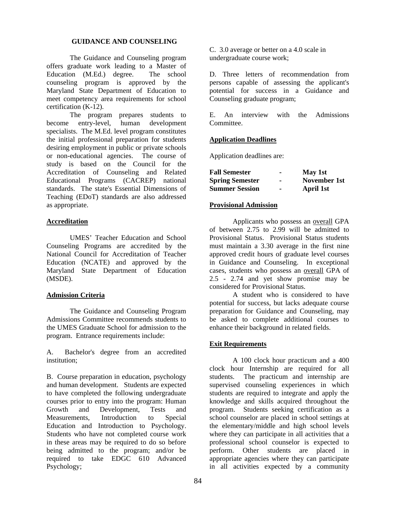### **GUIDANCE AND COUNSELING**

The Guidance and Counseling program offers graduate work leading to a Master of Education (M.Ed.) degree. The school counseling program is approved by the Maryland State Department of Education to meet competency area requirements for school certification (K-12).

The program prepares students to become entry-level, human development specialists. The M.Ed. level program constitutes the initial professional preparation for students desiring employment in public or private schools or non-educational agencies. The course of study is based on the Council for the Accreditation of Counseling and Related Educational Programs (CACREP) national standards. The state's Essential Dimensions of Teaching (EDoT) standards are also addressed as appropriate.

### **Accreditation**

UMES' Teacher Education and School Counseling Programs are accredited by the National Council for Accreditation of Teacher Education (NCATE) and approved by the Maryland State Department of Education (MSDE).

### **Admission Criteria**

The Guidance and Counseling Program Admissions Committee recommends students to the UMES Graduate School for admission to the program. Entrance requirements include:

A. Bachelor's degree from an accredited institution;

B. Course preparation in education, psychology and human development. Students are expected to have completed the following undergraduate courses prior to entry into the program: Human<br>Growth and Development. Tests and Growth and Development, Tests and Measurements, Introduction to Special Education and Introduction to Psychology. Students who have not completed course work in these areas may be required to do so before being admitted to the program; and/or be required to take EDGC 610 Advanced Psychology;

C. 3.0 average or better on a 4.0 scale in undergraduate course work;

D. Three letters of recommendation from persons capable of assessing the applicant's potential for success in a Guidance and Counseling graduate program;

E. An interview with the Admissions Committee.

### **Application Deadlines**

Application deadlines are:

| <b>Fall Semester</b>   |    | May 1st      |
|------------------------|----|--------------|
| <b>Spring Semester</b> | -  | November 1st |
| <b>Summer Session</b>  | ۰. | April 1st    |

### **Provisional Admission**

Applicants who possess an overall GPA of between 2.75 to 2.99 will be admitted to Provisional Status. Provisional Status students must maintain a 3.30 average in the first nine approved credit hours of graduate level courses in Guidance and Counseling. In exceptional cases, students who possess an overall GPA of 2.5 - 2.74 and yet show promise may be considered for Provisional Status.

A student who is considered to have potential for success, but lacks adequate course preparation for Guidance and Counseling, may be asked to complete additional courses to enhance their background in related fields.

### **Exit Requirements**

A 100 clock hour practicum and a 400 clock hour Internship are required for all students. The practicum and internship are supervised counseling experiences in which students are required to integrate and apply the knowledge and skills acquired throughout the program. Students seeking certification as a school counselor are placed in school settings at the elementary/middle and high school levels where they can participate in all activities that a professional school counselor is expected to perform. Other students are placed in appropriate agencies where they can participate in all activities expected by a community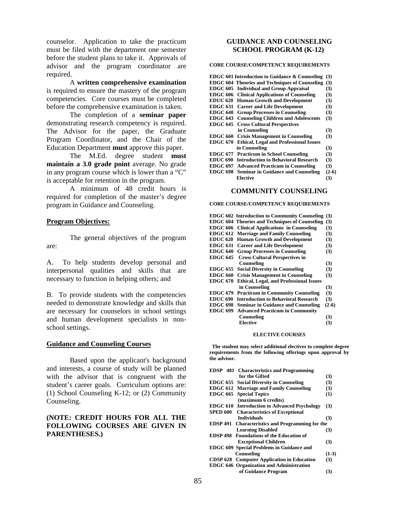counselor. Application to take the practicum must be filed with the department one semester before the student plans to take it. Approvals of advisor and the program coordinator are required.

A **written comprehensive examination** is required to ensure the mastery of the program competencies. Core courses must be completed before the comprehensive examination is taken.

The completion of a **seminar paper** demonstrating research competency is required. The Advisor for the paper, the Graduate Program Coordinator, and the Chair of the Education Department **must** approve this paper.

The M.Ed. degree student **must maintain a 3.0 grade point** average. No grade in any program course which is lower than a "C" is acceptable for retention in the program.

A minimum of 48 credit hours is required for completion of the master's degree program in Guidance and Counseling.

### **Program Objectives:**

The general objectives of the program are:

A. To help students develop personal and interpersonal qualities and skills that are necessary to function in helping others; and

B. To provide students with the competencies needed to demonstrate knowledge and skills that are necessary for counselors in school settings and human development specialists in nonschool settings.

#### **Guidance and Counseling Courses**

Based upon the applicant's background and interests, a course of study will be planned with the advisor that is congruent with the student's career goals. Curriculum options are: (1) School Counseling K-12; or (2) Community Counseling.

### **(NOTE: CREDIT HOURS FOR ALL THE FOLLOWING COURSES ARE GIVEN IN PARENTHESES.)**

### **GUIDANCE AND COUNSELING SCHOOL PROGRAM (K-12)**

#### **CORE COURSE/COMPETENCY REQUIREMENTS**

|                 | <b>EDGC 601 Introduction to Guidance &amp; Counseling</b> | (3)     |
|-----------------|-----------------------------------------------------------|---------|
|                 | <b>EDGC 604 Theories and Techniques of Counseling</b>     | (3)     |
|                 | EDGC 605 Individual and Group Appraisal                   | (3)     |
| <b>EDGC 606</b> | <b>Clinical Applications of Counseling</b>                | (3)     |
| <b>EDUC 620</b> | <b>Human Growth and Development</b>                       | (3)     |
| <b>EDGC 631</b> | <b>Career and Life Development</b>                        | (3)     |
| <b>EDGC 640</b> | <b>Group Processes in Counseling</b>                      | (3)     |
| <b>EDGC 643</b> | <b>Counseling Children and Adolescents</b>                | (3)     |
| <b>EDGC 645</b> | <b>Cross Cultural Perspectives</b>                        |         |
|                 | in Counseling                                             | (3)     |
| <b>EDGC 660</b> | <b>Crisis Management in Counseling</b>                    | (3)     |
| <b>EDGC 670</b> | <b>Ethical, Legal and Professional Issues</b>             |         |
|                 | in Counseling                                             | (3)     |
| <b>EDGC 677</b> | <b>Practicum in School Counseling</b>                     | (3)     |
| <b>EDUC 690</b> | <b>Introduction to Behavioral Research</b>                | (3)     |
| <b>EDGC 697</b> | <b>Advanced Practicum in Counseling</b>                   | (3)     |
| <b>EDGC 698</b> | <b>Seminar in Guidance and Counseling</b>                 | $(2-6)$ |
|                 | Elective                                                  | (3)     |
|                 |                                                           |         |

#### **COMMUNITY COUNSELING**

#### **CORE COURSE/COMPETENCY REQUIREMENTS**

|                 | <b>EDGC 602 Introduction to Community Counseling</b>  | (3)     |
|-----------------|-------------------------------------------------------|---------|
|                 | <b>EDGC 604 Theories and Techniques of Counseling</b> | (3)     |
| <b>EDGC 606</b> | <b>Clinical Applications in Counseling</b>            | (3)     |
| <b>EDGC 612</b> | <b>Marriage and Family Counseling</b>                 | (3)     |
| <b>EDUC 620</b> | <b>Human Growth and Development</b>                   | (3)     |
|                 | <b>EDGC 631 Career and Life Development</b>           | (3)     |
| <b>EDGC 640</b> | <b>Group Processes in Counseling</b>                  | (3)     |
| <b>EDGC 645</b> | <b>Cross Cultural Perspectives in</b>                 |         |
|                 | Counseling                                            | (3)     |
| <b>EDGC 655</b> | <b>Social Diversity in Counseling</b>                 | (3)     |
| <b>EDGC 660</b> | <b>Crisis Management in Counseling</b>                | (3)     |
| <b>EDGC 670</b> | <b>Ethical, Legal, and Professional Issues</b>        |         |
|                 | in Counseling                                         | (3)     |
| <b>EDGC 679</b> | <b>Practicum in Community Counseling</b>              | (3)     |
| <b>EDUC 690</b> | <b>Introduction to Behavioral Research</b>            | (3)     |
| <b>EDGC 698</b> | <b>Seminar in Guidance and Counseling</b>             | $(2-6)$ |
| <b>EDGC 699</b> | <b>Advanced Practicum in Community</b>                |         |
|                 | Counseling                                            | (3)     |
|                 | <b>Elective</b>                                       | (3)     |

#### **ELECTIVE COURSES**

 **The student may select additional electives to complete degree requirements from the following offerings upon approval by the advisor.** 

|                 | <b>EDSP</b> 481 Characteristics and Programming         |         |
|-----------------|---------------------------------------------------------|---------|
|                 | for the Gifted                                          | (3)     |
|                 | <b>EDGC 655</b> Social Diversity in Counseling          | (3)     |
|                 | <b>EDGC 612 Marriage and Family Counseling</b>          | (3)     |
| <b>EDGC 665</b> | <b>Special Topics</b>                                   | (1)     |
|                 | (maximum 6 credits)                                     |         |
|                 | <b>EDGC 610 Introduction to Advanced Psychology</b>     | (3)     |
| SPED 600        | <b>Characteristics of Exceptional</b>                   |         |
|                 | <b>Individuals</b>                                      | (3)     |
|                 | <b>EDSP 491</b> Characteristics and Programming for the |         |
|                 | <b>Learning Disabled</b>                                | (3)     |
|                 | <b>EDSP 498</b> Foundations of the Education of         |         |
|                 | <b>Exceptional Children</b>                             | (3)     |
|                 | EDGC 609 Special Problems in Guidance and               |         |
|                 | Counseling                                              | $(1-3)$ |
|                 | <b>CDSP 628</b> Computer Application in Education       | (3)     |
|                 | <b>EDGC 646 Organization and Administration</b>         |         |
|                 | of Guidance Program                                     | (3)     |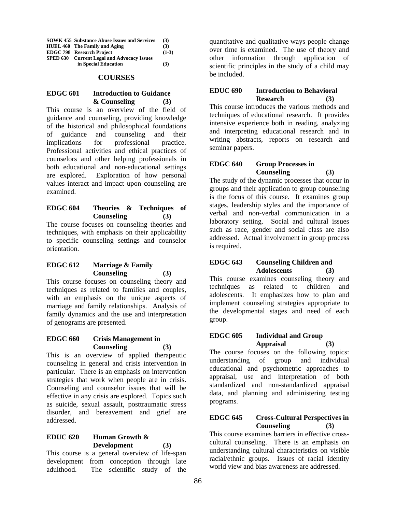| <b>SOWK 455 Substance Abuse Issues and Services</b> | (3)     |
|-----------------------------------------------------|---------|
| HUEL 460 The Family and Aging                       | (3)     |
| <b>EDGC 798</b> Research Project                    | $(1-3)$ |
| <b>SPED 630 Current Legal and Advocacy Issues</b>   |         |
| in Special Education                                | (3)     |

#### **COURSES**

### **EDGC 601 Introduction to Guidance & Counseling (3)**

This course is an overview of the field of guidance and counseling, providing knowledge of the historical and philosophical foundations of guidance and counseling and their implications for professional practice. Professional activities and ethical practices of counselors and other helping professionals in both educational and non-educational settings are explored. Exploration of how personal values interact and impact upon counseling are examined.

## **EDGC 604 Theories & Techniques of Counseling (3)**

The course focuses on counseling theories and techniques, with emphasis on their applicability to specific counseling settings and counselor orientation.

## **EDGC 612 Marriage & Family Counseling (3)**

This course focuses on counseling theory and techniques as related to families and couples, with an emphasis on the unique aspects of marriage and family relationships. Analysis of family dynamics and the use and interpretation of genograms are presented.

### **EDGC 660 Crisis Management in Counseling (3)**

This is an overview of applied therapeutic counseling in general and crisis intervention in particular. There is an emphasis on intervention strategies that work when people are in crisis. Counseling and counselor issues that will be effective in any crisis are explored. Topics such as suicide, sexual assault, posttraumatic stress disorder, and bereavement and grief are addressed.

### **EDUC 620 Human Growth & Development (3)**

This course is a general overview of life-span development from conception through late adulthood. The scientific study of the

quantitative and qualitative ways people change over time is examined. The use of theory and other information through application of scientific principles in the study of a child may be included.

### **EDUC 690 Introduction to Behavioral Research (3)**

This course introduces the various methods and techniques of educational research. It provides intensive experience both in reading, analyzing and interpreting educational research and in writing abstracts, reports on research and seminar papers.

## **EDGC 640 Group Processes in Counseling (3)**

The study of the dynamic processes that occur in groups and their application to group counseling is the focus of this course. It examines group stages, leadership styles and the importance of verbal and non-verbal communication in a laboratory setting. Social and cultural issues such as race, gender and social class are also addressed. Actual involvement in group process is required.

## **EDGC 643 Counseling Children and Adolescents (3)**

This course examines counseling theory and techniques as related to children and adolescents. It emphasizes how to plan and implement counseling strategies appropriate to the developmental stages and need of each group.

### **EDGC 605 Individual and Group Appraisal (3)**

The course focuses on the following topics: understanding of group and individual educational and psychometric approaches to appraisal, use and interpretation of both standardized and non-standardized appraisal data, and planning and administering testing programs.

## **EDGC 645 Cross-Cultural Perspectives in Counseling (3)**

This course examines barriers in effective crosscultural counseling. There is an emphasis on understanding cultural characteristics on visible racial/ethnic groups. Issues of racial identity world view and bias awareness are addressed.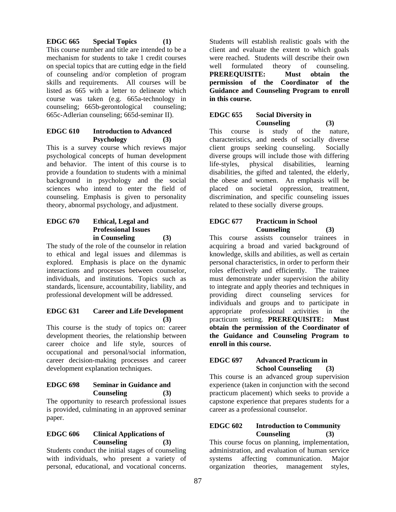**EDGC 665 Special Topics (1)** This course number and title are intended to be a mechanism for students to take 1 credit courses on special topics that are cutting edge in the field of counseling and/or completion of program skills and requirements. All courses will be listed as 665 with a letter to delineate which course was taken (e.g. 665a-technology in counseling; 665b-gerontological counseling; 665c-Adlerian counseling; 665d-seminar II).

## **EDGC 610 Introduction to Advanced Psychology (3)**

This is a survey course which reviews major psychological concepts of human development and behavior. The intent of this course is to provide a foundation to students with a minimal background in psychology and the social sciences who intend to enter the field of counseling. Emphasis is given to personality theory, abnormal psychology, and adjustment.

## **EDGC 670 Ethical, Legal and Professional Issues in Counseling (3)**

The study of the role of the counselor in relation to ethical and legal issues and dilemmas is explored. Emphasis is place on the dynamic interactions and processes between counselor, individuals, and institutions. Topics such as standards, licensure, accountability, liability, and professional development will be addressed.

## **EDGC 631 Career and Life Development (3)**

This course is the study of topics on: career development theories, the relationship between career choice and life style, sources of occupational and personal/social information, career decision-making processes and career development explanation techniques.

## **EDGC 698 Seminar in Guidance and Counseling (3)**

The opportunity to research professional issues is provided, culminating in an approved seminar paper.

## **EDGC 606 Clinical Applications of Counseling (3)**

Students conduct the initial stages of counseling with individuals, who present a variety of personal, educational, and vocational concerns.

Students will establish realistic goals with the client and evaluate the extent to which goals were reached. Students will describe their own well formulated theory of counseling. **PREREQUISITE: Must obtain the permission of the Coordinator of the Guidance and Counseling Program to enroll in this course.** 

# **EDGC 655 Social Diversity in Counseling (3)**

This course is study of the nature, characteristics, and needs of socially diverse client groups seeking counseling. Socially diverse groups will include those with differing life-styles, physical disabilities, learning disabilities, the gifted and talented, the elderly, the obese and women. An emphasis will be placed on societal oppression, treatment, discrimination, and specific counseling issues related to these socially diverse groups.

# **EDGC 677 Practicum in School Counseling (3)**

This course assists counselor trainees in acquiring a broad and varied background of knowledge, skills and abilities, as well as certain personal characteristics, in order to perform their roles effectively and efficiently. The trainee must demonstrate under supervision the ability to integrate and apply theories and techniques in providing direct counseling services for individuals and groups and to participate in appropriate professional activities in the practicum setting. **PREREQUISITE: Must obtain the permission of the Coordinator of the Guidance and Counseling Program to enroll in this course.** 

## **EDGC 697 Advanced Practicum in School Counseling (3)**

This course is an advanced group supervision experience (taken in conjunction with the second practicum placement) which seeks to provide a capstone experience that prepares students for a career as a professional counselor.

## **EDGC 602 Introduction to Community Counseling (3)**

This course focus on planning, implementation, administration, and evaluation of human service systems affecting communication. Major organization theories, management styles,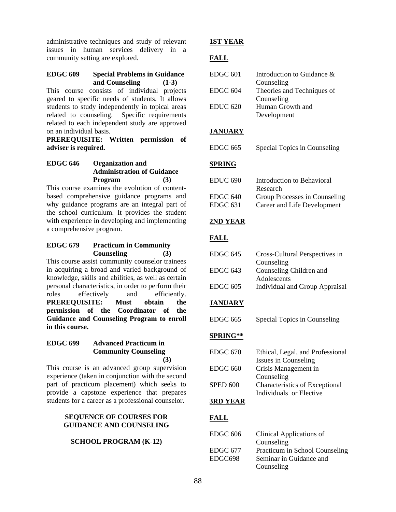administrative techniques and study of relevant issues in human services delivery in a community setting are explored.

### **EDGC 609 Special Problems in Guidance and Counseling (1-3)**

This course consists of individual projects geared to specific needs of students. It allows students to study independently in topical areas related to counseling. Specific requirements related to each independent study are approved on an individual basis.

**PREREQUISITE: Written permission of adviser is required.** 

## **EDGC 646 Organization and Administration of Guidance Program (3)**

This course examines the evolution of contentbased comprehensive guidance programs and why guidance programs are an integral part of the school curriculum. It provides the student with experience in developing and implementing a comprehensive program.

## **EDGC 679 Practicum in Community Counseling (3)**

This course assist community counselor trainees in acquiring a broad and varied background of knowledge, skills and abilities, as well as certain personal characteristics, in order to perform their roles effectively and efficiently. **PREREQUISITE: Must obtain the permission of the Coordinator of the Guidance and Counseling Program to enroll in this course.**

## **EDGC 699 Advanced Practicum in Community Counseling (3)**

This course is an advanced group supervision experience (taken in conjunction with the second part of practicum placement) which seeks to provide a capstone experience that prepares students for a career as a professional counselor.

## **SEQUENCE OF COURSES FOR GUIDANCE AND COUNSELING**

## **SCHOOL PROGRAM (K-12)**

## **1ST YEAR**

# **FALL**

| $EDGC$ 601 | Introduction to Guidance & |
|------------|----------------------------|
|            | Counseling                 |
| $EDGC$ 604 | Theories and Techniques of |
|            | Counseling                 |
| EDUC 620   | Human Growth and           |
|            | Development                |

## **JANUARY**

EDGC 665 Special Topics in Counseling

# **SPRING**

| EDUC 690 | Introduction to Behavioral    |
|----------|-------------------------------|
|          | Research                      |
| EDGC 640 | Group Processes in Counseling |
| EDGC 631 | Career and Life Development   |

## **2ND YEAR**

# **FALL**

| EDGC 645 | Cross-Cultural Perspectives in        |
|----------|---------------------------------------|
|          | Counseling                            |
| EDGC 643 | Counseling Children and               |
|          | Adolescents                           |
| EDGC 605 | <b>Individual and Group Appraisal</b> |

# **JANUARY**

EDGC 665 Special Topics in Counseling

# **SPRING\*\***

| EDGC 670        | Ethical, Legal, and Professional |
|-----------------|----------------------------------|
|                 | Issues in Counseling             |
| EDGC 660        | Crisis Management in             |
|                 | Counseling                       |
| <b>SPED 600</b> | Characteristics of Exceptional   |
|                 | Individuals or Elective          |

# **3RD YEAR**

# **FALL**

| EDGC 606 | Clinical Applications of       |
|----------|--------------------------------|
|          | Counseling                     |
| EDGC 677 | Practicum in School Counseling |
| EDGC698  | Seminar in Guidance and        |
|          | Counseling                     |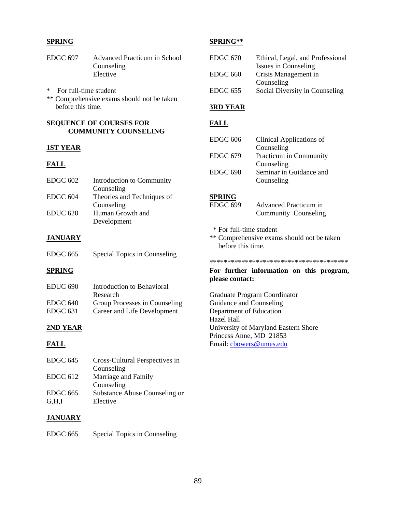### **SPRING**

- EDGC 697 Advanced Practicum in School Counseling Elective
- \* For full-time student \*\* Comprehensive exams should not be taken before this time.

### **SEQUENCE OF COURSES FOR COMMUNITY COUNSELING**

### **1ST YEAR**

## **FALL**

| EDGC <sub>602</sub> | Introduction to Community  |
|---------------------|----------------------------|
|                     | Counseling                 |
| EDGC 604            | Theories and Techniques of |
|                     | Counseling                 |
| <b>EDUC 620</b>     | Human Growth and           |
|                     | Development                |

## **JANUARY**

| <b>EDGC 665</b> |  | Special Topics in Counseling |
|-----------------|--|------------------------------|
|                 |  |                              |

# **SPRING**

| EDUC <sub>690</sub> | Introduction to Behavioral    |
|---------------------|-------------------------------|
|                     | Research                      |
| EDGC 640            | Group Processes in Counseling |
| EDGC 631            | Career and Life Development   |

### **2ND YEAR**

### **FALL**

| EDGC <sub>645</sub> | Cross-Cultural Perspectives in |
|---------------------|--------------------------------|
|                     | Counseling                     |
| EDGC 612            | Marriage and Family            |
|                     | Counseling                     |
| EDGC 665            | Substance Abuse Counseling or  |
| G.H.I               | Elective                       |

## **JANUARY**

EDGC 665 Special Topics in Counseling

### **SPRING\*\***

| EDGC 670 | Ethical, Legal, and Professional |
|----------|----------------------------------|
|          | Issues in Counseling             |
| EDGC 660 | Crisis Management in             |
|          | Counseling                       |
| EDGC 655 | Social Diversity in Counseling   |

## **3RD YEAR**

## **FALL**

| $EDGC$ 606          | Clinical Applications of |
|---------------------|--------------------------|
|                     | Counseling               |
| <b>EDGC 679</b>     | Practicum in Community   |
|                     | Counseling               |
| EDGC <sub>698</sub> | Seminar in Guidance and  |
|                     | Counseling               |

## **SPRING**

| EDGC 699 | Advanced Practicum in |
|----------|-----------------------|
|          | Community Counseling  |

- \* For full-time student
- \*\* Comprehensive exams should not be taken before this time.

### \*\*\*\*\*\*\*\*\*\*\*\*\*\*\*\*\*\*\*\*\*\*\*\*\*\*\*\*\*\*\*\*\*\*\*\*\*\*\*

### **For further information on this program, please contact:**

Graduate Program Coordinator Guidance and Counseling Department of Education Hazel Hall University of Maryland Eastern Shore Princess Anne, MD 21853 Email: cbowers@umes.edu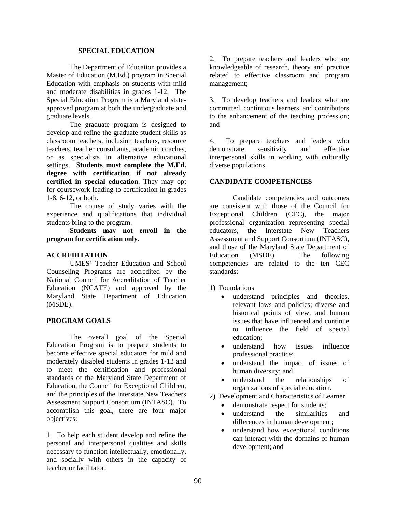### **SPECIAL EDUCATION**

The Department of Education provides a Master of Education (M.Ed.) program in Special Education with emphasis on students with mild and moderate disabilities in grades 1-12. The Special Education Program is a Maryland stateapproved program at both the undergraduate and graduate levels.

The graduate program is designed to develop and refine the graduate student skills as classroom teachers, inclusion teachers, resource teachers, teacher consultants, academic coaches, or as specialists in alternative educational settings. **Students must complete the M.Ed. degree with certification if not already certified in special education**. They may opt for coursework leading to certification in grades 1-8, 6-12, or both.

The course of study varies with the experience and qualifications that individual students bring to the program.

**Students may not enroll in the program for certification only**.

### **ACCREDITATION**

 UMES' Teacher Education and School Counseling Programs are accredited by the National Council for Accreditation of Teacher Education (NCATE) and approved by the Maryland State Department of Education (MSDE).

### **PROGRAM GOALS**

The overall goal of the Special Education Program is to prepare students to become effective special educators for mild and moderately disabled students in grades 1-12 and to meet the certification and professional standards of the Maryland State Department of Education, the Council for Exceptional Children, and the principles of the Interstate New Teachers Assessment Support Consortium (INTASC). To accomplish this goal, there are four major objectives:

1. To help each student develop and refine the personal and interpersonal qualities and skills necessary to function intellectually, emotionally, and socially with others in the capacity of teacher or facilitator;

2. To prepare teachers and leaders who are knowledgeable of research, theory and practice related to effective classroom and program management;

3. To develop teachers and leaders who are committed, continuous learners, and contributors to the enhancement of the teaching profession; and

4. To prepare teachers and leaders who demonstrate sensitivity and effective interpersonal skills in working with culturally diverse populations.

### **CANDIDATE COMPETENCIES**

 Candidate competencies and outcomes are consistent with those of the Council for Exceptional Children (CEC), the major professional organization representing special educators, the Interstate New Teachers Assessment and Support Consortium (INTASC), and those of the Maryland State Department of Education (MSDE). The following competencies are related to the ten CEC standards:

1) Foundations

- understand principles and theories, relevant laws and policies; diverse and historical points of view, and human issues that have influenced and continue to influence the field of special education;
- understand how issues influence professional practice;
- understand the impact of issues of human diversity; and
- understand the relationships of organizations of special education.
- 2) Development and Characteristics of Learner
	- demonstrate respect for students;
	- understand the similarities and differences in human development;
	- understand how exceptional conditions can interact with the domains of human development; and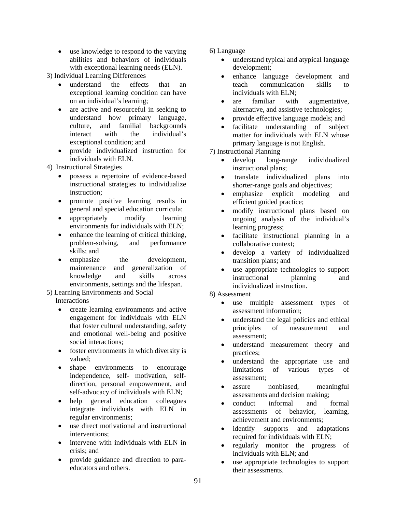• use knowledge to respond to the varying abilities and behaviors of individuals with exceptional learning needs (ELN).

3) Individual Learning Differences

- understand the effects that an exceptional learning condition can have on an individual's learning;
- are active and resourceful in seeking to understand how primary language, culture, and familial backgrounds interact with the individual's exceptional condition; and
- provide individualized instruction for individuals with ELN.

4) Instructional Strategies

- possess a repertoire of evidence-based instructional strategies to individualize instruction;
- promote positive learning results in general and special education curricula;
- appropriately modify learning environments for individuals with ELN;
- enhance the learning of critical thinking, problem-solving, and performance skills; and
- emphasize the development, maintenance and generalization of knowledge and skills across environments, settings and the lifespan.

# 5) Learning Environments and Social

Interactions

- create learning environments and active engagement for individuals with ELN that foster cultural understanding, safety and emotional well-being and positive social interactions;
- foster environments in which diversity is valued;
- shape environments to encourage independence, self- motivation, selfdirection, personal empowerment, and self-advocacy of individuals with ELN;
- help general education colleagues integrate individuals with ELN in regular environments;
- use direct motivational and instructional interventions;
- intervene with individuals with ELN in crisis; and
- provide guidance and direction to paraeducators and others.
- 6) Language
	- understand typical and atypical language development;
	- enhance language development and teach communication skills to individuals with ELN;
	- are familiar with augmentative, alternative, and assistive technologies;
	- provide effective language models; and
	- facilitate understanding of subject matter for individuals with ELN whose primary language is not English.

7) Instructional Planning

- develop long-range individualized instructional plans;
- translate individualized plans into shorter-range goals and objectives;
- emphasize explicit modeling and efficient guided practice;
- modify instructional plans based on ongoing analysis of the individual's learning progress;
- facilitate instructional planning in a collaborative context;
- develop a variety of individualized transition plans; and
- use appropriate technologies to support instructional planning and individualized instruction.

8) Assessment

- use multiple assessment types of assessment information;
- understand the legal policies and ethical principles of measurement and assessment;
- understand measurement theory and practices;
- understand the appropriate use and limitations of various types of assessment;
- assure nonbiased, meaningful assessments and decision making;
- conduct informal and formal assessments of behavior, learning, achievement and environments;
- identify supports and adaptations required for individuals with ELN;
- regularly monitor the progress of individuals with ELN; and
- use appropriate technologies to support their assessments.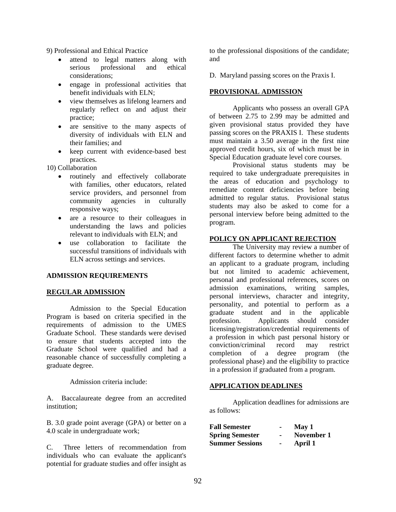9) Professional and Ethical Practice

- attend to legal matters along with serious professional and ethical considerations;
- engage in professional activities that benefit individuals with ELN;
- view themselves as lifelong learners and regularly reflect on and adjust their practice;
- are sensitive to the many aspects of diversity of individuals with ELN and their families; and
- keep current with evidence-based best practices.

10) Collaboration

- routinely and effectively collaborate with families, other educators, related service providers, and personnel from community agencies in culturally responsive ways;
- are a resource to their colleagues in understanding the laws and policies relevant to individuals with ELN; and
- use collaboration to facilitate the successful transitions of individuals with ELN across settings and services.

## **ADMISSION REQUIREMENTS**

### **REGULAR ADMISSION**

Admission to the Special Education Program is based on criteria specified in the requirements of admission to the UMES Graduate School. These standards were devised to ensure that students accepted into the Graduate School were qualified and had a reasonable chance of successfully completing a graduate degree.

Admission criteria include:

A. Baccalaureate degree from an accredited institution;

B. 3.0 grade point average (GPA) or better on a 4.0 scale in undergraduate work;

C. Three letters of recommendation from individuals who can evaluate the applicant's potential for graduate studies and offer insight as

to the professional dispositions of the candidate; and

D. Maryland passing scores on the Praxis I.

### **PROVISIONAL ADMISSION**

Applicants who possess an overall GPA of between 2.75 to 2.99 may be admitted and given provisional status provided they have passing scores on the PRAXIS I. These students must maintain a 3.50 average in the first nine approved credit hours, six of which must be in Special Education graduate level core courses.

Provisional status students may be required to take undergraduate prerequisites in the areas of education and psychology to remediate content deficiencies before being admitted to regular status. Provisional status students may also be asked to come for a personal interview before being admitted to the program.

### **POLICY ON APPLICANT REJECTION**

 The University may review a number of different factors to determine whether to admit an applicant to a graduate program, including but not limited to academic achievement, personal and professional references, scores on admission examinations, writing samples, personal interviews, character and integrity, personality, and potential to perform as a graduate student and in the applicable profession. Applicants should consider licensing/registration/credential requirements of a profession in which past personal history or conviction/criminal record may restrict completion of a degree program (the professional phase) and the eligibility to practice in a profession if graduated from a program.

### **APPLICATION DEADLINES**

Application deadlines for admissions are as follows:

| <b>Fall Semester</b>   |                | May 1      |
|------------------------|----------------|------------|
| <b>Spring Semester</b> |                | November 1 |
| <b>Summer Sessions</b> | $\blacksquare$ | April 1    |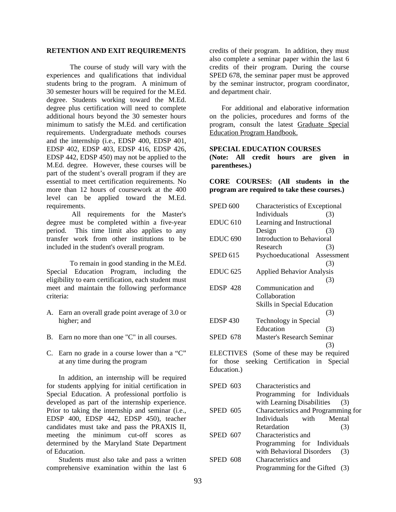#### **RETENTION AND EXIT REQUIREMENTS**

The course of study will vary with the experiences and qualifications that individual students bring to the program. A minimum of 30 semester hours will be required for the M.Ed. degree. Students working toward the M.Ed. degree plus certification will need to complete additional hours beyond the 30 semester hours minimum to satisfy the M.Ed. and certification requirements. Undergraduate methods courses and the internship (i.e., EDSP 400, EDSP 401, EDSP 402, EDSP 403, EDSP 416, EDSP 426, EDSP 442, EDSP 450) may not be applied to the M.Ed. degree. However, these courses will be part of the student's overall program if they are essential to meet certification requirements. No more than 12 hours of coursework at the 400 level can be applied toward the M.Ed. requirements.

 All requirements for the Master's degree must be completed within a five-year period. This time limit also applies to any transfer work from other institutions to be included in the student's overall program.

To remain in good standing in the M.Ed. Special Education Program, including the eligibility to earn certification, each student must meet and maintain the following performance criteria:

- A. Earn an overall grade point average of 3.0 or higher; and
- B. Earn no more than one "C" in all courses.
- C. Earn no grade in a course lower than a "C" at any time during the program

In addition, an internship will be required for students applying for initial certification in Special Education. A professional portfolio is developed as part of the internship experience. Prior to taking the internship and seminar (i.e., EDSP 400, EDSP 442, EDSP 450), teacher candidates must take and pass the PRAXIS II, meeting the minimum cut-off scores as determined by the Maryland State Department of Education.

Students must also take and pass a written comprehensive examination within the last 6

credits of their program. In addition, they must also complete a seminar paper within the last 6 credits of their program. During the course SPED 678, the seminar paper must be approved by the seminar instructor, program coordinator, and department chair.

For additional and elaborative information on the policies, procedures and forms of the program, consult the latest Graduate Special Education Program Handbook.

#### **SPECIAL EDUCATION COURSES**

**(Note: All credit hours are given in parentheses.)** 

**CORE COURSES: (All students in the program are required to take these courses.)**

| <b>SPED 600</b> | Characteristics of Exceptional   |     |
|-----------------|----------------------------------|-----|
|                 | Individuals                      | (3) |
| <b>EDUC 610</b> | Learning and Instructional       |     |
|                 | Design                           | (3) |
| <b>EDUC 690</b> | Introduction to Behavioral       |     |
|                 | Research                         | (3) |
| <b>SPED 615</b> | Psychoeducational Assessment     |     |
|                 |                                  | (3) |
| <b>EDUC 625</b> | <b>Applied Behavior Analysis</b> |     |
|                 |                                  | (3) |
| <b>EDSP 428</b> | Communication and                |     |
|                 | Collaboration                    |     |
|                 | Skills in Special Education      |     |
|                 |                                  | (3) |
| <b>EDSP 430</b> | Technology in Special            |     |
|                 | Education                        | (3) |
| <b>SPED 678</b> | <b>Master's Research Seminar</b> |     |
|                 |                                  | (3) |
| ELECTIVES       | (Some of these may be required   |     |

for those seeking Certification in Special Education.)

| SPED 603 | Characteristics and                 |        |
|----------|-------------------------------------|--------|
|          | Programming for Individuals         |        |
|          | with Learning Disabilities (3)      |        |
| SPED 605 | Characteristics and Programming for |        |
|          | Individuals with                    | Mental |
|          | Retardation                         | (3)    |
| SPED 607 | Characteristics and                 |        |
|          | Programming for Individuals         |        |
|          | with Behavioral Disorders           | (3)    |
| SPED 608 | Characteristics and                 |        |
|          | Programming for the Gifted (3)      |        |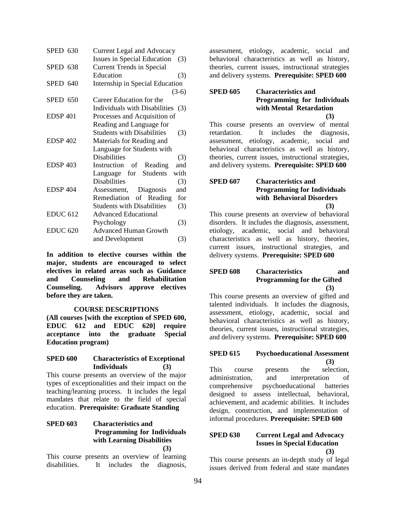| <b>SPED 630</b>     | <b>Current Legal and Advocacy</b>         |  |
|---------------------|-------------------------------------------|--|
|                     | <b>Issues in Special Education</b><br>(3) |  |
| SPED 638            | <b>Current Trends in Special</b>          |  |
|                     | Education<br>(3)                          |  |
| <b>SPED 640</b>     | Internship in Special Education           |  |
|                     | $(3-6)$                                   |  |
| SPED 650            | Career Education for the                  |  |
|                     | Individuals with Disabilities (3)         |  |
| <b>EDSP 401</b>     | Processes and Acquisition of              |  |
|                     | Reading and Language for                  |  |
|                     | <b>Students with Disabilities</b><br>(3)  |  |
| <b>EDSP 402</b>     | Materials for Reading and                 |  |
|                     | Language for Students with                |  |
|                     | <b>Disabilities</b><br>(3)                |  |
| <b>EDSP 403</b>     | Instruction of Reading<br>and             |  |
|                     | with<br>Language for Students             |  |
|                     | <b>Disabilities</b><br>(3)                |  |
| EDSP <sub>404</sub> | Assessment, Diagnosis<br>and              |  |
|                     | Remediation of Reading<br>for             |  |
|                     | <b>Students with Disabilities</b><br>(3)  |  |
| <b>EDUC 612</b>     | <b>Advanced Educational</b>               |  |
|                     | Psychology<br>(3)                         |  |
| <b>EDUC 620</b>     | <b>Advanced Human Growth</b>              |  |
|                     | (3)<br>and Development                    |  |
|                     |                                           |  |

**In addition to elective courses within the major, students are encouraged to select electives in related areas such as Guidance and Counseling and Rehabilitation Counseling. Advisors approve electives before they are taken.** 

### **COURSE DESCRIPTIONS**

**(All courses [with the exception of SPED 600, EDUC 612 and EDUC 620] require acceptance into the graduate Special Education program)** 

### **SPED 600 Characteristics of Exceptional Individuals (3)**

This course presents an overview of the major types of exceptionalities and their impact on the teaching/learning process. It includes the legal mandates that relate to the field of special education. **Prerequisite: Graduate Standing**

### **SPED 603 Characteristics and Programming for Individuals with Learning Disabilities (3)**

This course presents an overview of learning disabilities. It includes the diagnosis,

assessment, etiology, academic, social and behavioral characteristics as well as history, theories, current issues, instructional strategies and delivery systems. **Prerequisite: SPED 600**

## **SPED 605 Characteristics and Programming for Individuals with Mental Retardation (3)**

This course presents an overview of mental retardation. It includes the diagnosis, assessment, etiology, academic, social and behavioral characteristics as well as history, theories, current issues, instructional strategies, and delivery systems. **Prerequisite: SPED 600**

## **SPED 607 Characteristics and Programming for Individuals with Behavioral Disorders (3)**

This course presents an overview of behavioral disorders. It includes the diagnosis, assessment, etiology, academic, social and behavioral characteristics as well as history, theories, current issues, instructional strategies, and delivery systems. **Prerequisite: SPED 600** 

## **SPED 608 Characteristics and Programming for the Gifted (3)**

This course presents an overview of gifted and talented individuals. It includes the diagnosis, assessment, etiology, academic, social and behavioral characteristics as well as history, theories, current issues, instructional strategies, and delivery systems. **Prerequisite: SPED 600** 

## **SPED 615 Psychoeducational Assessment (3)**

This course presents the selection, administration, and interpretation of comprehensive psychoeducational batteries designed to assess intellectual, behavioral, achievement, and academic abilities. It includes design, construction, and implementation of informal procedures. **Prerequisite: SPED 600**

## **SPED 630 Current Legal and Advocacy Issues in Special Education (3)**

This course presents an in-depth study of legal issues derived from federal and state mandates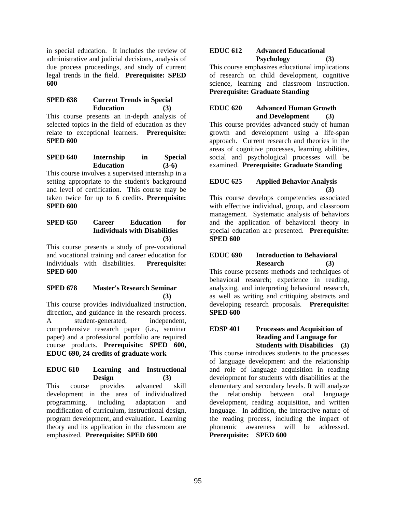in special education. It includes the review of administrative and judicial decisions, analysis of due process proceedings, and study of current legal trends in the field. **Prerequisite: SPED 600** 

## **SPED 638 Current Trends in Special Education (3)**

This course presents an in-depth analysis of selected topics in the field of education as they relate to exceptional learners. **Prerequisite: SPED 600** 

**SPED 640 Internship in Special Education (3-6)** 

This course involves a supervised internship in a setting appropriate to the student's background and level of certification. This course may be taken twice for up to 6 credits. **Prerequisite: SPED 600** 

## **SPED 650 Career Education for Individuals with Disabilities (3)**

This course presents a study of pre-vocational and vocational training and career education for individuals with disabilities. **Prerequisite: SPED 600** 

## **SPED 678 Master's Research Seminar (3)**

This course provides individualized instruction, direction, and guidance in the research process. A student-generated, independent, comprehensive research paper (i.e., seminar paper) and a professional portfolio are required course products. **Prerequisite: SPED 600, EDUC 690, 24 credits of graduate work** 

### **EDUC 610 Learning and Instructional Design (3)**

This course provides advanced skill development in the area of individualized programming, including adaptation and modification of curriculum, instructional design, program development, and evaluation. Learning theory and its application in the classroom are emphasized. **Prerequisite: SPED 600** 

## **EDUC 612 Advanced Educational Psychology (3)**

This course emphasizes educational implications of research on child development, cognitive science, learning and classroom instruction. **Prerequisite: Graduate Standing** 

## **EDUC 620 Advanced Human Growth and Development (3)**

This course provides advanced study of human growth and development using a life-span approach. Current research and theories in the areas of cognitive processes, learning abilities, social and psychological processes will be examined. **Prerequisite: Graduate Standing** 

# **EDUC 625 Applied Behavior Analysis (3)**

This course develops competencies associated with effective individual, group, and classroom management. Systematic analysis of behaviors and the application of behavioral theory in special education are presented. **Prerequisite: SPED 600** 

## **EDUC 690 Introduction to Behavioral Research (3)**

This course presents methods and techniques of behavioral research; experience in reading, analyzing, and interpreting behavioral research, as well as writing and critiquing abstracts and developing research proposals. **Prerequisite: SPED 600** 

### **EDSP 401 Processes and Acquisition of Reading and Language for Students with Disabilities (3)**

This course introduces students to the processes of language development and the relationship and role of language acquisition in reading development for students with disabilities at the elementary and secondary levels. It will analyze the relationship between oral language development, reading acquisition, and written language. In addition, the interactive nature of the reading process, including the impact of phonemic awareness will be addressed. **Prerequisite: SPED 600**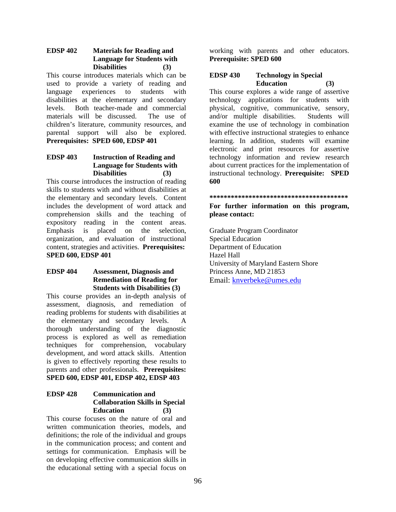## **EDSP 402 Materials for Reading and Language for Students with Disabilities (3)**

This course introduces materials which can be used to provide a variety of reading and language experiences to students with disabilities at the elementary and secondary levels. Both teacher-made and commercial materials will be discussed. The use of children's literature, community resources, and parental support will also be explored. **Prerequisites: SPED 600, EDSP 401** 

## **EDSP 403 Instruction of Reading and Language for Students with Disabilities (3)**

This course introduces the instruction of reading skills to students with and without disabilities at the elementary and secondary levels. Content includes the development of word attack and comprehension skills and the teaching of expository reading in the content areas. Emphasis is placed on the selection, organization, and evaluation of instructional content, strategies and activities. **Prerequisites: SPED 600, EDSP 401** 

## **EDSP 404 Assessment, Diagnosis and Remediation of Reading for Students with Disabilities (3)**

This course provides an in-depth analysis of assessment, diagnosis, and remediation of reading problems for students with disabilities at the elementary and secondary levels. A thorough understanding of the diagnostic process is explored as well as remediation techniques for comprehension, vocabulary development, and word attack skills. Attention is given to effectively reporting these results to parents and other professionals. **Prerequisites: SPED 600, EDSP 401, EDSP 402, EDSP 403** 

## **EDSP 428 Communication and Collaboration Skills in Special Education (3)**

This course focuses on the nature of oral and written communication theories, models, and definitions; the role of the individual and groups in the communication process; and content and settings for communication. Emphasis will be on developing effective communication skills in the educational setting with a special focus on

working with parents and other educators. **Prerequisite: SPED 600** 

## **EDSP 430 Technology in Special Education (3)**

This course explores a wide range of assertive technology applications for students with physical, cognitive, communicative, sensory, and/or multiple disabilities. Students will examine the use of technology in combination with effective instructional strategies to enhance learning. In addition, students will examine electronic and print resources for assertive technology information and review research about current practices for the implementation of instructional technology. **Prerequisite: SPED 600** 

**\*\*\*\*\*\*\*\*\*\*\*\*\*\*\*\*\*\*\*\*\*\*\*\*\*\*\*\*\*\*\*\*\*\*\*\*\*\*\*** 

**For further information on this program, please contact:** 

Graduate Program Coordinator Special Education Department of Education Hazel Hall University of Maryland Eastern Shore Princess Anne, MD 21853 Email: knverbeke@umes.edu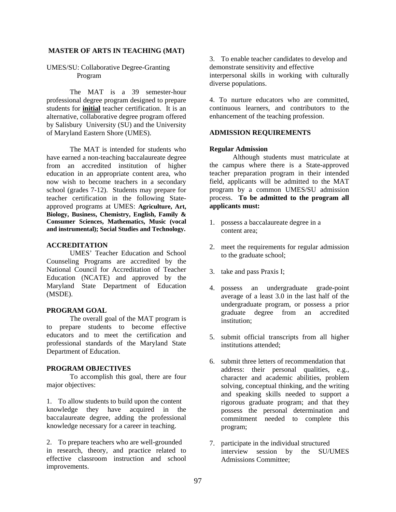#### **MASTER OF ARTS IN TEACHING (MAT)**

### UMES/SU: Collaborative Degree-Granting Program

The MAT is a 39 semester-hour professional degree program designed to prepare students for **initial** teacher certification. It is an alternative, collaborative degree program offered by Salisbury University (SU) and the University of Maryland Eastern Shore (UMES).

 The MAT is intended for students who have earned a non-teaching baccalaureate degree from an accredited institution of higher education in an appropriate content area, who now wish to become teachers in a secondary school (grades 7-12). Students may prepare for teacher certification in the following Stateapproved programs at UMES: **Agriculture, Art, Biology, Business, Chemistry, English, Family & Consumer Sciences, Mathematics, Music (vocal and instrumental); Social Studies and Technology.** 

### **ACCREDITATION**

 UMES' Teacher Education and School Counseling Programs are accredited by the National Council for Accreditation of Teacher Education (NCATE) and approved by the Maryland State Department of Education (MSDE).

#### **PROGRAM GOAL**

The overall goal of the MAT program is to prepare students to become effective educators and to meet the certification and professional standards of the Maryland State Department of Education.

### **PROGRAM OBJECTIVES**

To accomplish this goal, there are four major objectives:

1. To allow students to build upon the content knowledge they have acquired in the baccalaureate degree, adding the professional knowledge necessary for a career in teaching.

2. To prepare teachers who are well-grounded in research, theory, and practice related to effective classroom instruction and school improvements.

3. To enable teacher candidates to develop and demonstrate sensitivity and effective interpersonal skills in working with culturally diverse populations.

4. To nurture educators who are committed, continuous learners, and contributors to the enhancement of the teaching profession.

### **ADMISSION REQUIREMENTS**

### **Regular Admission**

 Although students must matriculate at the campus where there is a State-approved teacher preparation program in their intended field, applicants will be admitted to the MAT program by a common UMES/SU admission process. **To be admitted to the program all applicants must:**

- 1. possess a baccalaureate degree in a content area;
- 2. meet the requirements for regular admission to the graduate school;
- 3. take and pass Praxis I;
- 4. possess an undergraduate grade-point average of a least 3.0 in the last half of the undergraduate program, or possess a prior graduate degree from an accredited institution;
- 5. submit official transcripts from all higher institutions attended;
- 6. submit three letters of recommendation that address: their personal qualities, e.g., character and academic abilities, problem solving, conceptual thinking, and the writing and speaking skills needed to support a rigorous graduate program; and that they possess the personal determination and commitment needed to complete this program;
- 7. participate in the individual structured interview session by the SU/UMES Admissions Committee;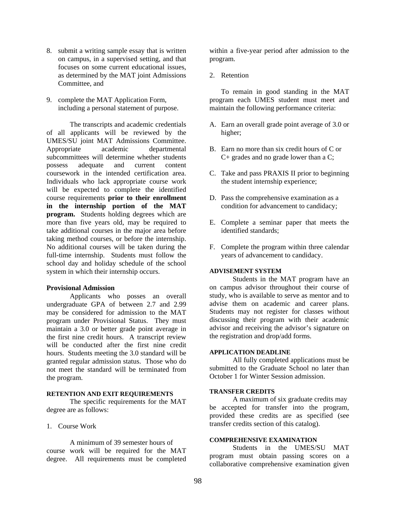- 8. submit a writing sample essay that is written on campus, in a supervised setting, and that focuses on some current educational issues, as determined by the MAT joint Admissions Committee, and
- 9. complete the MAT Application Form, including a personal statement of purpose.

The transcripts and academic credentials of all applicants will be reviewed by the UMES/SU joint MAT Admissions Committee. Appropriate academic departmental subcommittees will determine whether students possess adequate and current content coursework in the intended certification area. Individuals who lack appropriate course work will be expected to complete the identified course requirements **prior to their enrollment in the internship portion of the MAT program.** Students holding degrees which are more than five years old, may be required to take additional courses in the major area before taking method courses, or before the internship. No additional courses will be taken during the full-time internship. Students must follow the school day and holiday schedule of the school system in which their internship occurs.

### **Provisional Admission**

Applicants who posses an overall undergraduate GPA of between 2.7 and 2.99 may be considered for admission to the MAT program under Provisional Status. They must maintain a 3.0 or better grade point average in the first nine credit hours. A transcript review will be conducted after the first nine credit hours. Students meeting the 3.0 standard will be granted regular admission status. Those who do not meet the standard will be terminated from the program.

#### **RETENTION AND EXIT REQUIREMENTS**

 The specific requirements for the MAT degree are as follows:

1. Course Work

A minimum of 39 semester hours of course work will be required for the MAT degree. All requirements must be completed within a five-year period after admission to the program.

2. Retention

To remain in good standing in the MAT program each UMES student must meet and maintain the following performance criteria:

- A. Earn an overall grade point average of 3.0 or higher;
- B. Earn no more than six credit hours of C or C+ grades and no grade lower than a C;
- C. Take and pass PRAXIS II prior to beginning the student internship experience;
- D. Pass the comprehensive examination as a condition for advancement to candidacy;
- E. Complete a seminar paper that meets the identified standards;
- F. Complete the program within three calendar years of advancement to candidacy.

### **ADVISEMENT SYSTEM**

Students in the MAT program have an on campus advisor throughout their course of study, who is available to serve as mentor and to advise them on academic and career plans. Students may not register for classes without discussing their program with their academic advisor and receiving the advisor's signature on the registration and drop/add forms.

#### **APPLICATION DEADLINE**

All fully completed applications must be submitted to the Graduate School no later than October 1 for Winter Session admission.

#### **TRANSFER CREDITS**

 A maximum of six graduate credits may be accepted for transfer into the program, provided these credits are as specified (see transfer credits section of this catalog).

### **COMPREHENSIVE EXAMINATION**

Students in the UMES/SU MAT program must obtain passing scores on a collaborative comprehensive examination given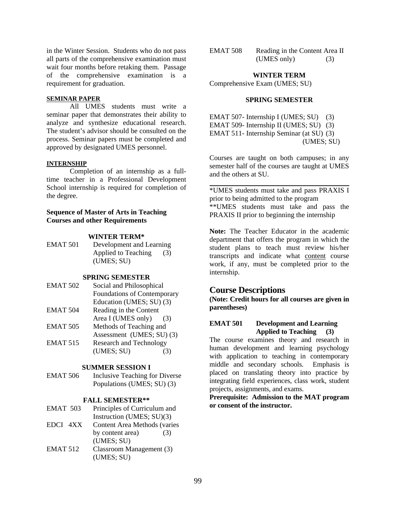in the Winter Session. Students who do not pass all parts of the comprehensive examination must wait four months before retaking them. Passage of the comprehensive examination is a requirement for graduation.

#### **SEMINAR PAPER**

All UMES students must write a seminar paper that demonstrates their ability to analyze and synthesize educational research. The student's advisor should be consulted on the process. Seminar papers must be completed and approved by designated UMES personnel.

### **INTERNSHIP**

Completion of an internship as a fulltime teacher in a Professional Development School internship is required for completion of the degree.

### **Sequence of Master of Arts in Teaching Courses and other Requirements**

#### **WINTER TERM\***

EMAT 501 Development and Learning Applied to Teaching (3) (UMES; SU)

#### **SPRING SEMESTER**

- EMAT 502 Social and Philosophical Foundations of Contemporary Education (UMES; SU) (3) EMAT 504 Reading in the Content
- Area I (UMES only) (3) EMAT 505 Methods of Teaching and
- Assessment (UMES; SU) (3)<br>EMAT 515 Research and Technology Research and Technology
- (UMES; SU) (3)

### **SUMMER SESSION I**

EMAT 506 Inclusive Teaching for Diverse Populations (UMES; SU) (3)

### **FALL SEMESTER\*\***

- EMAT 503 Principles of Curriculum and Instruction (UMES; SU)(3)
- EDCI 4XX Content Area Methods (varies by content area) (3) (UMES; SU)
- EMAT 512 Classroom Management (3) (UMES; SU)

| EMAT 508 | Reading in the Content Area II |     |
|----------|--------------------------------|-----|
|          | (UMES only)                    | (3) |

#### **WINTER TERM**

Comprehensive Exam (UMES; SU)

### **SPRING SEMESTER**

EMAT 507- Internship I (UMES; SU) (3) EMAT 509- Internship II (UMES; SU) (3) EMAT 511- Internship Seminar (at SU) (3) (UMES; SU)

Courses are taught on both campuses; in any semester half of the courses are taught at UMES and the others at SU.

\*UMES students must take and pass PRAXIS I prior to being admitted to the program \*\*UMES students must take and pass the PRAXIS II prior to beginning the internship

**Note:** The Teacher Educator in the academic department that offers the program in which the student plans to teach must review his/her transcripts and indicate what content course work, if any, must be completed prior to the internship.

## **Course Descriptions**

**(Note: Credit hours for all courses are given in parentheses)** 

## **EMAT 501 Development and Learning Applied to Teaching (3)**

The course examines theory and research in human development and learning psychology with application to teaching in contemporary middle and secondary schools. Emphasis is placed on translating theory into practice by integrating field experiences, class work, student projects, assignments, and exams.

**Prerequisite: Admission to the MAT program or consent of the instructor.**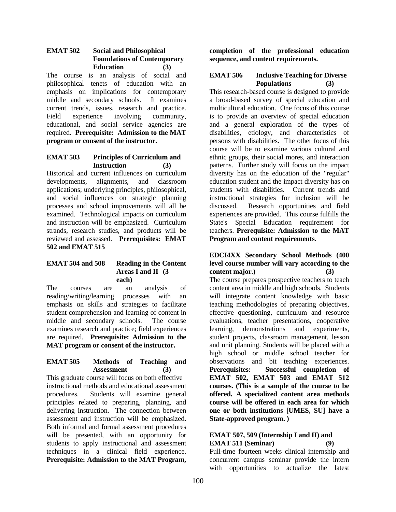### **EMAT 502 Social and Philosophical Foundations of Contemporary Education (3)**

The course is an analysis of social and philosophical tenets of education with an emphasis on implications for contemporary middle and secondary schools. It examines current trends, issues, research and practice. Field experience involving community, educational, and social service agencies are required. **Prerequisite: Admission to the MAT program or consent of the instructor.**

### **EMAT 503 Principles of Curriculum and Instruction (3)**

Historical and current influences on curriculum developments, alignments, and classroom applications; underlying principles, philosophical, and social influences on strategic planning processes and school improvements will all be examined. Technological impacts on curriculum and instruction will be emphasized. Curriculum strands, research studies, and products will be reviewed and assessed. **Prerequisites: EMAT 502 and EMAT 515**

## **EMAT 504 and 508 Reading in the Content Areas I and II (3 each)**

The courses are an analysis of reading/writing/learning processes with an emphasis on skills and strategies to facilitate student comprehension and learning of content in middle and secondary schools. The course examines research and practice; field experiences are required. **Prerequisite: Admission to the MAT program or consent of the instructor.**

### **EMAT 505 Methods of Teaching and Assessment (3)**

This graduate course will focus on both effective instructional methods and educational assessment procedures. Students will examine general principles related to preparing, planning, and delivering instruction. The connection between assessment and instruction will be emphasized. Both informal and formal assessment procedures will be presented, with an opportunity for students to apply instructional and assessment techniques in a clinical field experience. **Prerequisite: Admission to the MAT Program,** 

**completion of the professional education sequence, and content requirements.** 

## **EMAT 506 Inclusive Teaching for Diverse Populations (3)**

This research-based course is designed to provide a broad-based survey of special education and multicultural education. One focus of this course is to provide an overview of special education and a general exploration of the types of disabilities, etiology, and characteristics of persons with disabilities. The other focus of this course will be to examine various cultural and ethnic groups, their social mores, and interaction patterns. Further study will focus on the impact diversity has on the education of the "regular" education student and the impact diversity has on students with disabilities. Current trends and instructional strategies for inclusion will be discussed. Research opportunities and field experiences are provided. This course fulfills the State's Special Education requirement for teachers. **Prerequisite: Admission to the MAT Program and content requirements.**

## **EDCI4XX Secondary School Methods (400 level course number will vary according to the content major.) (3)**

The course prepares prospective teachers to teach content area in middle and high schools. Students will integrate content knowledge with basic teaching methodologies of preparing objectives, effective questioning, curriculum and resource evaluations, teacher presentations, cooperative learning, demonstrations and experiments, student projects, classroom management, lesson and unit planning. Students will be placed with a high school or middle school teacher for observations and bit teaching experiences. **Prerequisites: Successful completion of EMAT 502, EMAT 503 and EMAT 512 courses. (This is a sample of the course to be offered. A specialized content area methods course will be offered in each area for which one or both institutions [UMES, SU] have a State-approved program. )** 

### **EMAT 507, 509 (Internship I and II) and EMAT 511 (Seminar) (9)**

Full-time fourteen weeks clinical internship and concurrent campus seminar provide the intern with opportunities to actualize the latest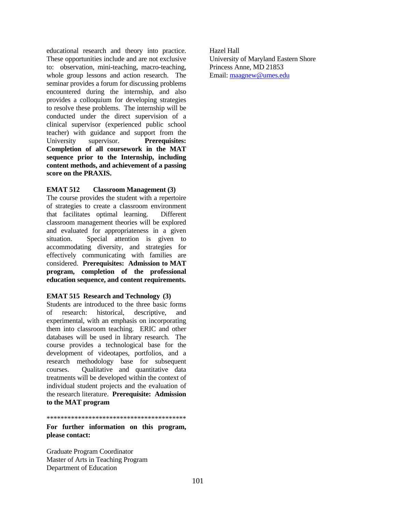educational research and theory into practice. These opportunities include and are not exclusive to: observation, mini-teaching, macro-teaching, whole group lessons and action research. The seminar provides a forum for discussing problems encountered during the internship, and also provides a colloquium for developing strategies to resolve these problems. The internship will be conducted under the direct supervision of a clinical supervisor (experienced public school teacher) with guidance and support from the University supervisor. **Prerequisites: Completion of all coursework in the MAT sequence prior to the Internship, including content methods, and achievement of a passing score on the PRAXIS.**

## **EMAT 512 Classroom Management (3)**

The course provides the student with a repertoire of strategies to create a classroom environment that facilitates optimal learning. Different classroom management theories will be explored and evaluated for appropriateness in a given situation. Special attention is given to accommodating diversity, and strategies for effectively communicating with families are considered. **Prerequisites: Admission to MAT program, completion of the professional education sequence, and content requirements.** 

### **EMAT 515 Research and Technology (3)**

Students are introduced to the three basic forms of research: historical, descriptive, and experimental, with an emphasis on incorporating them into classroom teaching. ERIC and other databases will be used in library research. The course provides a technological base for the development of videotapes, portfolios, and a research methodology base for subsequent courses. Qualitative and quantitative data treatments will be developed within the context of individual student projects and the evaluation of the research literature. **Prerequisite: Admission to the MAT program**

\*\*\*\*\*\*\*\*\*\*\*\*\*\*\*\*\*\*\*\*\*\*\*\*\*\*\*\*\*\*\*\*\*\*\*\*\*\*\*\*

**For further information on this program, please contact:** 

Graduate Program Coordinator Master of Arts in Teaching Program Department of Education

Hazel Hall University of Maryland Eastern Shore Princess Anne, MD 21853 Email: maagnew@umes.edu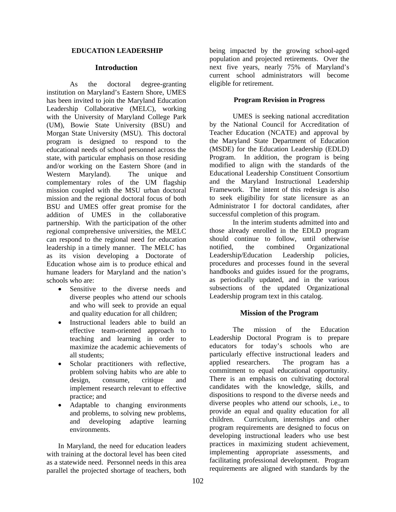### **EDUCATION LEADERSHIP**

### **Introduction**

 As the doctoral degree-granting institution on Maryland's Eastern Shore, UMES has been invited to join the Maryland Education Leadership Collaborative (MELC), working with the University of Maryland College Park (UM), Bowie State University (BSU) and Morgan State University (MSU). This doctoral program is designed to respond to the educational needs of school personnel across the state, with particular emphasis on those residing and/or working on the Eastern Shore (and in Western Maryland). The unique and complementary roles of the UM flagship mission coupled with the MSU urban doctoral mission and the regional doctoral focus of both BSU and UMES offer great promise for the addition of UMES in the collaborative partnership. With the participation of the other regional comprehensive universities, the MELC can respond to the regional need for education leadership in a timely manner. The MELC has as its vision developing a Doctorate of Education whose aim is to produce ethical and humane leaders for Maryland and the nation's schools who are:

- Sensitive to the diverse needs and diverse peoples who attend our schools and who will seek to provide an equal and quality education for all children;
- Instructional leaders able to build an effective team-oriented approach to teaching and learning in order to maximize the academic achievements of all students;
- Scholar practitioners with reflective, problem solving habits who are able to design, consume, critique and implement research relevant to effective practice; and
- Adaptable to changing environments and problems, to solving new problems, and developing adaptive learning environments.

In Maryland, the need for education leaders with training at the doctoral level has been cited as a statewide need. Personnel needs in this area parallel the projected shortage of teachers, both

being impacted by the growing school-aged population and projected retirements. Over the next five years, nearly 75% of Maryland's current school administrators will become eligible for retirement.

## **Program Revision in Progress**

 UMES is seeking national accreditation by the National Council for Accreditation of Teacher Education (NCATE) and approval by the Maryland State Department of Education (MSDE) for the Education Leadership (EDLD) Program. In addition, the program is being modified to align with the standards of the Educational Leadership Constituent Consortium and the Maryland Instructional Leadership Framework. The intent of this redesign is also to seek eligibility for state licensure as an Administrator I for doctoral candidates, after successful completion of this program.

 In the interim students admitted into and those already enrolled in the EDLD program should continue to follow, until otherwise<br>notified. the combined Organizational notified, the combined Organizational Leadership/Education Leadership policies, procedures and processes found in the several handbooks and guides issued for the programs, as periodically updated, and in the various subsections of the updated Organizational Leadership program text in this catalog.

## **Mission of the Program**

The mission of the Education Leadership Doctoral Program is to prepare educators for today's schools who are particularly effective instructional leaders and applied researchers. The program has a commitment to equal educational opportunity. There is an emphasis on cultivating doctoral candidates with the knowledge, skills, and dispositions to respond to the diverse needs and diverse peoples who attend our schools, i.e., to provide an equal and quality education for all children. Curriculum, internships and other program requirements are designed to focus on developing instructional leaders who use best practices in maximizing student achievement, implementing appropriate assessments, and facilitating professional development. Program requirements are aligned with standards by the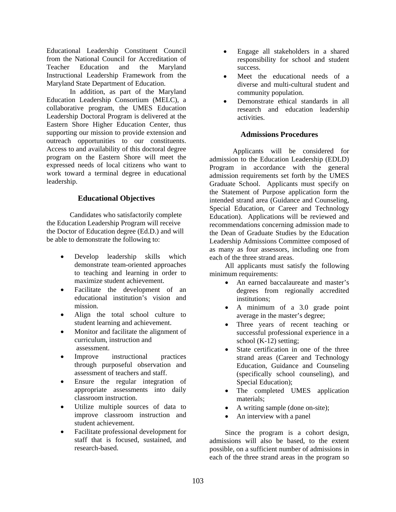Educational Leadership Constituent Council from the National Council for Accreditation of Teacher Education and the Maryland Instructional Leadership Framework from the Maryland State Department of Education.

In addition, as part of the Maryland Education Leadership Consortium (MELC), a collaborative program, the UMES Education Leadership Doctoral Program is delivered at the Eastern Shore Higher Education Center, thus supporting our mission to provide extension and outreach opportunities to our constituents. Access to and availability of this doctoral degree program on the Eastern Shore will meet the expressed needs of local citizens who want to work toward a terminal degree in educational leadership.

## **Educational Objectives**

 Candidates who satisfactorily complete the Education Leadership Program will receive the Doctor of Education degree (Ed.D.) and will be able to demonstrate the following to:

- Develop leadership skills which demonstrate team-oriented approaches to teaching and learning in order to maximize student achievement.
- Facilitate the development of an educational institution's vision and mission.
- Align the total school culture to student learning and achievement.
- Monitor and facilitate the alignment of curriculum, instruction and assessment.
- Improve instructional practices through purposeful observation and assessment of teachers and staff.
- Ensure the regular integration of appropriate assessments into daily classroom instruction.
- Utilize multiple sources of data to improve classroom instruction and student achievement.
- Facilitate professional development for staff that is focused, sustained, and research-based.
- Engage all stakeholders in a shared responsibility for school and student success.
- Meet the educational needs of a diverse and multi-cultural student and community population.
- Demonstrate ethical standards in all research and education leadership activities.

## **Admissions Procedures**

 Applicants will be considered for admission to the Education Leadership (EDLD) Program in accordance with the general admission requirements set forth by the UMES Graduate School. Applicants must specify on the Statement of Purpose application form the intended strand area (Guidance and Counseling, Special Education, or Career and Technology Education). Applications will be reviewed and recommendations concerning admission made to the Dean of Graduate Studies by the Education Leadership Admissions Committee composed of as many as four assessors, including one from each of the three strand areas.

All applicants must satisfy the following minimum requirements:

- An earned baccalaureate and master's degrees from regionally accredited institutions;
- A minimum of a 3.0 grade point average in the master's degree;
- Three years of recent teaching or successful professional experience in a school (K-12) setting;
- State certification in one of the three strand areas (Career and Technology Education, Guidance and Counseling (specifically school counseling), and Special Education);
- The completed UMES application materials;
- A writing sample (done on-site);
- An interview with a panel

Since the program is a cohort design, admissions will also be based, to the extent possible, on a sufficient number of admissions in each of the three strand areas in the program so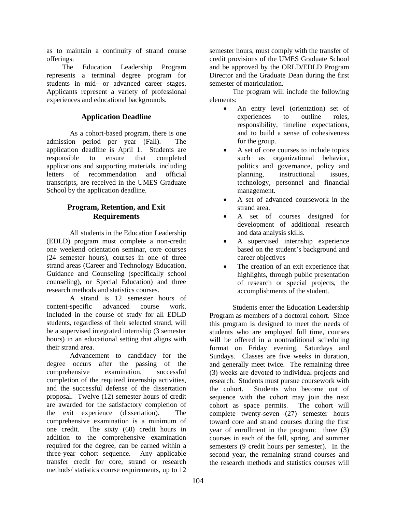as to maintain a continuity of strand course offerings.

The Education Leadership Program represents a terminal degree program for students in mid- or advanced career stages. Applicants represent a variety of professional experiences and educational backgrounds.

## **Application Deadline**

 As a cohort-based program, there is one admission period per year (Fall). The application deadline is April 1. Students are responsible to ensure that completed applications and supporting materials, including letters of recommendation and official transcripts, are received in the UMES Graduate School by the application deadline.

## **Program, Retention, and Exit Requirements**

 All students in the Education Leadership (EDLD) program must complete a non-credit one weekend orientation seminar, core courses (24 semester hours), courses in one of three strand areas (Career and Technology Education, Guidance and Counseling (specifically school counseling), or Special Education) and three research methods and statistics courses.

 A strand is 12 semester hours of content-specific advanced course work. Included in the course of study for all EDLD students, regardless of their selected strand, will be a supervised integrated internship (3 semester hours) in an educational setting that aligns with their strand area.

Advancement to candidacy for the degree occurs after the passing of the comprehensive examination, successful completion of the required internship activities, and the successful defense of the dissertation proposal. Twelve (12) semester hours of credit are awarded for the satisfactory completion of the exit experience (dissertation). The comprehensive examination is a minimum of one credit. The sixty (60) credit hours in addition to the comprehensive examination required for the degree, can be earned within a three-year cohort sequence. Any applicable transfer credit for core, strand or research methods/ statistics course requirements, up to 12

semester hours, must comply with the transfer of credit provisions of the UMES Graduate School and be approved by the ORLD/EDLD Program Director and the Graduate Dean during the first semester of matriculation.

The program will include the following elements:

- An entry level (orientation) set of experiences to outline roles, responsibility, timeline expectations, and to build a sense of cohesiveness for the group.
- A set of core courses to include topics such as organizational behavior, politics and governance, policy and planning, instructional issues, technology, personnel and financial management.
- A set of advanced coursework in the strand area.
- A set of courses designed for development of additional research and data analysis skills.
- A supervised internship experience based on the student's background and career objectives
- The creation of an exit experience that highlights, through public presentation of research or special projects, the accomplishments of the student.

Students enter the Education Leadership Program as members of a doctoral cohort. Since this program is designed to meet the needs of students who are employed full time, courses will be offered in a nontraditional scheduling format on Friday evening, Saturdays and Sundays. Classes are five weeks in duration, and generally meet twice. The remaining three (3) weeks are devoted to individual projects and research. Students must pursue coursework with the cohort. Students who become out of sequence with the cohort may join the next cohort as space permits. The cohort will complete twenty-seven (27) semester hours toward core and strand courses during the first year of enrollment in the program: three (3) courses in each of the fall, spring, and summer semesters (9 credit hours per semester). In the second year, the remaining strand courses and the research methods and statistics courses will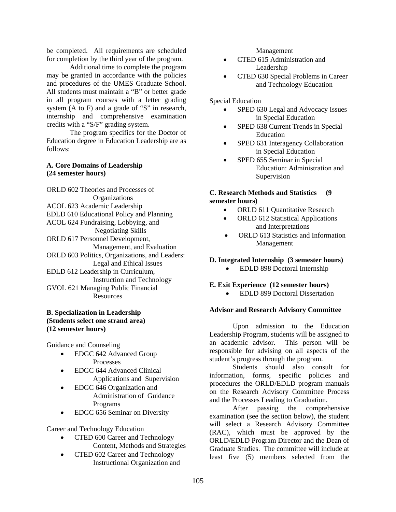be completed. All requirements are scheduled for completion by the third year of the program.

Additional time to complete the program may be granted in accordance with the policies and procedures of the UMES Graduate School. All students must maintain a "B" or better grade in all program courses with a letter grading system (A to F) and a grade of "S" in research, internship and comprehensive examination credits with a "S/F" grading system.

 The program specifics for the Doctor of Education degree in Education Leadership are as follows:

### **A. Core Domains of Leadership (24 semester hours)**

ORLD 602 Theories and Processes of **Organizations** ACOL 623 Academic Leadership EDLD 610 Educational Policy and Planning ACOL 624 Fundraising, Lobbying, and Negotiating Skills ORLD 617 Personnel Development, Management, and Evaluation ORLD 603 Politics, Organizations, and Leaders: Legal and Ethical Issues EDLD 612 Leadership in Curriculum, Instruction and Technology GVOL 621 Managing Public Financial Resources

### **B. Specialization in Leadership (Students select one strand area) (12 semester hours)**

Guidance and Counseling

- EDGC 642 Advanced Group Processes
- EDGC 644 Advanced Clinical Applications and Supervision
- EDGC 646 Organization and Administration of Guidance Programs
- EDGC 656 Seminar on Diversity

Career and Technology Education

- CTED 600 Career and Technology Content, Methods and Strategies
- CTED 602 Career and Technology Instructional Organization and

Management

- CTED 615 Administration and Leadership
- CTED 630 Special Problems in Career and Technology Education

Special Education

- SPED 630 Legal and Advocacy Issues in Special Education
- SPED 638 Current Trends in Special Education
- SPED 631 Interagency Collaboration in Special Education
- SPED 655 Seminar in Special Education: Administration and Supervision

### **C. Research Methods and Statistics (9 semester hours)**

- ORLD 611 Quantitative Research
- ORLD 612 Statistical Applications and Interpretations
- ORLD 613 Statistics and Information Management

## **D. Integrated Internship (3 semester hours)**

• EDLD 898 Doctoral Internship

### **E. Exit Experience (12 semester hours)**

• EDLD 899 Doctoral Dissertation

### **Advisor and Research Advisory Committee**

 Upon admission to the Education Leadership Program, students will be assigned to an academic advisor. This person will be responsible for advising on all aspects of the student's progress through the program.

Students should also consult for information, forms, specific policies and procedures the ORLD/EDLD program manuals on the Research Advisory Committee Process and the Processes Leading to Graduation.

After passing the comprehensive examination (see the section below), the student will select a Research Advisory Committee (RAC), which must be approved by the ORLD/EDLD Program Director and the Dean of Graduate Studies. The committee will include at least five (5) members selected from the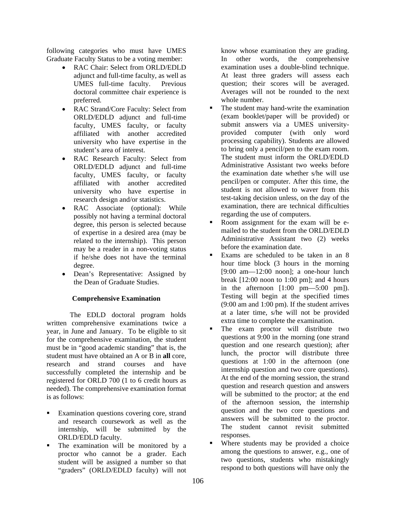following categories who must have UMES Graduate Faculty Status to be a voting member:

- RAC Chair: Select from ORLD/EDLD adjunct and full-time faculty, as well as UMES full-time faculty. Previous doctoral committee chair experience is preferred.
- RAC Strand/Core Faculty: Select from ORLD/EDLD adjunct and full-time faculty, UMES faculty, or faculty affiliated with another accredited university who have expertise in the student's area of interest.
- RAC Research Faculty: Select from ORLD/EDLD adjunct and full-time faculty, UMES faculty, or faculty affiliated with another accredited university who have expertise in research design and/or statistics.
- RAC Associate (optional): While possibly not having a terminal doctoral degree, this person is selected because of expertise in a desired area (may be related to the internship). This person may be a reader in a non-voting status if he/she does not have the terminal degree.
- Dean's Representative: Assigned by the Dean of Graduate Studies.

### **Comprehensive Examination**

 The EDLD doctoral program holds written comprehensive examinations twice a year, in June and January. To be eligible to sit for the comprehensive examination, the student must be in "good academic standing" that is, the student must have obtained an A or B in **all** core, research and strand courses and have successfully completed the internship and be registered for ORLD 700 (1 to 6 credit hours as needed). The comprehensive examination format is as follows:

- Examination questions covering core, strand and research coursework as well as the internship, will be submitted by the ORLD/EDLD faculty.
- The examination will be monitored by a proctor who cannot be a grader. Each student will be assigned a number so that "graders" (ORLD/EDLD faculty) will not

know whose examination they are grading. In other words, the comprehensive examination uses a double-blind technique. At least three graders will assess each question; their scores will be averaged. Averages will not be rounded to the next whole number.

- The student may hand-write the examination (exam booklet/paper will be provided) or submit answers via a UMES universityprovided computer (with only word processing capability). Students are allowed to bring only a pencil/pen to the exam room. The student must inform the ORLD/EDLD Administrative Assistant two weeks before the examination date whether s/he will use pencil/pen or computer. After this time, the student is not allowed to waver from this test-taking decision unless, on the day of the examination, there are technical difficulties regarding the use of computers.
- Room assignment for the exam will be emailed to the student from the ORLD/EDLD Administrative Assistant two (2) weeks before the examination date.
- Exams are scheduled to be taken in an 8 hour time block (3 hours in the morning  $[9:00 \text{ am} - 12:00 \text{ noon}]$ ; a one-hour lunch break [12:00 noon to 1:00 pm]; and 4 hours in the afternoon  $[1:00 \text{ pm} - 5:00 \text{ pm}].$ Testing will begin at the specified times (9:00 am and 1:00 pm). If the student arrives at a later time, s/he will not be provided extra time to complete the examination.
- The exam proctor will distribute two questions at 9:00 in the morning (one strand question and one research question); after lunch, the proctor will distribute three questions at 1:00 in the afternoon (one internship question and two core questions). At the end of the morning session, the strand question and research question and answers will be submitted to the proctor; at the end of the afternoon session, the internship question and the two core questions and answers will be submitted to the proctor. The student cannot revisit submitted responses.
- Where students may be provided a choice among the questions to answer, e.g., one of two questions, students who mistakingly respond to both questions will have only the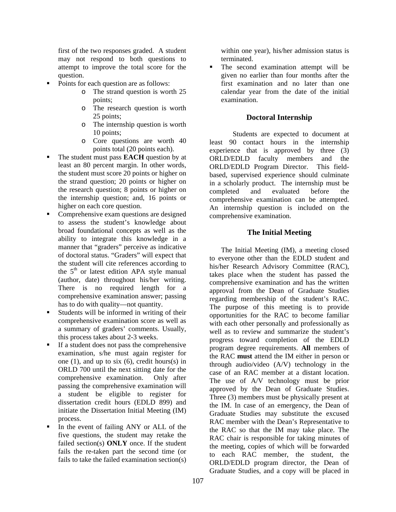first of the two responses graded. A student may not respond to both questions to attempt to improve the total score for the question.

- Points for each question are as follows:
	- o The strand question is worth 25 points;
	- o The research question is worth 25 points;
	- o The internship question is worth 10 points;
	- o Core questions are worth 40 points total (20 points each).
- The student must pass **EACH** question by at least an 80 percent margin. In other words, the student must score 20 points or higher on the strand question; 20 points or higher on the research question; 8 points or higher on the internship question; and, 16 points or higher on each core question.
- Comprehensive exam questions are designed to assess the student's knowledge about broad foundational concepts as well as the ability to integrate this knowledge in a manner that "graders" perceive as indicative of doctoral status. "Graders" will expect that the student will cite references according to the  $5<sup>th</sup>$  or latest edition APA style manual (author, date) throughout his/her writing. There is no required length for a comprehensive examination answer; passing has to do with quality—not quantity.
- Students will be informed in writing of their comprehensive examination score as well as a summary of graders' comments. Usually, this process takes about 2-3 weeks.
- If a student does not pass the comprehensive examination, s/he must again register for one  $(1)$ , and up to six  $(6)$ , credit hours $(s)$  in ORLD 700 until the next sitting date for the comprehensive examination. Only after passing the comprehensive examination will a student be eligible to register for dissertation credit hours (EDLD 899) and initiate the Dissertation Initial Meeting (IM) process.
- In the event of failing ANY or ALL of the five questions, the student may retake the failed section(s) **ONLY** once. If the student fails the re-taken part the second time (or fails to take the failed examination section(s)

within one year), his/her admission status is terminated.

• The second examination attempt will be given no earlier than four months after the first examination and no later than one calendar year from the date of the initial examination.

## **Doctoral Internship**

Students are expected to document at least 90 contact hours in the internship experience that is approved by three (3) ORLD/EDLD faculty members and the ORLD/EDLD Program Director. This fieldbased, supervised experience should culminate in a scholarly product. The internship must be completed and evaluated before the comprehensive examination can be attempted. An internship question is included on the comprehensive examination.

## **The Initial Meeting**

The Initial Meeting (IM), a meeting closed to everyone other than the EDLD student and his/her Research Advisory Committee (RAC), takes place when the student has passed the comprehensive examination and has the written approval from the Dean of Graduate Studies regarding membership of the student's RAC. The purpose of this meeting is to provide opportunities for the RAC to become familiar with each other personally and professionally as well as to review and summarize the student's progress toward completion of the EDLD program degree requirements. **All** members of the RAC **must** attend the IM either in person or through audio/video (A/V) technology in the case of an RAC member at a distant location. The use of A/V technology must be prior approved by the Dean of Graduate Studies. Three (3) members must be physically present at the IM. In case of an emergency, the Dean of Graduate Studies may substitute the excused RAC member with the Dean's Representative to the RAC so that the IM may take place. The RAC chair is responsible for taking minutes of the meeting, copies of which will be forwarded to each RAC member, the student, the ORLD/EDLD program director, the Dean of Graduate Studies, and a copy will be placed in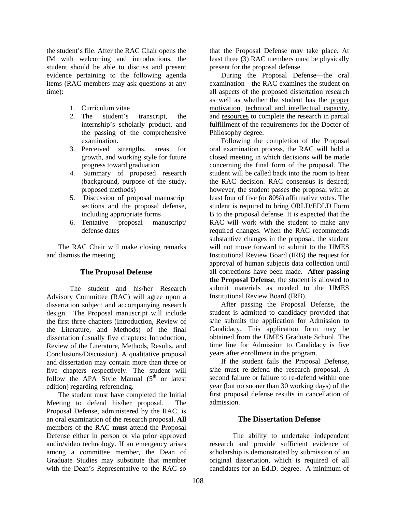the student's file. After the RAC Chair opens the IM with welcoming and introductions, the student should be able to discuss and present evidence pertaining to the following agenda items (RAC members may ask questions at any time):

- 1. Curriculum vitae
- 2. The student's transcript, the internship's scholarly product, and the passing of the comprehensive examination.
- 3. Perceived strengths, areas for growth, and working style for future progress toward graduation
- 4. Summary of proposed research (background, purpose of the study, proposed methods)
- 5. Discussion of proposal manuscript sections and the proposal defense, including appropriate forms
- 6. Tentative proposal manuscript/ defense dates

The RAC Chair will make closing remarks and dismiss the meeting.

### **The Proposal Defense**

 The student and his/her Research Advisory Committee (RAC) will agree upon a dissertation subject and accompanying research design. The Proposal manuscript will include the first three chapters (Introduction, Review of the Literature, and Methods) of the final dissertation (usually five chapters: Introduction, Review of the Literature, Methods, Results, and Conclusions/Discussion). A qualitative proposal and dissertation may contain more than three or five chapters respectively. The student will follow the APA Style Manual  $(5<sup>th</sup>$  or latest edition) regarding referencing.

The student must have completed the Initial Meeting to defend his/her proposal. The Proposal Defense, administered by the RAC, is an oral examination of the research proposal. **All**  members of the RAC **must** attend the Proposal Defense either in person or via prior approved audio/video technology. If an emergency arises among a committee member, the Dean of Graduate Studies may substitute that member with the Dean's Representative to the RAC so

that the Proposal Defense may take place. At least three (3) RAC members must be physically present for the proposal defense.

During the Proposal Defense—the oral examination—the RAC examines the student on all aspects of the proposed dissertation research as well as whether the student has the proper motivation, technical and intellectual capacity, and resources to complete the research in partial fulfillment of the requirements for the Doctor of Philosophy degree.

Following the completion of the Proposal oral examination process, the RAC will hold a closed meeting in which decisions will be made concerning the final form of the proposal. The student will be called back into the room to hear the RAC decision. RAC consensus is desired; however, the student passes the proposal with at least four of five (or 80%) affirmative votes. The student is required to bring ORLD/EDLD Form B to the proposal defense. It is expected that the RAC will work with the student to make any required changes. When the RAC recommends substantive changes in the proposal, the student will not move forward to submit to the UMES Institutional Review Board (IRB) the request for approval of human subjects data collection until all corrections have been made. **After passing the Proposal Defense**, the student is allowed to submit materials as needed to the UMES Institutional Review Board (IRB).

After passing the Proposal Defense, the student is admitted to candidacy provided that s/he submits the application for Admission to Candidacy. This application form may be obtained from the UMES Graduate School. The time line for Admission to Candidacy is five years after enrollment in the program.

If the student fails the Proposal Defense, s/he must re-defend the research proposal. A second failure or failure to re-defend within one year (but no sooner than 30 working days) of the first proposal defense results in cancellation of admission.

### **The Dissertation Defense**

The ability to undertake independent research and provide sufficient evidence of scholarship is demonstrated by submission of an original dissertation, which is required of all candidates for an Ed.D. degree. A minimum of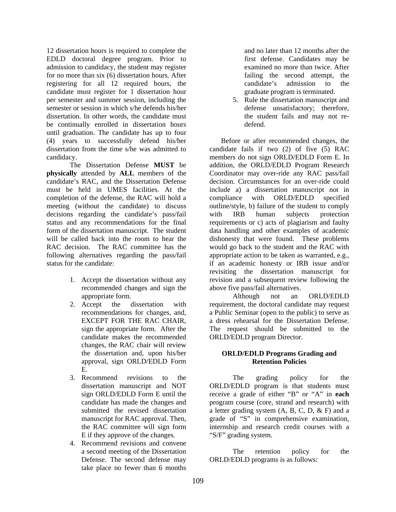12 dissertation hours is required to complete the EDLD doctoral degree program. Prior to admission to candidacy, the student may register for no more than six (6) dissertation hours. After registering for all 12 required hours, the candidate must register for 1 dissertation hour per semester and summer session, including the semester or session in which s/he defends his/her dissertation. In other words, the candidate must be continually enrolled in dissertation hours until graduation. The candidate has up to four (4) years to successfully defend his/her dissertation from the time s/he was admitted to candidacy.

The Dissertation Defense **MUST** be **physically** attended by **ALL** members of the candidate's RAC, and the Dissertation Defense must be held in UMES facilities. At the completion of the defense, the RAC will hold a meeting (without the candidate) to discuss decisions regarding the candidate's pass/fail status and any recommendations for the final form of the dissertation manuscript. The student will be called back into the room to hear the RAC decision. The RAC committee has the following alternatives regarding the pass/fail status for the candidate:

- 1. Accept the dissertation without any recommended changes and sign the appropriate form.
- 2. Accept the dissertation with recommendations for changes, and, EXCEPT FOR THE RAC CHAIR, sign the appropriate form. After the candidate makes the recommended changes, the RAC chair will review the dissertation and, upon his/her approval, sign ORLD/EDLD Form E.
- 3. Recommend revisions to the dissertation manuscript and NOT sign ORLD/EDLD Form E until the candidate has made the changes and submitted the revised dissertation manuscript for RAC approval. Then, the RAC committee will sign form E if they approve of the changes.
- 4. Recommend revisions and convene a second meeting of the Dissertation Defense. The second defense may take place no fewer than 6 months

and no later than 12 months after the first defense. Candidates may be examined no more than twice. After failing the second attempt, the candidate's admission to the graduate program is terminated.

5. Rule the dissertation manuscript and defense unsatisfactory; therefore, the student fails and may not redefend.

Before or after recommended changes, the candidate fails if two (2) of five (5) RAC members do not sign ORLD/EDLD Form E. In addition, the ORLD/EDLD Program Research Coordinator may over-ride any RAC pass/fail decision. Circumstances for an over-ride could include a) a dissertation manuscript not in compliance with ORLD/EDLD specified outline/style, b) failure of the student to comply with IRB human subjects protection requirements or c) acts of plagiarism and faulty data handling and other examples of academic dishonesty that were found. These problems would go back to the student and the RAC with appropriate action to be taken as warranted, e.g., if an academic honesty or IRB issue and/or revisiting the dissertation manuscript for revision and a subsequent review following the above five pass/fail alternatives.

Although not an ORLD/EDLD requirement, the doctoral candidate may request a Public Seminar (open to the public) to serve as a dress rehearsal for the Dissertation Defense. The request should be submitted to the ORLD/EDLD program Director.

### **ORLD/EDLD Programs Grading and Retention Policies**

The grading policy for the ORLD/EDLD program is that students must receive a grade of either "B" or "A" in **each** program course (core, strand and research) with a letter grading system  $(A, B, C, D, \& F)$  and a grade of "S" in comprehensive examination, internship and research credit courses with a "S/F" grading system.

 The retention policy for the ORLD/EDLD programs is as follows: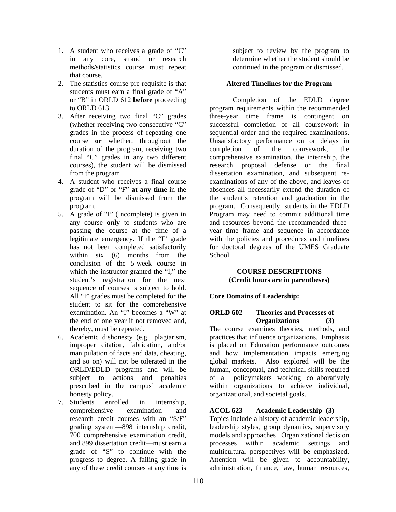- 1. A student who receives a grade of "C" in any core, strand or research methods/statistics course must repeat that course.
- 2. The statistics course pre-requisite is that students must earn a final grade of "A" or "B" in ORLD 612 **before** proceeding to ORLD 613.
- 3. After receiving two final "C" grades (whether receiving two consecutive "C" grades in the process of repeating one course **or** whether, throughout the duration of the program, receiving two final "C" grades in any two different courses), the student will be dismissed from the program.
- 4. A student who receives a final course grade of "D" or "F" **at any time** in the program will be dismissed from the program.
- 5. A grade of "I" (Incomplete) is given in any course **only** to students who are passing the course at the time of a legitimate emergency. If the "I" grade has not been completed satisfactorily within six (6) months from the conclusion of the 5-week course in which the instructor granted the "I," the student's registration for the next sequence of courses is subject to hold. All "I" grades must be completed for the student to sit for the comprehensive examination. An "I" becomes a "W" at the end of one year if not removed and, thereby, must be repeated.
- 6. Academic dishonesty (e.g., plagiarism, improper citation, fabrication, and/or manipulation of facts and data, cheating, and so on) will not be tolerated in the ORLD/EDLD programs and will be subject to actions and penalties prescribed in the campus' academic honesty policy.
- 7. Students enrolled in internship, comprehensive examination and research credit courses with an "S/F" grading system—898 internship credit, 700 comprehensive examination credit, and 899 dissertation credit—must earn a grade of "S" to continue with the progress to degree. A failing grade in any of these credit courses at any time is

subject to review by the program to determine whether the student should be continued in the program or dismissed.

# **Altered Timelines for the Program**

 Completion of the EDLD degree program requirements within the recommended three-year time frame is contingent on successful completion of all coursework in sequential order and the required examinations. Unsatisfactory performance on or delays in completion of the coursework, the comprehensive examination, the internship, the research proposal defense or the final dissertation examination, and subsequent reexaminations of any of the above, and leaves of absences all necessarily extend the duration of the student's retention and graduation in the program. Consequently, students in the EDLD Program may need to commit additional time and resources beyond the recommended threeyear time frame and sequence in accordance with the policies and procedures and timelines for doctoral degrees of the UMES Graduate School.

### **COURSE DESCRIPTIONS (Credit hours are in parentheses)**

### **Core Domains of Leadership:**

### **ORLD 602 Theories and Processes of Organizations (3)**

The course examines theories, methods, and practices that influence organizations. Emphasis is placed on Education performance outcomes and how implementation impacts emerging global markets. Also explored will be the human, conceptual, and technical skills required of all policymakers working collaboratively within organizations to achieve individual, organizational, and societal goals.

### **ACOL 623 Academic Leadership (3)**

Topics include a history of academic leadership, leadership styles, group dynamics, supervisory models and approaches. Organizational decision processes within academic settings and multicultural perspectives will be emphasized. Attention will be given to accountability, administration, finance, law, human resources,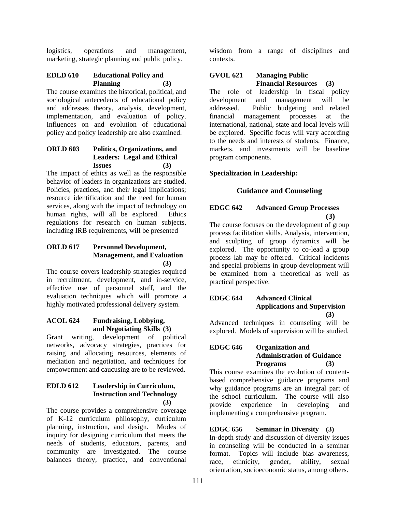logistics, operations and management, marketing, strategic planning and public policy.

# **EDLD 610 Educational Policy and Planning (3)**

The course examines the historical, political, and sociological antecedents of educational policy and addresses theory, analysis, development, implementation, and evaluation of policy. Influences on and evolution of educational policy and policy leadership are also examined.

# **ORLD 603 Politics, Organizations, and Leaders: Legal and Ethical Issues (3)**

The impact of ethics as well as the responsible behavior of leaders in organizations are studied. Policies, practices, and their legal implications; resource identification and the need for human services, along with the impact of technology on human rights, will all be explored. Ethics regulations for research on human subjects, including IRB requirements, will be presented

### **ORLD 617 Personnel Development, Management, and Evaluation (3)**

The course covers leadership strategies required in recruitment, development, and in-service, effective use of personnel staff, and the evaluation techniques which will promote a highly motivated professional delivery system.

### **ACOL 624 Fundraising, Lobbying, and Negotiating Skills (3)**

Grant writing, development of political networks, advocacy strategies, practices for raising and allocating resources, elements of mediation and negotiation, and techniques for empowerment and caucusing are to be reviewed.

### **EDLD 612 Leadership in Curriculum, Instruction and Technology (3)**

The course provides a comprehensive coverage of K-12 curriculum philosophy, curriculum planning, instruction, and design. Modes of inquiry for designing curriculum that meets the needs of students, educators, parents, and community are investigated. The course balances theory, practice, and conventional

wisdom from a range of disciplines and contexts.

# **GVOL 621 Managing Public Financial Resources (3)**

The role of leadership in fiscal policy development and management will be addressed. Public budgeting and related financial management processes at the international, national, state and local levels will be explored. Specific focus will vary according to the needs and interests of students. Finance, markets, and investments will be baseline program components.

# **Specialization in Leadership:**

# **Guidance and Counseling**

# **EDGC 642 Advanced Group Processes (3)**

The course focuses on the development of group process facilitation skills. Analysis, intervention, and sculpting of group dynamics will be explored. The opportunity to co-lead a group process lab may be offered. Critical incidents and special problems in group development will be examined from a theoretical as well as practical perspective.

### **EDGC 644 Advanced Clinical Applications and Supervision (3)**

Advanced techniques in counseling will be explored. Models of supervision will be studied.

# **EDGC 646 Organization and Administration of Guidance Programs (3)**

This course examines the evolution of contentbased comprehensive guidance programs and why guidance programs are an integral part of the school curriculum. The course will also provide experience in developing and implementing a comprehensive program.

# **EDGC 656 Seminar in Diversity (3)**

In-depth study and discussion of diversity issues in counseling will be conducted in a seminar format. Topics will include bias awareness, race, ethnicity, gender, ability, sexual orientation, socioeconomic status, among others.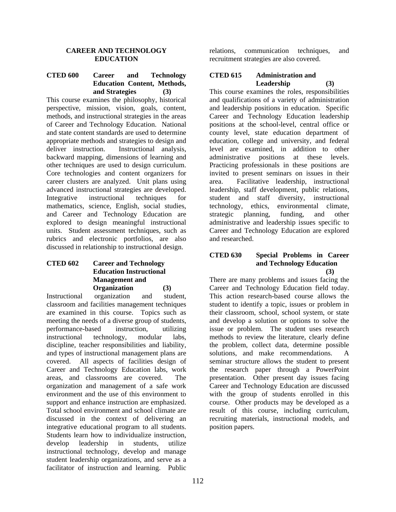#### **CAREER AND TECHNOLOGY EDUCATION**

# **CTED 600 Career and Technology Education Content, Methods, and Strategies (3)**

This course examines the philosophy, historical perspective, mission, vision, goals, content, methods, and instructional strategies in the areas of Career and Technology Education. National and state content standards are used to determine appropriate methods and strategies to design and deliver instruction. Instructional analysis, backward mapping, dimensions of learning and other techniques are used to design curriculum. Core technologies and content organizers for career clusters are analyzed. Unit plans using advanced instructional strategies are developed. Integrative instructional techniques for mathematics, science, English, social studies, and Career and Technology Education are explored to design meaningful instructional units. Student assessment techniques, such as rubrics and electronic portfolios, are also discussed in relationship to instructional design.

# **CTED 602 Career and Technology Education Instructional Management and Organization (3)**

Instructional organization and student, classroom and facilities management techniques are examined in this course. Topics such as meeting the needs of a diverse group of students, performance-based instruction, utilizing instructional technology, modular labs, discipline, teacher responsibilities and liability, and types of instructional management plans are covered. All aspects of facilities design of Career and Technology Education labs, work areas, and classrooms are covered. The organization and management of a safe work environment and the use of this environment to support and enhance instruction are emphasized. Total school environment and school climate are discussed in the context of delivering an integrative educational program to all students. Students learn how to individualize instruction, develop leadership in students, utilize instructional technology, develop and manage student leadership organizations, and serve as a facilitator of instruction and learning. Public

relations, communication techniques, and recruitment strategies are also covered.

# **CTED 615 Administration and Leadership (3)**

This course examines the roles, responsibilities and qualifications of a variety of administration and leadership positions in education. Specific Career and Technology Education leadership positions at the school-level, central office or county level, state education department of education, college and university, and federal level are examined, in addition to other administrative positions at these levels. Practicing professionals in these positions are invited to present seminars on issues in their area. Facilitative leadership, instructional leadership, staff development, public relations, student and staff diversity, instructional technology, ethics, environmental climate, strategic planning, funding, and other administrative and leadership issues specific to Career and Technology Education are explored and researched.

### **CTED 630 Special Problems in Career and Technology Education (3)**

There are many problems and issues facing the Career and Technology Education field today. This action research-based course allows the student to identify a topic, issues or problem in their classroom, school, school system, or state and develop a solution or options to solve the issue or problem. The student uses research methods to review the literature, clearly define the problem, collect data, determine possible solutions, and make recommendations. A seminar structure allows the student to present the research paper through a PowerPoint presentation. Other present day issues facing Career and Technology Education are discussed with the group of students enrolled in this course. Other products may be developed as a result of this course, including curriculum, recruiting materials, instructional models, and position papers.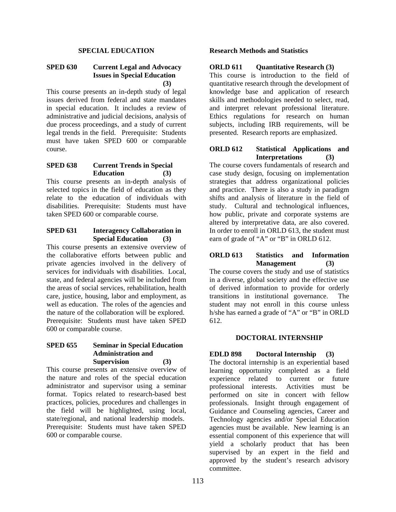### **SPECIAL EDUCATION**

### **SPED 630 Current Legal and Advocacy Issues in Special Education (3)**

This course presents an in-depth study of legal issues derived from federal and state mandates in special education. It includes a review of administrative and judicial decisions, analysis of due process proceedings, and a study of current legal trends in the field. Prerequisite: Students must have taken SPED 600 or comparable course.

### **SPED 638 Current Trends in Special Education (3)**

This course presents an in-depth analysis of selected topics in the field of education as they relate to the education of individuals with disabilities. Prerequisite: Students must have taken SPED 600 or comparable course.

### **SPED 631 Interagency Collaboration in Special Education (3)**

This course presents an extensive overview of the collaborative efforts between public and private agencies involved in the delivery of services for individuals with disabilities. Local, state, and federal agencies will be included from the areas of social services, rehabilitation, health care, justice, housing, labor and employment, as well as education. The roles of the agencies and the nature of the collaboration will be explored. Prerequisite: Students must have taken SPED 600 or comparable course.

### **SPED 655 Seminar in Special Education Administration and Supervision (3)**

This course presents an extensive overview of the nature and roles of the special education administrator and supervisor using a seminar format. Topics related to research-based best practices, policies, procedures and challenges in the field will be highlighted, using local, state/regional, and national leadership models. Prerequisite: Students must have taken SPED 600 or comparable course.

#### **Research Methods and Statistics**

#### **ORLD 611** Ouantitative Research (3)

This course is introduction to the field of quantitative research through the development of knowledge base and application of research skills and methodologies needed to select, read, and interpret relevant professional literature. Ethics regulations for research on human subjects, including IRB requirements, will be presented. Research reports are emphasized.

#### **ORLD 612 Statistical Applications and Interpretations (3)**

The course covers fundamentals of research and case study design, focusing on implementation strategies that address organizational policies and practice. There is also a study in paradigm shifts and analysis of literature in the field of study. Cultural and technological influences, how public, private and corporate systems are altered by interpretative data, are also covered. In order to enroll in ORLD 613, the student must earn of grade of "A" or "B" in ORLD 612.

#### **ORLD 613 Statistics and Information Management (3)**

The course covers the study and use of statistics in a diverse, global society and the effective use of derived information to provide for orderly transitions in institutional governance. The student may not enroll in this course unless h/she has earned a grade of "A" or "B" in ORLD 612.

### **DOCTORAL INTERNSHIP**

**EDLD 898 Doctoral Internship (3)**  The doctoral internship is an experiential based learning opportunity completed as a field experience related to current or future professional interests. Activities must be performed on site in concert with fellow professionals. Insight through engagement of Guidance and Counseling agencies, Career and Technology agencies and/or Special Education agencies must be available. New learning is an essential component of this experience that will yield a scholarly product that has been supervised by an expert in the field and approved by the student's research advisory committee.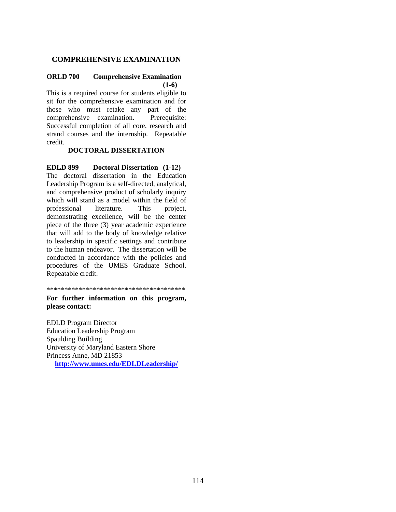# **COMPREHENSIVE EXAMINATION**

### **ORLD 700 Comprehensive Examination (1-6)**

This is a required course for students eligible to sit for the comprehensive examination and for those who must retake any part of the comprehensive examination. Prerequisite: Successful completion of all core, research and strand courses and the internship. Repeatable credit.

#### **DOCTORAL DISSERTATION**

**EDLD 899 Doctoral Dissertation (1-12)**  The doctoral dissertation in the Education Leadership Program is a self-directed, analytical, and comprehensive product of scholarly inquiry which will stand as a model within the field of professional literature. This project, demonstrating excellence, will be the center piece of the three (3) year academic experience that will add to the body of knowledge relative to leadership in specific settings and contribute to the human endeavor. The dissertation will be conducted in accordance with the policies and procedures of the UMES Graduate School. Repeatable credit.

\*\*\*\*\*\*\*\*\*\*\*\*\*\*\*\*\*\*\*\*\*\*\*\*\*\*\*\*\*\*\*\*\*\*\*\*\*\*\*

#### **For further information on this program, please contact:**

EDLD Program Director Education Leadership Program Spaulding Building University of Maryland Eastern Shore Princess Anne, MD 21853 **http://www.umes.edu/EDLDLeadership/**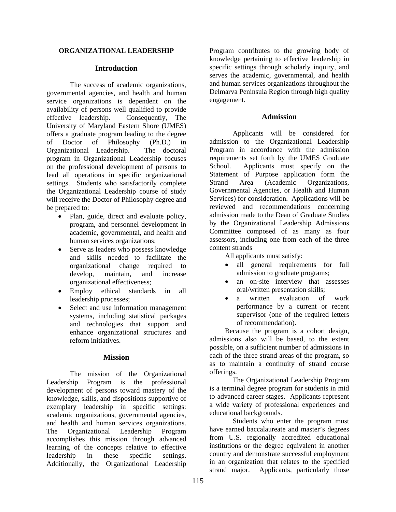#### **ORGANIZATIONAL LEADERSHIP**

### **Introduction**

 The success of academic organizations, governmental agencies, and health and human service organizations is dependent on the availability of persons well qualified to provide effective leadership. Consequently, The University of Maryland Eastern Shore (UMES) offers a graduate program leading to the degree of Doctor of Philosophy (Ph.D.) in Organizational Leadership. The doctoral program in Organizational Leadership focuses on the professional development of persons to lead all operations in specific organizational settings. Students who satisfactorily complete the Organizational Leadership course of study will receive the Doctor of Philosophy degree and be prepared to:

- Plan, guide, direct and evaluate policy, program, and personnel development in academic, governmental, and health and human services organizations;
- Serve as leaders who possess knowledge and skills needed to facilitate the organizational change required to develop, maintain, and increase organizational effectiveness;
- Employ ethical standards in all leadership processes;
- Select and use information management systems, including statistical packages and technologies that support and enhance organizational structures and reform initiatives.

### **Mission**

The mission of the Organizational Leadership Program is the professional development of persons toward mastery of the knowledge, skills, and dispositions supportive of exemplary leadership in specific settings: academic organizations, governmental agencies, and health and human services organizations. The Organizational Leadership Program accomplishes this mission through advanced learning of the concepts relative to effective leadership in these specific settings. Additionally, the Organizational Leadership

Program contributes to the growing body of knowledge pertaining to effective leadership in specific settings through scholarly inquiry, and serves the academic, governmental, and health and human services organizations throughout the Delmarva Peninsula Region through high quality engagement.

### **Admission**

 Applicants will be considered for admission to the Organizational Leadership Program in accordance with the admission requirements set forth by the UMES Graduate School. Applicants must specify on the Statement of Purpose application form the Strand Area (Academic Organizations, Governmental Agencies, or Health and Human Services) for consideration. Applications will be reviewed and recommendations concerning admission made to the Dean of Graduate Studies by the Organizational Leadership Admissions Committee composed of as many as four assessors, including one from each of the three content strands

All applicants must satisfy:

- all general requirements for full admission to graduate programs;
- an on-site interview that assesses oral/written presentation skills;
- a written evaluation of work performance by a current or recent supervisor (one of the required letters of recommendation).

Because the program is a cohort design, admissions also will be based, to the extent possible, on a sufficient number of admissions in each of the three strand areas of the program, so as to maintain a continuity of strand course offerings.

The Organizational Leadership Program is a terminal degree program for students in mid to advanced career stages. Applicants represent a wide variety of professional experiences and educational backgrounds.

Students who enter the program must have earned baccalaureate and master's degrees from U.S. regionally accredited educational institutions or the degree equivalent in another country and demonstrate successful employment in an organization that relates to the specified strand major. Applicants, particularly those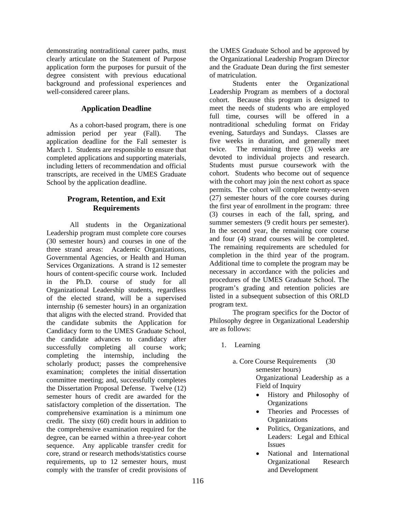demonstrating nontraditional career paths, must clearly articulate on the Statement of Purpose application form the purposes for pursuit of the degree consistent with previous educational background and professional experiences and well-considered career plans.

### **Application Deadline**

 As a cohort-based program, there is one admission period per year (Fall). The application deadline for the Fall semester is March 1. Students are responsible to ensure that completed applications and supporting materials, including letters of recommendation and official transcripts, are received in the UMES Graduate School by the application deadline.

# **Program, Retention, and Exit Requirements**

 All students in the Organizational Leadership program must complete core courses (30 semester hours) and courses in one of the three strand areas: Academic Organizations, Governmental Agencies, or Health and Human Services Organizations. A strand is 12 semester hours of content-specific course work. Included in the Ph.D. course of study for all Organizational Leadership students, regardless of the elected strand, will be a supervised internship (6 semester hours) in an organization that aligns with the elected strand. Provided that the candidate submits the Application for Candidacy form to the UMES Graduate School, the candidate advances to candidacy after successfully completing all course work; completing the internship, including the scholarly product; passes the comprehensive examination; completes the initial dissertation committee meeting; and, successfully completes the Dissertation Proposal Defense. Twelve (12) semester hours of credit are awarded for the satisfactory completion of the dissertation. The comprehensive examination is a minimum one credit. The sixty (60) credit hours in addition to the comprehensive examination required for the degree, can be earned within a three-year cohort sequence. Any applicable transfer credit for core, strand or research methods/statistics course requirements, up to 12 semester hours, must comply with the transfer of credit provisions of

the UMES Graduate School and be approved by the Organizational Leadership Program Director and the Graduate Dean during the first semester of matriculation.

Students enter the Organizational Leadership Program as members of a doctoral cohort. Because this program is designed to meet the needs of students who are employed full time, courses will be offered in a nontraditional scheduling format on Friday evening, Saturdays and Sundays. Classes are five weeks in duration, and generally meet twice. The remaining three (3) weeks are devoted to individual projects and research. Students must pursue coursework with the cohort. Students who become out of sequence with the cohort may join the next cohort as space permits. The cohort will complete twenty-seven (27) semester hours of the core courses during the first year of enrollment in the program: three (3) courses in each of the fall, spring, and summer semesters (9 credit hours per semester). In the second year, the remaining core course and four (4) strand courses will be completed. The remaining requirements are scheduled for completion in the third year of the program. Additional time to complete the program may be necessary in accordance with the policies and procedures of the UMES Graduate School. The program's grading and retention policies are listed in a subsequent subsection of this ORLD program text.

The program specifics for the Doctor of Philosophy degree in Organizational Leadership are as follows:

- 1. Learning
	- a. Core Course Requirements (30 semester hours) Organizational Leadership as a

Field of Inquiry

- History and Philosophy of **Organizations**
- Theories and Processes of **Organizations**
- Politics, Organizations, and Leaders: Legal and Ethical Issues
- National and International Organizational Research and Development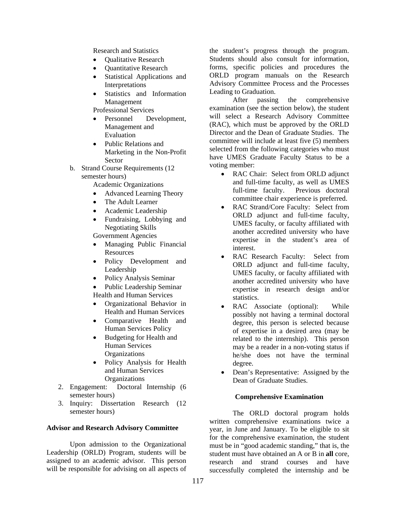Research and Statistics

- **Qualitative Research**
- **Ouantitative Research**
- Statistical Applications and Interpretations
- Statistics and Information Management

Professional Services

- Personnel Development, Management and Evaluation
- Public Relations and Marketing in the Non-Profit Sector

b. Strand Course Requirements (12

- semester hours) Academic Organizations • Advanced Learning Theory
	-
	- The Adult Learner • Academic Leadership
	- Fundraising, Lobbying and Negotiating Skills

Government Agencies

- Managing Public Financial Resources
- Policy Development and Leadership
- Policy Analysis Seminar

• Public Leadership Seminar Health and Human Services

- Organizational Behavior in Health and Human Services
- Comparative Health and Human Services Policy
- Budgeting for Health and Human Services **Organizations**
- Policy Analysis for Health and Human Services **Organizations**
- 2. Engagement: Doctoral Internship (6 semester hours)
- 3. Inquiry: Dissertation Research (12 semester hours)

### **Advisor and Research Advisory Committee**

 Upon admission to the Organizational Leadership (ORLD) Program, students will be assigned to an academic advisor. This person will be responsible for advising on all aspects of

the student's progress through the program. Students should also consult for information, forms, specific policies and procedures the ORLD program manuals on the Research Advisory Committee Process and the Processes Leading to Graduation.

 After passing the comprehensive examination (see the section below), the student will select a Research Advisory Committee (RAC), which must be approved by the ORLD Director and the Dean of Graduate Studies. The committee will include at least five (5) members selected from the following categories who must have UMES Graduate Faculty Status to be a voting member:

- RAC Chair: Select from ORLD adjunct and full-time faculty, as well as UMES full-time faculty. Previous doctoral committee chair experience is preferred.
- RAC Strand/Core Faculty: Select from ORLD adjunct and full-time faculty, UMES faculty, or faculty affiliated with another accredited university who have expertise in the student's area of interest.
- RAC Research Faculty: Select from ORLD adjunct and full-time faculty, UMES faculty, or faculty affiliated with another accredited university who have expertise in research design and/or statistics.
- RAC Associate (optional): While possibly not having a terminal doctoral degree, this person is selected because of expertise in a desired area (may be related to the internship). This person may be a reader in a non-voting status if he/she does not have the terminal degree.
- Dean's Representative: Assigned by the Dean of Graduate Studies.

### **Comprehensive Examination**

 The ORLD doctoral program holds written comprehensive examinations twice a year, in June and January. To be eligible to sit for the comprehensive examination, the student must be in "good academic standing," that is, the student must have obtained an A or B in **all** core, research and strand courses and have successfully completed the internship and be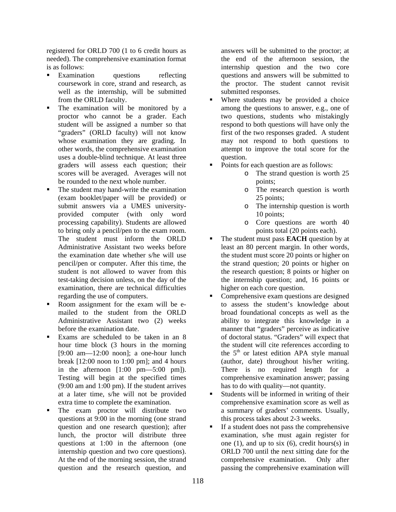registered for ORLD 700 (1 to 6 credit hours as needed). The comprehensive examination format is as follows:

- Examination questions reflecting coursework in core, strand and research, as well as the internship, will be submitted from the ORLD faculty.
- The examination will be monitored by a proctor who cannot be a grader. Each student will be assigned a number so that "graders" (ORLD faculty) will not know whose examination they are grading. In other words, the comprehensive examination uses a double-blind technique. At least three graders will assess each question; their scores will be averaged. Averages will not be rounded to the next whole number.
- The student may hand-write the examination (exam booklet/paper will be provided) or submit answers via a UMES universityprovided computer (with only word processing capability). Students are allowed to bring only a pencil/pen to the exam room. The student must inform the ORLD Administrative Assistant two weeks before the examination date whether s/he will use pencil/pen or computer. After this time, the student is not allowed to waver from this test-taking decision unless, on the day of the examination, there are technical difficulties regarding the use of computers.
- Room assignment for the exam will be emailed to the student from the ORLD Administrative Assistant two (2) weeks before the examination date.
- Exams are scheduled to be taken in an 8 hour time block (3 hours in the morning [9:00 am—12:00 noon]; a one-hour lunch break  $[12:00 \text{ noon to } 1:00 \text{ pm}]$ ; and 4 hours in the afternoon  $[1:00 \text{ pm} - 5:00 \text{ pm}].$ Testing will begin at the specified times (9:00 am and 1:00 pm). If the student arrives at a later time, s/he will not be provided extra time to complete the examination.
- The exam proctor will distribute two questions at 9:00 in the morning (one strand question and one research question); after lunch, the proctor will distribute three questions at 1:00 in the afternoon (one internship question and two core questions). At the end of the morning session, the strand question and the research question, and

answers will be submitted to the proctor; at the end of the afternoon session, the internship question and the two core questions and answers will be submitted to the proctor. The student cannot revisit submitted responses.

- Where students may be provided a choice among the questions to answer, e.g., one of two questions, students who mistakingly respond to both questions will have only the first of the two responses graded. A student may not respond to both questions to attempt to improve the total score for the question.
- Points for each question are as follows:
	- o The strand question is worth 25 points;
	- o The research question is worth 25 points;
	- o The internship question is worth 10 points;
	- o Core questions are worth 40 points total (20 points each).
- The student must pass **EACH** question by at least an 80 percent margin. In other words, the student must score 20 points or higher on the strand question; 20 points or higher on the research question; 8 points or higher on the internship question; and, 16 points or higher on each core question.
- Comprehensive exam questions are designed to assess the student's knowledge about broad foundational concepts as well as the ability to integrate this knowledge in a manner that "graders" perceive as indicative of doctoral status. "Graders" will expect that the student will cite references according to the  $5<sup>th</sup>$  or latest edition APA style manual (author, date) throughout his/her writing. There is no required length for a comprehensive examination answer; passing has to do with quality—not quantity.
- Students will be informed in writing of their comprehensive examination score as well as a summary of graders' comments. Usually, this process takes about 2-3 weeks.
- If a student does not pass the comprehensive examination, s/he must again register for one  $(1)$ , and up to six  $(6)$ , credit hours $(s)$  in ORLD 700 until the next sitting date for the comprehensive examination. Only after passing the comprehensive examination will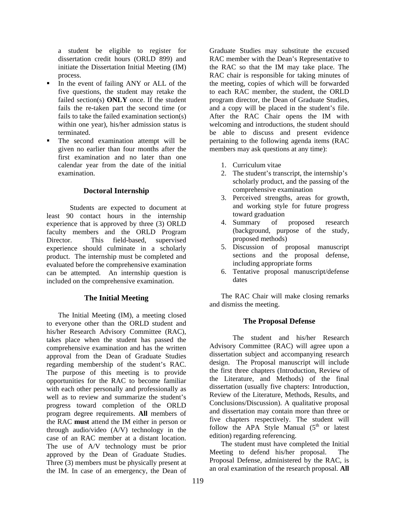a student be eligible to register for dissertation credit hours (ORLD 899) and initiate the Dissertation Initial Meeting (IM) process.

- In the event of failing ANY or ALL of the five questions, the student may retake the failed section(s) **ONLY** once. If the student fails the re-taken part the second time (or fails to take the failed examination section(s) within one year), his/her admission status is terminated.
- The second examination attempt will be given no earlier than four months after the first examination and no later than one calendar year from the date of the initial examination.

### **Doctoral Internship**

Students are expected to document at least 90 contact hours in the internship experience that is approved by three (3) ORLD faculty members and the ORLD Program Director. This field-based, supervised experience should culminate in a scholarly product. The internship must be completed and evaluated before the comprehensive examination can be attempted. An internship question is included on the comprehensive examination.

### **The Initial Meeting**

The Initial Meeting (IM), a meeting closed to everyone other than the ORLD student and his/her Research Advisory Committee (RAC), takes place when the student has passed the comprehensive examination and has the written approval from the Dean of Graduate Studies regarding membership of the student's RAC. The purpose of this meeting is to provide opportunities for the RAC to become familiar with each other personally and professionally as well as to review and summarize the student's progress toward completion of the ORLD program degree requirements. **All** members of the RAC **must** attend the IM either in person or through audio/video (A/V) technology in the case of an RAC member at a distant location. The use of A/V technology must be prior approved by the Dean of Graduate Studies. Three (3) members must be physically present at the IM. In case of an emergency, the Dean of

Graduate Studies may substitute the excused RAC member with the Dean's Representative to the RAC so that the IM may take place. The RAC chair is responsible for taking minutes of the meeting, copies of which will be forwarded to each RAC member, the student, the ORLD program director, the Dean of Graduate Studies, and a copy will be placed in the student's file. After the RAC Chair opens the IM with welcoming and introductions, the student should be able to discuss and present evidence pertaining to the following agenda items (RAC members may ask questions at any time):

- 1. Curriculum vitae
- 2. The student's transcript, the internship's scholarly product, and the passing of the comprehensive examination
- 3. Perceived strengths, areas for growth, and working style for future progress toward graduation
- 4. Summary of proposed research (background, purpose of the study, proposed methods)
- 5. Discussion of proposal manuscript sections and the proposal defense, including appropriate forms
- 6. Tentative proposal manuscript/defense dates

The RAC Chair will make closing remarks and dismiss the meeting.

# **The Proposal Defense**

 The student and his/her Research Advisory Committee (RAC) will agree upon a dissertation subject and accompanying research design. The Proposal manuscript will include the first three chapters (Introduction, Review of the Literature, and Methods) of the final dissertation (usually five chapters: Introduction, Review of the Literature, Methods, Results, and Conclusions/Discussion). A qualitative proposal and dissertation may contain more than three or five chapters respectively. The student will follow the APA Style Manual  $(5<sup>th</sup>$  or latest edition) regarding referencing.

The student must have completed the Initial Meeting to defend his/her proposal. The Proposal Defense, administered by the RAC, is an oral examination of the research proposal. **All**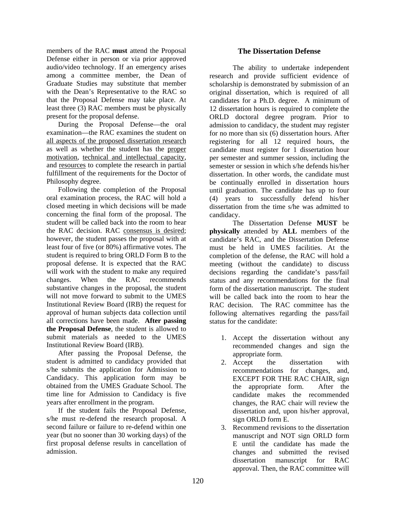members of the RAC **must** attend the Proposal Defense either in person or via prior approved audio/video technology. If an emergency arises among a committee member, the Dean of Graduate Studies may substitute that member with the Dean's Representative to the RAC so that the Proposal Defense may take place. At least three (3) RAC members must be physically present for the proposal defense.

During the Proposal Defense—the oral examination—the RAC examines the student on all aspects of the proposed dissertation research as well as whether the student has the proper motivation, technical and intellectual capacity, and resources to complete the research in partial fulfillment of the requirements for the Doctor of Philosophy degree.

Following the completion of the Proposal oral examination process, the RAC will hold a closed meeting in which decisions will be made concerning the final form of the proposal. The student will be called back into the room to hear the RAC decision. RAC consensus is desired; however, the student passes the proposal with at least four of five (or 80%) affirmative votes. The student is required to bring ORLD Form B to the proposal defense. It is expected that the RAC will work with the student to make any required changes. When the RAC recommends substantive changes in the proposal, the student will not move forward to submit to the UMES Institutional Review Board (IRB) the request for approval of human subjects data collection until all corrections have been made. **After passing the Proposal Defense**, the student is allowed to submit materials as needed to the UMES Institutional Review Board (IRB).

After passing the Proposal Defense, the student is admitted to candidacy provided that s/he submits the application for Admission to Candidacy. This application form may be obtained from the UMES Graduate School. The time line for Admission to Candidacy is five years after enrollment in the program.

If the student fails the Proposal Defense, s/he must re-defend the research proposal. A second failure or failure to re-defend within one year (but no sooner than 30 working days) of the first proposal defense results in cancellation of admission.

# **The Dissertation Defense**

The ability to undertake independent research and provide sufficient evidence of scholarship is demonstrated by submission of an original dissertation, which is required of all candidates for a Ph.D. degree. A minimum of 12 dissertation hours is required to complete the ORLD doctoral degree program. Prior to admission to candidacy, the student may register for no more than six (6) dissertation hours. After registering for all 12 required hours, the candidate must register for 1 dissertation hour per semester and summer session, including the semester or session in which s/he defends his/her dissertation. In other words, the candidate must be continually enrolled in dissertation hours until graduation. The candidate has up to four (4) years to successfully defend his/her dissertation from the time s/he was admitted to candidacy.

The Dissertation Defense **MUST** be **physically** attended by **ALL** members of the candidate's RAC, and the Dissertation Defense must be held in UMES facilities. At the completion of the defense, the RAC will hold a meeting (without the candidate) to discuss decisions regarding the candidate's pass/fail status and any recommendations for the final form of the dissertation manuscript. The student will be called back into the room to hear the RAC decision. The RAC committee has the following alternatives regarding the pass/fail status for the candidate:

- 1. Accept the dissertation without any recommended changes and sign the appropriate form.
- 2. Accept the dissertation with recommendations for changes, and, EXCEPT FOR THE RAC CHAIR, sign the appropriate form. After the candidate makes the recommended changes, the RAC chair will review the dissertation and, upon his/her approval, sign ORLD form E.
- 3. Recommend revisions to the dissertation manuscript and NOT sign ORLD form E until the candidate has made the changes and submitted the revised dissertation manuscript for RAC approval. Then, the RAC committee will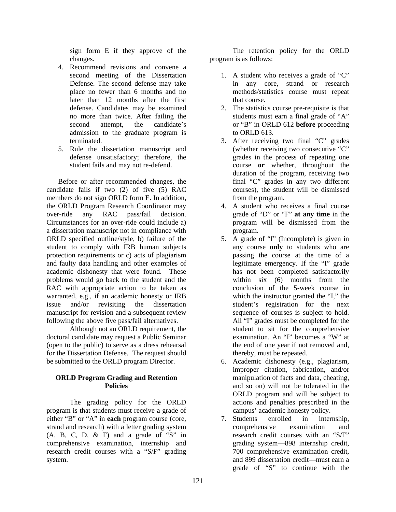sign form E if they approve of the changes.

- 4. Recommend revisions and convene a second meeting of the Dissertation Defense. The second defense may take place no fewer than 6 months and no later than 12 months after the first defense. Candidates may be examined no more than twice. After failing the second attempt, the candidate's admission to the graduate program is terminated.
- 5. Rule the dissertation manuscript and defense unsatisfactory; therefore, the student fails and may not re-defend.

Before or after recommended changes, the candidate fails if two (2) of five (5) RAC members do not sign ORLD form E. In addition, the ORLD Program Research Coordinator may over-ride any RAC pass/fail decision. Circumstances for an over-ride could include a) a dissertation manuscript not in compliance with ORLD specified outline/style, b) failure of the student to comply with IRB human subjects protection requirements or c) acts of plagiarism and faulty data handling and other examples of academic dishonesty that were found. These problems would go back to the student and the RAC with appropriate action to be taken as warranted, e.g., if an academic honesty or IRB issue and/or revisiting the dissertation manuscript for revision and a subsequent review following the above five pass/fail alternatives.

Although not an ORLD requirement, the doctoral candidate may request a Public Seminar (open to the public) to serve as a dress rehearsal for the Dissertation Defense. The request should be submitted to the ORLD program Director.

### **ORLD Program Grading and Retention Policies**

The grading policy for the ORLD program is that students must receive a grade of either "B" or "A" in **each** program course (core, strand and research) with a letter grading system  $(A, B, C, D, \& F)$  and a grade of "S" in comprehensive examination, internship and research credit courses with a "S/F" grading system.

 The retention policy for the ORLD program is as follows:

- 1. A student who receives a grade of "C" in any core, strand or research methods/statistics course must repeat that course.
- 2. The statistics course pre-requisite is that students must earn a final grade of "A" or "B" in ORLD 612 **before** proceeding to ORLD 613.
- 3. After receiving two final "C" grades (whether receiving two consecutive "C" grades in the process of repeating one course **or** whether, throughout the duration of the program, receiving two final "C" grades in any two different courses), the student will be dismissed from the program.
- 4. A student who receives a final course grade of "D" or "F" **at any time** in the program will be dismissed from the program.
- 5. A grade of "I" (Incomplete) is given in any course **only** to students who are passing the course at the time of a legitimate emergency. If the "I" grade has not been completed satisfactorily within six (6) months from the conclusion of the 5-week course in which the instructor granted the "I," the student's registration for the next sequence of courses is subject to hold. All "I" grades must be completed for the student to sit for the comprehensive examination. An "I" becomes a "W" at the end of one year if not removed and, thereby, must be repeated.
- 6. Academic dishonesty (e.g., plagiarism, improper citation, fabrication, and/or manipulation of facts and data, cheating, and so on) will not be tolerated in the ORLD program and will be subject to actions and penalties prescribed in the campus' academic honesty policy.
- 7. Students enrolled in internship, comprehensive examination and research credit courses with an "S/F" grading system—898 internship credit, 700 comprehensive examination credit, and 899 dissertation credit—must earn a grade of "S" to continue with the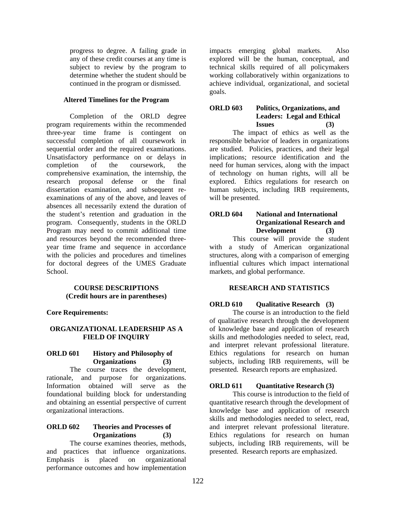progress to degree. A failing grade in any of these credit courses at any time is subject to review by the program to determine whether the student should be continued in the program or dismissed.

### **Altered Timelines for the Program**

 Completion of the ORLD degree program requirements within the recommended three-year time frame is contingent on successful completion of all coursework in sequential order and the required examinations. Unsatisfactory performance on or delays in completion of the coursework, the comprehensive examination, the internship, the research proposal defense or the final dissertation examination, and subsequent reexaminations of any of the above, and leaves of absences all necessarily extend the duration of the student's retention and graduation in the program. Consequently, students in the ORLD Program may need to commit additional time and resources beyond the recommended threeyear time frame and sequence in accordance with the policies and procedures and timelines for doctoral degrees of the UMES Graduate School.

### **COURSE DESCRIPTIONS (Credit hours are in parentheses)**

**Core Requirements:** 

### **ORGANIZATIONAL LEADERSHIP AS A FIELD OF INQUIRY**

### **ORLD 601 History and Philosophy of Organizations (3)**

The course traces the development, rationale, and purpose for organizations. Information obtained will serve as the foundational building block for understanding and obtaining an essential perspective of current organizational interactions.

#### **ORLD 602 Theories and Processes of Organizations (3)**

The course examines theories, methods, and practices that influence organizations. Emphasis is placed on organizational performance outcomes and how implementation

impacts emerging global markets. Also explored will be the human, conceptual, and technical skills required of all policymakers working collaboratively within organizations to achieve individual, organizational, and societal goals.

#### **ORLD 603 Politics, Organizations, and Leaders: Legal and Ethical Issues (3)**

The impact of ethics as well as the responsible behavior of leaders in organizations are studied. Policies, practices, and their legal implications; resource identification and the need for human services, along with the impact of technology on human rights, will all be explored. Ethics regulations for research on human subjects, including IRB requirements, will be presented.

### **ORLD 604 National and International Organizational Research and Development (3)**

This course will provide the student with a study of American organizational structures, along with a comparison of emerging influential cultures which impact international markets, and global performance.

# **RESEARCH AND STATISTICS**

# **ORLD 610 Qualitative Research** (3)

The course is an introduction to the field of qualitative research through the development of knowledge base and application of research skills and methodologies needed to select, read, and interpret relevant professional literature. Ethics regulations for research on human subjects, including IRB requirements, will be presented. Research reports are emphasized.

### **ORLD 611 Quantitative Research (3)**

This course is introduction to the field of quantitative research through the development of knowledge base and application of research skills and methodologies needed to select, read, and interpret relevant professional literature. Ethics regulations for research on human subjects, including IRB requirements, will be presented. Research reports are emphasized.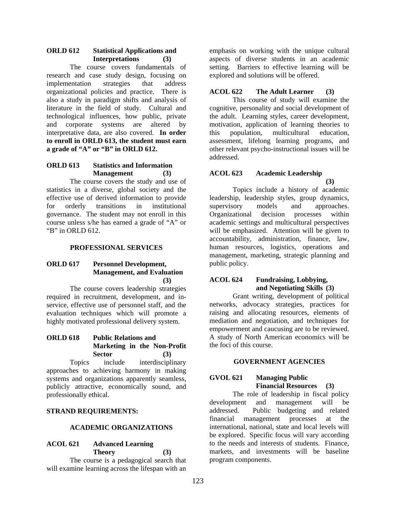#### **ORLD 612 Statistical Applications and Interpretations (3)**

The course covers fundamentals of research and case study design, focusing on implementation strategies that address organizational policies and practice. There is also a study in paradigm shifts and analysis of literature in the field of study. Cultural and technological influences, how public, private and corporate systems are altered by interpretative data, are also covered. **In order to enroll in ORLD 613, the student must earn a grade of "A" or "B" in ORLD 612.** 

# **ORLD 613 Statistics and Information Management (3)**

The course covers the study and use of statistics in a diverse, global society and the effective use of derived information to provide for orderly transitions in institutional governance. The student may not enroll in this course unless s/he has earned a grade of "A" or "B" in ORLD 612.

### **PROFESSIONAL SERVICES**

### **ORLD 617 Personnel Development, Management, and Evaluation (3)**

The course covers leadership strategies required in recruitment, development, and inservice, effective use of personnel staff, and the evaluation techniques which will promote a highly motivated professional delivery system.

# **ORLD 618 Public Relations and Marketing in the Non-Profit Sector (3)**

Topics include interdisciplinary approaches to achieving harmony in making systems and organizations apparently seamless, publicly attractive, economically sound, and professionally ethical.

# **STRAND REQUIREMENTS:**

# **ACADEMIC ORGANIZATIONS**

# **ACOL 621 Advanced Learning Theory (3)**

The course is a pedagogical search that will examine learning across the lifespan with an emphasis on working with the unique cultural aspects of diverse students in an academic setting. Barriers to effective learning will be explored and solutions will be offered.

### **ACOL 622 The Adult Learner (3)**

This course of study will examine the cognitive, personality and social development of the adult. Learning styles, career development, motivation, application of learning theories to this population, multicultural education, assessment, lifelong learning programs, and other relevant psycho-instructional issues will be addressed.

### **ACOL 623 Academic Leadership**

 **(3)**  Topics include a history of academic leadership, leadership styles, group dynamics, supervisory models and approaches. Organizational decision processes within academic settings and multicultural perspectives will be emphasized. Attention will be given to accountability, administration, finance, law, human resources, logistics, operations and management, marketing, strategic planning and public policy.

# **ACOL 624 Fundraising, Lobbying, and Negotiating Skills (3)**

Grant writing, development of political networks, advocacy strategies, practices for raising and allocating resources, elements of mediation and negotiation, and techniques for empowerment and caucusing are to be reviewed. A study of North American economics will be the foci of this course.

# **GOVERNMENT AGENCIES**

# **GVOL 621 Managing Public Financial Resources (3)**

The role of leadership in fiscal policy development and management will be addressed. Public budgeting and related financial management processes at the international, national, state and local levels will be explored. Specific focus will vary according to the needs and interests of students. Finance, markets, and investments will be baseline program components.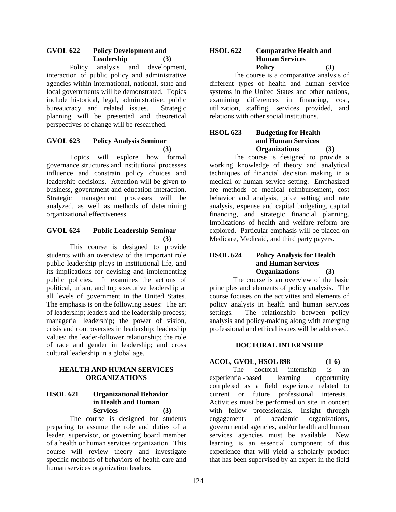### **GVOL 622 Policy Development and Leadership (3)**

Policy analysis and development, interaction of public policy and administrative agencies within international, national, state and local governments will be demonstrated. Topics include historical, legal, administrative, public bureaucracy and related issues. Strategic planning will be presented and theoretical perspectives of change will be researched.

# **GVOL 623 Policy Analysis Seminar (3)**

Topics will explore how formal governance structures and institutional processes influence and constrain policy choices and leadership decisions. Attention will be given to business, government and education interaction. Strategic management processes will be analyzed, as well as methods of determining organizational effectiveness.

### **GVOL 624 Public Leadership Seminar (3)**

This course is designed to provide students with an overview of the important role public leadership plays in institutional life, and its implications for devising and implementing public policies. It examines the actions of political, urban, and top executive leadership at all levels of government in the United States. The emphasis is on the following issues: The art of leadership; leaders and the leadership process; managerial leadership; the power of vision, crisis and controversies in leadership; leadership values; the leader-follower relationship; the role of race and gender in leadership; and cross cultural leadership in a global age.

### **HEALTH AND HUMAN SERVICES ORGANIZATIONS**

# **HSOL 621 Organizational Behavior in Health and Human Services (3)**

The course is designed for students preparing to assume the role and duties of a leader, supervisor, or governing board member of a health or human services organization. This course will review theory and investigate specific methods of behaviors of health care and human services organization leaders.

### **HSOL 622 Comparative Health and Human Services Policy (3)**

The course is a comparative analysis of different types of health and human service systems in the United States and other nations, examining differences in financing, cost, utilization, staffing, services provided, and relations with other social institutions.

### **HSOL 623 Budgeting for Health and Human Services Organizations (3)**

The course is designed to provide a working knowledge of theory and analytical techniques of financial decision making in a medical or human service setting. Emphasized are methods of medical reimbursement, cost behavior and analysis, price setting and rate analysis, expense and capital budgeting, capital financing, and strategic financial planning. Implications of health and welfare reform are explored. Particular emphasis will be placed on Medicare, Medicaid, and third party payers.

### **HSOL 624 Policy Analysis for Health and Human Services Organizations (3)**

The course is an overview of the basic principles and elements of policy analysis. The course focuses on the activities and elements of policy analysts in health and human services settings. The relationship between policy analysis and policy-making along with emerging professional and ethical issues will be addressed.

# **DOCTORAL INTERNSHIP**

**ACOL, GVOL, HSOL 898 (1-6)** 

The doctoral internship is an experiential-based learning opportunity completed as a field experience related to current or future professional interests. Activities must be performed on site in concert with fellow professionals. Insight through engagement of academic organizations, governmental agencies, and/or health and human services agencies must be available. New learning is an essential component of this experience that will yield a scholarly product that has been supervised by an expert in the field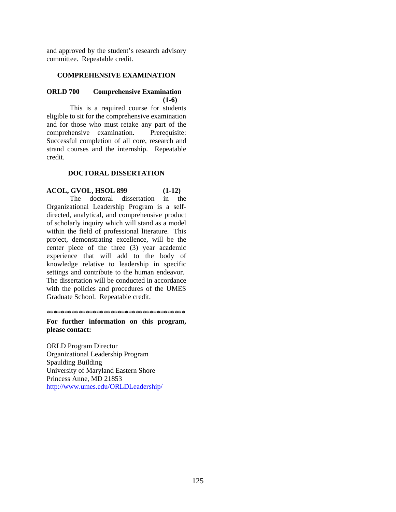and approved by the student's research advisory committee. Repeatable credit.

#### **COMPREHENSIVE EXAMINATION**

#### **ORLD 700 Comprehensive Examination (1-6)**

This is a required course for students eligible to sit for the comprehensive examination and for those who must retake any part of the comprehensive examination. Prerequisite: Successful completion of all core, research and strand courses and the internship. Repeatable credit.

#### **DOCTORAL DISSERTATION**

# **ACOL, GVOL, HSOL 899 (1-12)**

The doctoral dissertation in the Organizational Leadership Program is a selfdirected, analytical, and comprehensive product of scholarly inquiry which will stand as a model within the field of professional literature. This project, demonstrating excellence, will be the center piece of the three (3) year academic experience that will add to the body of knowledge relative to leadership in specific settings and contribute to the human endeavor. The dissertation will be conducted in accordance with the policies and procedures of the UMES Graduate School. Repeatable credit.

\*\*\*\*\*\*\*\*\*\*\*\*\*\*\*\*\*\*\*\*\*\*\*\*\*\*\*\*\*\*\*\*\*\*\*\*\*\*\*

**For further information on this program, please contact:** 

ORLD Program Director Organizational Leadership Program Spaulding Building University of Maryland Eastern Shore Princess Anne, MD 21853 http://www.umes.edu/ORLDLeadership/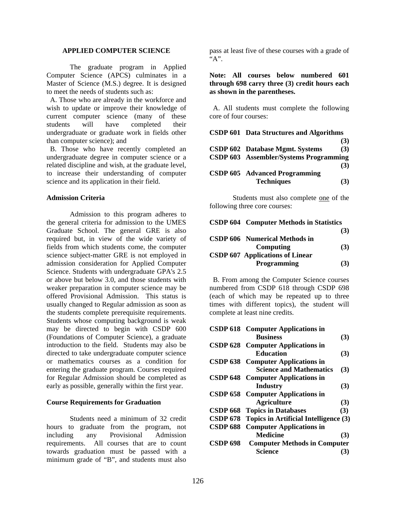#### **APPLIED COMPUTER SCIENCE**

The graduate program in Applied Computer Science (APCS) culminates in a Master of Science (M.S.) degree. It is designed to meet the needs of students such as:

 A. Those who are already in the workforce and wish to update or improve their knowledge of current computer science (many of these students will have completed their undergraduate or graduate work in fields other than computer science); and

 B. Those who have recently completed an undergraduate degree in computer science or a related discipline and wish, at the graduate level, to increase their understanding of computer science and its application in their field.

#### **Admission Criteria**

 Admission to this program adheres to the general criteria for admission to the UMES Graduate School. The general GRE is also required but, in view of the wide variety of fields from which students come, the computer science subject-matter GRE is not employed in admission consideration for Applied Computer Science. Students with undergraduate GPA's 2.5 or above but below 3.0, and those students with weaker preparation in computer science may be offered Provisional Admission. This status is usually changed to Regular admission as soon as the students complete prerequisite requirements. Students whose computing background is weak may be directed to begin with CSDP 600 (Foundations of Computer Science), a graduate introduction to the field. Students may also be directed to take undergraduate computer science or mathematics courses as a condition for entering the graduate program. Courses required for Regular Admission should be completed as early as possible, generally within the first year.

#### **Course Requirements for Graduation**

 Students need a minimum of 32 credit hours to graduate from the program, not including any Provisional Admission requirements. All courses that are to count towards graduation must be passed with a minimum grade of "B", and students must also

pass at least five of these courses with a grade of "A".

**Note: All courses below numbered 601 through 698 carry three (3) credit hours each as shown in the parentheses.**

 A. All students must complete the following core of four courses:

| <b>CSDP 601 Data Structures and Algorithms</b> |     |
|------------------------------------------------|-----|
|                                                | (3) |
| <b>CSDP 602</b> Database Mgmt. Systems         | (3) |
| CSDP 603 Assembler/Systems Programming         |     |
|                                                | (3) |
| <b>CSDP 605</b> Advanced Programming           |     |
| <b>Techniques</b>                              | (3) |

Students must also complete one of the following three core courses:

| <b>CSDP 604 Computer Methods in Statistics</b> |     |
|------------------------------------------------|-----|
|                                                | (3) |
| <b>CSDP 606</b> Numerical Methods in           |     |
| Computing                                      | (3) |
| <b>CSDP 607 Applications of Linear</b>         |     |
| Programming                                    | (3) |

 B. From among the Computer Science courses numbered from CSDP 618 through CSDP 698 (each of which may be repeated up to three times with different topics), the student will complete at least nine credits.

|                 | <b>CSDP 618</b> Computer Applications in       |     |
|-----------------|------------------------------------------------|-----|
|                 | <b>Business</b>                                | (3) |
|                 | <b>CSDP 628</b> Computer Applications in       |     |
|                 | <b>Education</b>                               | (3) |
|                 | <b>CSDP 638</b> Computer Applications in       |     |
|                 | <b>Science and Mathematics</b>                 | (3) |
|                 | <b>CSDP 648</b> Computer Applications in       |     |
|                 | Industry                                       | (3) |
|                 | <b>CSDP 658</b> Computer Applications in       |     |
|                 | <b>Agriculture</b>                             | (3) |
|                 | <b>CSDP 668 Topics in Databases</b>            | (3) |
|                 | CSDP 678 Topics in Artificial Intelligence (3) |     |
| <b>CSDP 688</b> | <b>Computer Applications in</b>                |     |
|                 | <b>Medicine</b>                                | (3) |
| <b>CSDP 698</b> | <b>Computer Methods in Computer</b>            |     |
|                 | Science                                        | (3) |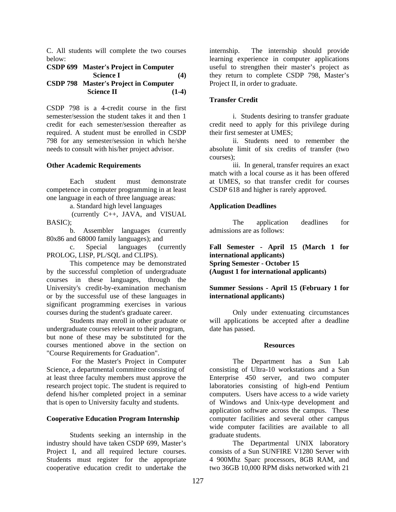C. All students will complete the two courses below:

| CSDP 699 Master's Project in Computer        |         |
|----------------------------------------------|---------|
| <b>Science I</b>                             | (4)     |
| <b>CSDP 798 Master's Project in Computer</b> |         |
| <b>Science II</b>                            | $(1-4)$ |

CSDP 798 is a 4-credit course in the first semester/session the student takes it and then 1 credit for each semester/session thereafter as required. A student must be enrolled in CSDP 798 for any semester/session in which he/she needs to consult with his/her project advisor.

#### **Other Academic Requirements**

Each student must demonstrate competence in computer programming in at least one language in each of three language areas:

a. Standard high level languages

 (currently C++, JAVA, and VISUAL BASIC);

 b. Assembler languages (currently 80x86 and 68000 family languages); and

 c. Special languages (currently PROLOG, LISP, PL/SQL and CLIPS).

This competence may be demonstrated by the successful completion of undergraduate courses in these languages, through the University's credit-by-examination mechanism or by the successful use of these languages in significant programming exercises in various courses during the student's graduate career.

Students may enroll in other graduate or undergraduate courses relevant to their program, but none of these may be substituted for the courses mentioned above in the section on "Course Requirements for Graduation".

 For the Master's Project in Computer Science, a departmental committee consisting of at least three faculty members must approve the research project topic. The student is required to defend his/her completed project in a seminar that is open to University faculty and students.

#### **Cooperative Education Program Internship**

 Students seeking an internship in the industry should have taken CSDP 699, Master's Project I, and all required lecture courses. Students must register for the appropriate cooperative education credit to undertake the

internship. The internship should provide learning experience in computer applications useful to strengthen their master's project as they return to complete CSDP 798, Master's Project II, in order to graduate.

#### **Transfer Credit**

 i. Students desiring to transfer graduate credit need to apply for this privilege during their first semester at UMES;

 ii. Students need to remember the absolute limit of six credits of transfer (two courses);

 iii. In general, transfer requires an exact match with a local course as it has been offered at UMES, so that transfer credit for courses CSDP 618 and higher is rarely approved.

#### **Application Deadlines**

The application deadlines for admissions are as follows:

**Fall Semester - April 15 (March 1 for international applicants) Spring Semester - October 15 (August 1 for international applicants)** 

### **Summer Sessions - April 15 (February 1 for international applicants)**

Only under extenuating circumstances will applications be accepted after a deadline date has passed.

#### **Resources**

The Department has a Sun Lab consisting of Ultra-10 workstations and a Sun Enterprise 450 server, and two computer laboratories consisting of high-end Pentium computers. Users have access to a wide variety of Windows and Unix-type development and application software across the campus. These computer facilities and several other campus wide computer facilities are available to all graduate students.

The Departmental UNIX laboratory consists of a Sun SUNFIRE V1280 Server with 4 900Mhz Sparc processors, 8GB RAM, and two 36GB 10,000 RPM disks networked with 21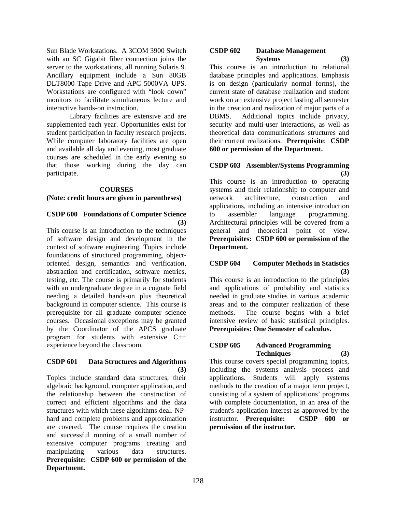Sun Blade Workstations. A 3COM 3900 Switch with an SC Gigabit fiber connection joins the server to the workstations, all running Solaris 9. Ancillary equipment include a Sun 80GB DLT8000 Tape Drive and APC 5000VA UPS. Workstations are configured with "look down" monitors to facilitate simultaneous lecture and interactive hands-on instruction.

 Library facilities are extensive and are supplemented each year. Opportunities exist for student participation in faculty research projects. While computer laboratory facilities are open and available all day and evening, most graduate courses are scheduled in the early evening so that those working during the day can participate.

#### **COURSES**

### **(Note: credit hours are given in parentheses)**

### **CSDP 600 Foundations of Computer Science (3)**

This course is an introduction to the techniques of software design and development in the context of software engineering. Topics include foundations of structured programming, objectoriented design, semantics and verification, abstraction and certification, software metrics, testing, etc. The course is primarily for students with an undergraduate degree in a cognate field needing a detailed hands-on plus theoretical background in computer science. This course is prerequisite for all graduate computer science courses. Occasional exceptions may be granted by the Coordinator of the APCS graduate program for students with extensive C++ experience beyond the classroom.

### **CSDP 601 Data Structures and Algorithms (3)**

Topics include standard data structures, their algebraic background, computer application, and the relationship between the construction of correct and efficient algorithms and the data structures with which these algorithms deal. NPhard and complete problems and approximation are covered. The course requires the creation and successful running of a small number of extensive computer programs creating and manipulating various data structures. **Prerequisite: CSDP 600 or permission of the Department.**

#### **CSDP 602 Database Management Systems (3)**

This course is an introduction to relational database principles and applications. Emphasis is on design (particularly normal forms), the current state of database realization and student work on an extensive project lasting all semester in the creation and realization of major parts of a DBMS. Additional topics include privacy, security and multi-user interactions, as well as theoretical data communications structures and their current realizations. **Prerequisite**: **CSDP 600 or permission of the Department.** 

### **CSDP 603 Assembler/Systems Programming (3)**

This course is an introduction to operating systems and their relationship to computer and network architecture, construction and applications, including an intensive introduction to assembler language programming. Architectural principles will be covered from a general and theoretical point of view. **Prerequisites: CSDP 600 or permission of the Department.**

### **CSDP 604 Computer Methods in Statistics (3)**

This course is an introduction to the principles and applications of probability and statistics needed in graduate studies in various academic areas and to the computer realization of these methods. The course begins with a brief intensive review of basic statistical principles. **Prerequisites: One Semester of calculus.** 

### **CSDP 605 Advanced Programming Techniques (3)**

This course covers special programming topics, including the systems analysis process and applications. Students will apply systems methods to the creation of a major term project, consisting of a system of applications' programs with complete documentation, in an area of the student's application interest as approved by the instructor. **Prerequisite: CSDP 600 or permission of the instructor.**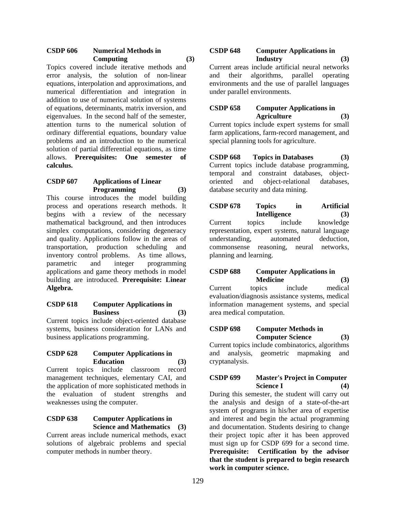# **CSDP 606 Numerical Methods in Computing (3)**

Topics covered include iterative methods and error analysis, the solution of non-linear equations, interpolation and approximations, and numerical differentiation and integration in addition to use of numerical solution of systems of equations, determinants, matrix inversion, and eigenvalues. In the second half of the semester, attention turns to the numerical solution of ordinary differential equations, boundary value problems and an introduction to the numerical solution of partial differential equations, as time allows. **Prerequisites: One semester of calculus.** 

#### **CSDP 607 Applications of Linear Programming (3)**

This course introduces the model building process and operations research methods. It begins with a review of the necessary mathematical background, and then introduces simplex computations, considering degeneracy and quality. Applications follow in the areas of transportation, production scheduling and inventory control problems. As time allows, parametric and integer programming applications and game theory methods in model building are introduced. **Prerequisite: Linear Algebra.** 

### **CSDP 618 Computer Applications in Business (3)**

Current topics include object-oriented database systems, business consideration for LANs and business applications programming.

### **CSDP 628 Computer Applications in Education (3)**

Current topics include classroom record management techniques, elementary CAI, and the application of more sophisticated methods in the evaluation of student strengths and weaknesses using the computer.

# **CSDP 638 Computer Applications in Science and Mathematics (3)**

Current areas include numerical methods, exact solutions of algebraic problems and special computer methods in number theory.

# **CSDP 648 Computer Applications in Industry (3)**

Current areas include artificial neural networks and their algorithms, parallel operating environments and the use of parallel languages under parallel environments.

# **CSDP 658 Computer Applications in Agriculture (3)**

Current topics include expert systems for small farm applications, farm-record management, and special planning tools for agriculture.

**CSDP 668 Topics in Databases (3)**  Current topics include database programming, temporal and constraint databases, objectoriented and object-relational databases, database security and data mining.

**CSDP 678 Topics in Artificial Intelligence (3)** Current topics include knowledge representation, expert systems, natural language understanding, automated deduction, commonsense reasoning, neural networks, planning and learning.

# **CSDP 688 Computer Applications in Medicine (3)**

Current topics include medical evaluation/diagnosis assistance systems, medical information management systems, and special area medical computation.

# **CSDP 698 Computer Methods in Computer Science (3)**

Current topics include combinatorics, algorithms and analysis, geometric mapmaking and cryptanalysis.

# **CSDP 699 Master's Project in Computer Science I (4)**

During this semester, the student will carry out the analysis and design of a state-of-the-art system of programs in his/her area of expertise and interest and begin the actual programming and documentation. Students desiring to change their project topic after it has been approved must sign up for CSDP 699 for a second time. **Prerequisite: Certification by the advisor that the student is prepared to begin research work in computer science.**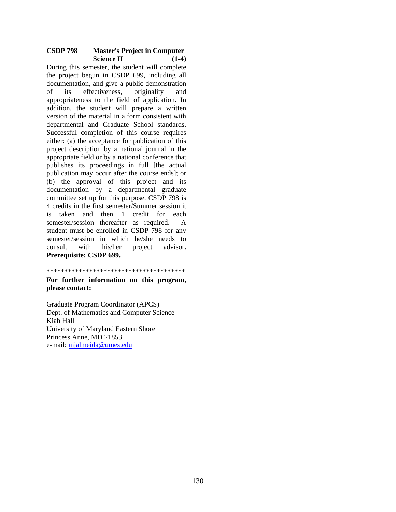### **CSDP 798 Master's Project in Computer Science II** (1-4)

During this semester, the student will complete the project begun in CSDP 699, including all documentation, and give a public demonstration of its effectiveness, originality and appropriateness to the field of application. In addition, the student will prepare a written version of the material in a form consistent with departmental and Graduate School standards. Successful completion of this course requires either: (a) the acceptance for publication of this project description by a national journal in the appropriate field or by a national conference that publishes its proceedings in full [the actual publication may occur after the course ends]; or (b) the approval of this project and its documentation by a departmental graduate committee set up for this purpose. CSDP 798 is 4 credits in the first semester/Summer session it is taken and then 1 credit for each semester/session thereafter as required. A student must be enrolled in CSDP 798 for any semester/session in which he/she needs to consult with his/her project advisor. **Prerequisite: CSDP 699.**

#### \*\*\*\*\*\*\*\*\*\*\*\*\*\*\*\*\*\*\*\*\*\*\*\*\*\*\*\*\*\*\*\*\*\*\*\*\*\*\*

**For further information on this program, please contact:**

Graduate Program Coordinator (APCS) Dept. of Mathematics and Computer Science Kiah Hall University of Maryland Eastern Shore Princess Anne, MD 21853 e-mail: mjalmeida@umes.edu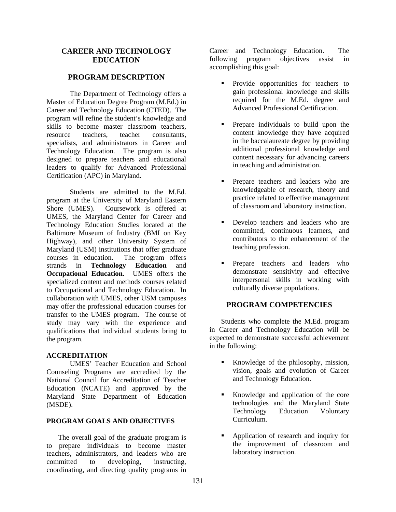### **CAREER AND TECHNOLOGY EDUCATION**

### **PROGRAM DESCRIPTION**

The Department of Technology offers a Master of Education Degree Program (M.Ed.) in Career and Technology Education (CTED). The program will refine the student's knowledge and skills to become master classroom teachers, resource teachers, teacher consultants, specialists, and administrators in Career and Technology Education. The program is also designed to prepare teachers and educational leaders to qualify for Advanced Professional Certification (APC) in Maryland.

Students are admitted to the M.Ed. program at the University of Maryland Eastern Shore (UMES). Coursework is offered at UMES, the Maryland Center for Career and Technology Education Studies located at the Baltimore Museum of Industry (BMI on Key Highway), and other University System of Maryland (USM) institutions that offer graduate courses in education. The program offers strands in **Technology Education** and **Occupational Education**. UMES offers the specialized content and methods courses related to Occupational and Technology Education. In collaboration with UMES, other USM campuses may offer the professional education courses for transfer to the UMES program. The course of study may vary with the experience and qualifications that individual students bring to the program.

#### **ACCREDITATION**

 UMES' Teacher Education and School Counseling Programs are accredited by the National Council for Accreditation of Teacher Education (NCATE) and approved by the Maryland State Department of Education (MSDE).

#### **PROGRAM GOALS AND OBJECTIVES**

The overall goal of the graduate program is to prepare individuals to become master teachers, administrators, and leaders who are committed to developing, instructing, coordinating, and directing quality programs in Career and Technology Education. The following program objectives assist in accomplishing this goal:

- **Provide** opportunities for teachers to gain professional knowledge and skills required for the M.Ed. degree and Advanced Professional Certification.
- **Prepare individuals to build upon the** content knowledge they have acquired in the baccalaureate degree by providing additional professional knowledge and content necessary for advancing careers in teaching and administration.
- Prepare teachers and leaders who are knowledgeable of research, theory and practice related to effective management of classroom and laboratory instruction.
- **Develop teachers and leaders who are** committed, continuous learners, and contributors to the enhancement of the teaching profession.
- **Prepare teachers and leaders who** demonstrate sensitivity and effective interpersonal skills in working with culturally diverse populations.

### **PROGRAM COMPETENCIES**

Students who complete the M.Ed. program in Career and Technology Education will be expected to demonstrate successful achievement in the following:

- Knowledge of the philosophy, mission, vision, goals and evolution of Career and Technology Education.
- Knowledge and application of the core technologies and the Maryland State Technology Education Voluntary Curriculum.
- Application of research and inquiry for the improvement of classroom and laboratory instruction.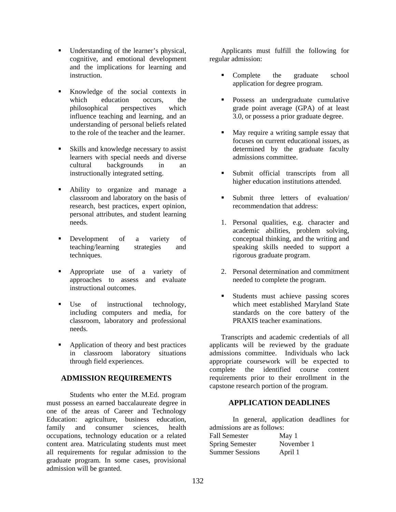- Understanding of the learner's physical, cognitive, and emotional development and the implications for learning and instruction.
- Knowledge of the social contexts in which education occurs, the philosophical perspectives which influence teaching and learning, and an understanding of personal beliefs related to the role of the teacher and the learner.
- Skills and knowledge necessary to assist learners with special needs and diverse cultural backgrounds in an instructionally integrated setting.
- Ability to organize and manage a classroom and laboratory on the basis of research, best practices, expert opinion, personal attributes, and student learning needs.
- **Development** of a variety of teaching/learning strategies and techniques.
- **Appropriate** use of a variety of approaches to assess and evaluate instructional outcomes.
- Use of instructional technology, including computers and media, for classroom, laboratory and professional needs.
- Application of theory and best practices in classroom laboratory situations through field experiences.

# **ADMISSION REQUIREMENTS**

Students who enter the M.Ed. program must possess an earned baccalaureate degree in one of the areas of Career and Technology Education: agriculture, business education, family and consumer sciences, health occupations, technology education or a related content area. Matriculating students must meet all requirements for regular admission to the graduate program. In some cases, provisional admission will be granted.

Applicants must fulfill the following for regular admission:

- Complete the graduate school application for degree program.
- **Possess an undergraduate cumulative** grade point average (GPA) of at least 3.0, or possess a prior graduate degree.
- May require a writing sample essay that focuses on current educational issues, as determined by the graduate faculty admissions committee.
- Submit official transcripts from all higher education institutions attended.
- Submit three letters of evaluation/ recommendation that address:
- 1. Personal qualities, e.g. character and academic abilities, problem solving, conceptual thinking, and the writing and speaking skills needed to support a rigorous graduate program.
- 2. Personal determination and commitment needed to complete the program.
- Students must achieve passing scores which meet established Maryland State standards on the core battery of the PRAXIS teacher examinations.

Transcripts and academic credentials of all applicants will be reviewed by the graduate admissions committee. Individuals who lack appropriate coursework will be expected to complete the identified course content requirements prior to their enrollment in the capstone research portion of the program.

# **APPLICATION DEADLINES**

In general, application deadlines for admissions are as follows: Fall Semester May 1 Spring Semester November 1 Summer Sessions April 1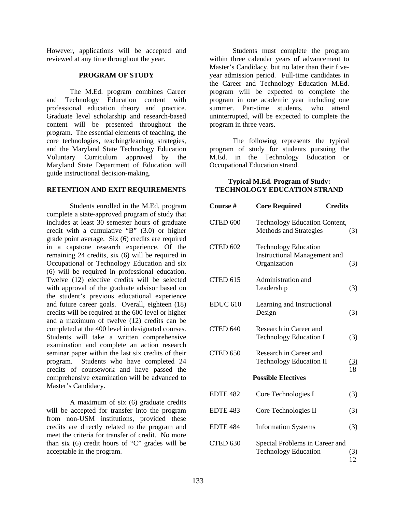However, applications will be accepted and reviewed at any time throughout the year.

#### **PROGRAM OF STUDY**

The M.Ed. program combines Career and Technology Education content with professional education theory and practice. Graduate level scholarship and research-based content will be presented throughout the program. The essential elements of teaching, the core technologies, teaching/learning strategies, and the Maryland State Technology Education Voluntary Curriculum approved by the Maryland State Department of Education will guide instructional decision-making.

#### **RETENTION AND EXIT REQUIREMENTS**

Students enrolled in the M.Ed. program complete a state-approved program of study that includes at least 30 semester hours of graduate credit with a cumulative "B" (3.0) or higher grade point average. Six (6) credits are required in a capstone research experience. Of the remaining 24 credits, six (6) will be required in Occupational or Technology Education and six (6) will be required in professional education. Twelve (12) elective credits will be selected with approval of the graduate advisor based on the student's previous educational experience and future career goals. Overall, eighteen (18) credits will be required at the 600 level or higher and a maximum of twelve (12) credits can be completed at the 400 level in designated courses. Students will take a written comprehensive examination and complete an action research seminar paper within the last six credits of their program. Students who have completed 24 credits of coursework and have passed the comprehensive examination will be advanced to Master's Candidacy.

A maximum of six (6) graduate credits will be accepted for transfer into the program from non-USM institutions, provided these credits are directly related to the program and meet the criteria for transfer of credit. No more than six (6) credit hours of "C" grades will be acceptable in the program.

Students must complete the program within three calendar years of advancement to Master's Candidacy, but no later than their fiveyear admission period. Full-time candidates in the Career and Technology Education M.Ed. program will be expected to complete the program in one academic year including one summer. Part-time students, who attend uninterrupted, will be expected to complete the program in three years.

The following represents the typical program of study for students pursuing the M.Ed. in the Technology Education or Occupational Education strand.

#### **Typical M.Ed. Program of Study: TECHNOLOGY EDUCATION STRAND**

| Course #        | <b>Credits</b><br><b>Core Required</b>                                             |                  |
|-----------------|------------------------------------------------------------------------------------|------------------|
| CTED 600        | <b>Technology Education Content,</b><br>Methods and Strategies                     | (3)              |
| <b>CTED 602</b> | <b>Technology Education</b><br><b>Instructional Management and</b><br>Organization | (3)              |
| <b>CTED 615</b> | Administration and<br>Leadership                                                   | (3)              |
| <b>EDUC 610</b> | Learning and Instructional<br>Design                                               | (3)              |
| CTED 640        | Research in Career and<br><b>Technology Education I</b>                            | (3)              |
| CTED 650        | Research in Career and<br><b>Technology Education II</b>                           | $\frac{(3)}{18}$ |
|                 | <b>Possible Electives</b>                                                          |                  |
| <b>EDTE 482</b> | Core Technologies I                                                                | (3)              |
| <b>EDTE 483</b> | Core Technologies II                                                               | (3)              |
| <b>EDTE 484</b> | <b>Information Systems</b>                                                         | (3)              |
| CTED 630        | Special Problems in Career and<br><b>Technology Education</b>                      | <u>(3)</u><br>12 |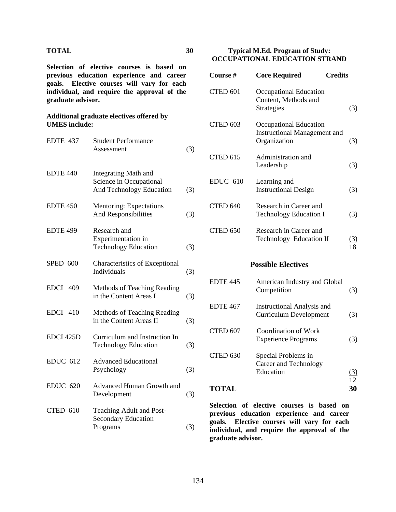### **TOTAL 30**

**Selection of elective courses is based on previous education experience and career goals. Elective courses will vary for each individual, and require the approval of the graduate advisor.** 

#### **Additional graduate electives offered by UMES include:**

| EDTE 437        | <b>Student Performance</b><br>Assessment                                           | (3) |
|-----------------|------------------------------------------------------------------------------------|-----|
| <b>EDTE 440</b> | <b>Integrating Math and</b><br>Science in Occupational<br>And Technology Education | (3) |
| <b>EDTE 450</b> | Mentoring: Expectations<br>And Responsibilities                                    | (3) |
| <b>EDTE 499</b> | Research and<br>Experimentation in<br><b>Technology Education</b>                  | (3) |
| <b>SPED 600</b> | Characteristics of Exceptional<br>Individuals                                      | (3) |
| <b>EDCI 409</b> | Methods of Teaching Reading<br>in the Content Areas I                              | (3) |
| EDCI 410        | Methods of Teaching Reading<br>in the Content Areas II                             | (3) |
| EDCI 425D       | Curriculum and Instruction In<br><b>Technology Education</b>                       | (3) |
| <b>EDUC 612</b> | <b>Advanced Educational</b><br>Psychology                                          | (3) |
| <b>EDUC 620</b> | Advanced Human Growth and<br>Development                                           | (3) |
| CTED 610        | Teaching Adult and Post-<br><b>Secondary Education</b><br>Programs                 | (3) |
|                 |                                                                                    |     |

#### **Typical M.Ed. Program of Study: OCCUPATIONAL EDUCATION STRAND**

| <b>Course#</b>      | <b>Core Required</b>                                                          | <b>Credits</b> |
|---------------------|-------------------------------------------------------------------------------|----------------|
| CTED <sub>601</sub> | Occupational Education<br>Content, Methods and<br><b>Strategies</b>           | (3)            |
| CTED <sub>603</sub> | Occupational Education<br><b>Instructional Management and</b><br>Organization | (3)            |
| CTED <sub>615</sub> | Administration and<br>Leadership                                              | (3)            |
| <b>EDUC 610</b>     | Learning and<br><b>Instructional Design</b>                                   | (3)            |
| CTED <sub>640</sub> | Research in Career and<br><b>Technology Education I</b>                       | (3)            |
| CTED <sub>650</sub> | Research in Career and<br>Technology Education II                             | (3)<br>18      |
|                     | <b>Possible Electives</b>                                                     |                |
| <b>EDTE 445</b>     | American Industry and Global<br>Competition                                   | (3)            |

|          | <b>Curriculum Development</b>                      | (3)    |
|----------|----------------------------------------------------|--------|
| CTED 607 | Coordination of Work<br><b>Experience Programs</b> | (3)    |
| CTED 630 | Special Problems in<br>Career and Technology       | $\sim$ |

EDTE 467 Instructional Analysis and

|              | Education | ັ |         |
|--------------|-----------|---|---------|
|              |           |   | 12      |
| <b>TOTAL</b> |           |   | 30<br>ັ |

**Selection of elective courses is based on previous education experience and career goals. Elective courses will vary for each individual, and require the approval of the graduate advisor.**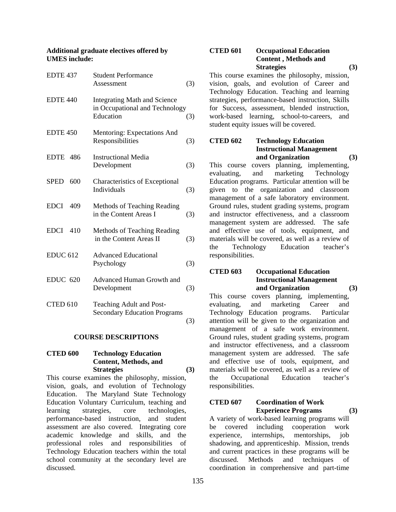#### **Additional graduate electives offered by UMES include:**

| EDTE 437            | <b>Student Performance</b><br>Assessment                                           | (3) |
|---------------------|------------------------------------------------------------------------------------|-----|
| EDTE 440            | <b>Integrating Math and Science</b><br>in Occupational and Technology<br>Education | (3) |
| EDTE <sub>450</sub> | Mentoring: Expectations And<br>Responsibilities                                    | (3) |
| <b>EDTE</b><br>-486 | <b>Instructional Media</b><br>Development                                          | (3) |
| <b>SPED</b><br>600  | <b>Characteristics of Exceptional</b><br>Individuals                               | (3) |
| <b>EDCI</b><br>409  | Methods of Teaching Reading<br>in the Content Areas I                              | (3) |
| <b>EDCI</b><br>410  | Methods of Teaching Reading<br>in the Content Areas II                             | (3) |
| <b>EDUC 612</b>     | <b>Advanced Educational</b><br>Psychology                                          | (3) |
| <b>EDUC 620</b>     | Advanced Human Growth and<br>Development                                           | (3) |
| CTED 610            | Teaching Adult and Post-<br><b>Secondary Education Programs</b>                    | (3) |

#### **COURSE DESCRIPTIONS**

### **CTED 600 Technology Education Content, Methods, and**  Strategies (3)

This course examines the philosophy, mission, vision, goals, and evolution of Technology Education. The Maryland State Technology Education Voluntary Curriculum, teaching and learning strategies, core technologies, performance-based instruction, and student assessment are also covered. Integrating core academic knowledge and skills, and the professional roles and responsibilities of Technology Education teachers within the total school community at the secondary level are discussed.

# **CTED 601 Occupational Education Content , Methods and**  Strategies (3)

This course examines the philosophy, mission, vision, goals, and evolution of Career and Technology Education. Teaching and learning strategies, performance-based instruction, Skills for Success, assessment, blended instruction, work-based learning, school-to-careers, and student equity issues will be covered.

# **CTED 602 Technology Education Instructional Management and Organization (3)**

This course covers planning, implementing, evaluating, and marketing Technology and marketing Technology Education programs. Particular attention will be given to the organization and classroom management of a safe laboratory environment. Ground rules, student grading systems, program and instructor effectiveness, and a classroom management system are addressed. The safe and effective use of tools, equipment, and materials will be covered, as well as a review of the Technology Education teacher's responsibilities.

### **CTED 603 Occupational Education Instructional Management and Organization (3)**

This course covers planning, implementing, evaluating, and marketing Career and Technology Education programs. Particular attention will be given to the organization and management of a safe work environment. Ground rules, student grading systems, program and instructor effectiveness, and a classroom management system are addressed. The safe and effective use of tools, equipment, and materials will be covered, as well as a review of the Occupational Education teacher's responsibilities.

### **CTED 607 Coordination of Work Experience Programs (3)**

A variety of work-based learning programs will be covered including cooperation work experience, internships, mentorships, job shadowing, and apprenticeship. Mission, trends and current practices in these programs will be discussed. Methods and techniques of coordination in comprehensive and part-time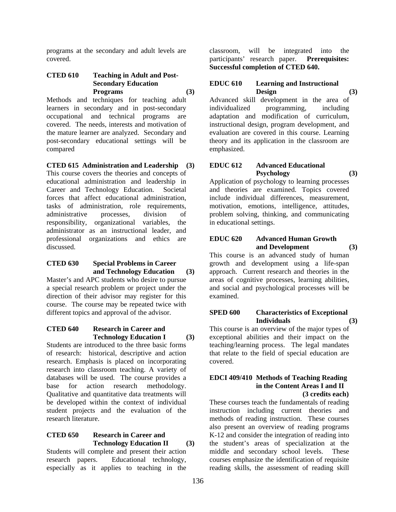programs at the secondary and adult levels are covered.

### **CTED 610 Teaching in Adult and Post- Secondary Education Programs (3)**

Methods and techniques for teaching adult learners in secondary and in post-secondary occupational and technical programs are covered. The needs, interests and motivation of the mature learner are analyzed. Secondary and post-secondary educational settings will be compared

**CTED 615 Administration and Leadership (3)** 

This course covers the theories and concepts of educational administration and leadership in Career and Technology Education. Societal forces that affect educational administration, tasks of administration, role requirements, administrative processes, division of responsibility, organizational variables, the administrator as an instructional leader, and professional organizations and ethics are discussed.

### **CTED 630 Special Problems in Career and Technology Education (3)**

Master's and APC students who desire to pursue a special research problem or project under the direction of their advisor may register for this course. The course may be repeated twice with different topics and approval of the advisor.

#### **CTED 640 Research in Career and Technology Education I (3)**

Students are introduced to the three basic forms of research: historical, descriptive and action research. Emphasis is placed on incorporating research into classroom teaching. A variety of databases will be used. The course provides a base for action research methodology. Qualitative and quantitative data treatments will be developed within the context of individual student projects and the evaluation of the research literature.

#### **CTED 650 Research in Career and Technology Education II (3)**

Students will complete and present their action research papers. Educational technology, especially as it applies to teaching in the

classroom, will be integrated into the participants' research paper. **Prerequisites: Successful completion of CTED 640.** 

#### **EDUC 610 Learning and Instructional Design (3)**

Advanced skill development in the area of individualized programming, including adaptation and modification of curriculum, instructional design, program development, and evaluation are covered in this course. Learning theory and its application in the classroom are emphasized.

### **EDUC 612 Advanced Educational Psychology (3)**

Application of psychology to learning processes and theories are examined. Topics covered include individual differences, measurement, motivation, emotions, intelligence, attitudes, problem solving, thinking, and communicating in educational settings.

### **EDUC 620 Advanced Human Growth and Development (3)**

This course is an advanced study of human growth and development using a life-span approach. Current research and theories in the areas of cognitive processes, learning abilities, and social and psychological processes will be examined.

# **SPED 600 Characteristics of Exceptional Individuals (3)**

This course is an overview of the major types of exceptional abilities and their impact on the teaching/learning process. The legal mandates that relate to the field of special education are covered.

# **EDCI 409/410 Methods of Teaching Reading in the Content Areas I and II**

### **(3 credits each)**

These courses teach the fundamentals of reading instruction including current theories and methods of reading instruction. These courses also present an overview of reading programs K-12 and consider the integration of reading into the student's areas of specialization at the middle and secondary school levels. These courses emphasize the identification of requisite reading skills, the assessment of reading skill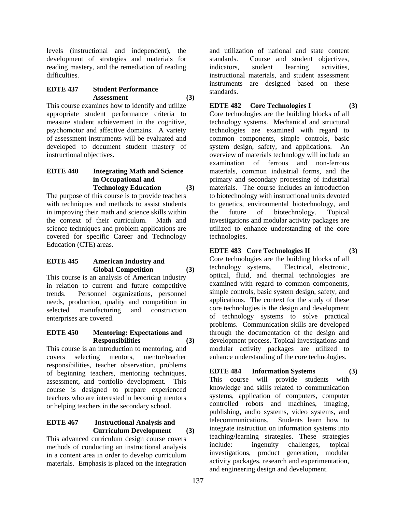levels (instructional and independent), the development of strategies and materials for reading mastery, and the remediation of reading difficulties.

### **EDTE 437 Student Performance Assessment (3)**

This course examines how to identify and utilize appropriate student performance criteria to measure student achievement in the cognitive, psychomotor and affective domains. A variety of assessment instruments will be evaluated and developed to document student mastery of instructional objectives.

#### **EDTE 440 Integrating Math and Science in Occupational and Technology Education (3)**

The purpose of this course is to provide teachers with techniques and methods to assist students in improving their math and science skills within the context of their curriculum. Math and science techniques and problem applications are covered for specific Career and Technology Education (CTE) areas.

### **EDTE 445 American Industry and Global Competition (3)**

This course is an analysis of American industry in relation to current and future competitive trends. Personnel organizations, personnel needs, production, quality and competition in selected manufacturing and construction enterprises are covered.

### **EDTE 450 Mentoring: Expectations and Responsibilities (3)**

This course is an introduction to mentoring, and covers selecting mentors, mentor/teacher responsibilities, teacher observation, problems of beginning teachers, mentoring techniques, assessment, and portfolio development. This course is designed to prepare experienced teachers who are interested in becoming mentors or helping teachers in the secondary school.

### **EDTE 467 Instructional Analysis and Curriculum Development (3)**

This advanced curriculum design course covers methods of conducting an instructional analysis in a content area in order to develop curriculum materials. Emphasis is placed on the integration and utilization of national and state content standards. Course and student objectives, indicators, student learning activities, instructional materials, and student assessment instruments are designed based on these standards.

# **EDTE 482 Core Technologies I (3)**

Core technologies are the building blocks of all technology systems. Mechanical and structural technologies are examined with regard to common components, simple controls, basic system design, safety, and applications. An overview of materials technology will include an examination of ferrous and non-ferrous materials, common industrial forms, and the primary and secondary processing of industrial materials. The course includes an introduction to biotechnology with instructional units devoted to genetics, environmental biotechnology, and the future of biotechnology. Topical investigations and modular activity packages are utilized to enhance understanding of the core technologies.

# **EDTE 483 Core Technologies II (3)**

Core technologies are the building blocks of all technology systems. Electrical, electronic, optical, fluid, and thermal technologies are examined with regard to common components, simple controls, basic system design, safety, and applications. The context for the study of these core technologies is the design and development of technology systems to solve practical problems. Communication skills are developed through the documentation of the design and development process. Topical investigations and modular activity packages are utilized to enhance understanding of the core technologies.

# **EDTE 484 Information Systems (3)**

This course will provide students with knowledge and skills related to communication systems, application of computers, computer controlled robots and machines, imaging, publishing, audio systems, video systems, and telecommunications. Students learn how to integrate instruction on information systems into teaching/learning strategies. These strategies include: ingenuity challenges, topical investigations, product generation, modular activity packages, research and experimentation, and engineering design and development.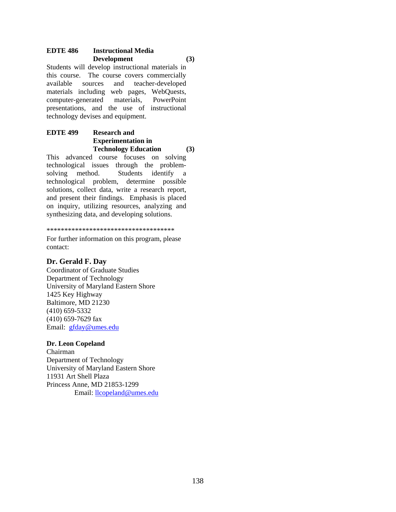### **EDTE 486 Instructional Media Development (3)**

Students will develop instructional materials in this course. The course covers commercially available sources and teacher-developed materials including web pages, WebQuests, computer-generated materials, PowerPoint presentations, and the use of instructional technology devises and equipment.

# **EDTE 499 Research and Experimentation in Technology Education (3)**

This advanced course focuses on solving technological issues through the problemsolving method. Students identify a technological problem, determine possible solutions, collect data, write a research report, and present their findings. Emphasis is placed on inquiry, utilizing resources, analyzing and synthesizing data, and developing solutions.

\*\*\*\*\*\*\*\*\*\*\*\*\*\*\*\*\*\*\*\*\*\*\*\*\*\*\*\*\*\*\*\*\*\*\*\*

For further information on this program, please contact:

# **Dr. Gerald F. Day**

Coordinator of Graduate Studies Department of Technology University of Maryland Eastern Shore 1425 Key Highway Baltimore, MD 21230 (410) 659-5332 (410) 659-7629 fax Email: gfday@umes.edu

# **Dr. Leon Copeland**

Chairman Department of Technology University of Maryland Eastern Shore 11931 Art Shell Plaza Princess Anne, MD 21853-1299 Email: llcopeland@umes.edu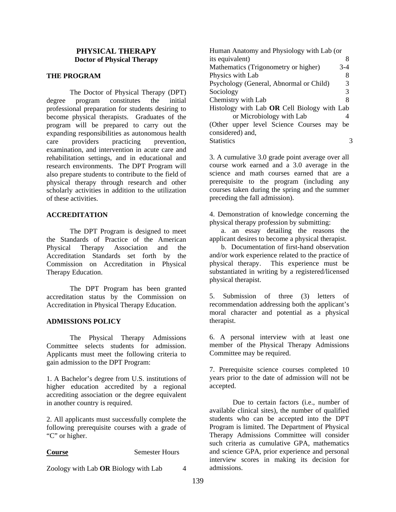### **PHYSICAL THERAPY Doctor of Physical Therapy**

### **THE PROGRAM**

 The Doctor of Physical Therapy (DPT) degree program constitutes the initial professional preparation for students desiring to become physical therapists. Graduates of the program will be prepared to carry out the expanding responsibilities as autonomous health care providers practicing prevention, examination, and intervention in acute care and rehabilitation settings, and in educational and research environments. The DPT Program will also prepare students to contribute to the field of physical therapy through research and other scholarly activities in addition to the utilization of these activities.

#### **ACCREDITATION**

 The DPT Program is designed to meet the Standards of Practice of the American Physical Therapy Association and the Accreditation Standards set forth by the Commission on Accreditation in Physical Therapy Education.

 The DPT Program has been granted accreditation status by the Commission on Accreditation in Physical Therapy Education.

#### **ADMISSIONS POLICY**

The Physical Therapy Admissions Committee selects students for admission. Applicants must meet the following criteria to gain admission to the DPT Program:

1. A Bachelor's degree from U.S. institutions of higher education accredited by a regional accrediting association or the degree equivalent in another country is required.

2. All applicants must successfully complete the following prerequisite courses with a grade of "C" or higher.

#### **Course** Semester Hours

Zoology with Lab **OR** Biology with Lab 4

Human Anatomy and Physiology with Lab (or its equivalent) 8 Mathematics (Trigonometry or higher) 3-4 Physics with Lab 8 Psychology (General, Abnormal or Child) 3 Sociology 3 Chemistry with Lab 8 Histology with Lab **OR** Cell Biology with Lab or Microbiology with Lab 4 (Other upper level Science Courses may be considered) and, Statistics 3

3. A cumulative 3.0 grade point average over all course work earned and a 3.0 average in the science and math courses earned that are a prerequisite to the program (including any courses taken during the spring and the summer preceding the fall admission).

4. Demonstration of knowledge concerning the physical therapy profession by submitting:

a. an essay detailing the reasons the applicant desires to become a physical therapist.

b. Documentation of first-hand observation and/or work experience related to the practice of physical therapy. This experience must be substantiated in writing by a registered/licensed physical therapist.

5. Submission of three (3) letters of recommendation addressing both the applicant's moral character and potential as a physical therapist.

6. A personal interview with at least one member of the Physical Therapy Admissions Committee may be required.

7. Prerequisite science courses completed 10 years prior to the date of admission will not be accepted.

Due to certain factors (i.e., number of available clinical sites), the number of qualified students who can be accepted into the DPT Program is limited. The Department of Physical Therapy Admissions Committee will consider such criteria as cumulative GPA, mathematics and science GPA, prior experience and personal interview scores in making its decision for admissions.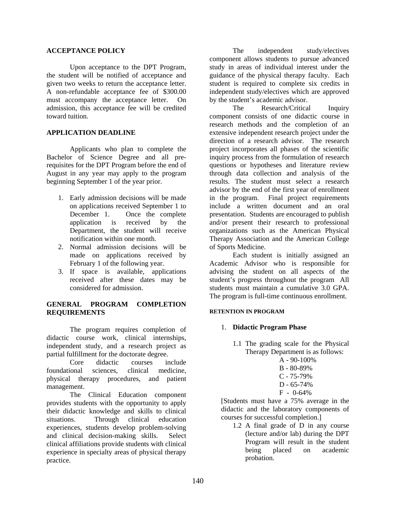#### **ACCEPTANCE POLICY**

Upon acceptance to the DPT Program, the student will be notified of acceptance and given two weeks to return the acceptance letter. A non-refundable acceptance fee of \$300.00 must accompany the acceptance letter. On admission, this acceptance fee will be credited toward tuition.

### **APPLICATION DEADLINE**

Applicants who plan to complete the Bachelor of Science Degree and all prerequisites for the DPT Program before the end of August in any year may apply to the program beginning September 1 of the year prior.

- 1. Early admission decisions will be made on applications received September 1 to December 1. Once the complete application is received by the Department, the student will receive notification within one month.
- 2. Normal admission decisions will be made on applications received by February 1 of the following year.
- 3. If space is available, applications received after these dates may be considered for admission.

### **GENERAL PROGRAM COMPLETION REQUIREMENTS**

The program requires completion of didactic course work, clinical internships, independent study, and a research project as partial fulfillment for the doctorate degree.

Core didactic courses include foundational sciences, clinical medicine, physical therapy procedures, and patient management.

The Clinical Education component provides students with the opportunity to apply their didactic knowledge and skills to clinical situations. Through clinical education experiences, students develop problem-solving and clinical decision-making skills. Select clinical affiliations provide students with clinical experience in specialty areas of physical therapy practice.

The independent study/electives component allows students to pursue advanced study in areas of individual interest under the guidance of the physical therapy faculty. Each student is required to complete six credits in independent study/electives which are approved by the student's academic advisor.

The Research/Critical Inquiry component consists of one didactic course in research methods and the completion of an extensive independent research project under the direction of a research advisor. The research project incorporates all phases of the scientific inquiry process from the formulation of research questions or hypotheses and literature review through data collection and analysis of the results. The student must select a research advisor by the end of the first year of enrollment in the program. Final project requirements include a written document and an oral presentation. Students are encouraged to publish and/or present their research to professional organizations such as the American Physical Therapy Association and the American College of Sports Medicine.

Each student is initially assigned an Academic Advisor who is responsible for advising the student on all aspects of the student's progress throughout the program All students must maintain a cumulative 3.0 GPA. The program is full-time continuous enrollment.

### **RETENTION IN PROGRAM**

### 1. **Didactic Program Phase**

- 1.1 The grading scale for the Physical Therapy Department is as follows:
	- $A 90 100\%$
	- B 80-89%
	- C 75-79%
	- D 65-74%
	- F 0-64%

[Students must have a 75% average in the didactic and the laboratory components of courses for successful completion.]

1.2 A final grade of D in any course (lecture and/or lab) during the DPT Program will result in the student being placed on academic probation.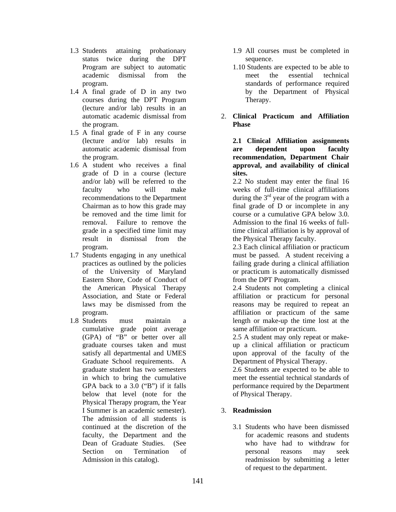- 1.3 Students attaining probationary status twice during the DPT Program are subject to automatic academic dismissal from the program.
- 1.4 A final grade of D in any two courses during the DPT Program (lecture and/or lab) results in an automatic academic dismissal from the program.
- 1.5 A final grade of F in any course (lecture and/or lab) results in automatic academic dismissal from the program.
- 1.6 A student who receives a final grade of D in a course (lecture and/or lab) will be referred to the faculty who will make recommendations to the Department Chairman as to how this grade may be removed and the time limit for removal. Failure to remove the grade in a specified time limit may result in dismissal from the program.
- 1.7 Students engaging in any unethical practices as outlined by the policies of the University of Maryland Eastern Shore, Code of Conduct of the American Physical Therapy Association, and State or Federal laws may be dismissed from the program.
- 1.8 Students must maintain a cumulative grade point average (GPA) of "B" or better over all graduate courses taken and must satisfy all departmental and UMES Graduate School requirements. A graduate student has two semesters in which to bring the cumulative GPA back to a 3.0 ("B") if it falls below that level (note for the Physical Therapy program, the Year I Summer is an academic semester). The admission of all students is continued at the discretion of the faculty, the Department and the Dean of Graduate Studies. (See Section on Termination of Admission in this catalog).
- 1.9 All courses must be completed in sequence.
- 1.10 Students are expected to be able to meet the essential technical standards of performance required by the Department of Physical Therapy.
- 2. **Clinical Practicum and Affiliation Phase**

**2.1 Clinical Affiliation assignments are dependent upon faculty recommendation, Department Chair approval, and availability of clinical sites.** 

2.2 No student may enter the final 16 weeks of full-time clinical affiliations during the 3<sup>rd</sup> year of the program with a final grade of D or incomplete in any course or a cumulative GPA below 3.0. Admission to the final 16 weeks of fulltime clinical affiliation is by approval of the Physical Therapy faculty.

2.3 Each clinical affiliation or practicum must be passed. A student receiving a failing grade during a clinical affiliation or practicum is automatically dismissed from the DPT Program.

2.4 Students not completing a clinical affiliation or practicum for personal reasons may be required to repeat an affiliation or practicum of the same length or make-up the time lost at the same affiliation or practicum.

2.5 A student may only repeat or makeup a clinical affiliation or practicum upon approval of the faculty of the Department of Physical Therapy.

2.6 Students are expected to be able to meet the essential technical standards of performance required by the Department of Physical Therapy.

# 3. **Readmission**

3.1 Students who have been dismissed for academic reasons and students who have had to withdraw for personal reasons may seek readmission by submitting a letter of request to the department.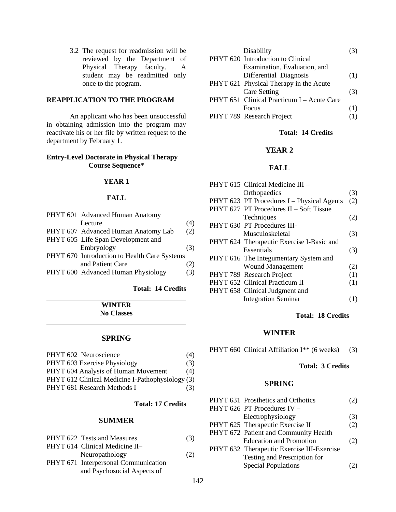3.2 The request for readmission will be reviewed by the Department of Physical Therapy faculty. A student may be readmitted only once to the program.

# **REAPPLICATION TO THE PROGRAM**

 An applicant who has been unsuccessful in obtaining admission into the program may reactivate his or her file by written request to the department by February 1.

#### **Entry-Level Doctorate in Physical Therapy Course Sequence\***

#### **YEAR 1**

#### **FALL**

| PHYT 601 Advanced Human Anatomy              |     |
|----------------------------------------------|-----|
| Lecture                                      | (4) |
| PHYT 607 Advanced Human Anatomy Lab          | (2) |
| PHYT 605 Life Span Development and           |     |
| Embryology                                   | (3) |
| PHYT 670 Introduction to Health Care Systems |     |
| and Patient Care                             | (2) |
| PHYT 600 Advanced Human Physiology           | (3) |

#### **Total: 14 Credits**

**WINTER No Classes** 

 $\overline{a}$ 

#### **SPRING**

| PHYT 602 Neuroscience                            | (4) |
|--------------------------------------------------|-----|
| PHYT 603 Exercise Physiology                     | (3) |
| PHYT 604 Analysis of Human Movement              | (4) |
| PHYT 612 Clinical Medicine I-Pathophysiology (3) |     |
| PHYT 681 Research Methods I                      | (3) |

#### **Total: 17 Credits**

#### **SUMMER**

| PHYT 622 Tests and Measures                    | (3) |
|------------------------------------------------|-----|
| PHYT 614 Clinical Medicine II-                 |     |
| Neuropathology                                 | (2) |
| $\text{DIVT } 671$ International Communication |     |

PHYT 671 Interpersonal Communication and Psychosocial Aspects of

| Disability                                 |     |
|--------------------------------------------|-----|
| PHYT 620 Introduction to Clinical          |     |
| Examination, Evaluation, and               |     |
| Differential Diagnosis                     | (1) |
| PHYT 621 Physical Therapy in the Acute     |     |
| <b>Care Setting</b>                        | (3) |
| PHYT 651 Clinical Practicum I - Acute Care |     |
| <b>Focus</b>                               | (1) |
| PHYT 789 Research Project                  | (1) |

#### **Total: 14 Credits**

# **YEAR 2**

### **FALL**

|  | PHYT 615 Clinical Medicine III -           |     |
|--|--------------------------------------------|-----|
|  | Orthopaedics                               | (3) |
|  | PHYT 623 PT Procedures I – Physical Agents | (2) |
|  | PHYT 627 PT Procedures II - Soft Tissue    |     |
|  | Techniques                                 | (2) |
|  | PHYT 630 PT Procedures III-                |     |
|  | Musculoskeletal                            | (3) |
|  | PHYT 624 Therapeutic Exercise I-Basic and  |     |
|  | Essentials                                 | (3) |
|  | PHYT 616 The Integumentary System and      |     |
|  | <b>Wound Management</b>                    | (2) |
|  | PHYT 789 Research Project                  | (1) |
|  | PHYT 652 Clinical Practicum II             | (1) |
|  | PHYT 658 Clinical Judgment and             |     |
|  | <b>Integration Seminar</b>                 | (1) |
|  |                                            |     |

### **Total: 18 Credits**

#### **WINTER**

PHYT 660 Clinical Affiliation I\*\* (6 weeks) (3)

### **Total: 3 Credits**

#### **SPRING**

| PHYT 631 Prosthetics and Orthotics         | 2)  |
|--------------------------------------------|-----|
| PHYT 626 PT Procedures IV -                |     |
| Electrophysiology                          | (3) |
| PHYT 625 Therapeutic Exercise II           | (2) |
| PHYT 672 Patient and Community Health      |     |
| <b>Education and Promotion</b>             | (2) |
| PHYT 632 Therapeutic Exercise III-Exercise |     |
| Testing and Prescription for               |     |
| <b>Special Populations</b>                 |     |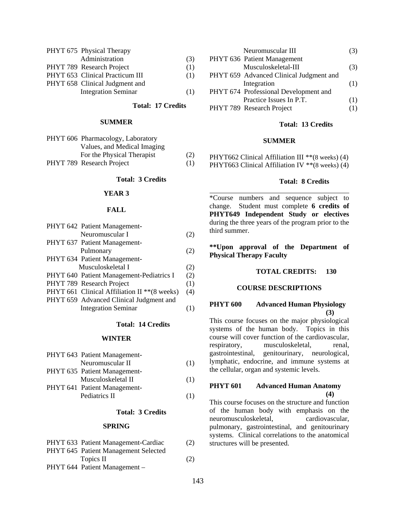| (3) |
|-----|
| (1) |
| (1) |
|     |
| (1) |
|     |

 **Total: 17 Credits** 

 $\overline{a}$ 

#### **SUMMER**

| PHYT 606 Pharmacology, Laboratory |     |
|-----------------------------------|-----|
| Values, and Medical Imaging       |     |
| For the Physical Therapist        | (2) |
| PHYT 789 Research Project         | (1) |

#### **Total: 3 Credits**

#### **YEAR 3**

#### **FALL**

| PHYT 642 Patient Management-                  |     |
|-----------------------------------------------|-----|
| Neuromuscular I                               | (2) |
| PHYT 637 Patient Management-                  |     |
| Pulmonary                                     | (2) |
| PHYT 634 Patient Management-                  |     |
| Musculoskeletal I                             | (2) |
| PHYT 640 Patient Management-Pediatrics I      | (2) |
| PHYT 789 Research Project                     | (1) |
| PHYT 661 Clinical Affiliation II ** (8 weeks) | (4) |
| PHYT 659 Advanced Clinical Judgment and       |     |
| <b>Integration Seminar</b>                    |     |

#### **Total: 14 Credits**

#### **WINTER**

| (1) |
|-----|
|     |
| (1) |
|     |
| (1) |
|     |

#### **Total: 3 Credits**

#### **SPRING**

| PHYT 633 Patient Management-Cardiac  | (2) |
|--------------------------------------|-----|
| PHYT 645 Patient Management Selected |     |
| Topics II                            | (2) |
| PHYT 644 Patient Management -        |     |

|  | Neuromuscular III                       |     |
|--|-----------------------------------------|-----|
|  | PHYT 636 Patient Management             |     |
|  | Musculoskeletal-III                     | (3) |
|  | PHYT 659 Advanced Clinical Judgment and |     |
|  | Integration                             | (1) |
|  | PHYT 674 Professional Development and   |     |
|  | Practice Issues In P.T.                 | (1) |
|  | PHYT 789 Research Project               | (T) |
|  |                                         |     |

#### **Total: 13 Credits**

#### **SUMMER**

PHYT662 Clinical Affiliation III \*\* (8 weeks) (4) PHYT663 Clinical Affiliation IV \*\*(8 weeks) (4)

#### **Total: 8 Credits**

\*Course numbers and sequence subject to change. Student must complete **6 credits of PHYT649 Independent Study or electives** during the three years of the program prior to the third summer.

**\*\*Upon approval of the Department of Physical Therapy Faculty** 

### **TOTAL CREDITS: 130**

#### **COURSE DESCRIPTIONS**

#### **PHYT 600 Advanced Human Physiology (3)**

This course focuses on the major physiological systems of the human body. Topics in this course will cover function of the cardiovascular, respiratory, musculoskeletal, renal, gastrointestinal, genitourinary, neurological, lymphatic, endocrine, and immune systems at the cellular, organ and systemic levels.

### **PHYT 601 Advanced Human Anatomy (4)**

This course focuses on the structure and function of the human body with emphasis on the neuromusculoskeletal, cardiovascular, pulmonary, gastrointestinal, and genitourinary systems. Clinical correlations to the anatomical structures will be presented.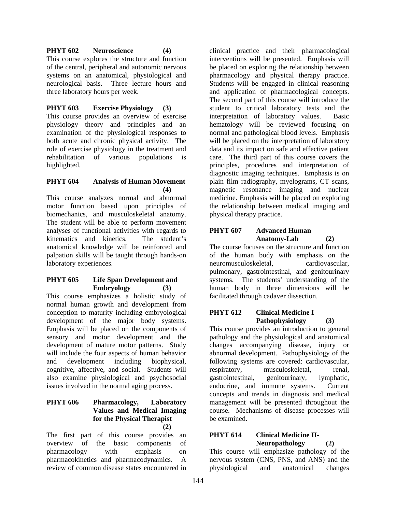## **PHYT 602 Neuroscience (4)**

This course explores the structure and function of the central, peripheral and autonomic nervous systems on an anatomical, physiological and neurological basis. Three lecture hours and three laboratory hours per week.

# **PHYT 603 Exercise Physiology (3)**

This course provides an overview of exercise physiology theory and principles and an examination of the physiological responses to both acute and chronic physical activity. The role of exercise physiology in the treatment and rehabilitation of various populations is highlighted.

### **PHYT 604 Analysis of Human Movement (4)**

This course analyzes normal and abnormal motor function based upon principles of biomechanics, and musculoskeletal anatomy. The student will be able to perform movement analyses of functional activities with regards to<br>kinematics and kinetics. The student's kinematics and kinetics. anatomical knowledge will be reinforced and palpation skills will be taught through hands-on laboratory experiences.

### **PHYT 605 Life Span Development and Embryology (3)**

This course emphasizes a holistic study of normal human growth and development from conception to maturity including embryological development of the major body systems. Emphasis will be placed on the components of sensory and motor development and the development of mature motor patterns. Study will include the four aspects of human behavior and development including biophysical, cognitive, affective, and social. Students will also examine physiological and psychosocial issues involved in the normal aging process.

### **PHYT 606 Pharmacology, Laboratory Values and Medical Imaging for the Physical Therapist (2)**

The first part of this course provides an overview of the basic components of pharmacology with emphasis on pharmacokinetics and pharmacodynamics. A review of common disease states encountered in clinical practice and their pharmacological interventions will be presented. Emphasis will be placed on exploring the relationship between pharmacology and physical therapy practice. Students will be engaged in clinical reasoning and application of pharmacological concepts. The second part of this course will introduce the student to critical laboratory tests and the interpretation of laboratory values. Basic hematology will be reviewed focusing on normal and pathological blood levels. Emphasis will be placed on the interpretation of laboratory data and its impact on safe and effective patient care. The third part of this course covers the principles, procedures and interpretation of diagnostic imaging techniques. Emphasis is on plain film radiography, myelograms, CT scans, magnetic resonance imaging and nuclear medicine. Emphasis will be placed on exploring the relationship between medical imaging and physical therapy practice.

### **PHYT 607 Advanced Human Anatomy-Lab (2)**

The course focuses on the structure and function of the human body with emphasis on the neuromusculoskeletal, cardiovascular, pulmonary, gastrointestinal, and genitourinary systems. The students' understanding of the human body in three dimensions will be facilitated through cadaver dissection.

### **PHYT 612 Clinical Medicine I Pathophysiology (3)**

This course provides an introduction to general pathology and the physiological and anatomical changes accompanying disease, injury or abnormal development. Pathophysiology of the following systems are covered: cardiovascular, respiratory, musculoskeletal, renal, gastrointestinal, genitourinary, lymphatic, endocrine, and immune systems. Current concepts and trends in diagnosis and medical management will be presented throughout the course. Mechanisms of disease processes will be examined.

### **PHYT 614 Clinical Medicine II-Neuropathology (2)**

This course will emphasize pathology of the nervous system (CNS, PNS, and ANS) and the physiological and anatomical changes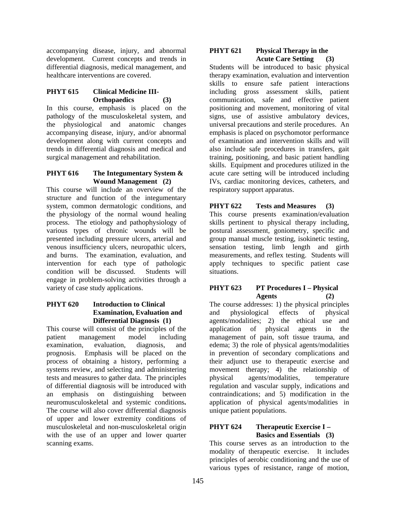accompanying disease, injury, and abnormal development. Current concepts and trends in differential diagnosis, medical management, and healthcare interventions are covered.

### **PHYT 615 Clinical Medicine III-Orthopaedics (3)**

In this course, emphasis is placed on the pathology of the musculoskeletal system, and the physiological and anatomic changes accompanying disease, injury, and/or abnormal development along with current concepts and trends in differential diagnosis and medical and surgical management and rehabilitation.

### **PHYT 616 The Integumentary System & Wound Management (2)**

This course will include an overview of the structure and function of the integumentary system, common dermatologic conditions, and the physiology of the normal wound healing process. The etiology and pathophysiology of various types of chronic wounds will be presented including pressure ulcers, arterial and venous insufficiency ulcers, neuropathic ulcers, and burns. The examination, evaluation, and intervention for each type of pathologic condition will be discussed. Students will engage in problem-solving activities through a variety of case study applications.

### **PHYT 620 Introduction to Clinical Examination, Evaluation and Differential Diagnosis (1)**

This course will consist of the principles of the patient management model including examination, evaluation, diagnosis, and prognosis. Emphasis will be placed on the process of obtaining a history, performing a systems review, and selecting and administering tests and measures to gather data. The principles of differential diagnosis will be introduced with an emphasis on distinguishing between neuromusculoskeletal and systemic conditions**.**  The course will also cover differential diagnosis of upper and lower extremity conditions of musculoskeletal and non-musculoskeletal origin with the use of an upper and lower quarter scanning exams.

#### **PHYT 621 Physical Therapy in the Acute Care Setting (3)**

Students will be introduced to basic physical therapy examination, evaluation and intervention skills to ensure safe patient interactions including gross assessment skills, patient communication, safe and effective patient positioning and movement, monitoring of vital signs, use of assistive ambulatory devices, universal precautions and sterile procedures. An emphasis is placed on psychomotor performance of examination and intervention skills and will also include safe procedures in transfers, gait training, positioning, and basic patient handling skills. Equipment and procedures utilized in the acute care setting will be introduced including IVs, cardiac monitoring devices, catheters, and respiratory support apparatus.

# **PHYT 622 Tests and Measures (3)**

This course presents examination/evaluation skills pertinent to physical therapy including, postural assessment, goniometry, specific and group manual muscle testing, isokinetic testing, sensation testing, limb length and girth measurements, and reflex testing. Students will apply techniques to specific patient case situations.

### **PHYT 623** PT Procedures I – Physical **Agents (2)**

The course addresses: 1) the physical principles and physiological effects of physical agents/modalities; 2) the ethical use and application of physical agents in the management of pain, soft tissue trauma, and edema; 3) the role of physical agents/modalities in prevention of secondary complications and their adjunct use to therapeutic exercise and movement therapy; 4) the relationship of physical agents/modalities, temperature regulation and vascular supply, indications and contraindications; and 5) modification in the application of physical agents/modalities in unique patient populations.

### **PHYT 624 Therapeutic Exercise I – Basics and Essentials (3)**

This course serves as an introduction to the modality of therapeutic exercise. It includes principles of aerobic conditioning and the use of various types of resistance, range of motion,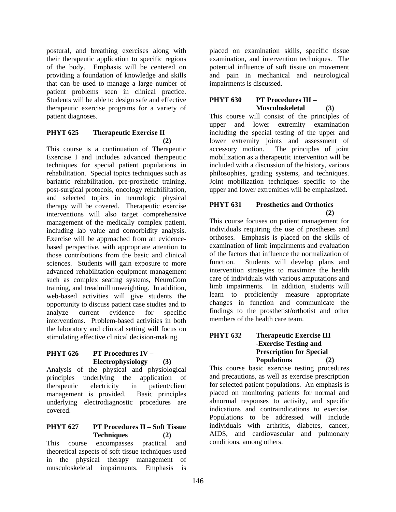postural, and breathing exercises along with their therapeutic application to specific regions of the body. Emphasis will be centered on providing a foundation of knowledge and skills that can be used to manage a large number of patient problems seen in clinical practice. Students will be able to design safe and effective therapeutic exercise programs for a variety of patient diagnoses.

#### **PHYT 625 Therapeutic Exercise II (2)**

This course is a continuation of Therapeutic Exercise I and includes advanced therapeutic techniques for special patient populations in rehabilitation. Special topics techniques such as bariatric rehabilitation, pre-prosthetic training, post-surgical protocols, oncology rehabililtation, and selected topics in neurologic physical therapy will be covered. Therapeutic exercise interventions will also target comprehensive management of the medically complex patient, including lab value and comorbidity analysis. Exercise will be approached from an evidencebased perspective, with appropriate attention to those contributions from the basic and clinical sciences. Students will gain exposure to more advanced rehabilitation equipment management such as complex seating systems, NeuroCom training, and treadmill unweighting. In addition, web-based activities will give students the opportunity to discuss patient case studies and to analyze current evidence for specific interventions. Problem-based activities in both the laboratory and clinical setting will focus on stimulating effective clinical decision-making.

### **PHYT 626 PT Procedures IV – Electrophysiology (3)**

Analysis of the physical and physiological principles underlying the application of therapeutic electricity in patient/client management is provided. Basic principles underlying electrodiagnostic procedures are covered.

### **PHYT 627 PT Procedures II – Soft Tissue Techniques (2)**

This course encompasses practical and theoretical aspects of soft tissue techniques used in the physical therapy management of musculoskeletal impairments. Emphasis is

placed on examination skills, specific tissue examination, and intervention techniques. The potential influence of soft tissue on movement and pain in mechanical and neurological impairments is discussed.

# **PHYT 630 PT Procedures III – Musculoskeletal (3)**

This course will consist of the principles of upper and lower extremity examination including the special testing of the upper and lower extremity joints and assessment of accessory motion. The principles of joint mobilization as a therapeutic intervention will be included with a discussion of the history, various philosophies, grading systems, and techniques. Joint mobilization techniques specific to the upper and lower extremities will be emphasized.

# **PHYT 631 Prosthetics and Orthotics**   $(2)$

This course focuses on patient management for individuals requiring the use of prostheses and orthoses. Emphasis is placed on the skills of examination of limb impairments and evaluation of the factors that influence the normalization of function. Students will develop plans and intervention strategies to maximize the health care of individuals with various amputations and limb impairments. In addition, students will learn to proficiently measure appropriate changes in function and communicate the findings to the prosthetist/orthotist and other members of the health care team.

#### **PHYT 632 Therapeutic Exercise III -Exercise Testing and Prescription for Special Populations (2)**

This course basic exercise testing procedures and precautions, as well as exercise prescription for selected patient populations. An emphasis is placed on monitoring patients for normal and abnormal responses to activity, and specific indications and contraindications to exercise. Populations to be addressed will include individuals with arthritis, diabetes, cancer, AIDS, and cardiovascular and pulmonary conditions, among others.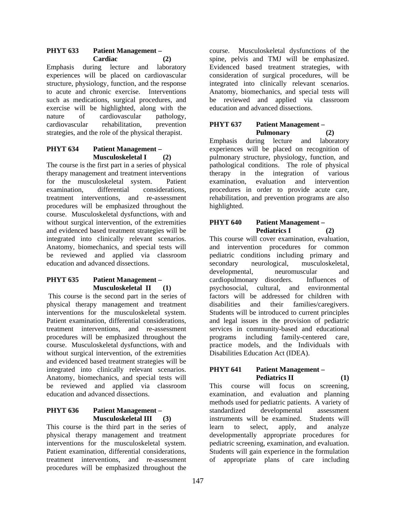### **PHYT 633 Patient Management – Cardiac (2)**

Emphasis during lecture and laboratory experiences will be placed on cardiovascular structure, physiology, function, and the response to acute and chronic exercise. Interventions such as medications, surgical procedures, and exercise will be highlighted, along with the nature of cardiovascular pathology, cardiovascular rehabilitation, prevention strategies, and the role of the physical therapist.

# **PHYT 634 Patient Management – Musculoskeletal I (2)**

The course is the first part in a series of physical therapy management and treatment interventions for the musculoskeletal system. Patient examination, differential considerations, treatment interventions, and re-assessment procedures will be emphasized throughout the course. Musculoskeletal dysfunctions, with and without surgical intervention, of the extremities and evidenced based treatment strategies will be integrated into clinically relevant scenarios. Anatomy, biomechanics, and special tests will be reviewed and applied via classroom education and advanced dissections.

### **PHYT 635 Patient Management – Musculoskeletal II (1)**

 This course is the second part in the series of physical therapy management and treatment interventions for the musculoskeletal system. Patient examination, differential considerations, treatment interventions, and re-assessment procedures will be emphasized throughout the course. Musculoskeletal dysfunctions, with and without surgical intervention, of the extremities and evidenced based treatment strategies will be integrated into clinically relevant scenarios. Anatomy, biomechanics, and special tests will be reviewed and applied via classroom education and advanced dissections.

### **PHYT 636 Patient Management – Musculoskeletal III (3)**

This course is the third part in the series of physical therapy management and treatment interventions for the musculoskeletal system. Patient examination, differential considerations, treatment interventions, and re-assessment procedures will be emphasized throughout the

course. Musculoskeletal dysfunctions of the spine, pelvis and TMJ will be emphasized. Evidenced based treatment strategies, with consideration of surgical procedures, will be integrated into clinically relevant scenarios. Anatomy, biomechanics, and special tests will be reviewed and applied via classroom education and advanced dissections.

### **PHYT 637 Patient Management – Pulmonary (2)**

Emphasis during lecture and laboratory experiences will be placed on recognition of pulmonary structure, physiology, function, and pathological conditions. The role of physical therapy in the integration of various examination, evaluation and intervention procedures in order to provide acute care, rehabilitation, and prevention programs are also highlighted.

### **PHYT 640 Patient Management –**  Pediatrics I (2)

This course will cover examination, evaluation, and intervention procedures for common pediatric conditions including primary and secondary neurological, musculoskeletal, developmental, neuromuscular and cardiopulmonary disorders. Influences of psychosocial, cultural, and environmental factors will be addressed for children with disabilities and their families/caregivers. Students will be introduced to current principles and legal issues in the provision of pediatric services in community-based and educational programs including family-centered care, practice models, and the Individuals with Disabilities Education Act (IDEA).

### **PHYT 641 Patient Management –**  Pediatrics II (1)

This course will focus on screening, examination, and evaluation and planning methods used for pediatric patients. A variety of standardized developmental assessment instruments will be examined. Students will learn to select, apply, and analyze developmentally appropriate procedures for pediatric screening, examination, and evaluation. Students will gain experience in the formulation of appropriate plans of care including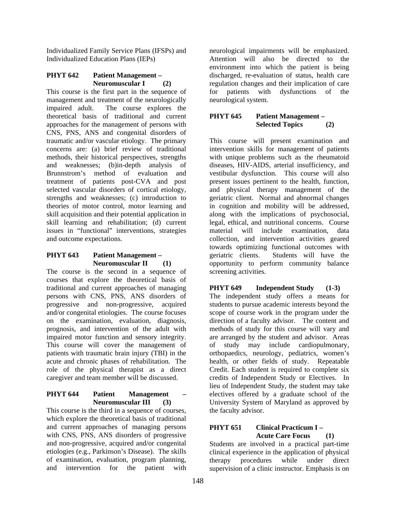Individualized Family Service Plans (IFSPs) and Individualized Education Plans (IEPs)

## **PHYT 642 Patient Management – Neuromuscular I (2)**

This course is the first part in the sequence of management and treatment of the neurologically impaired adult. The course explores the theoretical basis of traditional and current approaches for the management of persons with CNS, PNS, ANS and congenital disorders of traumatic and/or vascular etiology. The primary concerns are: (a) brief review of traditional methods, their historical perspectives, strengths and weaknesses; (b)in-depth analysis of Brunnstrom's method of evaluation and treatment of patients post-CVA and post selected vascular disorders of cortical etiology, strengths and weaknesses; (c) introduction to theories of motor control, motor learning and skill acquisition and their potential application in skill learning and rehabilitation; (d) current issues in "functional" interventions, strategies and outcome expectations.

### **PHYT 643 Patient Management – Neuromuscular II (1)**

The course is the second in a sequence of courses that explore the theoretical basis of traditional and current approaches of managing persons with CNS, PNS, ANS disorders of progressive and non-progressive, acquired and/or congenital etiologies. The course focuses on the examination, evaluation, diagnosis, prognosis, and intervention of the adult with impaired motor function and sensory integrity. This course will cover the management of patients with traumatic brain injury (TBI) in the acute and chronic phases of rehabilitation. The role of the physical therapist as a direct caregiver and team member will be discussed.

### **PHYT 644** Patient Management **Neuromuscular III (3)**

This course is the third in a sequence of courses, which explore the theoretical basis of traditional and current approaches of managing persons with CNS, PNS, ANS disorders of progressive and non-progressive, acquired and/or congenital etiologies (e.g., Parkinson's Disease). The skills of examination, evaluation, program planning, and intervention for the patient with

neurological impairments will be emphasized. Attention will also be directed to the environment into which the patient is being discharged, re-evaluation of status, health care regulation changes and their implication of care for patients with dysfunctions of the neurological system.

# **PHYT 645 Patient Management – Selected Topics (2)**

This course will present examination and intervention skills for management of patients with unique problems such as the rheumatoid diseases, HIV-AIDS, arterial insufficiency, and vestibular dysfunction. This course will also present issues pertinent to the health, function, and physical therapy management of the geriatric client. Normal and abnormal changes in cognition and mobility will be addressed, along with the implications of psychosocial, legal, ethical, and nutritional concerns. Course material will include examination, data collection, and intervention activities geared towards optimizing functional outcomes with geriatric clients. Students will have the opportunity to perform community balance screening activities.

**PHYT 649 Independent Study (1-3)**  The independent study offers a means for students to pursue academic interests beyond the scope of course work in the program under the direction of a faculty advisor. The content and methods of study for this course will vary and are arranged by the student and advisor. Areas of study may include cardiopulmonary, orthopaedics, neurology, pediatrics, women's health, or other fields of study. Repeatable Credit. Each student is required to complete six credits of Independent Study or Electives. In lieu of Independent Study, the student may take electives offered by a graduate school of the University System of Maryland as approved by the faculty advisor.

# **PHYT 651 Clinical Practicum I – Acute Care Focus (1)**

Students are involved in a practical part-time clinical experience in the application of physical therapy procedures while under direct supervision of a clinic instructor. Emphasis is on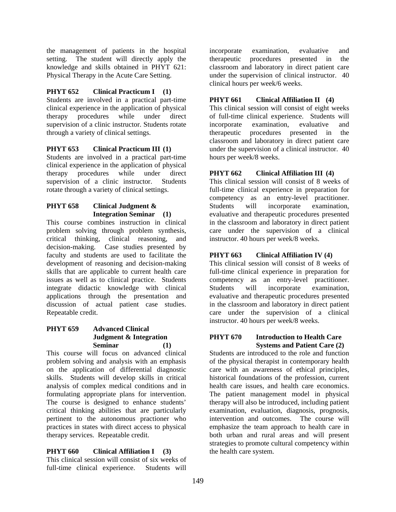the management of patients in the hospital setting. The student will directly apply the knowledge and skills obtained in PHYT 621: Physical Therapy in the Acute Care Setting.

### **PHYT 652 Clinical Practicum I (1)**

Students are involved in a practical part-time clinical experience in the application of physical therapy procedures while under direct supervision of a clinic instructor. Students rotate through a variety of clinical settings.

### **PHYT 653 Clinical Practicum III (1)**

Students are involved in a practical part-time clinical experience in the application of physical therapy procedures while under direct supervision of a clinic instructor. Students rotate through a variety of clinical settings.

# **PHYT 658 Clinical Judgment & Integration Seminar (1)**

This course combines instruction in clinical problem solving through problem synthesis, critical thinking, clinical reasoning, and decision-making. Case studies presented by faculty and students are used to facilitate the development of reasoning and decision-making skills that are applicable to current health care issues as well as to clinical practice. Students integrate didactic knowledge with clinical applications through the presentation and discussion of actual patient case studies. Repeatable credit.

### **PHYT 659 Advanced Clinical Judgment & Integration Seminar (1)**

This course will focus on advanced clinical problem solving and analysis with an emphasis on the application of differential diagnostic skills. Students will develop skills in critical analysis of complex medical conditions and in formulating appropriate plans for intervention. The course is designed to enhance students' critical thinking abilities that are particularly pertinent to the autonomous practioner who practices in states with direct access to physical therapy services. Repeatable credit.

### **PHYT 660 Clinical Affiliation I (3)**

This clinical session will consist of six weeks of full-time clinical experience. Students will

incorporate examination, evaluative and therapeutic procedures presented in the classroom and laboratory in direct patient care under the supervision of clinical instructor. 40 clinical hours per week/6 weeks.

### **PHYT 661 Clinical Affiliation II (4)**

This clinical session will consist of eight weeks of full-time clinical experience. Students will incorporate examination, evaluative and therapeutic procedures presented in the classroom and laboratory in direct patient care under the supervision of a clinical instructor. 40 hours per week/8 weeks.

### **PHYT 662 Clinical Affiliation III (4)**

This clinical session will consist of 8 weeks of full-time clinical experience in preparation for competency as an entry-level practitioner. Students will incorporate examination, evaluative and therapeutic procedures presented in the classroom and laboratory in direct patient care under the supervision of a clinical instructor. 40 hours per week/8 weeks.

### **PHYT 663 Clinical Affiliation IV (4)**

This clinical session will consist of 8 weeks of full-time clinical experience in preparation for competency as an entry-level practitioner. Students will incorporate examination, evaluative and therapeutic procedures presented in the classroom and laboratory in direct patient care under the supervision of a clinical instructor. 40 hours per week/8 weeks.

#### **PHYT 670 Introduction to Health Care Systems and Patient Care (2)**

Students are introduced to the role and function of the physical therapist in contemporary health care with an awareness of ethical principles, historical foundations of the profession, current health care issues, and health care economics. The patient management model in physical therapy will also be introduced, including patient examination, evaluation, diagnosis, prognosis, intervention and outcomes. The course will emphasize the team approach to health care in both urban and rural areas and will present strategies to promote cultural competency within the health care system.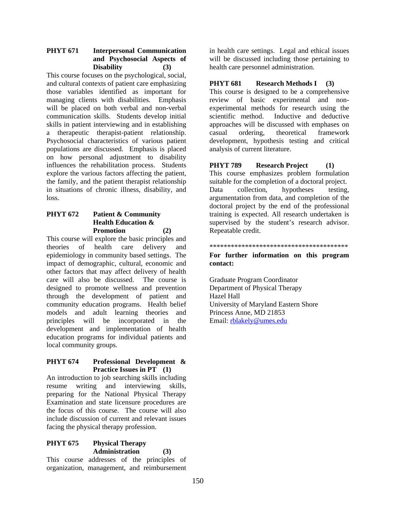### **PHYT 671 Interpersonal Communication and Psychosocial Aspects of Disability (3)**

This course focuses on the psychological, social, and cultural contexts of patient care emphasizing those variables identified as important for managing clients with disabilities. Emphasis will be placed on both verbal and non-verbal communication skills. Students develop initial skills in patient interviewing and in establishing a therapeutic therapist-patient relationship. Psychosocial characteristics of various patient populations are discussed. Emphasis is placed on how personal adjustment to disability influences the rehabilitation process. Students explore the various factors affecting the patient, the family, and the patient therapist relationship in situations of chronic illness, disability, and loss.

# **PHYT 672 Patient & Community Health Education & Promotion (2)**

This course will explore the basic principles and theories of health care delivery and epidemiology in community based settings. The impact of demographic, cultural, economic and other factors that may affect delivery of health care will also be discussed. The course is designed to promote wellness and prevention through the development of patient and community education programs. Health belief models and adult learning theories and principles will be incorporated in the development and implementation of health education programs for individual patients and local community groups.

### **PHYT 674 Professional Development & Practice Issues in PT (1)**

An introduction to job searching skills including resume writing and interviewing skills, preparing for the National Physical Therapy Examination and state licensure procedures are the focus of this course. The course will also include discussion of current and relevant issues facing the physical therapy profession.

# **PHYT 675 Physical Therapy Administration (3)**

This course addresses of the principles of organization, management, and reimbursement

in health care settings. Legal and ethical issues will be discussed including those pertaining to health care personnel administration.

### **PHYT 681 Research Methods I (3)**

This course is designed to be a comprehensive review of basic experimental and nonexperimental methods for research using the scientific method. Inductive and deductive approaches will be discussed with emphases on casual ordering, theoretical framework development, hypothesis testing and critical analysis of current literature.

# **PHYT 789 Research Project (1)**

This course emphasizes problem formulation suitable for the completion of a doctoral project. Data collection, hypotheses testing, argumentation from data, and completion of the doctoral project by the end of the professional training is expected. All research undertaken is supervised by the student's research advisor. Repeatable credit.

#### \*\*\*\*\*\*\*\*\*\*\*\*\*\*\*\*\*\*\*\*\*\*\*\*\*\*\*\*\*\*\*\*\*\*\*\*\*\*\*

#### **For further information on this program contact:**

Graduate Program Coordinator Department of Physical Therapy Hazel Hall University of Maryland Eastern Shore Princess Anne, MD 21853 Email: rblakely@umes.edu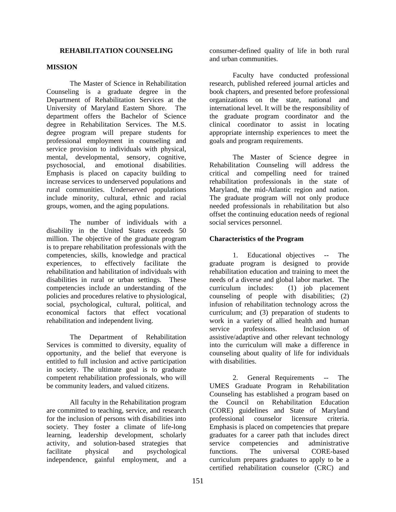### **REHABILITATION COUNSELING**

#### **MISSION**

The Master of Science in Rehabilitation Counseling is a graduate degree in the Department of Rehabilitation Services at the University of Maryland Eastern Shore. The department offers the Bachelor of Science degree in Rehabilitation Services. The M.S. degree program will prepare students for professional employment in counseling and service provision to individuals with physical, mental, developmental, sensory, cognitive, psychosocial, and emotional disabilities. Emphasis is placed on capacity building to increase services to underserved populations and rural communities. Underserved populations include minority, cultural, ethnic and racial groups, women, and the aging populations.

The number of individuals with a disability in the United States exceeds 50 million. The objective of the graduate program is to prepare rehabilitation professionals with the competencies, skills, knowledge and practical experiences, to effectively facilitate the rehabilitation and habilitation of individuals with disabilities in rural or urban settings. These competencies include an understanding of the policies and procedures relative to physiological, social, psychological, cultural, political, and economical factors that effect vocational rehabilitation and independent living.

The Department of Rehabilitation Services is committed to diversity, equality of opportunity, and the belief that everyone is entitled to full inclusion and active participation in society. The ultimate goal is to graduate competent rehabilitation professionals, who will be community leaders, and valued citizens.

All faculty in the Rehabilitation program are committed to teaching, service, and research for the inclusion of persons with disabilities into society. They foster a climate of life-long learning, leadership development, scholarly activity, and solution-based strategies that facilitate physical and psychological independence, gainful employment, and a

consumer-defined quality of life in both rural and urban communities.

 Faculty have conducted professional research, published refereed journal articles and book chapters, and presented before professional organizations on the state, national and international level. It will be the responsibility of the graduate program coordinator and the clinical coordinator to assist in locating appropriate internship experiences to meet the goals and program requirements.

The Master of Science degree in Rehabilitation Counseling will address the critical and compelling need for trained rehabilitation professionals in the state of Maryland, the mid-Atlantic region and nation. The graduate program will not only produce needed professionals in rehabilitation but also offset the continuing education needs of regional social services personnel.

#### **Characteristics of the Program**

1. Educational objectives -- The graduate program is designed to provide rehabilitation education and training to meet the needs of a diverse and global labor market. The curriculum includes: (1) job placement counseling of people with disabilities; (2) infusion of rehabilitation technology across the curriculum; and (3) preparation of students to work in a variety of allied health and human service professions. Inclusion of assistive/adaptive and other relevant technology into the curriculum will make a difference in counseling about quality of life for individuals with disabilities.

2. General Requirements -- The UMES Graduate Program in Rehabilitation Counseling has established a program based on the Council on Rehabilitation Education (CORE) guidelines and State of Maryland professional counselor licensure criteria. Emphasis is placed on competencies that prepare graduates for a career path that includes direct service competencies and administrative functions. The universal CORE-based curriculum prepares graduates to apply to be a certified rehabilitation counselor (CRC) and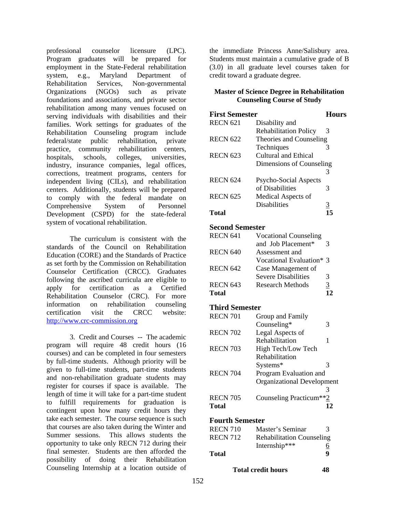professional counselor licensure (LPC). Program graduates will be prepared for employment in the State-Federal rehabilitation system, e.g., Maryland Department of Rehabilitation Services, Non-governmental Organizations (NGOs) such as private foundations and associations, and private sector rehabilitation among many venues focused on serving individuals with disabilities and their families. Work settings for graduates of the Rehabilitation Counseling program include federal/state public rehabilitation, private practice, community rehabilitation centers, hospitals, schools, colleges, universities, industry, insurance companies, legal offices, corrections, treatment programs, centers for independent living (CILs), and rehabilitation centers. Additionally, students will be prepared to comply with the federal mandate on Comprehensive System of Personnel Development (CSPD) for the state-federal system of vocational rehabilitation.

The curriculum is consistent with the standards of the Council on Rehabilitation Education (CORE) and the Standards of Practice as set forth by the Commission on Rehabilitation Counselor Certification (CRCC). Graduates following the ascribed curricula are eligible to apply for certification as a Certified Rehabilitation Counselor (CRC). For more information on rehabilitation counseling certification visit the CRCC website: http://www.crc-commission.org

3. Credit and Courses -- The academic program will require 48 credit hours (16 courses) and can be completed in four semesters by full-time students. Although priority will be given to full-time students, part-time students and non-rehabilitation graduate students may register for courses if space is available. The length of time it will take for a part-time student to fulfill requirements for graduation is contingent upon how many credit hours they take each semester. The course sequence is such that courses are also taken during the Winter and Summer sessions. This allows students the opportunity to take only RECN 712 during their final semester. Students are then afforded the possibility of doing their Rehabilitation Counseling Internship at a location outside of

the immediate Princess Anne/Salisbury area. Students must maintain a cumulative grade of B (3.0) in all graduate level courses taken for credit toward a graduate degree.

### **Master of Science Degree in Rehabilitation Counseling Course of Study**

| <b>First Semester</b> |                              | Hours    |
|-----------------------|------------------------------|----------|
| <b>RECN 621</b>       | Disability and               |          |
|                       | <b>Rehabilitation Policy</b> | 3        |
| <b>RECN 622</b>       | Theories and Counseling      |          |
|                       | Techniques                   | 3        |
| <b>RECN 623</b>       | Cultural and Ethical         |          |
|                       | Dimensions of Counseling     |          |
|                       |                              | 3        |
| <b>RECN 624</b>       | Psycho-Social Aspects        |          |
|                       | of Disabilities              | 3        |
| <b>RECN 625</b>       | Medical Aspects of           |          |
|                       | <b>Disabilities</b>          | <u>3</u> |
| Total                 |                              | 15       |

# **Second Semester**

| <b>RECN 641</b> | <b>Vocational Counseling</b> |   |
|-----------------|------------------------------|---|
|                 | and Job Placement*           | 3 |
| <b>RECN 640</b> | Assessment and               |   |
|                 | Vocational Evaluation* 3     |   |
| <b>RECN 642</b> | Case Management of           |   |
|                 | <b>Severe Disabilities</b>   | 3 |
| <b>RECN 643</b> | Research Methods             | 3 |
| <b>Total</b>    |                              |   |

# **Third Semester**

| <b>RECN 701</b> | Group and Family                  |   |
|-----------------|-----------------------------------|---|
|                 | Counseling*                       | 3 |
| <b>RECN 702</b> | Legal Aspects of                  |   |
|                 | Rehabilitation                    | 1 |
| <b>RECN 703</b> | High Tech/Low Tech                |   |
|                 | Rehabilitation                    |   |
|                 | Systems*                          | 3 |
| <b>RECN 704</b> | Program Evaluation and            |   |
|                 | <b>Organizational Development</b> |   |
|                 |                                   |   |
| <b>RECN 705</b> | Counseling Practicum**2           |   |
| Total           |                                   |   |

### **Fourth Semester**

| <b>RECN 710</b> | Master's Seminar                 | $\mathcal{R}$ |
|-----------------|----------------------------------|---------------|
| <b>RECN 712</b> | <b>Rehabilitation Counseling</b> |               |
|                 | Internship***                    | <u>6</u>      |
| Total           |                                  | Q             |

### **Total credit hours 48**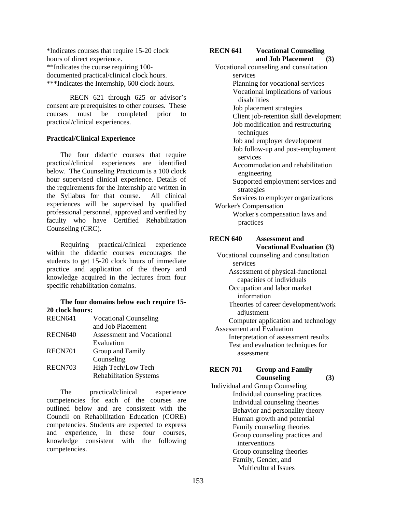\*Indicates courses that require 15-20 clock hours of direct experience. \*\*Indicates the course requiring 100 documented practical/clinical clock hours. \*\*\*Indicates the Internship, 600 clock hours.

RECN 621 through 625 or advisor's consent are prerequisites to other courses. These courses must be completed prior to practical/clinical experiences.

### **Practical/Clinical Experience**

The four didactic courses that require practical/clinical experiences are identified below. The Counseling Practicum is a 100 clock hour supervised clinical experience. Details of the requirements for the Internship are written in the Syllabus for that course. All clinical experiences will be supervised by qualified professional personnel, approved and verified by faculty who have Certified Rehabilitation Counseling (CRC).

Requiring practical/clinical experience within the didactic courses encourages the students to get 15-20 clock hours of immediate practice and application of the theory and knowledge acquired in the lectures from four specific rehabilitation domains.

### **The four domains below each require 15- 20 clock hours:**

| RECN641 | <b>Vocational Counseling</b>  |
|---------|-------------------------------|
|         | and Job Placement             |
| RECN640 | Assessment and Vocational     |
|         | Evaluation                    |
| RECN701 | Group and Family              |
|         | Counseling                    |
| RECN703 | High Tech/Low Tech            |
|         | <b>Rehabilitation Systems</b> |
|         |                               |

The practical/clinical experience competencies for each of the courses are outlined below and are consistent with the Council on Rehabilitation Education (CORE) competencies. Students are expected to express and experience, in these four courses, knowledge consistent with the following competencies.

#### **RECN 641 Vocational Counseling and Job Placement (3)**

 Vocational counseling and consultation services Planning for vocational services Vocational implications of various disabilities Job placement strategies Client job-retention skill development Job modification and restructuring techniques Job and employer development Job follow-up and post-employment services Accommodation and rehabilitation engineering Supported employment services and strategies Services to employer organizations Worker's Compensation Worker's compensation laws and practices **RECN 640 Assessment and Vocational Evaluation (3)**  Vocational counseling and consultation services Assessment of physical-functional capacities of individuals Occupation and labor market information Theories of career development/work adjustment Computer application and technology Assessment and Evaluation Interpretation of assessment results Test and evaluation techniques for assessment

### **RECN 701 Group and Family Counseling (3)**

 Individual and Group Counseling Individual counseling practices Individual counseling theories Behavior and personality theory Human growth and potential Family counseling theories Group counseling practices and interventions Group counseling theories Family, Gender, and Multicultural Issues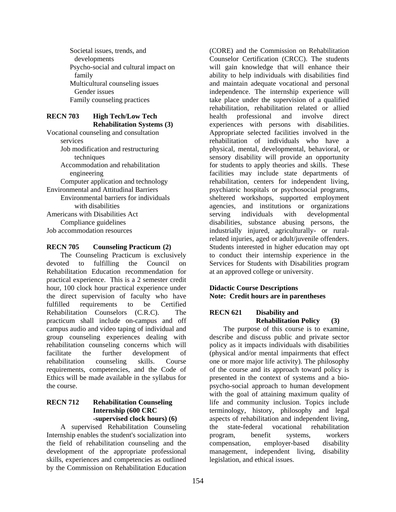Societal issues, trends, and developments Psycho-social and cultural impact on family Multicultural counseling issues Gender issues Family counseling practices

#### **RECN 703 High Tech/Low Tech Rehabilitation Systems (3)**

Vocational counseling and consultation services Job modification and restructuring techniques Accommodation and rehabilitation engineering Computer application and technology Environmental and Attitudinal Barriers Environmental barriers for individuals with disabilities Americans with Disabilities Act Compliance guidelines Job accommodation resources

### **RECN 705 Counseling Practicum (2)**

The Counseling Practicum is exclusively devoted to fulfilling the Council on Rehabilitation Education recommendation for practical experience. This is a 2 semester credit hour, 100 clock hour practical experience under the direct supervision of faculty who have fulfilled requirements to be Certified Rehabilitation Counselors (C.R.C). The practicum shall include on-campus and off campus audio and video taping of individual and group counseling experiences dealing with rehabilitation counseling concerns which will facilitate the further development of rehabilitation counseling skills. Course requirements, competencies, and the Code of Ethics will be made available in the syllabus for the course.

### **RECN 712 Rehabilitation Counseling Internship (600 CRC -supervised clock hours) (6)**

A supervised Rehabilitation Counseling Internship enables the student's socialization into the field of rehabilitation counseling and the development of the appropriate professional skills, experiences and competencies as outlined by the Commission on Rehabilitation Education

(CORE) and the Commission on Rehabilitation Counselor Certification (CRCC). The students will gain knowledge that will enhance their ability to help individuals with disabilities find and maintain adequate vocational and personal independence. The internship experience will take place under the supervision of a qualified rehabilitation, rehabilitation related or allied health professional and involve direct experiences with persons with disabilities. Appropriate selected facilities involved in the rehabilitation of individuals who have a physical, mental, developmental, behavioral, or sensory disability will provide an opportunity for students to apply theories and skills. These facilities may include state departments of rehabilitation, centers for independent living, psychiatric hospitals or psychosocial programs, sheltered workshops, supported employment agencies, and institutions or organizations serving individuals with developmental disabilities, substance abusing persons, the industrially injured, agriculturally- or ruralrelated injuries, aged or adult/juvenile offenders. Students interested in higher education may opt to conduct their internship experience in the Services for Students with Disabilities program at an approved college or university.

### **Didactic Course Descriptions Note: Credit hours are in parentheses**

### **RECN 621 Disability and Rehabilitation Policy (3)**

The purpose of this course is to examine, describe and discuss public and private sector policy as it impacts individuals with disabilities (physical and/or mental impairments that effect one or more major life activity). The philosophy of the course and its approach toward policy is presented in the context of systems and a biopsycho-social approach to human development with the goal of attaining maximum quality of life and community inclusion. Topics include terminology, history, philosophy and legal aspects of rehabilitation and independent living, the state-federal vocational rehabilitation program, benefit systems, workers compensation, employer-based disability management, independent living, disability legislation, and ethical issues.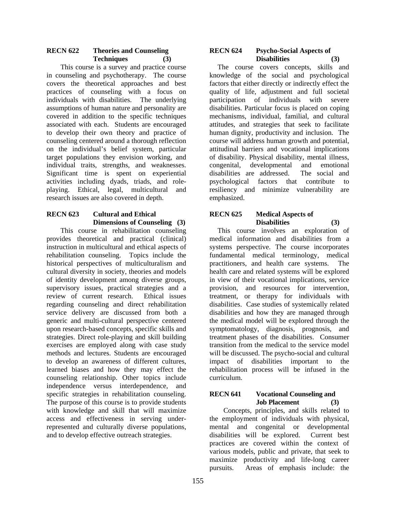### **RECN 622 Theories and Counseling Techniques (3)**

This course is a survey and practice course in counseling and psychotherapy. The course covers the theoretical approaches and best practices of counseling with a focus on individuals with disabilities. The underlying assumptions of human nature and personality are covered in addition to the specific techniques associated with each. Students are encouraged to develop their own theory and practice of counseling centered around a thorough reflection on the individual's belief system, particular target populations they envision working, and individual traits, strengths, and weaknesses. Significant time is spent on experiential activities including dyads, triads, and roleplaying. Ethical, legal, multicultural and research issues are also covered in depth.

### **RECN 623 Cultural and Ethical Dimensions of Counseling (3)**

This course in rehabilitation counseling provides theoretical and practical (clinical) instruction in multicultural and ethical aspects of rehabilitation counseling. Topics include the historical perspectives of multiculturalism and cultural diversity in society, theories and models of identity development among diverse groups, supervisory issues, practical strategies and a review of current research. Ethical issues regarding counseling and direct rehabilitation service delivery are discussed from both a generic and multi-cultural perspective centered upon research-based concepts, specific skills and strategies. Direct role-playing and skill building exercises are employed along with case study methods and lectures. Students are encouraged to develop an awareness of different cultures, learned biases and how they may effect the counseling relationship. Other topics include independence versus interdependence, and specific strategies in rehabilitation counseling. The purpose of this course is to provide students with knowledge and skill that will maximize access and effectiveness in serving underrepresented and culturally diverse populations, and to develop effective outreach strategies.

#### **RECN 624 Psycho-Social Aspects of Disabilities (3)**

 The course covers concepts, skills and knowledge of the social and psychological factors that either directly or indirectly effect the quality of life, adjustment and full societal participation of individuals with severe disabilities. Particular focus is placed on coping mechanisms, individual, familial, and cultural attitudes, and strategies that seek to facilitate human dignity, productivity and inclusion. The course will address human growth and potential, attitudinal barriers and vocational implications of disability. Physical disability, mental illness, congenital, developmental and emotional disabilities are addressed. The social and psychological factors that contribute to resiliency and minimize vulnerability are emphasized.

### **RECN 625 Medical Aspects of Disabilities (3)**

 This course involves an exploration of medical information and disabilities from a systems perspective. The course incorporates fundamental medical terminology, medical practitioners, and health care systems. The health care and related systems will be explored in view of their vocational implications, service provision, and resources for intervention, treatment, or therapy for individuals with disabilities. Case studies of systemically related disabilities and how they are managed through the medical model will be explored through the symptomatology, diagnosis, prognosis, and treatment phases of the disabilities. Consumer transition from the medical to the service model will be discussed. The psycho-social and cultural impact of disabilities important to the rehabilitation process will be infused in the curriculum.

### **RECN 641 Vocational Counseling and Job Placement (3)**

Concepts, principles, and skills related to the employment of individuals with physical, mental and congenital or developmental disabilities will be explored. Current best practices are covered within the context of various models, public and private, that seek to maximize productivity and life-long career pursuits. Areas of emphasis include: the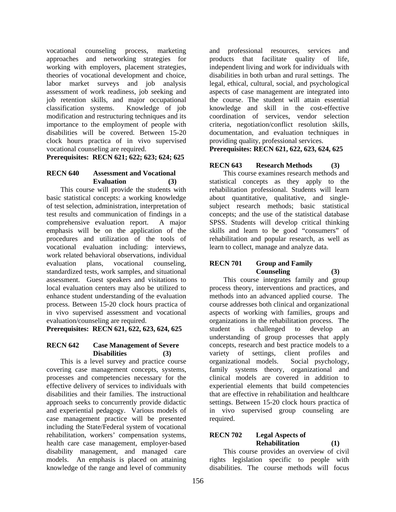vocational counseling process, marketing approaches and networking strategies for working with employers, placement strategies, theories of vocational development and choice, labor market surveys and job analysis assessment of work readiness, job seeking and job retention skills, and major occupational classification systems. Knowledge of job modification and restructuring techniques and its importance to the employment of people with disabilities will be covered. Between 15-20 clock hours practica of in vivo supervised vocational counseling are required.

**Prerequisites: RECN 621; 622; 623; 624; 625** 

#### **RECN 640 Assessment and Vocational Evaluation (3)**

This course will provide the students with basic statistical concepts: a working knowledge of test selection, administration, interpretation of test results and communication of findings in a comprehensive evaluation report. A major emphasis will be on the application of the procedures and utilization of the tools of vocational evaluation including: interviews, work related behavioral observations, individual evaluation plans, vocational counseling, standardized tests, work samples, and situational assessment. Guest speakers and visitations to local evaluation centers may also be utilized to enhance student understanding of the evaluation process. Between 15-20 clock hours practica of in vivo supervised assessment and vocational evaluation/counseling are required.

**Prerequisites: RECN 621, 622, 623, 624, 625** 

### **RECN 642 Case Management of Severe Disabilities (3)**

This is a level survey and practice course covering case management concepts, systems, processes and competencies necessary for the effective delivery of services to individuals with disabilities and their families. The instructional approach seeks to concurrently provide didactic and experiential pedagogy. Various models of case management practice will be presented including the State/Federal system of vocational rehabilitation, workers' compensation systems, health care case management, employer-based disability management, and managed care models. An emphasis is placed on attaining knowledge of the range and level of community

and professional resources, services and products that facilitate quality of life, independent living and work for individuals with disabilities in both urban and rural settings. The legal, ethical, cultural, social, and psychological aspects of case management are integrated into the course. The student will attain essential knowledge and skill in the cost-effective coordination of services, vendor selection criteria, negotiation/conflict resolution skills, documentation, and evaluation techniques in providing quality, professional services.

**Prerequisites: RECN 621, 622, 623, 624, 625** 

# **RECN 643 Research Methods (3)**

This course examines research methods and statistical concepts as they apply to the rehabilitation professional. Students will learn about quantitative, qualitative, and singlesubject research methods; basic statistical concepts; and the use of the statistical database SPSS. Students will develop critical thinking skills and learn to be good "consumers" of rehabilitation and popular research, as well as learn to collect, manage and analyze data.

### **RECN 701 Group and Family Counseling (3)**

This course integrates family and group process theory, interventions and practices, and methods into an advanced applied course. The course addresses both clinical and organizational aspects of working with families, groups and organizations in the rehabilitation process. The student is challenged to develop an understanding of group processes that apply concepts, research and best practice models to a variety of settings, client profiles and organizational models. Social psychology, family systems theory, organizational and clinical models are covered in addition to experiential elements that build competencies that are effective in rehabilitation and healthcare settings. Between 15-20 clock hours practica of in vivo supervised group counseling are required.

### **RECN 702 Legal Aspects of Rehabilitation (1)**

This course provides an overview of civil rights legislation specific to people with disabilities. The course methods will focus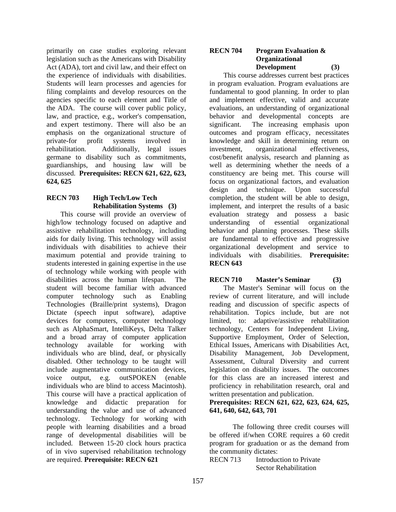primarily on case studies exploring relevant legislation such as the Americans with Disability Act (ADA), tort and civil law, and their effect on the experience of individuals with disabilities. Students will learn processes and agencies for filing complaints and develop resources on the agencies specific to each element and Title of the ADA. The course will cover public policy, law, and practice, e.g., worker's compensation, and expert testimony. There will also be an emphasis on the organizational structure of private-for profit systems involved in rehabilitation. Additionally, legal issues germane to disability such as commitments, guardianships, and housing law will be discussed. **Prerequisites: RECN 621, 622, 623, 624, 625** 

# **RECN 703 High Tech/Low Tech Rehabilitation Systems (3)**

This course will provide an overview of high/low technology focused on adaptive and assistive rehabilitation technology, including aids for daily living. This technology will assist individuals with disabilities to achieve their maximum potential and provide training to students interested in gaining expertise in the use of technology while working with people with disabilities across the human lifespan. The student will become familiar with advanced computer technology such as Enabling Technologies (Braille/print systems), Dragon Dictate (speech input software), adaptive devices for computers, computer technology such as AlphaSmart, IntelliKeys, Delta Talker and a broad array of computer application technology available for working with individuals who are blind, deaf, or physically disabled. Other technology to be taught will include augmentative communication devices, voice output, e.g. outSPOKEN (enable individuals who are blind to access Macintosh). This course will have a practical application of knowledge and didactic preparation for understanding the value and use of advanced technology. Technology for working with people with learning disabilities and a broad range of developmental disabilities will be included. Between 15-20 clock hours practica of in vivo supervised rehabilitation technology are required. **Prerequisite: RECN 621** 

### **RECN 704 Program Evaluation & Organizational Development (3)**

This course addresses current best practices in program evaluation. Program evaluations are fundamental to good planning. In order to plan and implement effective, valid and accurate evaluations, an understanding of organizational behavior and developmental concepts are significant. The increasing emphasis upon outcomes and program efficacy, necessitates knowledge and skill in determining return on investment, organizational effectiveness, cost/benefit analysis, research and planning as well as determining whether the needs of a constituency are being met. This course will focus on organizational factors, and evaluation design and technique. Upon successful completion, the student will be able to design, implement, and interpret the results of a basic evaluation strategy and possess a basic understanding of essential organizational behavior and planning processes. These skills are fundamental to effective and progressive organizational development and service to individuals with disabilities. **Prerequisite: RECN 643** 

# **RECN 710 Master's Seminar (3)**

The Master's Seminar will focus on the review of current literature, and will include reading and discussion of specific aspects of rehabilitation. Topics include, but are not limited, to: adaptive/assistive rehabilitation technology, Centers for Independent Living, Supportive Employment, Order of Selection, Ethical Issues, Americans with Disabilities Act, Disability Management, Job Development, Assessment, Cultural Diversity and current legislation on disability issues. The outcomes for this class are an increased interest and proficiency in rehabilitation research, oral and written presentation and publication.

### **Prerequisites: RECN 621, 622, 623, 624, 625, 641, 640, 642, 643, 701**

 The following three credit courses will be offered if/when CORE requires a 60 credit program for graduation or as the demand from the community dictates:

RECN 713 Introduction to Private Sector Rehabilitation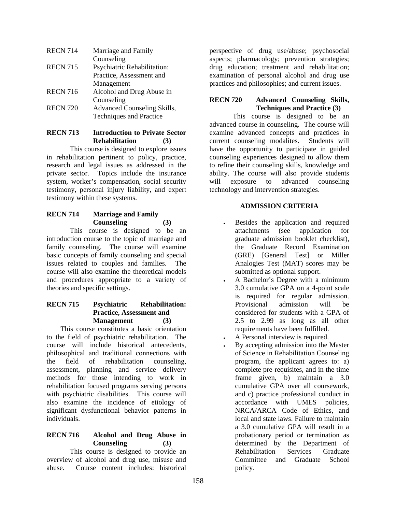| <b>RECN 714</b> | Marriage and Family                |
|-----------------|------------------------------------|
|                 | Counseling                         |
| <b>RECN 715</b> | <b>Psychiatric Rehabilitation:</b> |
|                 | Practice, Assessment and           |
|                 | Management                         |
| <b>RECN 716</b> | Alcohol and Drug Abuse in          |
|                 | Counseling                         |
| <b>RECN 720</b> | Advanced Counseling Skills,        |
|                 | Techniques and Practice            |

#### **RECN 713 Introduction to Private Sector Rehabilitation (3)**

 This course is designed to explore issues in rehabilitation pertinent to policy, practice, research and legal issues as addressed in the private sector. Topics include the insurance system, worker's compensation, social security testimony, personal injury liability, and expert testimony within these systems.

### **RECN 714 Marriage and Family Counseling (3)**

This course is designed to be an introduction course to the topic of marriage and family counseling. The course will examine basic concepts of family counseling and special issues related to couples and families. The course will also examine the theoretical models and procedures appropriate to a variety of theories and specific settings.

# **RECN 715 Psychiatric Rehabilitation: Practice, Assessment and Management (3)**

This course constitutes a basic orientation to the field of psychiatric rehabilitation. The course will include historical antecedents, philosophical and traditional connections with the field of rehabilitation counseling, assessment, planning and service delivery methods for those intending to work in rehabilitation focused programs serving persons with psychiatric disabilities. This course will also examine the incidence of etiology of significant dysfunctional behavior patterns in individuals.

### **RECN 716 Alcohol and Drug Abuse in Counseling (3)**

 This course is designed to provide an overview of alcohol and drug use, misuse and abuse. Course content includes: historical

perspective of drug use/abuse; psychosocial aspects; pharmacology; prevention strategies; drug education; treatment and rehabilitation; examination of personal alcohol and drug use practices and philosophies; and current issues.

### **RECN 720 Advanced Counseling Skills, Techniques and Practice (3)**

This course is designed to be an advanced course in counseling. The course will examine advanced concepts and practices in current counseling modalites. Students will have the opportunity to participate in guided counseling experiences designed to allow them to refine their counseling skills, knowledge and ability. The course will also provide students will exposure to advanced counseling technology and intervention strategies.

# **ADMISSION CRITERIA**

- Besides the application and required attachments (see application for graduate admission booklet checklist), the Graduate Record Examination (GRE) [General Test] or Miller Analogies Test (MAT) scores may be submitted as optional support.
- A Bachelor's Degree with a minimum 3.0 cumulative GPA on a 4-point scale is required for regular admission. Provisional admission will be considered for students with a GPA of 2.5 to 2.99 as long as all other requirements have been fulfilled.
- A Personal interview is required.
- By accepting admission into the Master of Science in Rehabilitation Counseling program, the applicant agrees to: a) complete pre-requisites, and in the time frame given, b) maintain a 3.0 cumulative GPA over all coursework, and c) practice professional conduct in accordance with UMES policies, NRCA/ARCA Code of Ethics, and local and state laws. Failure to maintain a 3.0 cumulative GPA will result in a probationary period or termination as determined by the Department of Rehabilitation Services Graduate Committee and Graduate School policy.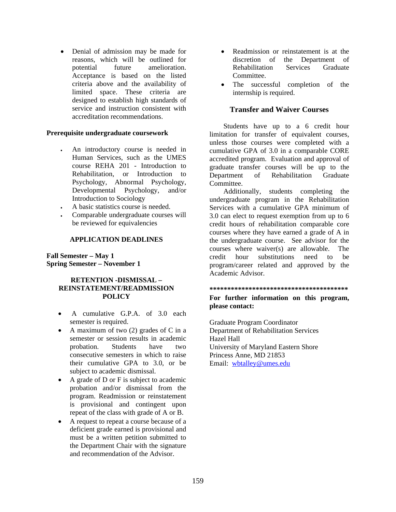• Denial of admission may be made for reasons, which will be outlined for potential future amelioration. Acceptance is based on the listed criteria above and the availability of limited space. These criteria are designed to establish high standards of service and instruction consistent with accreditation recommendations.

#### **Prerequisite undergraduate coursework**

- An introductory course is needed in Human Services, such as the UMES course REHA 201 - Introduction to Rehabilitation, or Introduction to Psychology, Abnormal Psychology, Developmental Psychology, and/or Introduction to Sociology
- A basic statistics course is needed.
- Comparable undergraduate courses will be reviewed for equivalencies

### **APPLICATION DEADLINES**

### **Fall Semester – May 1 Spring Semester – November 1**

### **RETENTION -DISMISSAL – REINSTATEMENT/READMISSION POLICY**

- A cumulative G.P.A. of 3.0 each semester is required.
- A maximum of two (2) grades of C in a semester or session results in academic probation. Students have two consecutive semesters in which to raise their cumulative GPA to 3.0, or be subject to academic dismissal.
- A grade of D or F is subject to academic probation and/or dismissal from the program. Readmission or reinstatement is provisional and contingent upon repeat of the class with grade of A or B.
- A request to repeat a course because of a deficient grade earned is provisional and must be a written petition submitted to the Department Chair with the signature and recommendation of the Advisor.
- Readmission or reinstatement is at the discretion of the Department of Rehabilitation Services Graduate Committee.
- The successful completion of the internship is required.

### **Transfer and Waiver Courses**

Students have up to a 6 credit hour limitation for transfer of equivalent courses, unless those courses were completed with a cumulative GPA of 3.0 in a comparable CORE accredited program. Evaluation and approval of graduate transfer courses will be up to the Department of Rehabilitation Graduate Committee.

Additionally, students completing the undergraduate program in the Rehabilitation Services with a cumulative GPA minimum of 3.0 can elect to request exemption from up to 6 credit hours of rehabilitation comparable core courses where they have earned a grade of A in the undergraduate course. See advisor for the courses where waiver(s) are allowable. The credit hour substitutions need to be program/career related and approved by the Academic Advisor.

#### **\*\*\*\*\*\*\*\*\*\*\*\*\*\*\*\*\*\*\*\*\*\*\*\*\*\*\*\*\*\*\*\*\*\*\*\*\*\*\***

### **For further information on this program, please contact:**

Graduate Program Coordinator Department of Rehabilitation Services Hazel Hall University of Maryland Eastern Shore Princess Anne, MD 21853 Email: wbtalley@umes.edu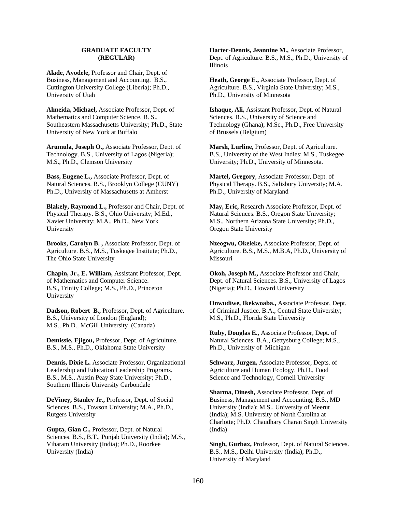#### **GRADUATE FACULTY (REGULAR)**

**Alade, Ayodele,** Professor and Chair, Dept. of Business, Management and Accounting. B.S., Cuttington University College (Liberia); Ph.D., University of Utah

**Almeida, Michael,** Associate Professor, Dept. of Mathematics and Computer Science. B. S., Southeastern Massachusetts University; Ph.D., State University of New York at Buffalo

**Arumula, Joseph O.,** Associate Professor, Dept. of Technology. B.S., University of Lagos (Nigeria); M.S., Ph.D., Clemson University

**Bass, Eugene L.,** Associate Professor, Dept. of Natural Sciences. B.S., Brooklyn College (CUNY) Ph.D., University of Massachusetts at Amherst

**Blakely, Raymond L.,** Professor and Chair, Dept. of Physical Therapy. B.S., Ohio University; M.Ed., Xavier University; M.A., Ph.D., New York University

**Brooks, Carolyn B. ,** Associate Professor, Dept. of Agriculture. B.S., M.S., Tuskegee Institute; Ph.D., The Ohio State University

**Chapin, Jr., E. William,** Assistant Professor, Dept. of Mathematics and Computer Science. B.S., Trinity College; M.S., Ph.D., Princeton University

**Dadson, Robert B.,** Professor, Dept. of Agriculture. B.S., University of London (England); M.S., Ph.D., McGill University (Canada)

**Demissie, Ejigou,** Professor, Dept. of Agriculture. B.S., M.S., Ph.D., Oklahoma State University

**Dennis, Dixie L.** Associate Professor, Organizational Leadership and Education Leadership Programs. B.S., M.S., Austin Peay State University; Ph.D., Southern Illinois University Carbondale

**DeViney, Stanley Jr.,** Professor, Dept. of Social Sciences. B.S., Towson University; M.A., Ph.D., Rutgers University

**Gupta, Gian C.,** Professor, Dept. of Natural Sciences. B.S., B.T., Punjab University (India); M.S., Viharam University (India); Ph.D., Roorkee University (India)

**Harter-Dennis, Jeannine M.,** Associate Professor, Dept. of Agriculture. B.S., M.S., Ph.D., University of Illinois

**Heath, George E.,** Associate Professor, Dept. of Agriculture. B.S., Virginia State University; M.S., Ph.D., University of Minnesota

**Ishaque, Ali,** Assistant Professor, Dept. of Natural Sciences. B.S., University of Science and Technology (Ghana); M.Sc., Ph.D., Free University of Brussels (Belgium)

**Marsh, Lurline,** Professor, Dept. of Agriculture. B.S., University of the West Indies; M.S., Tuskegee University; Ph.D., University of Minnesota.

**Martel, Gregory**, Associate Professor, Dept. of Physical Therapy. B.S., Salisbury University; M.A. Ph.D., University of Maryland

**May, Eric,** Research Associate Professor, Dept. of Natural Sciences. B.S., Oregon State University; M.S., Northern Arizona State University; Ph.D., Oregon State University

**Nzeogwu, Okeleke,** Associate Professor, Dept. of Agriculture. B.S., M.S., M.B.A, Ph.D., University of Missouri

**Okoh, Joseph M.,** Associate Professor and Chair, Dept. of Natural Sciences. B.S., University of Lagos (Nigeria); Ph.D., Howard University

**Onwudiwe, Ikekwoaba.,** Associate Professor, Dept. of Criminal Justice. B.A., Central State University; M.S., Ph.D., Florida State University

**Ruby, Douglas E.,** Associate Professor, Dept. of Natural Sciences. B.A., Gettysburg College; M.S., Ph.D., University of Michigan

**Schwarz, Jurgen,** Associate Professor, Depts. of Agriculture and Human Ecology. Ph.D., Food Science and Technology, Cornell University

**Sharma, Dinesh,** Associate Professor, Dept. of Business, Management and Accounting, B.S., MD University (India); M.S., University of Meerut (India); M.S. University of North Carolina at Charlotte; Ph.D. Chaudhary Charan Singh University (India)

**Singh, Gurbax,** Professor, Dept. of Natural Sciences. B.S., M.S., Delhi University (India); Ph.D., University of Maryland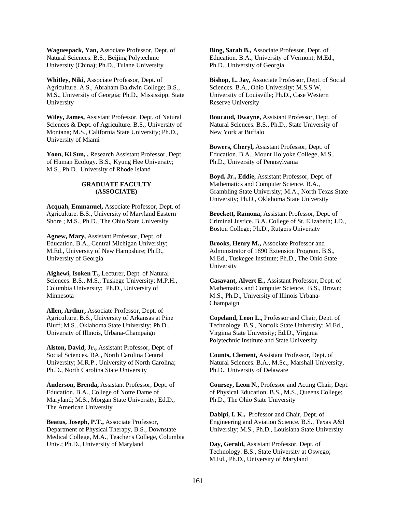**Waguespack, Yan,** Associate Professor, Dept. of Natural Sciences. B.S., Beijing Polytechnic University (China); Ph.D., Tulane University

**Whitley, Niki,** Associate Professor, Dept. of Agriculture. A.S., Abraham Baldwin College; B.S., M.S., University of Georgia; Ph.D., Mississippi State University

**Wiley, James,** Assistant Professor, Dept. of Natural Sciences & Dept. of Agriculture. B.S., University of Montana; M.S., California State University; Ph.D., University of Miami

**Yoon, Ki Sun, ,** Research Assistant Professor, Dept of Human Ecology. B.S., Kyung Hee University; M.S., Ph.D., University of Rhode Island

#### **GRADUATE FACULTY (ASSOCIATE)**

**Acquah, Emmanuel,** Associate Professor, Dept. of Agriculture. B.S., University of Maryland Eastern Shore ; M.S., Ph.D., The Ohio State University

**Agnew, Mary,** Assistant Professor, Dept. of Education. B.A., Central Michigan University; M.Ed., University of New Hampshire; Ph.D., University of Georgia

**Aighewi, Isoken T.,** Lecturer, Dept. of Natural Sciences. B.S., M.S., Tuskege University; M.P.H., Columbia University; Ph.D., University of Minnesota

**Allen, Arthur,** Associate Professor, Dept. of Agriculture. B.S., University of Arkansas at Pine Bluff; M.S., Oklahoma State University; Ph.D., University of Illinois, Urbana-Champaign

**Alston, David, Jr.,** Assistant Professor, Dept. of Social Sciences. BA., North Carolina Central University; M.R.P., University of North Carolina; Ph.D., North Carolina State University

**Anderson, Brenda,** Assistant Professor, Dept. of Education. B.A., College of Notre Dame of Maryland; M.S., Morgan State University; Ed.D., The American University

**Beatus, Joseph, P.T.,** Associate Professor, Department of Physical Therapy, B.S., Downstate Medical College, M.A., Teacher's College, Columbia Univ.; Ph.D., University of Maryland

**Bing, Sarah B.,** Associate Professor, Dept. of Education. B.A., University of Vermont; M.Ed., Ph.D., University of Georgia

**Bishop, L. Jay,** Associate Professor, Dept. of Social Sciences. B.A., Ohio University; M.S.S.W, University of Louisville; Ph.D., Case Western Reserve University

**Boucaud, Dwayne,** Assistant Professor, Dept. of Natural Sciences. B.S., Ph.D., State University of New York at Buffalo

**Bowers, Cheryl,** Assistant Professor, Dept. of Education. B.A., Mount Holyoke College, M.S., Ph.D., University of Pennsylvania

**Boyd, Jr., Eddie,** Assistant Professor, Dept. of Mathematics and Computer Science. B.A., Grambling State University; M.A., North Texas State University; Ph.D., Oklahoma State University

**Brockett, Ramona,** Assistant Professor, Dept. of Criminal Justice. B.A. College of St. Elizabeth; J.D., Boston College; Ph.D., Rutgers University

**Brooks, Henry M.,** Associate Professor and Administrator of 1890 Extension Program. B.S., M.Ed., Tuskegee Institute; Ph.D., The Ohio State University

**Casavant, Alvert E.,** Assistant Professor, Dept. of Mathematics and Computer Science. B.S., Brown; M.S., Ph.D., University of Illinois Urbana-Champaign

**Copeland, Leon L.,** Professor and Chair, Dept. of Technology. B.S., Norfolk State University; M.Ed., Virginia State University; Ed.D., Virginia Polytechnic Institute and State University

**Counts, Clement,** Assistant Professor, Dept. of Natural Sciences. B.A., M.Sc., Marshall University, Ph.D., University of Delaware

**Coursey, Leon N.,** Professor and Acting Chair, Dept. of Physical Education. B.S., M.S., Queens College; Ph.D., The Ohio State University

**Dabipi, I. K.,** Professor and Chair, Dept. of Engineering and Aviation Science. B.S., Texas A&I University; M.S., Ph.D., Louisiana State University

**Day, Gerald,** Assistant Professor, Dept. of Technology. B.S., State University at Oswego; M.Ed., Ph.D., University of Maryland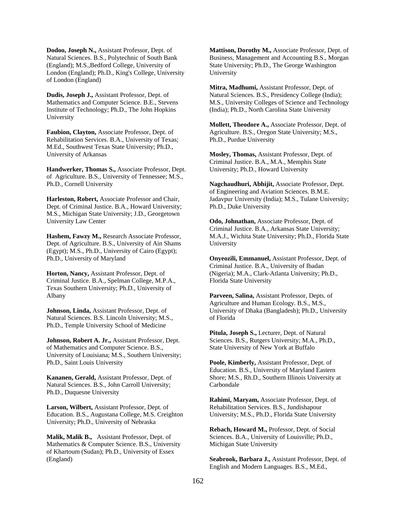**Dodoo, Joseph N.,** Assistant Professor, Dept. of Natural Sciences. B.S., Polytechnic of South Bank (England); M.S.,Bedford College, University of London (England); Ph.D., King's College, University of London (England)

**Dudis, Joseph J.,** Assistant Professor, Dept. of Mathematics and Computer Science. B.E., Stevens Institute of Technology; Ph.D., The John Hopkins University

**Faubion, Clayton,** Associate Professor, Dept. of Rehabilitation Services. B.A., University of Texas; M.Ed., Southwest Texas State University; Ph.D., University of Arkansas

**Handwerker, Thomas S.,** Associate Professor, Dept. of Agriculture. B.S., University of Tennessee; M.S., Ph.D., Cornell University

**Harleston, Robert,** Associate Professor and Chair, Dept. of Criminal Justice. B.A., Howard University; M.S., Michigan State University; J.D., Georgetown University Law Center

**Hashem, Fawzy M.,** Research Associate Professor, Dept. of Agriculture. B.S., University of Ain Shams (Egypt); M.S., Ph.D., University of Cairo (Egypt); Ph.D., University of Maryland

**Horton, Nancy,** Assistant Professor, Dept. of Criminal Justice. B.A., Spelman College, M.P.A., Texas Southern University; Ph.D., University of Albany

**Johnson, Linda,** Assistant Professor, Dept. of Natural Sciences. B.S. Lincoln University; M.S., Ph.D., Temple University School of Medicine

**Johnson, Robert A. Jr.,** Assistant Professor, Dept. of Mathematics and Computer Science. B.S., University of Louisiana; M.S., Southern University; Ph.D., Saint Louis University

**Kananen, Gerald,** Assistant Professor, Dept. of Natural Sciences. B.S., John Carroll University; Ph.D., Duquesne University

**Larson, Wilbert,** Assistant Professor, Dept. of Education. B.S., Augustana College, M.S. Creighton University; Ph.D., University of Nebraska

**Malik, Malik B.,** Assistant Professor, Dept. of Mathematics & Computer Science. B.S., University of Khartoum (Sudan); Ph.D., University of Essex (England)

**Mattison, Dorothy M.,** Associate Professor, Dept. of Business, Management and Accounting B.S., Morgan State University; Ph.D., The George Washington University

**Mitra, Madhumi,** Assistant Professor, Dept. of Natural Sciences. B.S., Presidency College (India); M.S., University Colleges of Science and Technology (India); Ph.D., North Carolina State University

**Mollett, Theodore A.,** Associate Professor, Dept. of Agriculture. B.S., Oregon State University; M.S., Ph.D., Purdue University

**Mosley, Thomas,** Assistant Professor, Dept. of Criminal Justice. B.A., M.A., Memphis State University; Ph.D., Howard University

**Nagchaudhuri, Abhijit,** Associate Professor, Dept. of Engineering and Aviation Sciences. B.M.E. Jadavpur University (India); M.S., Tulane University; Ph.D., Duke University

**Odo, Johnathan,** Associate Professor, Dept. of Criminal Justice. B.A., Arkansas State University; M.A.J., Wichita State University; Ph.D., Florida State University

**Onyeozili, Emmanuel,** Assistant Professor, Dept. of Criminal Justice. B.A., University of Ibadan (Nigeria); M.A., Clark-Atlanta University; Ph.D., Florida State University

**Parveen, Salina,** Assistant Professor, Depts. of Agriculture and Human Ecology. B.S., M.S., University of Dhaka (Bangladesh); Ph.D., University of Florida

**Pitula, Joseph S.,** Lecturer, Dept. of Natural Sciences. B.S., Rutgers University; M.A., Ph.D., State University of New York at Buffalo

**Poole, Kimberly,** Assistant Professor, Dept. of Education. B.S., University of Maryland Eastern Shore; M.S., Rh.D., Southern Illinois University at Carbondale

**Rahimi, Maryam,** Associate Professor, Dept. of Rehabilitation Services. B.S., Jundishapour University; M.S., Ph.D., Florida State University

**Rebach, Howard M.,** Professor, Dept. of Social Sciences. B.A., University of Louisville; Ph.D., Michigan State University

**Seabrook, Barbara J.,** Assistant Professor, Dept. of English and Modern Languages. B.S., M.Ed.,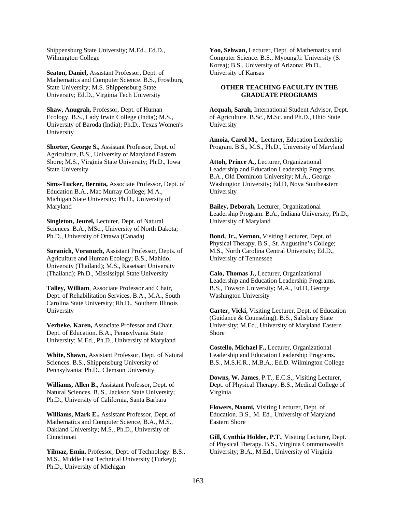Shippensburg State University; M.Ed., Ed.D., Wilmington College

**Seaton, Daniel,** Assistant Professor, Dept. of Mathematics and Computer Science. B.S., Frostburg State University; M.S. Shippensburg State University; Ed.D., Virginia Tech University

**Shaw, Anugrah,** Professor, Dept. of Human Ecology. B.S., Lady Irwin College (India); M.S., University of Baroda (India); Ph.D., Texas Women's University

**Shorter, George S.,** Assistant Professor, Dept. of Agriculture, B.S., University of Maryland Eastern Shore; M.S., Virginia State University; Ph.D., Iowa State University

**Sims-Tucker, Bernita,** Associate Professor, Dept. of Education B.A., Mac Murray College; M.A., Michigan State University; Ph.D., University of Maryland

**Singleton, Jeurel,** Lecturer, Dept. of Natural Sciences. B.A., MSc., University of North Dakota; Ph.D., University of Ottawa (Canada)

**Suranich, Voranuch,** Assistant Professor, Depts. of Agriculture and Human Ecology; B.S., Mahidol University (Thailand); M.S., Kasetsart University (Thailand); Ph.D., Mississippi State University

**Talley, William**, Associate Professor and Chair, Dept. of Rehabilitation Services. B.A., M.A., South Carolina State University; Rh.D., Southern Illinois University

**Verbeke, Karen,** Associate Professor and Chair, Dept. of Education. B.A., Pennsylvania State University; M.Ed., Ph.D., University of Maryland

**White, Shawn,** Assistant Professor, Dept. of Natural Sciences. B.S., Shippensburg University of Pennsylvania; Ph.D., Clemson University

**Williams, Allen B.,** Assistant Professor, Dept. of Natural Sciences. B. S., Jackson State University; Ph.D., University of California, Santa Barbara

**Williams, Mark E.,** Assistant Professor, Dept. of Mathematics and Computer Science, B.A., M.S., Oakland University; M.S., Ph.D., University of **Cinncinnati** 

**Yilmaz, Emin,** Professor, Dept. of Technology. B.S., M.S., Middle East Technical University (Turkey); Ph.D., University of Michigan

**Yoo, Sehwan,** Lecturer, Dept. of Mathematics and Computer Science. B.S., MyoungJi: University (S. Korea); B.S., University of Arizona; Ph.D., University of Kansas

#### **OTHER TEACHING FACULTY IN THE GRADUATE PROGRAMS**

**Acquah, Sarah,** International Student Advisor, Dept. of Agriculture. B.Sc., M.Sc. and Ph.D., Ohio State University

**Amoia, Carol M.,** Lecturer, Education Leadership Program. B.S., M.S., Ph.D., University of Maryland

**Attoh, Prince A.,** Lecturer, Organizational Leadership and Education Leadership Programs. B.A., Old Dominion University; M.A., George Washington University; Ed.D, Nova Southeastern University

**Bailey, Deborah,** Lecturer, Organizational Leadership Program. B.A., Indiana University; Ph.D., University of Maryland

**Bond, Jr., Vernon,** Visiting Lecturer, Dept. of Physical Therapy. B.S., St. Augustine's College; M.S., North Carolina Central University; Ed.D., University of Tennessee

**Calo, Thomas J.,** Lecturer, Organizational Leadership and Education Leadership Programs. B.S., Towson University; M.A., Ed.D, George Washington University

**Carter, Vicki,** Visiting Lecturer, Dept. of Education (Guidance & Counseling). B.S., Salisbury State University; M.Ed., University of Maryland Eastern Shore

**Costello, Michael F.,** Lecturer, Organizational Leadership and Education Leadership Programs. B.S., M.S.H.R., M.B.A., Ed.D. Wilmington College

**Downs, W. James**, P.T., E.C.S., Visiting Lecturer, Dept. of Physical Therapy. B.S., Medical College of Virginia

**Flowers, Naomi,** Visiting Lecturer, Dept. of Education. B.S., M. Ed., University of Maryland Eastern Shore

**Gill, Cynthia Holder, P.T**., Visiting Lecturer, Dept. of Physical Therapy. B.S., Virginia Commonwealth University; B.A., M.Ed., University of Virginia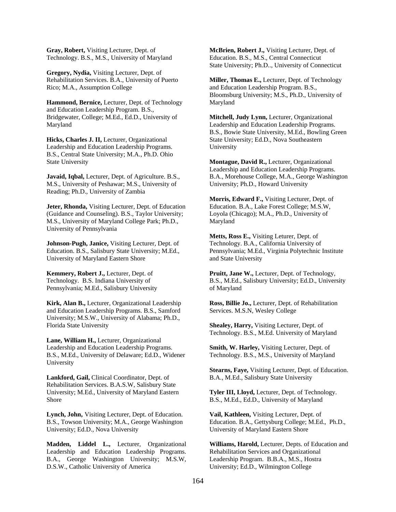**Gray, Robert,** Visiting Lecturer, Dept. of Technology. B.S., M.S., University of Maryland

**Gregory, Nydia,** Visiting Lecturer, Dept. of Rehabilitation Services. B.A., University of Puerto Rico; M.A., Assumption College

**Hammond, Bernice,** Lecturer, Dept. of Technology and Education Leadership Program. B.S., Bridgewater, College; M.Ed., Ed.D., University of Maryland

**Hicks, Charles J. II,** Lecturer, Organizational Leadership and Education Leadership Programs. B.S., Central State University; M.A., Ph.D. Ohio State University

**Javaid, Iqbal,** Lecturer, Dept. of Agriculture. B.S., M.S., University of Peshawar; M.S., University of Reading; Ph.D., University of Zambia

**Jeter, Rhonda,** Visiting Lecturer, Dept. of Education (Guidance and Counseling). B.S., Taylor University; M.S., University of Maryland College Park; Ph.D., University of Pennsylvania

**Johnson-Pugh, Janice,** Visiting Lecturer, Dept. of Education. B.S., Salisbury State University; M.Ed., University of Maryland Eastern Shore

**Kemmery, Robert J.,** Lecturer, Dept. of Technology. B.S. Indiana University of Pennsylvania; M.Ed., Salisbury University

**Kirk, Alan B.,** Lecturer, Organizational Leadership and Education Leadership Programs. B.S., Samford University; M.S.W., University of Alabama; Ph.D., Florida State University

**Lane, William H.,** Lecturer, Organizational Leadership and Education Leadership Programs. B.S., M.Ed., University of Delaware; Ed.D., Widener University

**Lankford, Gail,** Clinical Coordinator, Dept. of Rehabilitation Services. B.A.S.W, Salisbury State University; M.Ed., University of Maryland Eastern Shore

**Lynch, John,** Visiting Lecturer, Dept. of Education. B.S., Towson University; M.A., George Washington University; Ed.D., Nova University

**Madden, Liddel L.,** Lecturer, Organizational Leadership and Education Leadership Programs. B.A., George Washington University; M.S.W, D.S.W., Catholic University of America

**McBrien, Robert J.,** Visiting Lecturer, Dept. of Education. B.S., M.S., Central Connecticut State University; Ph.D.., University of Connecticut

**Miller, Thomas E.,** Lecturer, Dept. of Technology and Education Leadership Program. B.S., Bloomsburg University; M.S., Ph.D., University of Maryland

**Mitchell, Judy Lynn,** Lecturer, Organizational Leadership and Education Leadership Programs. B.S., Bowie State University, M.Ed., Bowling Green State University; Ed.D., Nova Southeastern University

**Montague, David R.,** Lecturer, Organizational Leadership and Education Leadership Programs. B.A., Morehouse College, M.A., George Washington University; Ph.D., Howard University

**Morris, Edward F.,** Visiting Lecturer, Dept. of Education. B.A., Lake Forest College; M.S.W, Loyola (Chicago); M.A., Ph.D., University of Maryland

**Metts, Ross E.,** Visiting Leturer, Dept. of Technology. B.A., California University of Pennsylvania; M.Ed., Virginia Polytechnic Institute and State University

**Pruitt, Jane W.,** Lecturer, Dept. of Technology, B.S., M.Ed., Salisbury University; Ed.D., University of Maryland

**Ross, Billie Jo.,** Lecturer, Dept. of Rehabilitation Services. M.S.N, Wesley College

**Shealey, Harry,** Visiting Lecturer, Dept. of Technology. B.S., M.Ed. University of Maryland

**Smith, W. Harley,** Visiting Lecturer, Dept. of Technology. B.S., M.S., University of Maryland

**Stearns, Faye,** Visiting Lecturer, Dept. of Education. B.A., M.Ed., Salisbury State University

**Tyler III, Lloyd,** Lecturer, Dept. of Technology. B.S., M.Ed., Ed.D., University of Maryland

**Vail, Kathleen,** Visiting Lecturer, Dept. of Education. B.A., Gettysburg College; M.Ed., Ph.D., University of Maryland Eastern Shore

**Williams, Harold,** Lecturer, Depts. of Education and Rehabilitation Services and Organizational Leadership Program. B.B.A., M.S., Hostra University; Ed.D., Wilmington College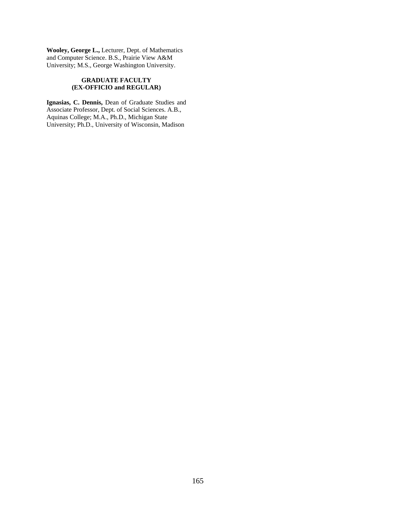**Wooley, George L.,** Lecturer, Dept. of Mathematics and Computer Science. B.S., Prairie View A&M University; M.S., George Washington University.

#### **GRADUATE FACULTY (EX-OFFICIO and REGULAR)**

**Ignasias, C. Dennis,** Dean of Graduate Studies and Associate Professor, Dept. of Social Sciences. A.B., Aquinas College; M.A., Ph.D., Michigan State University; Ph.D., University of Wisconsin, Madison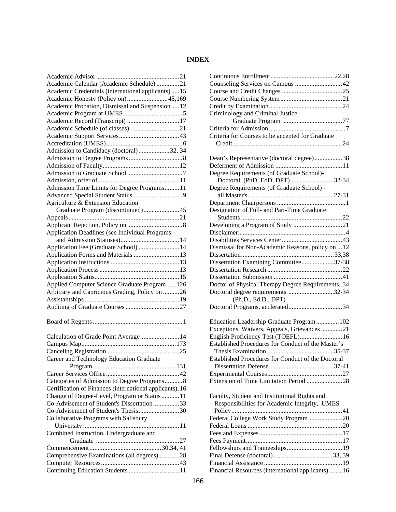# **INDEX**

| Academic Calendar (Academic Schedule) 21                 |
|----------------------------------------------------------|
| Academic Credentials (international applicants)15        |
| Academic Honesty (Policy on)45,169                       |
| Academic Probation, Dismissal and Suspension12           |
|                                                          |
| Academic Record (Transcript) 17                          |
|                                                          |
|                                                          |
|                                                          |
| Admission to Candidacy (doctoral)32, 34                  |
|                                                          |
|                                                          |
|                                                          |
|                                                          |
| Admission Time Limits for Degree Programs11              |
|                                                          |
| Agriculture & Extension Education                        |
| Graduate Program (discontinued)45                        |
|                                                          |
|                                                          |
|                                                          |
| Application Deadlines (see Individual Programs           |
|                                                          |
| Application Fee (Graduate School)  14                    |
| Application Forms and Materials  13                      |
|                                                          |
|                                                          |
|                                                          |
| Applied Computer Science Graduate Program 126            |
| Arbitrary and Capricious Grading, Policy on 26           |
|                                                          |
|                                                          |
|                                                          |
|                                                          |
|                                                          |
| Calculation of Grade Point Average 14                    |
|                                                          |
|                                                          |
| Career and Technology Education Graduate                 |
|                                                          |
|                                                          |
| Categories of Admission to Degree Programs8              |
| Certification of Finances (international applicants). 16 |
| Change of Degree-Level, Program or Status  11            |
|                                                          |
|                                                          |
| Co-Advisement of Student's Dissertation 33               |
| Co-Advisement of Student's Thesis30                      |
| Collaborative Programs with Salisbury                    |
|                                                          |
| Combined Instruction, Undergraduate and                  |
|                                                          |
|                                                          |
| Comprehensive Examinations (all degrees)28               |
| Continuing Education Students  11                        |

| Counseling Services on Campus 42                          |
|-----------------------------------------------------------|
|                                                           |
|                                                           |
|                                                           |
|                                                           |
| Criminology and Criminal Justice                          |
|                                                           |
|                                                           |
| Criteria for Courses to be accepted for Graduate          |
|                                                           |
|                                                           |
| Dean's Representative (doctoral degree)38                 |
|                                                           |
|                                                           |
| Degree Requirements (of Graduate School)-                 |
| Doctoral (PhD, EdD, DPT)32-34                             |
| Degree Requirements (of Graduate School) -                |
|                                                           |
|                                                           |
| Designation of Full- and Part-Time Graduate               |
|                                                           |
|                                                           |
|                                                           |
|                                                           |
|                                                           |
| Dismissal for Non-Academic Reasons, policy on  12         |
|                                                           |
| Dissertation Examining Committee37-38                     |
|                                                           |
|                                                           |
|                                                           |
| Doctor of Physical Therapy Degree Requirements34          |
| Doctoral degree requirements 32-34                        |
| (Ph.D., Ed.D., DPT)                                       |
|                                                           |
|                                                           |
| Education Leadership Graduate Program 102                 |
| Exceptions, Waivers, Appeals, Grievances 21               |
| English Proficiency Test (TOEFL) 16                       |
| Established Procedures for Conduct of the Master's        |
|                                                           |
|                                                           |
| <b>Established Procedures for Conduct of the Doctoral</b> |
|                                                           |
|                                                           |
| Extension of Time Limitation Period 28                    |
|                                                           |
| Faculty, Student and Institutional Rights and             |
|                                                           |
| Responsibilities for Academic Integrity, UMES             |
|                                                           |
| Federal College Work Study Program20                      |
|                                                           |
|                                                           |
|                                                           |
|                                                           |
|                                                           |
|                                                           |
|                                                           |
| Financial Resources (international applicants)16          |
|                                                           |
|                                                           |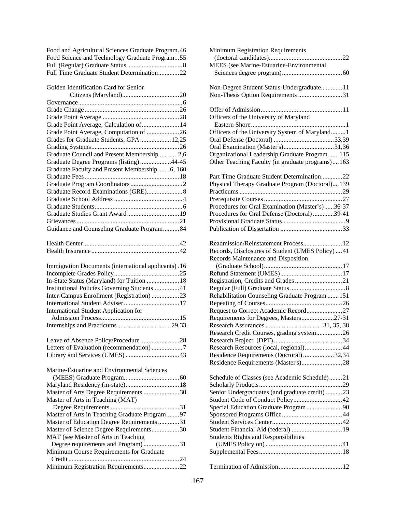| Food and Agricultural Sciences Graduate Program. 46 |  |
|-----------------------------------------------------|--|
| Food Science and Technology Graduate Program55      |  |
|                                                     |  |
| Full Time Graduate Student Determination22          |  |

Golden Identification Card for Senior

| Grade Point Average, Calculation of  14              |  |
|------------------------------------------------------|--|
| Grade Point Average, Computation of 26               |  |
| Grades for Graduate Students, GPA  12,25             |  |
|                                                      |  |
| Graduate Council and Present Membership 2,6          |  |
| Graduate Degree Programs (listing)44-45              |  |
| Graduate Faculty and Present Membership  6, 160      |  |
|                                                      |  |
|                                                      |  |
|                                                      |  |
|                                                      |  |
|                                                      |  |
|                                                      |  |
|                                                      |  |
| Guidance and Counseling Graduate Program84           |  |
|                                                      |  |
|                                                      |  |
| Immigration Documents (international applicants). 16 |  |
|                                                      |  |
| In-State Status (Maryland) for Tuition  18           |  |
| Institutional Policies Governing Students41          |  |
| Inter-Campus Enrollment (Registration) 23            |  |
|                                                      |  |
|                                                      |  |

International Student Application for Admission Process................................................15 Internships and Practicums ................................29,33

| Marine-Estuarine and Environmental Sciences   |
|-----------------------------------------------|
|                                               |
|                                               |
| Master of Arts Degree Requirements 30         |
| Master of Arts in Teaching (MAT)              |
|                                               |
| Master of Arts in Teaching Graduate Program97 |
| Master of Education Degree Requirements31     |
| Master of Science Degree Requirements30       |
| MAT (see Master of Arts in Teaching           |
| Degree requirements and Program)31            |
| Minimum Course Requirements for Graduate      |
|                                               |
| Minimum Registration Requirements22           |

| Minimum Registration Requirements                 |
|---------------------------------------------------|
|                                                   |
| MEES (see Marine-Estuarine-Environmental          |
|                                                   |
|                                                   |
| Non-Degree Student Status-Undergraduate11         |
| Non-Thesis Option Requirements 31                 |
|                                                   |
|                                                   |
| Officers of the University of Maryland            |
|                                                   |
|                                                   |
| Officers of the University System of Maryland 1   |
|                                                   |
| Oral Examination (Master's)31,36                  |
| Organizational Leadership Graduate Program 115    |
| Other Teaching Faculty (in graduate programs)163  |
|                                                   |
| Part Time Graduate Student Determination22        |
| Physical Therapy Graduate Program (Doctoral)139   |
|                                                   |
|                                                   |
| Procedures for Oral Examination (Master's)36-37   |
|                                                   |
| Procedures for Oral Defense (Doctoral) 39-41      |
|                                                   |
|                                                   |
|                                                   |
| Readmission/Reinstatement Process 12              |
| Records, Disclosures of Student (UMES Policy)  41 |
| Records Maintenance and Disposition               |
|                                                   |
|                                                   |
|                                                   |
|                                                   |
| Rehabilitation Counseling Graduate Program  151   |
|                                                   |
|                                                   |
| Request to Correct Academic Record27              |
| Requirements for Degrees, Masters27-31            |
|                                                   |
| Research Credit Courses, grading system26         |
|                                                   |
| Research Resources (local, regional)44            |
| Residence Requirements (Doctoral)32,34            |
| Residence Requirements (Master's)28               |
|                                                   |
| Schedule of Classes (see Academic Schedule)21     |
|                                                   |
| Senior Undergraduates (and graduate credit) 23    |
|                                                   |
|                                                   |
| Special Education Graduate Program90              |
|                                                   |
|                                                   |
| Student Financial Aid (federal)  19               |
| <b>Students Rights and Responsibilities</b>       |
|                                                   |
|                                                   |
|                                                   |
|                                                   |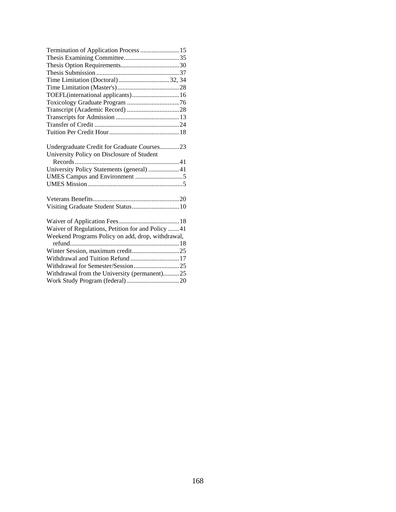| Termination of Application Process  15            |
|---------------------------------------------------|
|                                                   |
|                                                   |
|                                                   |
| Time Limitation (Doctoral) 32, 34                 |
|                                                   |
| TOEFL(international applicants) 16                |
|                                                   |
|                                                   |
|                                                   |
|                                                   |
|                                                   |
|                                                   |
| Undergraduate Credit for Graduate Courses23       |
| University Policy on Disclosure of Student        |
|                                                   |
| University Policy Statements (general) 41         |
|                                                   |
|                                                   |
|                                                   |
|                                                   |
|                                                   |
|                                                   |
| Waiver of Regulations, Petition for and Policy 41 |
| Weekend Programs Policy on add, drop, withdrawal, |
|                                                   |
| Withdrawal and Tuition Refund  17                 |
|                                                   |
| Withdrawal from the University (permanent)25      |
|                                                   |
|                                                   |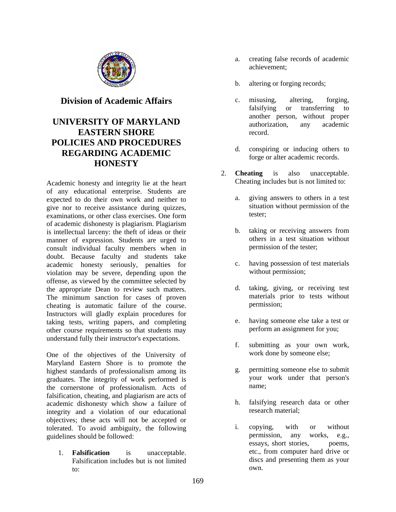

# **Division of Academic Affairs**

# **UNIVERSITY OF MARYLAND EASTERN SHORE POLICIES AND PROCEDURES REGARDING ACADEMIC HONESTY**

Academic honesty and integrity lie at the heart of any educational enterprise. Students are expected to do their own work and neither to give nor to receive assistance during quizzes, examinations, or other class exercises. One form of academic dishonesty is plagiarism. Plagiarism is intellectual larceny: the theft of ideas or their manner of expression. Students are urged to consult individual faculty members when in doubt. Because faculty and students take academic honesty seriously, penalties for violation may be severe, depending upon the offense, as viewed by the committee selected by the appropriate Dean to review such matters. The minimum sanction for cases of proven cheating is automatic failure of the course. Instructors will gladly explain procedures for taking tests, writing papers, and completing other course requirements so that students may understand fully their instructor's expectations.

One of the objectives of the University of Maryland Eastern Shore is to promote the highest standards of professionalism among its graduates. The integrity of work performed is the cornerstone of professionalism. Acts of falsification, cheating, and plagiarism are acts of academic dishonesty which show a failure of integrity and a violation of our educational objectives; these acts will not be accepted or tolerated. To avoid ambiguity, the following guidelines should be followed:

1. **Falsification** is unacceptable. Falsification includes but is not limited to:

- a. creating false records of academic achievement;
- b. altering or forging records;
- c. misusing, altering, forging, falsifying or transferring to another person, without proper authorization, any academic record.
- d. conspiring or inducing others to forge or alter academic records.
- 2. **Cheating** is also unacceptable. Cheating includes but is not limited to:
	- a. giving answers to others in a test situation without permission of the tester;
	- b. taking or receiving answers from others in a test situation without permission of the tester;
	- c. having possession of test materials without permission;
	- d. taking, giving, or receiving test materials prior to tests without permission;
	- e. having someone else take a test or perform an assignment for you;
	- f. submitting as your own work, work done by someone else;
	- g. permitting someone else to submit your work under that person's name;
	- h. falsifying research data or other research material;
	- i. copying, with or without permission, any works, e.g., essays, short stories, poems, etc., from computer hard drive or discs and presenting them as your own.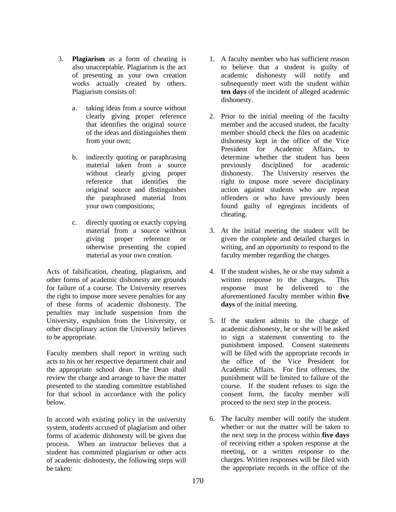- 3. **Plagiarism** as a form of cheating is also unacceptable. Plagiarism is the act of presenting as your own creation works actually created by others. Plagiarism consists of:
	- a. taking ideas from a source without clearly giving proper reference that identifies the original source of the ideas and distinguishes them from your own;
	- b. indirectly quoting or paraphrasing material taken from a source without clearly giving proper reference that identifies the original source and distinguishes the paraphrased material from your own compositions;
	- c. directly quoting or exactly copying material from a source without giving proper reference or otherwise presenting the copied material as your own creation.

Acts of falsification, cheating, plagiarism, and other forms of academic dishonesty are grounds for failure of a course. The University reserves the right to impose more severe penalties for any of these forms of academic dishonesty. The penalties may include suspension from the University, expulsion from the University, or other disciplinary action the University believes to be appropriate.

Faculty members shall report in writing such acts to his or her respective department chair and the appropriate school dean. The Dean shall review the charge and arrange to have the matter presented to the standing committee established for that school in accordance with the policy below.

In accord with existing policy in the university system, students accused of plagiarism and other forms of academic dishonesty will be given due process. When an instructor believes that a student has committed plagiarism or other acts of academic dishonesty, the following steps will be taken:

- 1. A faculty member who has sufficient reason to believe that a student is guilty of academic dishonesty will notify and subsequently meet with the student within **ten days** of the incident of alleged academic dishonesty.
- 2. Prior to the initial meeting of the faculty member and the accused student, the faculty member should check the files on academic dishonesty kept in the office of the Vice President for Academic Affairs, to determine whether the student has been previously disciplined for academic dishonesty. The University reserves the right to impose more severe disciplinary action against students who are repeat offenders or who have previously been found guilty of egregious incidents of cheating.
- 3. At the initial meeting the student will be given the complete and detailed charges in writing, and an opportunity to respond to the faculty member regarding the charges.
- 4. If the student wishes, he or she may submit a written response to the charges. This response must be delivered to the aforementioned faculty member within **five days** of the initial meeting.
- 5. If the student admits to the charge of academic dishonesty, he or she will be asked to sign a statement consenting to the punishment imposed. Consent statements will be filed with the appropriate records in the office of the Vice President for Academic Affairs. For first offenses, the punishment will be limited to failure of the course. If the student refuses to sign the consent form, the faculty member will proceed to the next step in the process.
- 6. The faculty member will notify the student whether or not the matter will be taken to the next step in the process within **five days** of receiving either a spoken response at the meeting, or a written response to the charges. Written responses will be filed with the appropriate records in the office of the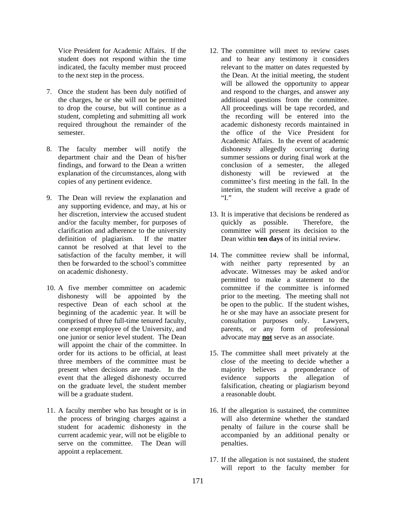Vice President for Academic Affairs. If the student does not respond within the time indicated, the faculty member must proceed to the next step in the process.

- 7. Once the student has been duly notified of the charges, he or she will not be permitted to drop the course, but will continue as a student, completing and submitting all work required throughout the remainder of the semester.
- 8. The faculty member will notify the department chair and the Dean of his/her findings, and forward to the Dean a written explanation of the circumstances, along with copies of any pertinent evidence.
- 9. The Dean will review the explanation and any supporting evidence, and may, at his or her discretion, interview the accused student and/or the faculty member, for purposes of clarification and adherence to the university definition of plagiarism. If the matter cannot be resolved at that level to the satisfaction of the faculty member, it will then be forwarded to the school's committee on academic dishonesty.
- 10. A five member committee on academic dishonesty will be appointed by the respective Dean of each school at the beginning of the academic year. It will be comprised of three full-time tenured faculty, one exempt employee of the University, and one junior or senior level student. The Dean will appoint the chair of the committee. In order for its actions to be official, at least three members of the committee must be present when decisions are made. In the event that the alleged dishonesty occurred on the graduate level, the student member will be a graduate student.
- 11. A faculty member who has brought or is in the process of bringing charges against a student for academic dishonesty in the current academic year, will not be eligible to serve on the committee. The Dean will appoint a replacement.
- 12. The committee will meet to review cases and to hear any testimony it considers relevant to the matter on dates requested by the Dean. At the initial meeting, the student will be allowed the opportunity to appear and respond to the charges, and answer any additional questions from the committee. All proceedings will be tape recorded, and the recording will be entered into the academic dishonesty records maintained in the office of the Vice President for Academic Affairs. In the event of academic dishonesty allegedly occurring during summer sessions or during final work at the conclusion of a semester, the alleged dishonesty will be reviewed at the committee's first meeting in the fall. In the interim, the student will receive a grade of "I."
- 13. It is imperative that decisions be rendered as quickly as possible. Therefore, the committee will present its decision to the Dean within **ten days** of its initial review.
- 14. The committee review shall be informal, with neither party represented by an advocate. Witnesses may be asked and/or permitted to make a statement to the committee if the committee is informed prior to the meeting. The meeting shall not be open to the public. If the student wishes, he or she may have an associate present for consultation purposes only. Lawyers, parents, or any form of professional advocate may **not** serve as an associate.
- 15. The committee shall meet privately at the close of the meeting to decide whether a majority believes a preponderance of evidence supports the allegation of falsification, cheating or plagiarism beyond a reasonable doubt.
- 16. If the allegation is sustained, the committee will also determine whether the standard penalty of failure in the course shall be accompanied by an additional penalty or penalties.
- 17. If the allegation is not sustained, the student will report to the faculty member for